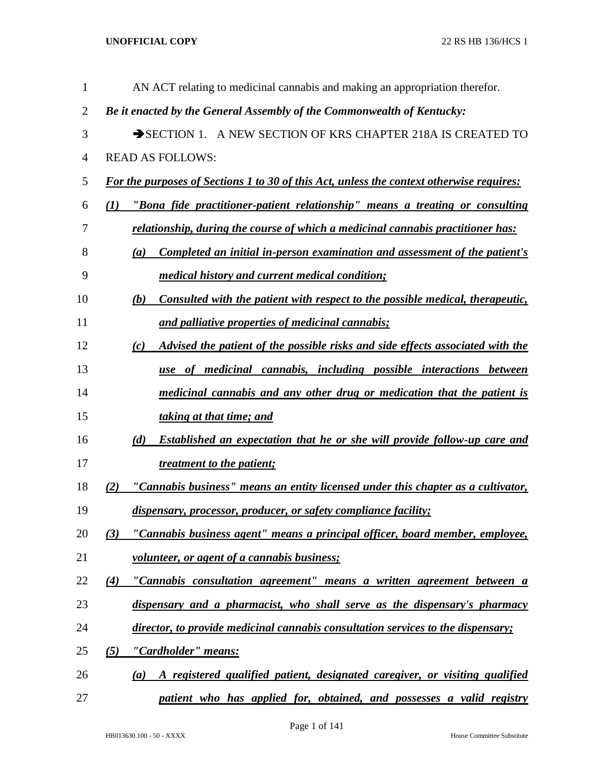| 1              | AN ACT relating to medicinal cannabis and making an appropriation therefor.                     |
|----------------|-------------------------------------------------------------------------------------------------|
| $\overline{2}$ | Be it enacted by the General Assembly of the Commonwealth of Kentucky:                          |
| 3              | SECTION 1. A NEW SECTION OF KRS CHAPTER 218A IS CREATED TO                                      |
| 4              | <b>READ AS FOLLOWS:</b>                                                                         |
| 5              | <b>For the purposes of Sections 1 to 30 of this Act, unless the context otherwise requires:</b> |
| 6              | "Bona fide practitioner-patient relationship" means a treating or consulting<br>$\bf(1)$        |
| 7              | <u>relationship, during the course of which a medicinal cannabis practitioner has:</u>          |
| 8              | Completed an initial in-person examination and assessment of the patient's<br>(a)               |
| 9              | <i>medical history and current medical condition;</i>                                           |
| 10             | Consulted with the patient with respect to the possible medical, therapeutic,<br>(b)            |
| 11             | and palliative properties of medicinal cannabis;                                                |
| 12             | Advised the patient of the possible risks and side effects associated with the<br>(c)           |
| 13             | use of medicinal cannabis, including possible interactions between                              |
| 14             | medicinal cannabis and any other drug or medication that the patient is                         |
| 15             | taking at that time; and                                                                        |
| 16             | <b>Established an expectation that he or she will provide follow-up care and</b><br>(d)         |
| 17             | <i>treatment to the patient;</i>                                                                |
| 18             | "Cannabis business" means an entity licensed under this chapter as a cultivator,<br>(2)         |
| 19             | dispensary, processor, producer, or safety compliance facility;                                 |
| 20             | "Cannabis business agent" means a principal officer, board member, employee,<br>(3)             |
| 21             | volunteer, or agent of a cannabis business;                                                     |
| 22             | "Cannabis consultation agreement" means a written agreement between a<br>$\left( 4\right)$      |
| 23             | dispensary and a pharmacist, who shall serve as the dispensary's pharmacy                       |
| 24             | director, to provide medicinal cannabis consultation services to the dispensary;                |
| 25             | (5)<br>"Cardholder" means:                                                                      |
| 26             | A registered qualified patient, designated caregiver, or visiting qualified<br>(a)              |
| 27             | patient who has applied for, obtained, and possesses a valid registry                           |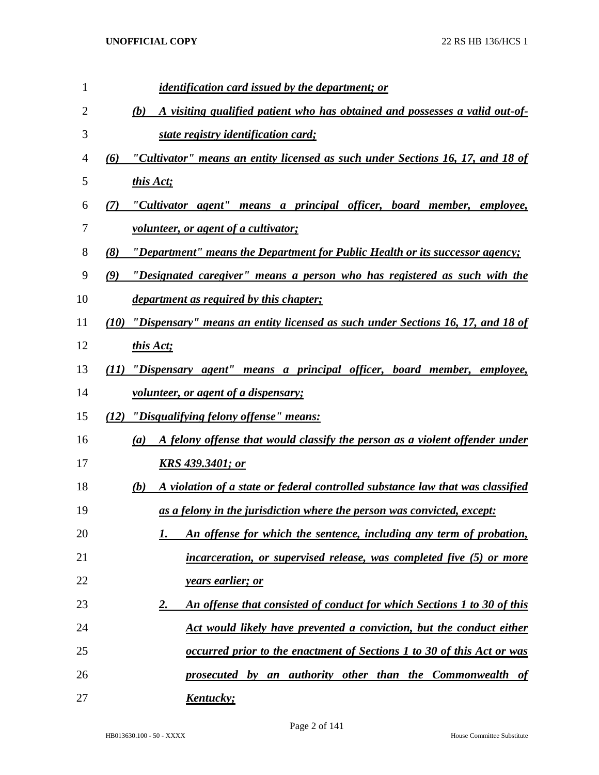| 1  | <i>identification card issued by the department; or</i>                               |
|----|---------------------------------------------------------------------------------------|
| 2  | A visiting qualified patient who has obtained and possesses a valid out-of-<br>(b)    |
| 3  | state registry identification card;                                                   |
| 4  | "Cultivator" means an entity licensed as such under Sections 16, 17, and 18 of<br>(6) |
| 5  | this Act;                                                                             |
| 6  | "Cultivator agent" means a principal officer, board member, employee,<br>(7)          |
| 7  | <u>volunteer, or agent of a cultivator;</u>                                           |
| 8  | "Department" means the Department for Public Health or its successor agency;<br>(8)   |
| 9  | "Designated caregiver" means a person who has registered as such with the<br>(9)      |
| 10 | <i>department as required by this chapter;</i>                                        |
| 11 | (10) "Dispensary" means an entity licensed as such under Sections 16, 17, and 18 of   |
| 12 | this Act;                                                                             |
| 13 | (11) "Dispensary agent" means a principal officer, board member, employee,            |
| 14 | <u>volunteer, or agent of a dispensary;</u>                                           |
| 15 | (12) "Disqualifying felony offense" means:                                            |
| 16 | A felony offense that would classify the person as a violent offender under<br>(a)    |
| 17 | KRS 439.3401; or                                                                      |
| 18 | A violation of a state or federal controlled substance law that was classified<br>(b) |
| 19 | as a felony in the jurisdiction where the person was convicted, except:               |
| 20 | An offense for which the sentence, including any term of probation,<br>1.             |
| 21 | incarceration, or supervised release, was completed five (5) or more                  |
| 22 | <i>years earlier; or</i>                                                              |
| 23 | An offense that consisted of conduct for which Sections 1 to 30 of this<br><u>2.</u>  |
| 24 | Act would likely have prevented a conviction, but the conduct either                  |
| 25 | occurred prior to the enactment of Sections 1 to 30 of this Act or was                |
| 26 | prosecuted by an authority other than the Commonwealth of                             |
| 27 | <u>Kentucky;</u>                                                                      |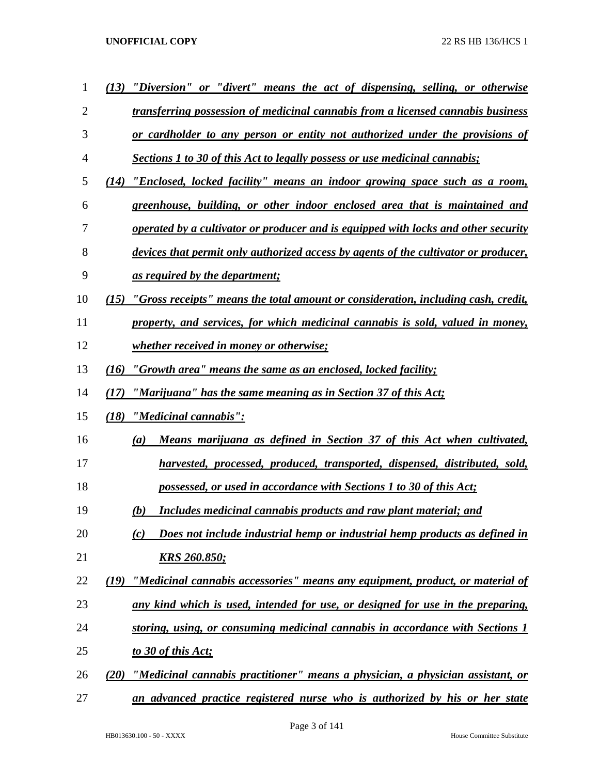| $\mathbf 1$ | "Diversion" or "divert" means the act of dispensing, selling, or otherwise<br>(13)        |
|-------------|-------------------------------------------------------------------------------------------|
| 2           | transferring possession of medicinal cannabis from a licensed cannabis business           |
| 3           | or cardholder to any person or entity not authorized under the provisions of              |
| 4           | <b>Sections 1 to 30 of this Act to legally possess or use medicinal cannabis;</b>         |
| 5           | (14) "Enclosed, locked facility" means an indoor growing space such as a room,            |
| 6           | greenhouse, building, or other indoor enclosed area that is maintained and                |
| 7           | operated by a cultivator or producer and is equipped with locks and other security        |
| 8           | devices that permit only authorized access by agents of the cultivator or producer,       |
| 9           | <u>as required by the department;</u>                                                     |
| 10          | "Gross receipts" means the total amount or consideration, including cash, credit,<br>(I5) |
| 11          | property, and services, for which medicinal cannabis is sold, valued in money,            |
| 12          | <i>whether received in money or otherwise;</i>                                            |
| 13          | "Growth area" means the same as an enclosed, locked facility;<br>(16)                     |
| 14          | "Marijuana" has the same meaning as in Section 37 of this Act;<br>(17)                    |
| 15          | <u>"Medicinal cannabis":</u><br>(18)                                                      |
| 16          | Means marijuana as defined in Section 37 of this Act when cultivated,<br>(a)              |
| 17          | harvested, processed, produced, transported, dispensed, distributed, sold,                |
| 18          | possessed, or used in accordance with Sections 1 to 30 of this Act;                       |
| 19          | Includes medicinal cannabis products and raw plant material; and<br>(b)                   |
| 20          | Does not include industrial hemp or industrial hemp products as defined in<br>(c)         |
| 21          | <u>KRS 260.850;</u>                                                                       |
| 22          | "Medicinal cannabis accessories" means any equipment, product, or material of<br>(19)     |
| 23          | any kind which is used, intended for use, or designed for use in the preparing,           |
| 24          | storing, using, or consuming medicinal cannabis in accordance with Sections 1             |
| 25          | to 30 of this Act;                                                                        |
| 26          | "Medicinal cannabis practitioner" means a physician, a physician assistant, or<br>(20)    |
| 27          | an advanced practice registered nurse who is authorized by his or her state               |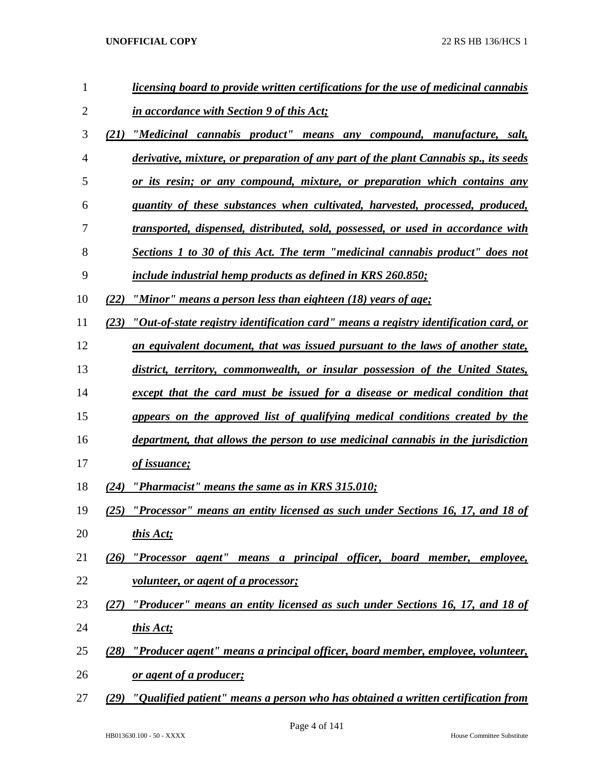| 1              |      | licensing board to provide written certifications for the use of medicinal cannabis  |
|----------------|------|--------------------------------------------------------------------------------------|
| 2              |      | <u>in accordance with Section 9 of this Act;</u>                                     |
| 3              | (21) | "Medicinal cannabis product" means any compound, manufacture, salt,                  |
| $\overline{4}$ |      | derivative, mixture, or preparation of any part of the plant Cannabis sp., its seeds |
| 5              |      | <u>or its resin; or any compound, mixture, or preparation which contains any</u>     |
| 6              |      | quantity of these substances when cultivated, harvested, processed, produced,        |
| 7              |      | transported, dispensed, distributed, sold, possessed, or used in accordance with     |
| 8              |      | Sections 1 to 30 of this Act. The term "medicinal cannabis product" does not         |
| 9              |      | include industrial hemp products as defined in KRS 260.850;                          |
| 10             | (22) | "Minor" means a person less than eighteen (18) years of age;                         |
| 11             | (23) | "Out-of-state registry identification card" means a registry identification card, or |
| 12             |      | an equivalent document, that was issued pursuant to the laws of another state,       |
| 13             |      | district, territory, commonwealth, or insular possession of the United States,       |
| 14             |      | except that the card must be issued for a disease or medical condition that          |
| 15             |      | appears on the approved list of qualifying medical conditions created by the         |
| 16             |      | department, that allows the person to use medicinal cannabis in the jurisdiction     |
| 17             |      | of issuance;                                                                         |
| 18             | (24) | "Pharmacist" means the same as in KRS 315.010;                                       |
| 19             | (25) | "Processor" means an entity licensed as such under Sections 16, 17, and 18 of        |
| 20             |      | this Act;                                                                            |
| 21             | (26) | "Processor agent" means a principal officer, board member, employee,                 |
| 22             |      | <u>volunteer, or agent of a processor;</u>                                           |
| 23             | (27) | "Producer" means an entity licensed as such under Sections 16, 17, and 18 of         |
| 24             |      | this Act;                                                                            |
| 25             | (28) | "Producer agent" means a principal officer, board member, employee, volunteer,       |
| 26             |      | <u>or agent of a producer;</u>                                                       |
| 27             | (29) | "Qualified patient" means a person who has obtained a written certification from     |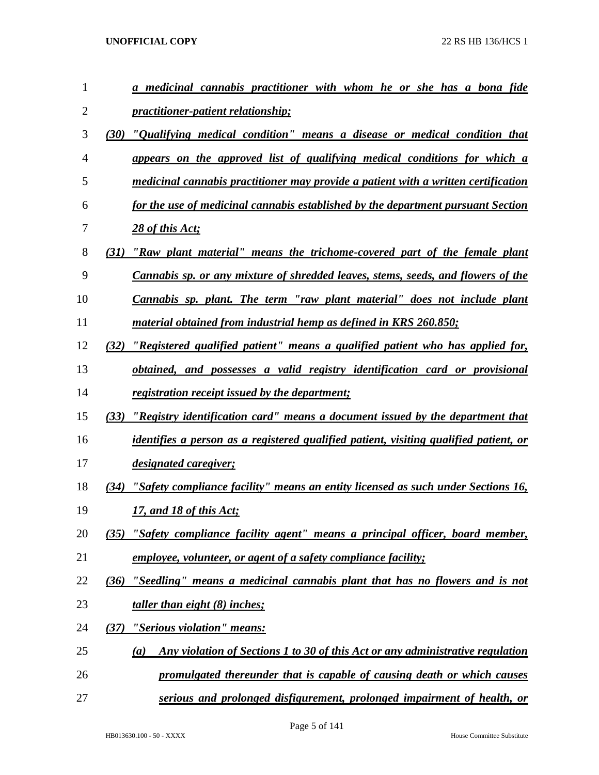| 1              |      | a medicinal cannabis practitioner with whom he or she has a bona fide                 |
|----------------|------|---------------------------------------------------------------------------------------|
| $\overline{2}$ |      | <i>practitioner-patient relationship;</i>                                             |
| 3              | (30) | "Qualifying medical condition" means a disease or medical condition that              |
| $\overline{4}$ |      | appears on the approved list of qualifying medical conditions for which a             |
| 5              |      | medicinal cannabis practitioner may provide a patient with a written certification    |
| 6              |      | for the use of medicinal cannabis established by the department pursuant Section      |
| 7              |      | 28 of this Act;                                                                       |
| 8              | (31) | "Raw plant material" means the trichome-covered part of the female plant              |
| 9              |      | Cannabis sp. or any mixture of shredded leaves, stems, seeds, and flowers of the      |
| 10             |      | Cannabis sp. plant. The term "raw plant material" does not include plant              |
| 11             |      | material obtained from industrial hemp as defined in KRS 260.850;                     |
| 12             | (32) | "Registered qualified patient" means a qualified patient who has applied for,         |
| 13             |      | obtained, and possesses a valid registry identification card or provisional           |
| 14             |      | registration receipt issued by the department;                                        |
| 15             | (33) | "Registry identification card" means a document issued by the department that         |
| 16             |      | identifies a person as a registered qualified patient, visiting qualified patient, or |
| 17             |      | <i>designated caregiver;</i>                                                          |
| 18             | (34) | "Safety compliance facility" means an entity licensed as such under Sections 16,      |
| 19             |      | 17, and 18 of this Act;                                                               |
| 20             |      | (35) "Safety compliance facility agent" means a principal officer, board member,      |
| 21             |      | <i>employee, volunteer, or agent of a safety compliance facility;</i>                 |
| 22             | (36) | "Seedling" means a medicinal cannabis plant that has no flowers and is not            |
| 23             |      | <u>taller than eight (8) inches;</u>                                                  |
| 24             | (37) | <u>"Serious violation" means:</u>                                                     |
| 25             |      | Any violation of Sections 1 to 30 of this Act or any administrative regulation<br>(a) |
| 26             |      | promulgated thereunder that is capable of causing death or which causes               |
| 27             |      | serious and prolonged disfigurement, prolonged impairment of health, or               |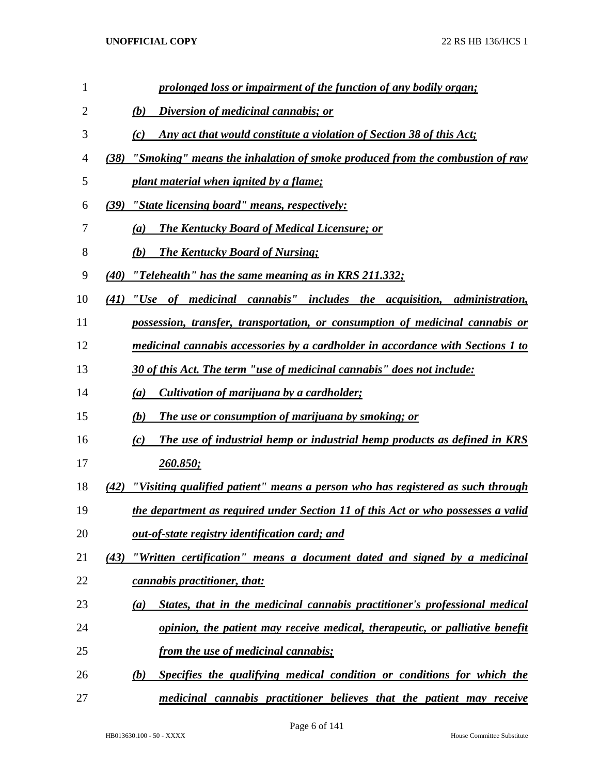| 1              | prolonged loss or impairment of the function of any bodily organ;                      |
|----------------|----------------------------------------------------------------------------------------|
| $\overline{2}$ | Diversion of medicinal cannabis; or<br>(b)                                             |
| 3              | Any act that would constitute a violation of Section 38 of this Act;<br>(c)            |
| 4              | "Smoking" means the inhalation of smoke produced from the combustion of raw<br>(38)    |
| 5              | plant material when ignited by a flame;                                                |
| 6              | (39) "State licensing board" means, respectively:                                      |
| 7              | <b>The Kentucky Board of Medical Licensure; or</b><br>(a)                              |
| 8              | <b>The Kentucky Board of Nursing;</b><br>(b)                                           |
| 9              | "Telehealth" has the same meaning as in KRS 211.332;<br>(40)                           |
| 10             | "Use of medicinal cannabis" includes the acquisition, administration,<br>(41)          |
| 11             | possession, transfer, transportation, or consumption of medicinal cannabis or          |
| 12             | medicinal cannabis accessories by a cardholder in accordance with Sections 1 to        |
| 13             | 30 of this Act. The term "use of medicinal cannabis" does not include:                 |
| 14             | Cultivation of marijuana by a cardholder;<br>(a)                                       |
| 15             | The use or consumption of marijuana by smoking; or<br>(b)                              |
| 16             | The use of industrial hemp or industrial hemp products as defined in KRS<br>(c)        |
| 17             | <u>260.850;</u>                                                                        |
| 18             | "Visiting qualified patient" means a person who has registered as such through<br>(42) |
| 19             | the department as required under Section 11 of this Act or who possesses a valid       |
| 20             | out-of-state registry identification card; and                                         |
| 21             | "Written certification" means a document dated and signed by a medicinal<br>(43)       |
| 22             | cannabis practitioner, that:                                                           |
| 23             | States, that in the medicinal cannabis practitioner's professional medical<br>(a)      |
| 24             | opinion, the patient may receive medical, therapeutic, or palliative benefit           |
| 25             | from the use of medicinal cannabis;                                                    |
| 26             | Specifies the qualifying medical condition or conditions for which the<br>(b)          |
| 27             | medicinal cannabis practitioner believes that the patient may receive                  |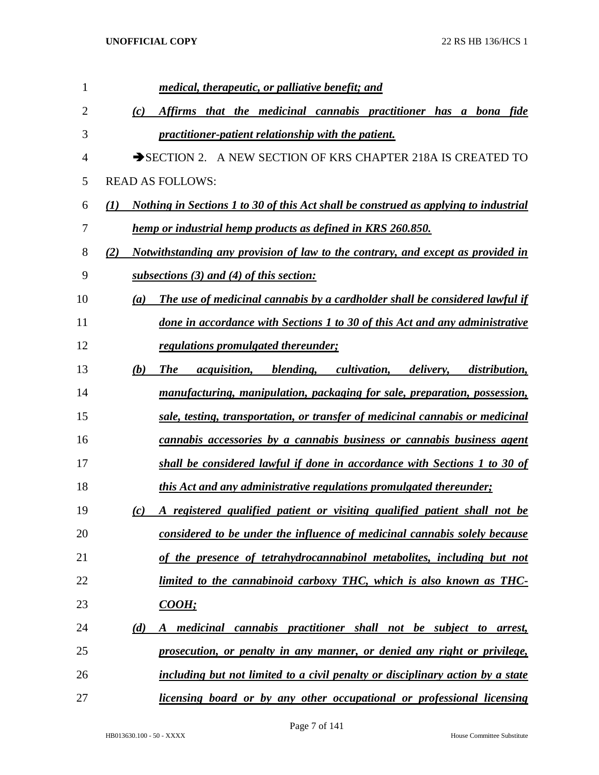| 1              | <i>medical, therapeutic, or palliative benefit; and</i>                                                                  |
|----------------|--------------------------------------------------------------------------------------------------------------------------|
| $\overline{2}$ | Affirms that the medicinal cannabis practitioner has a bona fide<br>(c)                                                  |
| 3              | practitioner-patient relationship with the patient.                                                                      |
| 4              | SECTION 2. A NEW SECTION OF KRS CHAPTER 218A IS CREATED TO                                                               |
| 5              | <b>READ AS FOLLOWS:</b>                                                                                                  |
| 6              | <u>Nothing in Sections 1 to 30 of this Act shall be construed as applying to industrial</u><br>$\mathcal{L}(I)$          |
| 7              | hemp or industrial hemp products as defined in KRS 260.850.                                                              |
| 8              | Notwithstanding any provision of law to the contrary, and except as provided in<br>(2)                                   |
| 9              | subsections (3) and (4) of this section:                                                                                 |
| 10             | The use of medicinal cannabis by a cardholder shall be considered lawful if<br>(a)                                       |
| 11             | done in accordance with Sections 1 to 30 of this Act and any administrative                                              |
| 12             | regulations promulgated thereunder;                                                                                      |
| 13             | <i>acquisition</i> , <i>blending</i> , <i>cultivation</i> , <i>delivery</i> , <i>distribution</i> ,<br>(b)<br><b>The</b> |
| 14             | manufacturing, manipulation, packaging for sale, preparation, possession,                                                |
| 15             | sale, testing, transportation, or transfer of medicinal cannabis or medicinal                                            |
| 16             | cannabis accessories by a cannabis business or cannabis business agent                                                   |
| 17             | shall be considered lawful if done in accordance with Sections 1 to 30 of                                                |
| 18             | this Act and any administrative regulations promulgated thereunder;                                                      |
| 19             | A registered qualified patient or visiting qualified patient shall not be<br>(c)                                         |
| 20             | considered to be under the influence of medicinal cannabis solely because                                                |
| 21             | of the presence of tetrahydrocannabinol metabolites, including but not                                                   |
| 22             | limited to the cannabinoid carboxy THC, which is also known as THC-                                                      |
| 23             | <b>COOH</b> ;                                                                                                            |
| 24             | A medicinal cannabis practitioner shall not be subject to arrest,<br>(d)                                                 |
| 25             | prosecution, or penalty in any manner, or denied any right or privilege,                                                 |
| 26             | including but not limited to a civil penalty or disciplinary action by a state                                           |
| 27             | licensing board or by any other occupational or professional licensing                                                   |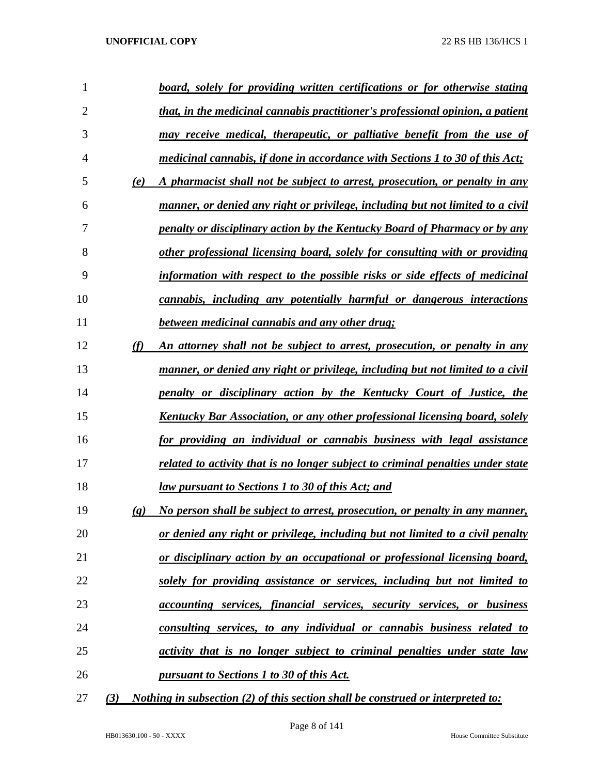| 1            |                             | board, solely for providing written certifications or for otherwise stating     |
|--------------|-----------------------------|---------------------------------------------------------------------------------|
| 2            |                             | that, in the medicinal cannabis practitioner's professional opinion, a patient  |
| 3            |                             | may receive medical, therapeutic, or palliative benefit from the use of         |
| 4            |                             | medicinal cannabis, if done in accordance with Sections 1 to 30 of this Act;    |
| 5            | (e)                         | A pharmacist shall not be subject to arrest, prosecution, or penalty in any     |
| 6            |                             | manner, or denied any right or privilege, including but not limited to a civil  |
| 7            |                             | penalty or disciplinary action by the Kentucky Board of Pharmacy or by any      |
| 8            |                             | other professional licensing board, solely for consulting with or providing     |
| 9            |                             | information with respect to the possible risks or side effects of medicinal     |
| 10           |                             | cannabis, including any potentially harmful or dangerous interactions           |
| 11           |                             | between medicinal cannabis and any other drug;                                  |
| 12           | (f)                         | An attorney shall not be subject to arrest, prosecution, or penalty in any      |
| 13           |                             | manner, or denied any right or privilege, including but not limited to a civil  |
| 14           |                             | penalty or disciplinary action by the Kentucky Court of Justice, the            |
| 15           |                             | Kentucky Bar Association, or any other professional licensing board, solely     |
| 16           |                             | for providing an individual or cannabis business with legal assistance          |
| 17           |                             | related to activity that is no longer subject to criminal penalties under state |
| 18           |                             | law pursuant to Sections 1 to 30 of this Act; and                               |
| 19           | $\left( \mathbf{g} \right)$ | No person shall be subject to arrest, prosecution, or penalty in any manner,    |
| 20           |                             | or denied any right or privilege, including but not limited to a civil penalty  |
| 21           |                             | or disciplinary action by an occupational or professional licensing board,      |
| 22           |                             | solely for providing assistance or services, including but not limited to       |
| 23           |                             | accounting services, financial services, security services, or business         |
| 24           |                             | consulting services, to any individual or cannabis business related to          |
| 25           |                             | activity that is no longer subject to criminal penalties under state law        |
| 26           |                             | pursuant to Sections 1 to 30 of this Act.                                       |
| $\mathbf{z}$ |                             |                                                                                 |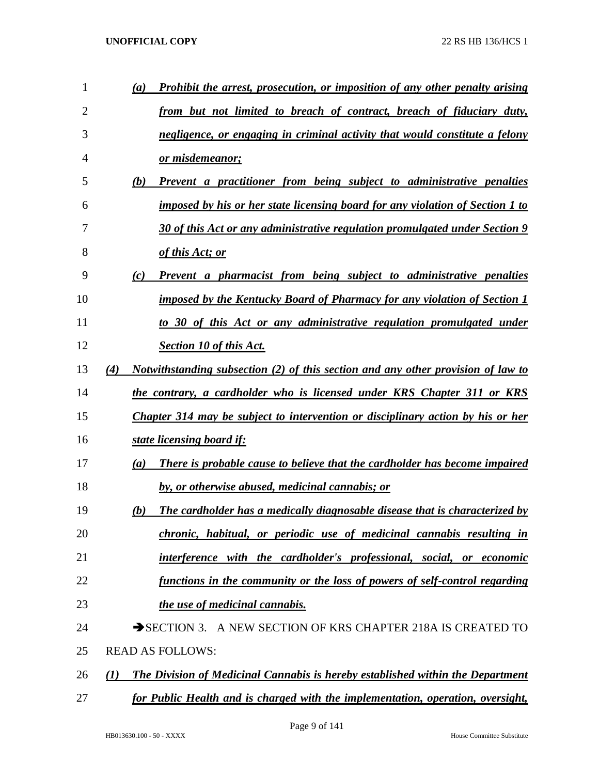| 1  | $\left(a\right)$ | <b>Prohibit the arrest, prosecution, or imposition of any other penalty arising</b>   |
|----|------------------|---------------------------------------------------------------------------------------|
| 2  |                  | from but not limited to breach of contract, breach of fiduciary duty,                 |
| 3  |                  | negligence, or engaging in criminal activity that would constitute a felony           |
| 4  |                  | or misdemeanor;                                                                       |
| 5  | (b)              | Prevent a practitioner from being subject to administrative penalties                 |
| 6  |                  | imposed by his or her state licensing board for any violation of Section 1 to         |
| 7  |                  | 30 of this Act or any administrative regulation promulgated under Section 9           |
| 8  |                  | of this Act; or                                                                       |
| 9  | (c)              | Prevent a pharmacist from being subject to administrative penalties                   |
| 10 |                  | imposed by the Kentucky Board of Pharmacy for any violation of Section 1              |
| 11 |                  | to 30 of this Act or any administrative regulation promulgated under                  |
| 12 |                  | <b>Section 10 of this Act.</b>                                                        |
| 13 | (4)              | Notwithstanding subsection (2) of this section and any other provision of law to      |
| 14 |                  | the contrary, a cardholder who is licensed under KRS Chapter 311 or KRS               |
| 15 |                  | Chapter 314 may be subject to intervention or disciplinary action by his or her       |
| 16 |                  | state licensing board if:                                                             |
| 17 | $\left(a\right)$ | There is probable cause to believe that the cardholder has become impaired            |
| 18 |                  | by, or otherwise abused, medicinal cannabis; or                                       |
| 19 | (b)              | The cardholder has a medically diagnosable disease that is characterized by           |
| 20 |                  | chronic, habitual, or periodic use of medicinal cannabis resulting in                 |
| 21 |                  | interference with the cardholder's professional, social, or economic                  |
| 22 |                  | functions in the community or the loss of powers of self-control regarding            |
| 23 |                  | the use of medicinal cannabis.                                                        |
| 24 |                  | SECTION 3. A NEW SECTION OF KRS CHAPTER 218A IS CREATED TO                            |
| 25 |                  | <b>READ AS FOLLOWS:</b>                                                               |
| 26 | (I)              | <b>The Division of Medicinal Cannabis is hereby established within the Department</b> |
| 27 |                  | for Public Health and is charged with the implementation, operation, oversight,       |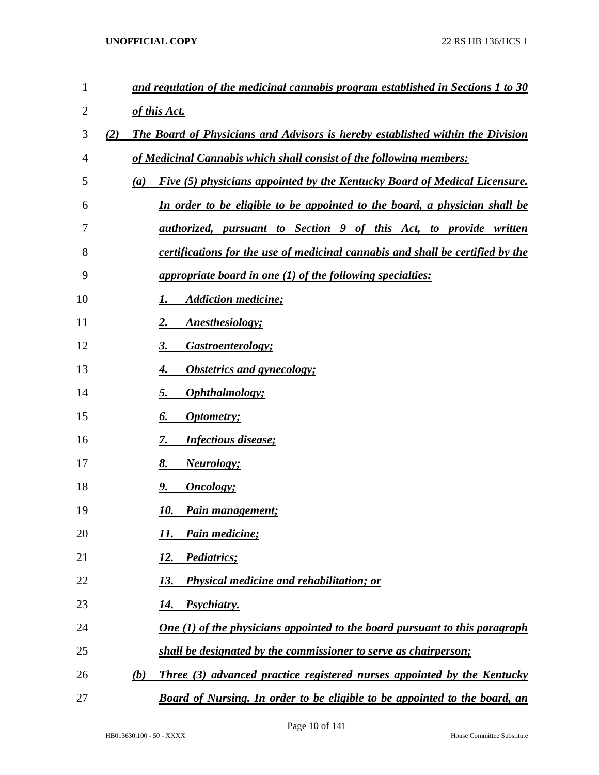| $\mathbf{1}$   |     | and regulation of the medicinal cannabis program established in Sections 1 to 30      |
|----------------|-----|---------------------------------------------------------------------------------------|
| $\overline{c}$ |     | of this Act.                                                                          |
| 3              | (2) | The Board of Physicians and Advisors is hereby established within the Division        |
| 4              |     | of Medicinal Cannabis which shall consist of the following members:                   |
| 5              | (a) | Five (5) physicians appointed by the Kentucky Board of Medical Licensure.             |
| 6              |     | In order to be eligible to be appointed to the board, a physician shall be            |
| 7              |     | <u>authorized, pursuant to Section 9 of this Act, to provide written</u>              |
| 8              |     | <i>certifications for the use of medicinal cannabis and shall be certified by the</i> |
| 9              |     | appropriate board in one (1) of the following specialties:                            |
| 10             |     | <b>Addiction medicine;</b>                                                            |
| 11             |     | Anesthesiology;                                                                       |
| 12             |     | Gastroenterology;<br>3.                                                               |
| 13             |     | <b>Obstetrics and gynecology;</b>                                                     |
| 14             |     | <b>Ophthalmology</b> ;<br>5.                                                          |
| 15             |     | 6.<br><i><b>Optometry</b></i> ;                                                       |
| 16             |     | <b>Infectious disease;</b><br>7.                                                      |
| 17             |     | <b>Neurology</b> ;<br>8.                                                              |
| 18             |     | <b>Oncology</b> ;<br>9.                                                               |
| 19             |     | Pain management;<br>10.                                                               |
| 20             |     | Pain medicine;<br>11.                                                                 |
| 21             |     | Pediatrics;<br><u>12.</u>                                                             |
| 22             |     | <b>Physical medicine and rehabilitation; or</b><br>13.                                |
| 23             |     | Psychiatry.<br>14.                                                                    |
| 24             |     | <b>One</b> (1) of the physicians appointed to the board pursuant to this paragraph    |
| 25             |     | shall be designated by the commissioner to serve as chairperson;                      |
| 26             | (b) | <b>Three</b> (3) advanced practice registered nurses appointed by the Kentucky        |
| 27             |     | Board of Nursing. In order to be eligible to be appointed to the board, an            |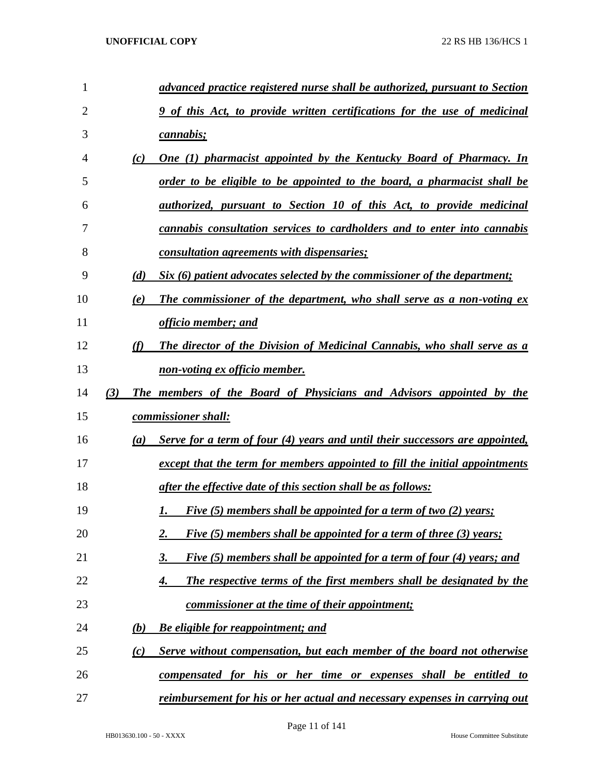| 1              |            | advanced practice registered nurse shall be authorized, pursuant to Section  |
|----------------|------------|------------------------------------------------------------------------------|
| $\overline{2}$ |            | 9 of this Act, to provide written certifications for the use of medicinal    |
| 3              |            | cannabis;                                                                    |
| 4              | (c)        | <u>One (1) pharmacist appointed by the Kentucky Board of Pharmacy. In</u>    |
| 5              |            | order to be eligible to be appointed to the board, a pharmacist shall be     |
| 6              |            | <u>authorized, pursuant to Section 10 of this Act, to provide medicinal</u>  |
| 7              |            | cannabis consultation services to cardholders and to enter into cannabis     |
| 8              |            | <u>consultation agreements with dispensaries;</u>                            |
| 9              | (d)        | Six (6) patient advocates selected by the commissioner of the department;    |
| 10             | (e)        | The commissioner of the department, who shall serve as a non-voting ex       |
| 11             |            | officio member; and                                                          |
| 12             | (f)        | The director of the Division of Medicinal Cannabis, who shall serve as a     |
| 13             |            | <u>non-voting ex officio member.</u>                                         |
| 14             | (3)        | The members of the Board of Physicians and Advisors appointed by the         |
| 15             |            | commissioner shall:                                                          |
| 16             | (a)        | Serve for a term of four (4) years and until their successors are appointed, |
| 17             |            | except that the term for members appointed to fill the initial appointments  |
| 18             |            | after the effective date of this section shall be as follows:                |
| 19             |            | <i>Five (5) members shall be appointed for a term of two (2) years;</i>      |
| 20             |            | Five (5) members shall be appointed for a term of three (3) years;<br>2.     |
| 21             |            | Five (5) members shall be appointed for a term of four (4) years; and<br>3.  |
| 22             |            | The respective terms of the first members shall be designated by the<br>4.   |
| 23             |            | <u>commissioner at the time of their appointment;</u>                        |
| 24             | <u>(b)</u> | <b>Be eligible for reappointment; and</b>                                    |
| 25             | (c)        | Serve without compensation, but each member of the board not otherwise       |
| 26             |            | <u>compensated for his or her time or expenses shall be entitled to</u>      |
| 27             |            | reimbursement for his or her actual and necessary expenses in carrying out   |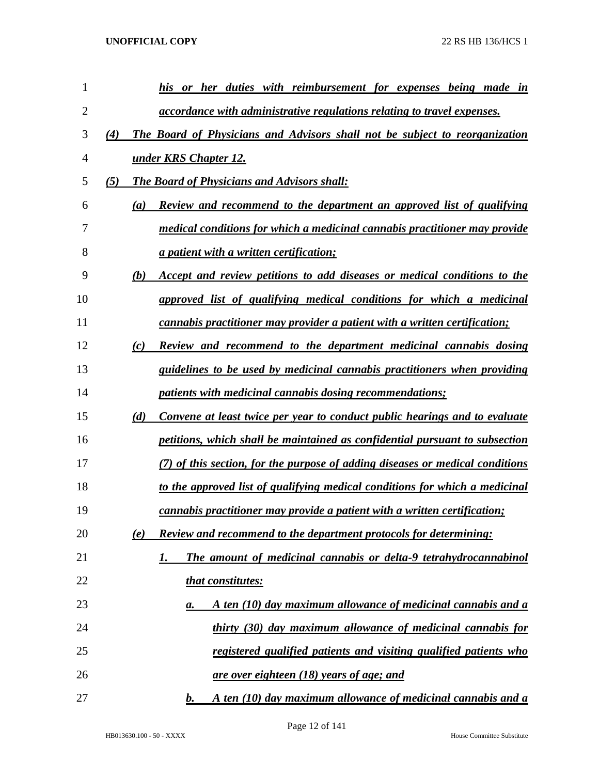| 1  |     | his<br>or her duties with reimbursement for expenses being made in                               |
|----|-----|--------------------------------------------------------------------------------------------------|
| 2  |     | accordance with administrative regulations relating to travel expenses.                          |
| 3  | (4) | The Board of Physicians and Advisors shall not be subject to reorganization                      |
| 4  |     | under KRS Chapter 12.                                                                            |
| 5  | (5) | <b>The Board of Physicians and Advisors shall:</b>                                               |
| 6  |     | <b>Review and recommend to the department an approved list of qualifying</b><br>$\left(a\right)$ |
| 7  |     | medical conditions for which a medicinal cannabis practitioner may provide                       |
| 8  |     | <i>a patient with a written certification;</i>                                                   |
| 9  |     | Accept and review petitions to add diseases or medical conditions to the<br>(b)                  |
| 10 |     | approved list of qualifying medical conditions for which a medicinal                             |
| 11 |     | cannabis practitioner may provider a patient with a written certification;                       |
| 12 |     | Review and recommend to the department medicinal cannabis dosing<br>(c)                          |
| 13 |     | guidelines to be used by medicinal cannabis practitioners when providing                         |
| 14 |     | <i>patients with medicinal cannabis dosing recommendations;</i>                                  |
| 15 |     | (d)<br>Convene at least twice per year to conduct public hearings and to evaluate                |
| 16 |     | petitions, which shall be maintained as confidential pursuant to subsection                      |
| 17 |     | (7) of this section, for the purpose of adding diseases or medical conditions                    |
| 18 |     | to the approved list of qualifying medical conditions for which a medicinal                      |
| 19 |     | <i>cannabis practitioner may provide a patient with a written certification;</i>                 |
| 20 |     | <b>Review and recommend to the department protocols for determining:</b><br>(e)                  |
| 21 |     | The amount of medicinal cannabis or delta-9 tetrahydrocannabinol<br>1.                           |
| 22 |     | that constitutes:                                                                                |
| 23 |     | A ten (10) day maximum allowance of medicinal cannabis and a<br>а.                               |
| 24 |     | thirty (30) day maximum allowance of medicinal cannabis for                                      |
| 25 |     | registered qualified patients and visiting qualified patients who                                |
| 26 |     | <u>are over eighteen (18) years of age; and</u>                                                  |
| 27 |     | A ten (10) day maximum allowance of medicinal cannabis and a<br>$\bm{b}$ .                       |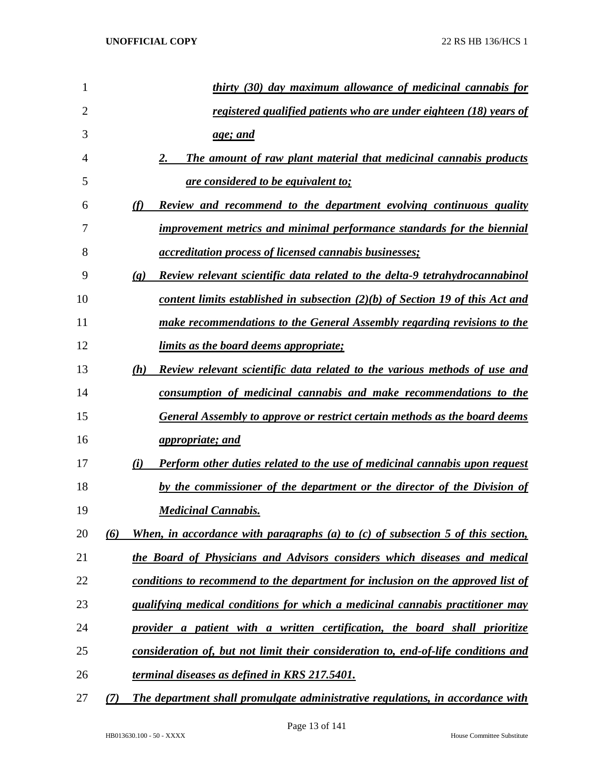| 1              | thirty (30) day maximum allowance of medicinal cannabis for                                                       |
|----------------|-------------------------------------------------------------------------------------------------------------------|
| $\overline{2}$ | registered qualified patients who are under eighteen (18) years of                                                |
| 3              | <u>age; and</u>                                                                                                   |
| 4              | The amount of raw plant material that medicinal cannabis products<br>2.                                           |
| 5              | <u>are considered to be equivalent to;</u>                                                                        |
| 6              | <b>Review and recommend to the department evolving continuous quality</b><br>(f)                                  |
| 7              | improvement metrics and minimal performance standards for the biennial                                            |
| 8              | <i><u><b>accreditation process of licensed cannabis businesses;</b></u></i>                                       |
| 9              | <b>Review relevant scientific data related to the delta-9 tetrahydrocannabinol</b><br>$\left( \mathbf{g} \right)$ |
| 10             | <u>content limits established in subsection <math>(2)(b)</math> of Section 19 of this Act and</u>                 |
| 11             | make recommendations to the General Assembly regarding revisions to the                                           |
| 12             | limits as the board deems appropriate;                                                                            |
| 13             | Review relevant scientific data related to the various methods of use and<br>(h)                                  |
| 14             | consumption of medicinal cannabis and make recommendations to the                                                 |
| 15             | <b>General Assembly to approve or restrict certain methods as the board deems</b>                                 |
| 16             | <i>appropriate; and</i>                                                                                           |
| 17             | <b>Perform other duties related to the use of medicinal cannabis upon request</b><br>(i)                          |
| 18             | by the commissioner of the department or the director of the Division of                                          |
| 19             | <b>Medicinal Cannabis.</b>                                                                                        |
| 20             | (6)<br>When, in accordance with paragraphs (a) to (c) of subsection 5 of this section,                            |
| 21             | the Board of Physicians and Advisors considers which diseases and medical                                         |
| 22             | conditions to recommend to the department for inclusion on the approved list of                                   |
| 23             | qualifying medical conditions for which a medicinal cannabis practitioner may                                     |
| 24             | provider a patient with a written certification, the board shall prioritize                                       |
| 25             | consideration of, but not limit their consideration to, end-of-life conditions and                                |
| 26             | terminal diseases as defined in KRS 217.5401.                                                                     |
| 27             | The department shall promulgate administrative regulations, in accordance with<br>(7)                             |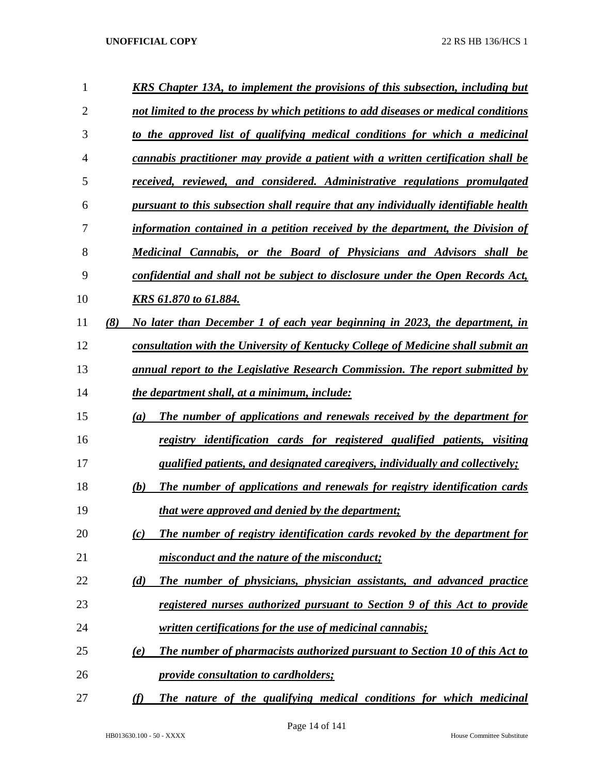| 1              |     | <b>KRS</b> Chapter 13A, to implement the provisions of this subsection, including but    |
|----------------|-----|------------------------------------------------------------------------------------------|
| $\overline{2}$ |     | not limited to the process by which petitions to add diseases or medical conditions      |
| 3              |     | to the approved list of qualifying medical conditions for which a medicinal              |
| 4              |     | cannabis practitioner may provide a patient with a written certification shall be        |
| 5              |     | received, reviewed, and considered. Administrative regulations promulgated               |
| 6              |     | pursuant to this subsection shall require that any individually identifiable health      |
| 7              |     | information contained in a petition received by the department, the Division of          |
| 8              |     | Medicinal Cannabis, or the Board of Physicians and Advisors shall be                     |
| 9              |     | confidential and shall not be subject to disclosure under the Open Records Act,          |
| 10             |     | KRS 61.870 to 61.884.                                                                    |
| 11             | (8) | No later than December 1 of each year beginning in 2023, the department, in              |
| 12             |     | consultation with the University of Kentucky College of Medicine shall submit an         |
| 13             |     | annual report to the Legislative Research Commission. The report submitted by            |
| 14             |     | the department shall, at a minimum, include:                                             |
| 15             |     | The number of applications and renewals received by the department for<br>(a)            |
| 16             |     | registry identification cards for registered qualified patients, visiting                |
| 17             |     | qualified patients, and designated caregivers, individually and collectively;            |
| 18             |     | The number of applications and renewals for registry identification cards<br>(b)         |
| 19             |     | <i>that were approved and denied by the department;</i>                                  |
| 20             |     | The number of registry identification cards revoked by the department for<br>(c)         |
| 21             |     | misconduct and the nature of the misconduct;                                             |
| 22             |     | The number of physicians, physician assistants, and advanced practice<br>(d)             |
| 23             |     | registered nurses authorized pursuant to Section 9 of this Act to provide                |
| 24             |     | written certifications for the use of medicinal cannabis;                                |
| 25             |     | <b>The number of pharmacists authorized pursuant to Section 10 of this Act to</b><br>(e) |
| 26             |     | <i><u><b>provide consultation to cardholders;</b></u></i>                                |
| 27             |     | (f)<br>The nature of the qualifying medical conditions for which medicinal               |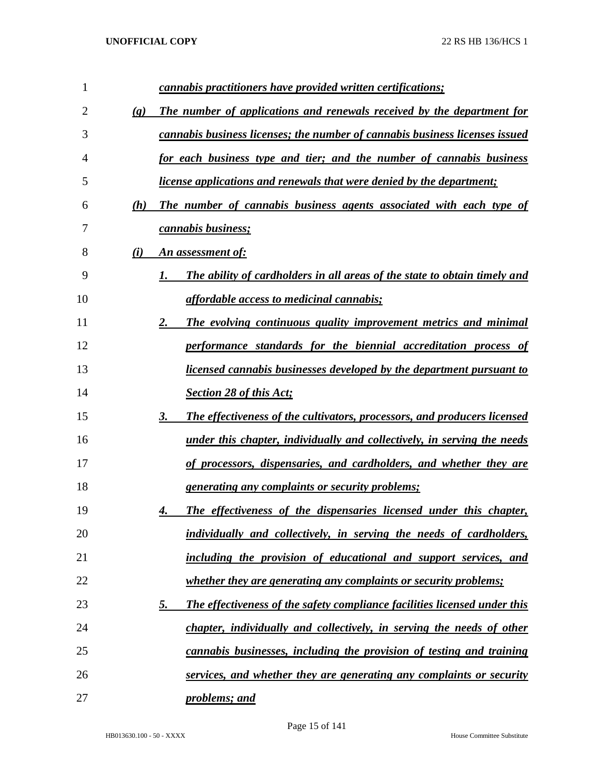| 1  |                             | cannabis practitioners have provided written certifications;                    |
|----|-----------------------------|---------------------------------------------------------------------------------|
| 2  | $\left( \mathbf{g} \right)$ | The number of applications and renewals received by the department for          |
| 3  |                             | cannabis business licenses; the number of cannabis business licenses issued     |
| 4  |                             | for each business type and tier; and the number of cannabis business            |
| 5  |                             | <i>license applications and renewals that were denied by the department;</i>    |
| 6  | (h)                         | The number of cannabis business agents associated with each type of             |
| 7  |                             | <i>cannabis business;</i>                                                       |
| 8  | (i)                         | An assessment of:                                                               |
| 9  |                             | The ability of cardholders in all areas of the state to obtain timely and<br>1. |
| 10 |                             | <i>affordable access to medicinal cannabis;</i>                                 |
| 11 |                             | 2.<br>The evolving continuous quality improvement metrics and minimal           |
| 12 |                             | performance standards for the biennial accreditation process of                 |
| 13 |                             | licensed cannabis businesses developed by the department pursuant to            |
| 14 |                             | Section 28 of this Act;                                                         |
| 15 |                             | The effectiveness of the cultivators, processors, and producers licensed<br>3.  |
| 16 |                             | under this chapter, individually and collectively, in serving the needs         |
| 17 |                             | of processors, dispensaries, and cardholders, and whether they are              |
| 18 |                             | <i><u><b>generating any complaints or security problems;</b></u></i>            |
| 19 |                             | The effectiveness of the dispensaries licensed under this chapter,              |
| 20 |                             | individually and collectively, in serving the needs of cardholders,             |
| 21 |                             | including the provision of educational and support services, and                |
| 22 |                             | <i>whether they are generating any complaints or security problems;</i>         |
| 23 |                             | The effectiveness of the safety compliance facilities licensed under this<br>5. |
| 24 |                             | chapter, individually and collectively, in serving the needs of other           |
| 25 |                             | cannabis businesses, including the provision of testing and training            |
| 26 |                             | services, and whether they are generating any complaints or security            |
| 27 |                             | problems; and                                                                   |

Page 15 of 141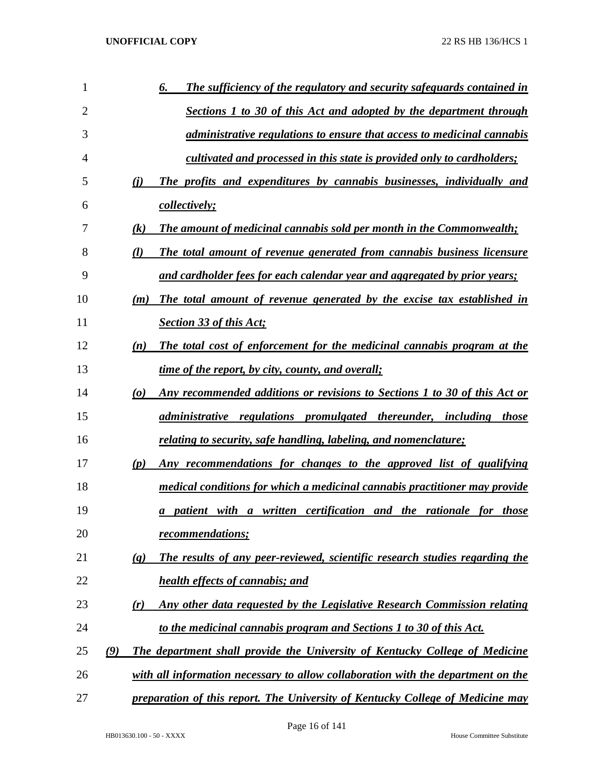| 1  |     |                                 | The sufficiency of the regulatory and security safeguards contained in<br>6.     |
|----|-----|---------------------------------|----------------------------------------------------------------------------------|
| 2  |     |                                 | Sections 1 to 30 of this Act and adopted by the department through               |
| 3  |     |                                 | <i>administrative regulations to ensure that access to medicinal cannabis</i>    |
| 4  |     |                                 | cultivated and processed in this state is provided only to cardholders;          |
| 5  |     | (i)                             | The profits and expenditures by cannabis businesses, individually and            |
| 6  |     |                                 | <i>collectively;</i>                                                             |
| 7  |     | $\left( k\right)$               | <b>The amount of medicinal cannabis sold per month in the Commonwealth;</b>      |
| 8  |     | (l)                             | The total amount of revenue generated from cannabis business licensure           |
| 9  |     |                                 | and cardholder fees for each calendar year and aggregated by prior years;        |
| 10 |     | (m)                             | The total amount of revenue generated by the excise tax established in           |
| 11 |     |                                 | <b>Section 33 of this Act;</b>                                                   |
| 12 |     | (n)                             | The total cost of enforcement for the medicinal cannabis program at the          |
| 13 |     |                                 | time of the report, by city, county, and overall;                                |
| 14 |     | $\boldsymbol{\left( o \right)}$ | Any recommended additions or revisions to Sections 1 to 30 of this Act or        |
| 15 |     |                                 | administrative regulations promulgated thereunder, including those               |
| 16 |     |                                 | relating to security, safe handling, labeling, and nomenclature;                 |
| 17 |     | (p)                             | Any recommendations for changes to the approved list of qualifying               |
| 18 |     |                                 | medical conditions for which a medicinal cannabis practitioner may provide       |
| 19 |     |                                 | a patient with a written certification and the rationale for those               |
| 20 |     |                                 | recommendations;                                                                 |
| 21 |     | $\left(\mathbf{q}\right)$       | The results of any peer-reviewed, scientific research studies regarding the      |
| 22 |     |                                 | <b>health effects of cannabis; and</b>                                           |
| 23 |     | (r)                             | Any other data requested by the Legislative Research Commission relating         |
| 24 |     |                                 | to the medicinal cannabis program and Sections 1 to 30 of this Act.              |
| 25 | (9) |                                 | The department shall provide the University of Kentucky College of Medicine      |
| 26 |     |                                 | with all information necessary to allow collaboration with the department on the |
| 27 |     |                                 | preparation of this report. The University of Kentucky College of Medicine may   |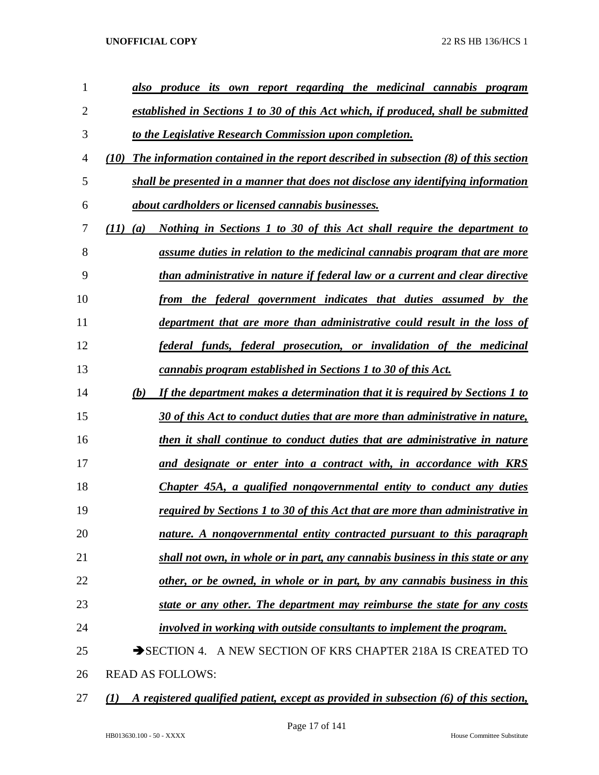| 1  | produce its own report regarding the medicinal cannabis program<br>also                            |
|----|----------------------------------------------------------------------------------------------------|
| 2  | established in Sections 1 to 30 of this Act which, if produced, shall be submitted                 |
| 3  | to the Legislative Research Commission upon completion.                                            |
| 4  | The information contained in the report described in subsection (8) of this section<br><b>(10)</b> |
| 5  | shall be presented in a manner that does not disclose any identifying information                  |
| 6  | about cardholders or licensed cannabis businesses.                                                 |
| 7  | <u>Nothing in Sections 1 to 30 of this Act shall require the department to</u><br>(II)<br>(a)      |
| 8  | assume duties in relation to the medicinal cannabis program that are more                          |
| 9  | than administrative in nature if federal law or a current and clear directive                      |
| 10 | from the federal government indicates that duties assumed by the                                   |
| 11 | department that are more than administrative could result in the loss of                           |
| 12 | <u>federal funds, federal prosecution, or invalidation of the medicinal</u>                        |
| 13 | cannabis program established in Sections 1 to 30 of this Act.                                      |
| 14 | If the department makes a determination that it is required by Sections 1 to<br>(b)                |
| 15 | 30 of this Act to conduct duties that are more than administrative in nature,                      |
| 16 | then it shall continue to conduct duties that are administrative in nature                         |
| 17 | and designate or enter into a contract with, in accordance with KRS                                |
| 18 | Chapter 45A, a qualified nongovernmental entity to conduct any duties                              |
| 19 | required by Sections 1 to 30 of this Act that are more than administrative in                      |
| 20 | nature. A nongovernmental entity contracted pursuant to this paragraph                             |
| 21 | shall not own, in whole or in part, any cannabis business in this state or any                     |
| 22 | other, or be owned, in whole or in part, by any cannabis business in this                          |
| 23 | state or any other. The department may reimburse the state for any costs                           |
| 24 | involved in working with outside consultants to implement the program.                             |
| 25 | SECTION 4. A NEW SECTION OF KRS CHAPTER 218A IS CREATED TO                                         |
| 26 | <b>READ AS FOLLOWS:</b>                                                                            |
|    |                                                                                                    |

*(1) A registered qualified patient, except as provided in subsection (6) of this section,*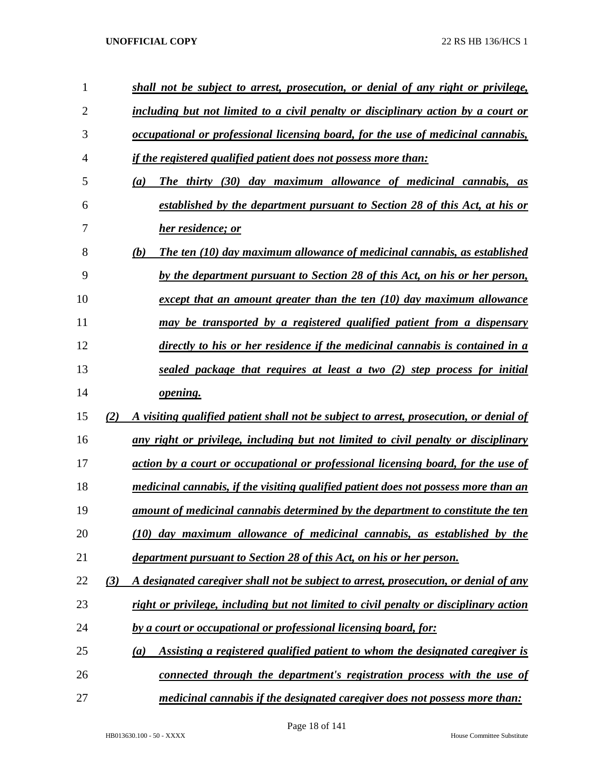| 1              |     | shall not be subject to arrest, prosecution, or denial of any right or privilege,      |
|----------------|-----|----------------------------------------------------------------------------------------|
| $\overline{2}$ |     | including but not limited to a civil penalty or disciplinary action by a court or      |
| 3              |     | occupational or professional licensing board, for the use of medicinal cannabis,       |
| 4              |     | <i>if the registered qualified patient does not possess more than:</i>                 |
| 5              |     | The thirty (30) day maximum allowance of medicinal cannabis, as<br>(a)                 |
| 6              |     | established by the department pursuant to Section 28 of this Act, at his or            |
| 7              |     | her residence; or                                                                      |
| 8              |     | (b)<br>The ten (10) day maximum allowance of medicinal cannabis, as established        |
| 9              |     | by the department pursuant to Section 28 of this Act, on his or her person,            |
| 10             |     | except that an amount greater than the ten $(10)$ day maximum allowance                |
| 11             |     | may be transported by a registered qualified patient from a dispensary                 |
| 12             |     | directly to his or her residence if the medicinal cannabis is contained in a           |
| 13             |     | sealed package that requires at least a two (2) step process for initial               |
| 14             |     | opening.                                                                               |
| 15             | (2) | A visiting qualified patient shall not be subject to arrest, prosecution, or denial of |
| 16             |     | any right or privilege, including but not limited to civil penalty or disciplinary     |
| 17             |     | action by a court or occupational or professional licensing board, for the use of      |
| 18             |     | medicinal cannabis, if the visiting qualified patient does not possess more than an    |
| 19             |     | <u>amount of medicinal cannabis determined by the department to constitute the ten</u> |
| 20             |     | (10) day maximum allowance of medicinal cannabis, as established by the                |
| 21             |     | department pursuant to Section 28 of this Act, on his or her person.                   |
| 22             | (3) | A designated caregiver shall not be subject to arrest, prosecution, or denial of any   |
| 23             |     | right or privilege, including but not limited to civil penalty or disciplinary action  |
| 24             |     | by a court or occupational or professional licensing board, for:                       |
| 25             |     | Assisting a registered qualified patient to whom the designated caregiver is<br>(a)    |
| 26             |     | connected through the department's registration process with the use of                |
| 27             |     | medicinal cannabis if the designated caregiver does not possess more than:             |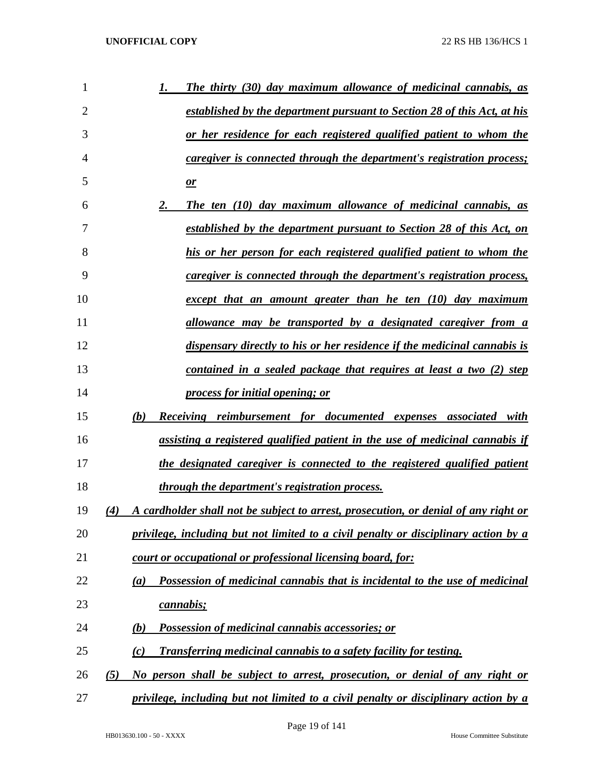| 1  | The thirty (30) day maximum allowance of medicinal cannabis, as                            |
|----|--------------------------------------------------------------------------------------------|
| 2  | <u>established by the department pursuant to Section 28 of this Act, at his</u>            |
| 3  | or her residence for each registered qualified patient to whom the                         |
| 4  | <i>caregiver is connected through the department's registration process;</i>               |
| 5  | $\mathbf{r}$                                                                               |
| 6  | The ten (10) day maximum allowance of medicinal cannabis, as<br>2.                         |
| 7  | established by the department pursuant to Section 28 of this Act, on                       |
| 8  | his or her person for each registered qualified patient to whom the                        |
| 9  | <i>caregiver is connected through the department's registration process,</i>               |
| 10 | except that an amount greater than he ten (10) day maximum                                 |
| 11 | allowance may be transported by a designated caregiver from a                              |
| 12 | dispensary directly to his or her residence if the medicinal cannabis is                   |
| 13 | contained in a sealed package that requires at least a two (2) step                        |
| 14 | process for initial opening; or                                                            |
| 15 | (b)<br>Receiving reimbursement for documented expenses associated with                     |
| 16 | assisting a registered qualified patient in the use of medicinal cannabis if               |
| 17 | the designated caregiver is connected to the registered qualified patient                  |
| 18 | <i>through the department's registration process.</i>                                      |
| 19 | A cardholder shall not be subject to arrest, prosecution, or denial of any right or<br>(4) |
| 20 | privilege, including but not limited to a civil penalty or disciplinary action by a        |
| 21 | court or occupational or professional licensing board, for:                                |
| 22 | Possession of medicinal cannabis that is incidental to the use of medicinal<br>(a)         |
| 23 | cannabis;                                                                                  |
| 24 | <b>Possession of medicinal cannabis accessories; or</b><br>(b)                             |
| 25 | <b>Transferring medicinal cannabis to a safety facility for testing.</b><br>(c)            |
| 26 | No person shall be subject to arrest, prosecution, or denial of any right or<br>(5)        |
| 27 | privilege, including but not limited to a civil penalty or disciplinary action by a        |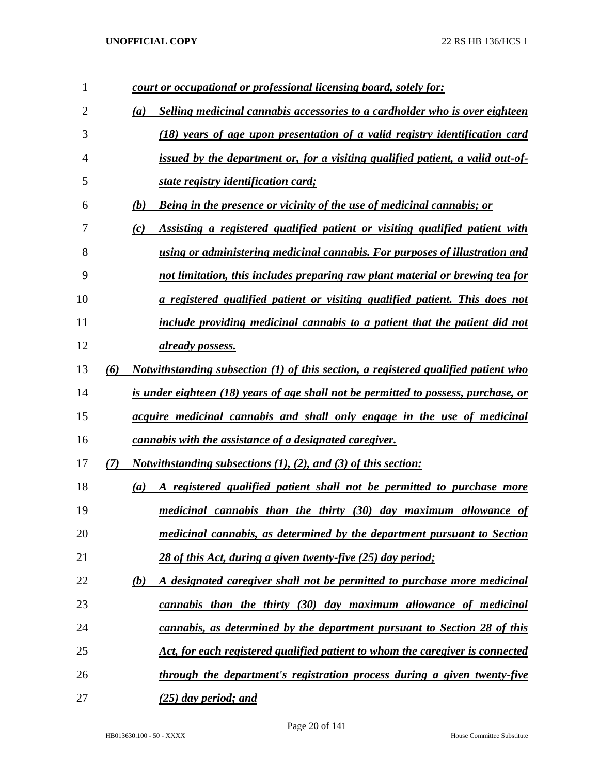| 1              |     | court or occupational or professional licensing board, solely for:                   |
|----------------|-----|--------------------------------------------------------------------------------------|
| $\overline{2}$ |     | Selling medicinal cannabis accessories to a cardholder who is over eighteen<br>(a)   |
| 3              |     | (18) years of age upon presentation of a valid registry identification card          |
| 4              |     | issued by the department or, for a visiting qualified patient, a valid out-of-       |
| 5              |     | state registry identification card;                                                  |
| 6              |     | (b)<br><b>Being in the presence or vicinity of the use of medicinal cannabis; or</b> |
| 7              |     | Assisting a registered qualified patient or visiting qualified patient with<br>(c)   |
| 8              |     | using or administering medicinal cannabis. For purposes of illustration and          |
| 9              |     | not limitation, this includes preparing raw plant material or brewing tea for        |
| 10             |     | a registered qualified patient or visiting qualified patient. This does not          |
| 11             |     | include providing medicinal cannabis to a patient that the patient did not           |
| 12             |     | already possess.                                                                     |
| 13             | (6) | Notwithstanding subsection $(1)$ of this section, a registered qualified patient who |
| 14             |     | is under eighteen (18) years of age shall not be permitted to possess, purchase, or  |
| 15             |     | acquire medicinal cannabis and shall only engage in the use of medicinal             |
| 16             |     | cannabis with the assistance of a designated caregiver.                              |
| 17             | (7) | <i>Notwithstanding subsections (1), (2), and (3) of this section:</i>                |
| 18             |     | A registered qualified patient shall not be permitted to purchase more<br>(a)        |
| 19             |     | medicinal cannabis than the thirty (30) day maximum allowance of                     |
| 20             |     | medicinal cannabis, as determined by the department pursuant to Section              |
| 21             |     | 28 of this Act, during a given twenty-five (25) day period;                          |
| 22             |     | A designated caregiver shall not be permitted to purchase more medicinal<br>(b)      |
| 23             |     | cannabis than the thirty (30) day maximum allowance of medicinal                     |
| 24             |     | cannabis, as determined by the department pursuant to Section 28 of this             |
| 25             |     | Act, for each registered qualified patient to whom the caregiver is connected        |
| 26             |     | through the department's registration process during a given twenty-five             |
| 27             |     | <u>(25) day period; and </u>                                                         |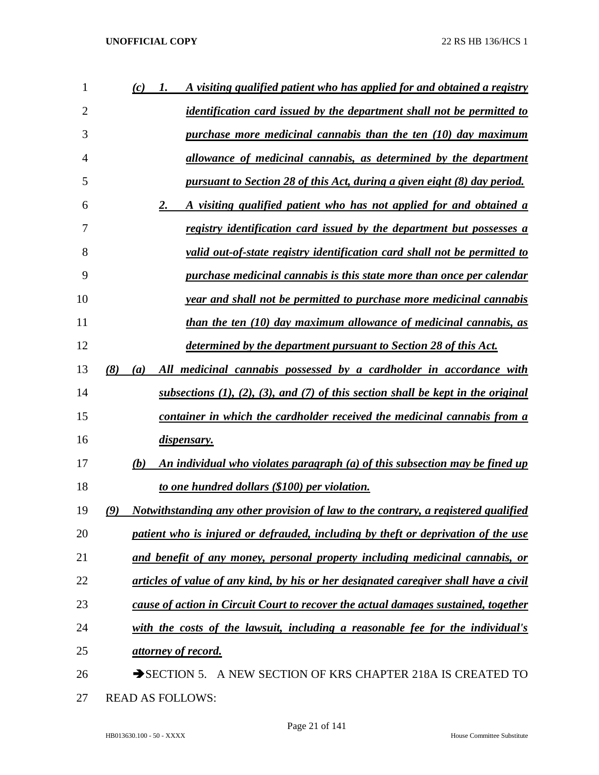| 1              | A visiting qualified patient who has applied for and obtained a registry<br>(c)<br>1.       |
|----------------|---------------------------------------------------------------------------------------------|
| $\overline{2}$ | <i>identification card issued by the department shall not be permitted to</i>               |
| 3              | purchase more medicinal cannabis than the ten (10) day maximum                              |
| 4              | allowance of medicinal cannabis, as determined by the department                            |
| 5              | pursuant to Section 28 of this Act, during a given eight (8) day period.                    |
| 6              | 2.<br>A visiting qualified patient who has not applied for and obtained a                   |
| 7              | <u>registry identification card issued by the department but possesses a</u>                |
| 8              | valid out-of-state registry identification card shall not be permitted to                   |
| 9              | purchase medicinal cannabis is this state more than once per calendar                       |
| 10             | year and shall not be permitted to purchase more medicinal cannabis                         |
| 11             | than the ten (10) day maximum allowance of medicinal cannabis, as                           |
| 12             | <u>determined by the department pursuant to Section 28 of this Act.</u>                     |
| 13             | (8)<br>All medicinal cannabis possessed by a cardholder in accordance with<br>(a)           |
| 14             | subsections $(1)$ , $(2)$ , $(3)$ , and $(7)$ of this section shall be kept in the original |
| 15             | container in which the cardholder received the medicinal cannabis from a                    |
| 16             | dispensary.                                                                                 |
| 17             | An individual who violates paragraph (a) of this subsection may be fined up<br>(b)          |
| 18             | to one hundred dollars (\$100) per violation.                                               |
| 19             | Notwithstanding any other provision of law to the contrary, a registered qualified<br>(9)   |
| 20             | patient who is injured or defrauded, including by theft or deprivation of the use           |
| 21             | and benefit of any money, personal property including medicinal cannabis, or                |
| 22             | articles of value of any kind, by his or her designated caregiver shall have a civil        |
| 23             | cause of action in Circuit Court to recover the actual damages sustained, together          |
| 24             | with the costs of the lawsuit, including a reasonable fee for the individual's              |
| 25             | attorney of record.                                                                         |
| 26             | SECTION 5. A NEW SECTION OF KRS CHAPTER 218A IS CREATED TO                                  |
| 27             | <b>READ AS FOLLOWS:</b>                                                                     |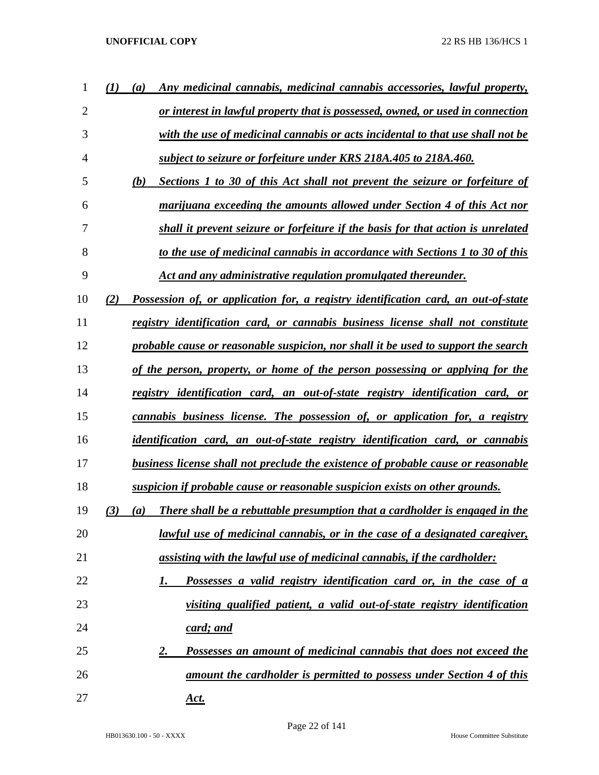| 1              | Any medicinal cannabis, medicinal cannabis accessories, lawful property,<br>$\left(a\right)$ |
|----------------|----------------------------------------------------------------------------------------------|
| $\overline{2}$ | or interest in lawful property that is possessed, owned, or used in connection               |
| 3              | with the use of medicinal cannabis or acts incidental to that use shall not be               |
| 4              | subject to seizure or forfeiture under KRS 218A.405 to 218A.460.                             |
| 5              | (b)<br>Sections 1 to 30 of this Act shall not prevent the seizure or forfeiture of           |
| 6              | marijuana exceeding the amounts allowed under Section 4 of this Act nor                      |
| 7              | shall it prevent seizure or forfeiture if the basis for that action is unrelated             |
| 8              | to the use of medicinal cannabis in accordance with Sections 1 to 30 of this                 |
| 9              | Act and any administrative regulation promulgated thereunder.                                |
| 10             | Possession of, or application for, a registry identification card, an out-of-state<br>(2)    |
| 11             | registry identification card, or cannabis business license shall not constitute              |
| 12             | probable cause or reasonable suspicion, nor shall it be used to support the search           |
| 13             | of the person, property, or home of the person possessing or applying for the                |
| 14             | registry identification card, an out-of-state registry identification card, or               |
| 15             | cannabis business license. The possession of, or application for, a registry                 |
| 16             | identification card, an out-of-state registry identification card, or cannabis               |
| 17             | business license shall not preclude the existence of probable cause or reasonable            |
| 18             | suspicion if probable cause or reasonable suspicion exists on other grounds.                 |
| 19             | There shall be a rebuttable presumption that a cardholder is engaged in the<br>(3)<br>(a)    |
| 20             | <u>lawful use of medicinal cannabis, or in the case of a designated caregiver,</u>           |
| 21             | <u>assisting with the lawful use of medicinal cannabis, if the cardholder:</u>               |
| 22             | Possesses a valid registry identification card or, in the case of a<br>1.                    |
| 23             | visiting qualified patient, a valid out-of-state registry identification                     |
| 24             | <u>card; and</u>                                                                             |
| 25             | Possesses an amount of medicinal cannabis that does not exceed the<br>2.                     |
| 26             | amount the cardholder is permitted to possess under Section 4 of this                        |
| 27             | <u>Act.</u>                                                                                  |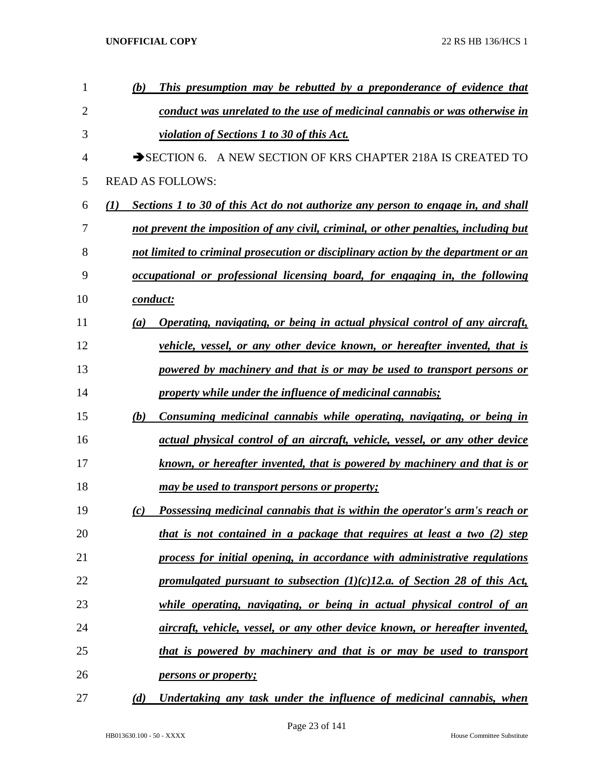| 1              |     | This presumption may be rebutted by a preponderance of evidence that<br>(b)          |
|----------------|-----|--------------------------------------------------------------------------------------|
| $\overline{2}$ |     | conduct was unrelated to the use of medicinal cannabis or was otherwise in           |
| 3              |     | violation of Sections 1 to 30 of this Act.                                           |
| 4              |     | SECTION 6. A NEW SECTION OF KRS CHAPTER 218A IS CREATED TO                           |
| 5              |     | <b>READ AS FOLLOWS:</b>                                                              |
| 6              | (I) | Sections 1 to 30 of this Act do not authorize any person to engage in, and shall     |
| 7              |     | not prevent the imposition of any civil, criminal, or other penalties, including but |
| 8              |     | not limited to criminal prosecution or disciplinary action by the department or an   |
| 9              |     | occupational or professional licensing board, for engaging in, the following         |
| 10             |     | conduct:                                                                             |
| 11             |     | Operating, navigating, or being in actual physical control of any aircraft,<br>(a)   |
| 12             |     | vehicle, vessel, or any other device known, or hereafter invented, that is           |
| 13             |     | powered by machinery and that is or may be used to transport persons or              |
| 14             |     | property while under the influence of medicinal cannabis;                            |
| 15             |     | Consuming medicinal cannabis while operating, navigating, or being in<br>(b)         |
| 16             |     | actual physical control of an aircraft, vehicle, vessel, or any other device         |
| 17             |     | known, or hereafter invented, that is powered by machinery and that is or            |
| 18             |     | may be used to transport persons or property;                                        |
| 19             |     | Possessing medicinal cannabis that is within the operator's arm's reach or<br>(c)    |
| 20             |     | that is not contained in a package that requires at least a two (2) step             |
| 21             |     | process for initial opening, in accordance with administrative regulations           |
| 22             |     | promulgated pursuant to subsection $(1)(c)$ 12.a. of Section 28 of this Act,         |
| 23             |     | while operating, navigating, or being in actual physical control of an               |
| 24             |     | aircraft, vehicle, vessel, or any other device known, or hereafter invented,         |
| 25             |     | that is powered by machinery and that is or may be used to transport                 |
| 26             |     | <i>persons or property;</i>                                                          |
| 27             |     | Undertaking any task under the influence of medicinal cannabis, when<br>(d)          |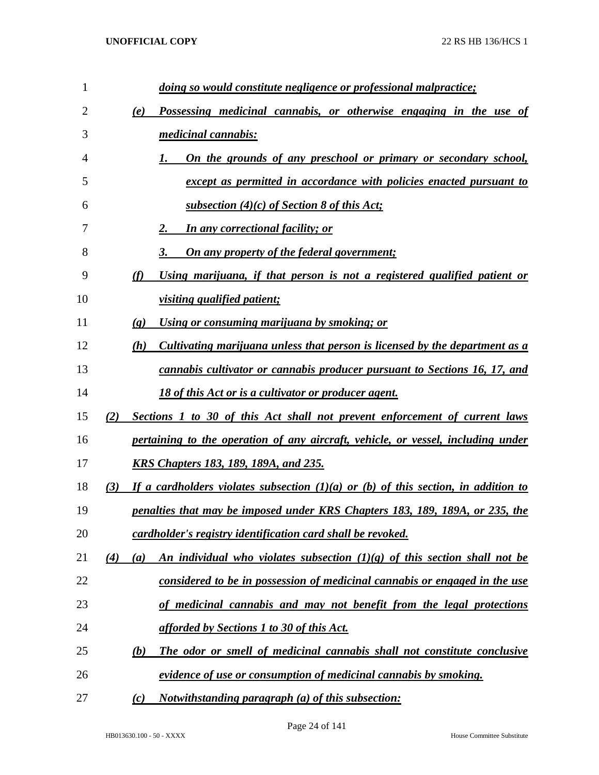| 1              | doing so would constitute negligence or professional malpractice;                             |
|----------------|-----------------------------------------------------------------------------------------------|
| $\overline{2}$ | Possessing medicinal cannabis, or otherwise engaging in the use of<br>(e)                     |
| 3              | medicinal cannabis:                                                                           |
| 4              | On the grounds of any preschool or primary or secondary school,                               |
| 5              | except as permitted in accordance with policies enacted pursuant to                           |
| 6              | subsection (4)(c) of Section 8 of this Act;                                                   |
| 7              | <b>In any correctional facility; or</b>                                                       |
| 8              | <b>On any property of the federal government;</b>                                             |
| 9              | (f)<br>Using marijuana, if that person is not a registered qualified patient or               |
| 10             | <i>visiting qualified patient;</i>                                                            |
| 11             | Using or consuming marijuana by smoking; or<br>$\left( \mathbf{g} \right)$                    |
| 12             | Cultivating marijuana unless that person is licensed by the department as a<br>(h)            |
| 13             | cannabis cultivator or cannabis producer pursuant to Sections 16, 17, and                     |
| 14             | <u>18 of this Act or is a cultivator or producer agent.</u>                                   |
| 15             | Sections 1 to 30 of this Act shall not prevent enforcement of current laws<br>(2)             |
| 16             | pertaining to the operation of any aircraft, vehicle, or vessel, including under              |
| 17             | <u>KRS Chapters 183, 189, 189A, and 235.</u>                                                  |
| 18             | If a cardholders violates subsection $(1)(a)$ or $(b)$ of this section, in addition to<br>(3) |
| 19             | penalties that may be imposed under KRS Chapters 183, 189, 189A, or 235, the                  |
| 20             | cardholder's registry identification card shall be revoked.                                   |
| 21             | An individual who violates subsection $(1)(g)$ of this section shall not be<br>(4)<br>(a)     |
| 22             | considered to be in possession of medicinal cannabis or engaged in the use                    |
| 23             | of medicinal cannabis and may not benefit from the legal protections                          |
| 24             | afforded by Sections 1 to 30 of this Act.                                                     |
| 25             | (b)<br>The odor or smell of medicinal cannabis shall not constitute conclusive                |
| 26             | evidence of use or consumption of medicinal cannabis by smoking.                              |
| 27             | <i>Notwithstanding paragraph (a) of this subsection:</i><br>(c)                               |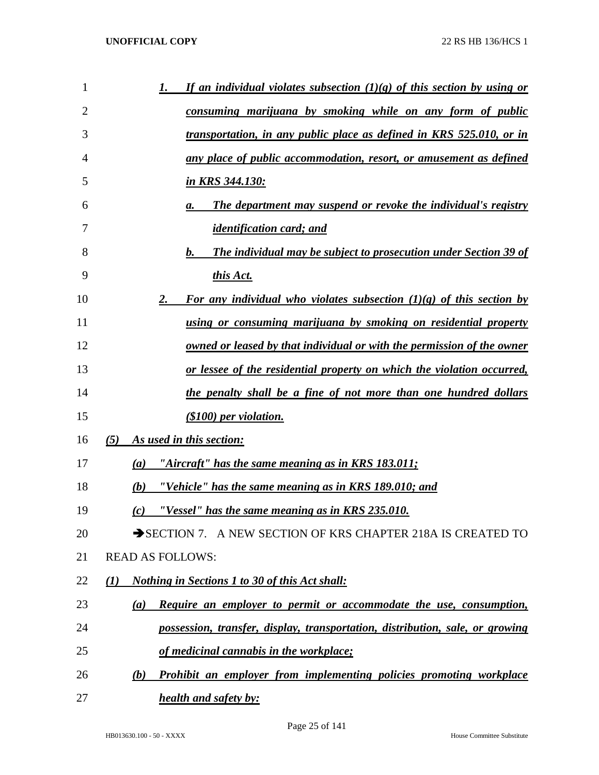| 1  | If an individual violates subsection $(1)(g)$ of this section by using or<br>1. |
|----|---------------------------------------------------------------------------------|
| 2  | <u>consuming marijuana by smoking while on any form of public</u>               |
| 3  | <u>transportation, in any public place as defined in KRS 525.010, or in</u>     |
| 4  | any place of public accommodation, resort, or amusement as defined              |
| 5  | <u>in KRS 344.130:</u>                                                          |
| 6  | <b>The department may suspend or revoke the individual's registry</b><br>а.     |
| 7  | <i>identification card; and</i>                                                 |
| 8  | <b>The individual may be subject to prosecution under Section 39 of</b><br>b.   |
| 9  | this Act.                                                                       |
| 10 | For any individual who violates subsection $(1)(g)$ of this section by<br>2.    |
| 11 | <u>using or consuming marijuana by smoking on residential property</u>          |
| 12 | <u>owned or leased by that individual or with the permission of the owner</u>   |
| 13 | <u>or lessee of the residential property on which the violation occurred,</u>   |
| 14 | the penalty shall be a fine of not more than one hundred dollars                |
| 15 | $(S100)$ per violation.                                                         |
| 16 | As used in this section:<br>(5)                                                 |
| 17 | <u>"Aircraft" has the same meaning as in KRS 183.011;</u><br>(a)                |
| 18 | "Vehicle" has the same meaning as in KRS 189.010; and<br>(b)                    |
| 19 | "Vessel" has the same meaning as in KRS 235.010.<br>(c)                         |
| 20 | SECTION 7. A NEW SECTION OF KRS CHAPTER 218A IS CREATED TO                      |
| 21 | <b>READ AS FOLLOWS:</b>                                                         |
| 22 | <b>Nothing in Sections 1 to 30 of this Act shall:</b><br>(I)                    |
| 23 | Require an employer to permit or accommodate the use, consumption,<br>(a)       |
| 24 | possession, transfer, display, transportation, distribution, sale, or growing   |
| 25 | of medicinal cannabis in the workplace;                                         |
| 26 | Prohibit an employer from implementing policies promoting workplace<br>(b)      |
| 27 | <b>health and safety by:</b>                                                    |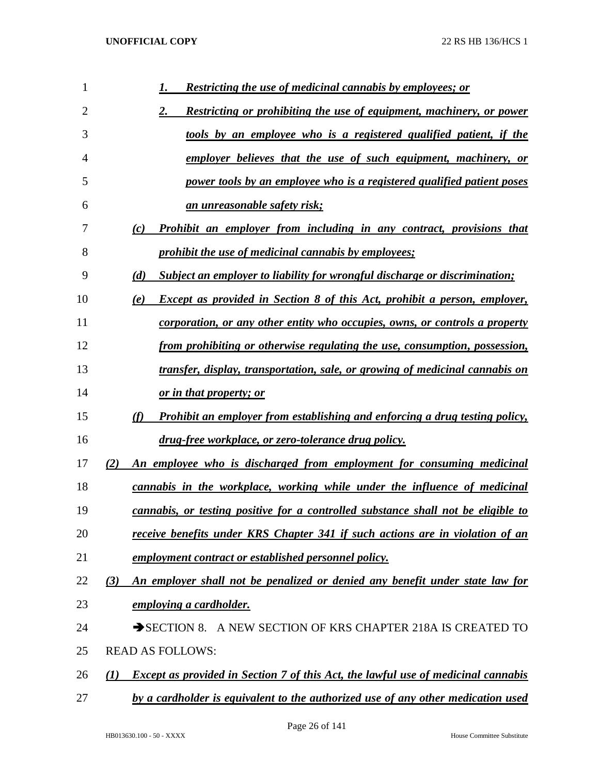| $\mathbf{1}$   | <b>Restricting the use of medicinal cannabis by employees; or</b><br>1.                              |
|----------------|------------------------------------------------------------------------------------------------------|
| $\overline{2}$ | Restricting or prohibiting the use of equipment, machinery, or power<br>2.                           |
| 3              | tools by an employee who is a registered qualified patient, if the                                   |
| 4              | employer believes that the use of such equipment, machinery, or                                      |
| 5              | power tools by an employee who is a registered qualified patient poses                               |
| 6              | <u>an unreasonable safety risk;</u>                                                                  |
| 7              | Prohibit an employer from including in any contract, provisions that<br>(c)                          |
| 8              | <i><u><b>prohibit the use of medicinal cannabis by employees;</b></u></i>                            |
| 9              | (d)<br><b>Subject an employer to liability for wrongful discharge or discrimination;</b>             |
| 10             | <b>Except as provided in Section 8 of this Act, prohibit a person, employer,</b><br>(e)              |
| 11             | corporation, or any other entity who occupies, owns, or controls a property                          |
| 12             | from prohibiting or otherwise regulating the use, consumption, possession,                           |
| 13             | transfer, display, transportation, sale, or growing of medicinal cannabis on                         |
| 14             | <u>or in that property; or</u>                                                                       |
| 15             | (f)<br><b>Prohibit an employer from establishing and enforcing a drug testing policy,</b>            |
| 16             | drug-free workplace, or zero-tolerance drug policy.                                                  |
| 17             | An employee who is discharged from employment for consuming medicinal<br>(2)                         |
| 18             | cannabis in the workplace, working while under the influence of medicinal                            |
| 19             | cannabis, or testing positive for a controlled substance shall not be eligible to                    |
| 20             | receive benefits under KRS Chapter 341 if such actions are in violation of an                        |
| 21             | employment contract or established personnel policy.                                                 |
| 22             | An employer shall not be penalized or denied any benefit under state law for<br>(3)                  |
| 23             | employing a cardholder.                                                                              |
| 24             | SECTION 8. A NEW SECTION OF KRS CHAPTER 218A IS CREATED TO                                           |
| 25             | <b>READ AS FOLLOWS:</b>                                                                              |
| 26             | <b>Except as provided in Section 7 of this Act, the lawful use of medicinal cannabis</b><br>$\bf(1)$ |
| 27             | by a cardholder is equivalent to the authorized use of any other medication used                     |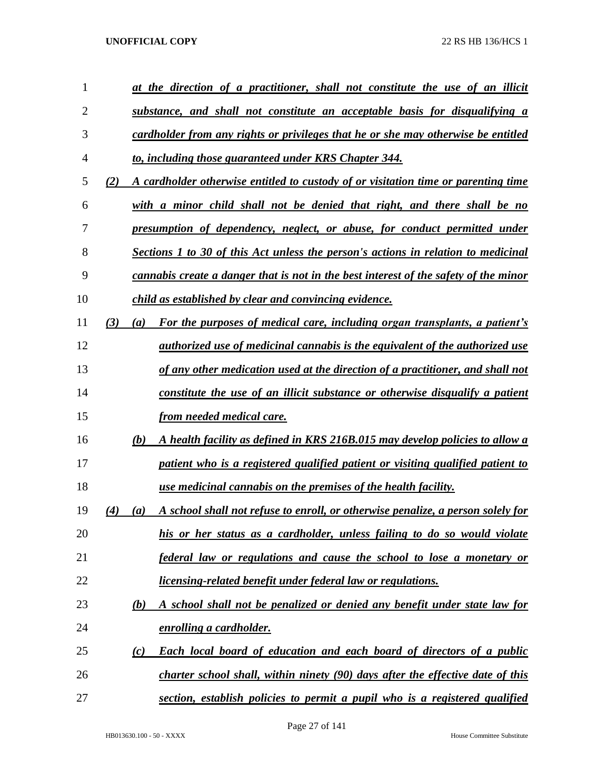| 1  |     | at the direction of a practitioner, shall not constitute the use of an illicit         |
|----|-----|----------------------------------------------------------------------------------------|
| 2  |     | substance, and shall not constitute an acceptable basis for disqualifying a            |
| 3  |     | cardholder from any rights or privileges that he or she may otherwise be entitled      |
| 4  |     | to, including those guaranteed under KRS Chapter 344.                                  |
| 5  | (2) | A cardholder otherwise entitled to custody of or visitation time or parenting time     |
| 6  |     | with a minor child shall not be denied that right, and there shall be no               |
| 7  |     | presumption of dependency, neglect, or abuse, for conduct permitted under              |
| 8  |     | Sections 1 to 30 of this Act unless the person's actions in relation to medicinal      |
| 9  |     | cannabis create a danger that is not in the best interest of the safety of the minor   |
| 10 |     | child as established by clear and convincing evidence.                                 |
| 11 | (3) | For the purposes of medical care, including organ transplants, a patient's<br>(a)      |
| 12 |     | <i>authorized use of medicinal cannabis is the equivalent of the authorized use</i>    |
| 13 |     | of any other medication used at the direction of a practitioner, and shall not         |
| 14 |     | <u>constitute the use of an illicit substance or otherwise disqualify a patient</u>    |
| 15 |     | from needed medical care.                                                              |
| 16 |     | A health facility as defined in KRS 216B.015 may develop policies to allow a<br>(b)    |
| 17 |     | patient who is a registered qualified patient or visiting qualified patient to         |
| 18 |     | use medicinal cannabis on the premises of the health facility.                         |
| 19 | (4) | A school shall not refuse to enroll, or otherwise penalize, a person solely for<br>(a) |
| 20 |     | his or her status as a cardholder, unless failing to do so would violate               |
| 21 |     | federal law or regulations and cause the school to lose a monetary or                  |
| 22 |     | licensing-related benefit under federal law or regulations.                            |
| 23 |     | A school shall not be penalized or denied any benefit under state law for<br>(b)       |
| 24 |     | enrolling a cardholder.                                                                |
| 25 |     | <b>Each local board of education and each board of directors of a public</b><br>(c)    |
| 26 |     | charter school shall, within ninety (90) days after the effective date of this         |
| 27 |     | section, establish policies to permit a pupil who is a registered qualified            |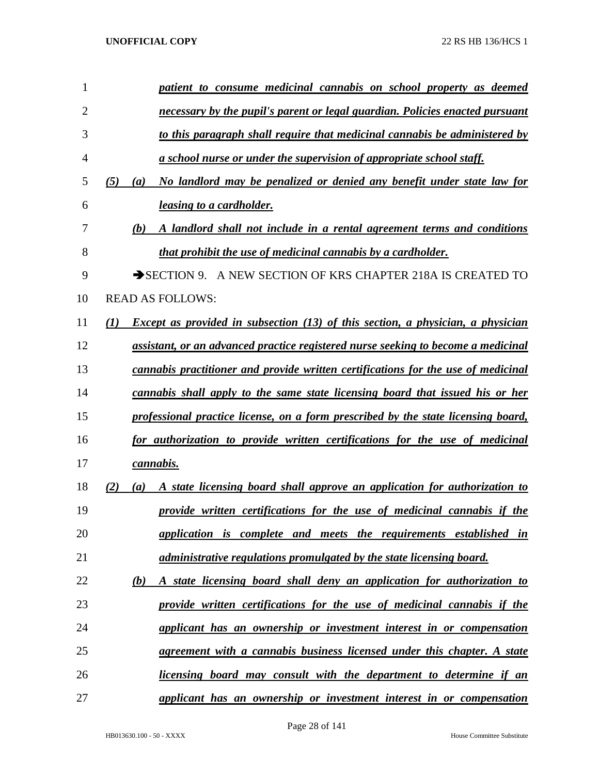| 1  | patient to consume medicinal cannabis on school property as deemed                                         |
|----|------------------------------------------------------------------------------------------------------------|
| 2  | necessary by the pupil's parent or legal guardian. Policies enacted pursuant                               |
| 3  | to this paragraph shall require that medicinal cannabis be administered by                                 |
| 4  | <u>a school nurse or under the supervision of appropriate school staff.</u>                                |
| 5  | No landlord may be penalized or denied any benefit under state law for<br>(5)<br>(a)                       |
| 6  | <i>leasing to a cardholder.</i>                                                                            |
| 7  | A landlord shall not include in a rental agreement terms and conditions<br>(b)                             |
| 8  | that prohibit the use of medicinal cannabis by a cardholder.                                               |
| 9  | A NEW SECTION OF KRS CHAPTER 218A IS CREATED TO<br>$\rightarrow$ SECTION 9.                                |
| 10 | <b>READ AS FOLLOWS:</b>                                                                                    |
| 11 | <b>Except as provided in subsection (13) of this section, a physician, a physician</b><br>$\mathcal{L}(I)$ |
| 12 | assistant, or an advanced practice registered nurse seeking to become a medicinal                          |
| 13 | cannabis practitioner and provide written certifications for the use of medicinal                          |
| 14 | cannabis shall apply to the same state licensing board that issued his or her                              |
| 15 | professional practice license, on a form prescribed by the state licensing board,                          |
| 16 | for authorization to provide written certifications for the use of medicinal                               |
| 17 | cannabis.                                                                                                  |
| 18 | A state licensing board shall approve an application for authorization to<br>(2)<br>(a)                    |
| 19 | provide written certifications for the use of medicinal cannabis if the                                    |
| 20 | application is complete and meets the requirements established in                                          |
| 21 | administrative regulations promulgated by the state licensing board.                                       |
| 22 | A state licensing board shall deny an application for authorization to<br><u>(b)</u>                       |
| 23 | provide written certifications for the use of medicinal cannabis if the                                    |
| 24 | applicant has an ownership or investment interest in or compensation                                       |
| 25 | agreement with a cannabis business licensed under this chapter. A state                                    |
| 26 | <i>licensing board may consult with the department to determine if an</i>                                  |
| 27 | applicant has an ownership or investment interest in or compensation                                       |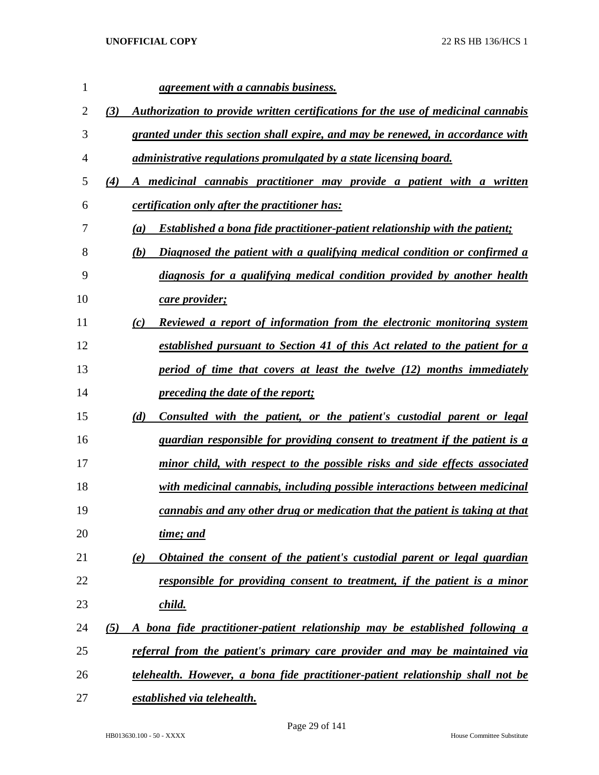| 1  |     | <i>agreement with a cannabis business.</i>                                                |
|----|-----|-------------------------------------------------------------------------------------------|
| 2  | (3) | Authorization to provide written certifications for the use of medicinal cannabis         |
| 3  |     | granted under this section shall expire, and may be renewed, in accordance with           |
| 4  |     | <i>administrative regulations promulgated by a state licensing board.</i>                 |
| 5  | (4) | A medicinal cannabis practitioner may provide a patient with a written                    |
| 6  |     | <i>certification only after the practitioner has:</i>                                     |
| 7  |     | <b>Established a bona fide practitioner-patient relationship with the patient;</b><br>(a) |
| 8  |     | Diagnosed the patient with a qualifying medical condition or confirmed a<br>(b)           |
| 9  |     | diagnosis for a qualifying medical condition provided by another health                   |
| 10 |     | <u>care provider;</u>                                                                     |
| 11 |     | Reviewed a report of information from the electronic monitoring system<br>(c)             |
| 12 |     | <u>established pursuant to Section 41 of this Act related to the patient for a</u>        |
| 13 |     | <u>period of time that covers at least the twelve (12) months immediately</u>             |
| 14 |     | <i><u><b>preceding the date of the report;</b></u></i>                                    |
| 15 |     | (d)<br><u>Consulted with the patient, or the patient's custodial parent or legal</u>      |
| 16 |     | <u>guardian responsible for providing consent to treatment if the patient is a</u>        |
| 17 |     | <u>minor child, with respect to the possible risks and side effects associated</u>        |
| 18 |     | with medicinal cannabis, including possible interactions between medicinal                |
| 19 |     | cannabis and any other drug or medication that the patient is taking at that              |
| 20 |     | time; and                                                                                 |
| 21 |     | Obtained the consent of the patient's custodial parent or legal guardian<br>(e)           |
| 22 |     | responsible for providing consent to treatment, if the patient is a minor                 |
| 23 |     | <u>child.</u>                                                                             |
| 24 | (5) | A bona fide practitioner-patient relationship may be established following a              |
| 25 |     | referral from the patient's primary care provider and may be maintained via               |
| 26 |     | telehealth. However, a bona fide practitioner-patient relationship shall not be           |
| 27 |     | established via telehealth.                                                               |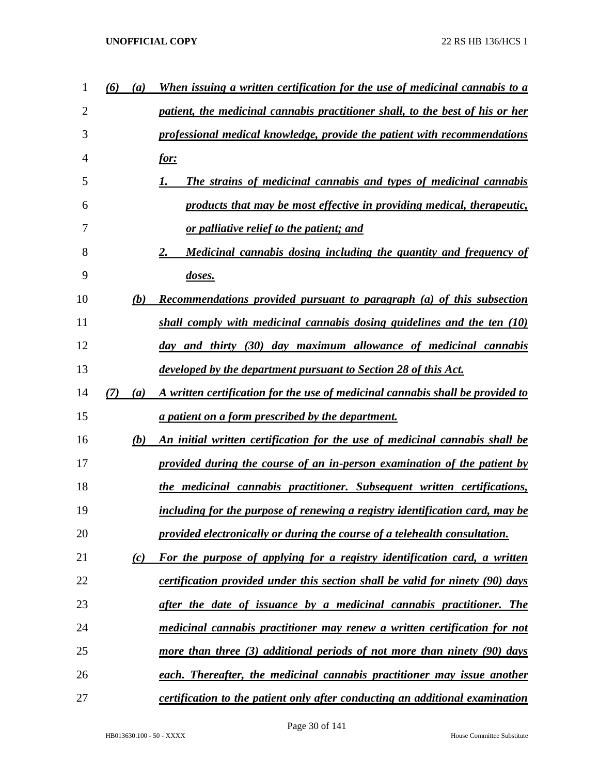| 1  | (6)<br>(a) | When issuing a written certification for the use of medicinal cannabis to a    |
|----|------------|--------------------------------------------------------------------------------|
| 2  |            | patient, the medicinal cannabis practitioner shall, to the best of his or her  |
| 3  |            | professional medical knowledge, provide the patient with recommendations       |
| 4  |            | <u>for:</u>                                                                    |
| 5  |            | <b>The strains of medicinal cannabis and types of medicinal cannabis</b>       |
| 6  |            | products that may be most effective in providing medical, therapeutic,         |
| 7  |            | <u>or palliative relief to the patient; and</u>                                |
| 8  |            | Medicinal cannabis dosing including the quantity and frequency of<br>2.        |
| 9  |            | doses.                                                                         |
| 10 | (b)        | <b>Recommendations provided pursuant to paragraph (a) of this subsection</b>   |
| 11 |            | shall comply with medicinal cannabis dosing guidelines and the ten (10)        |
| 12 |            | day and thirty (30) day maximum allowance of medicinal cannabis                |
| 13 |            | <u>developed by the department pursuant to Section 28 of this Act.</u>         |
| 14 | (7)<br>(a) | A written certification for the use of medicinal cannabis shall be provided to |
| 15 |            | a patient on a form prescribed by the department.                              |
| 16 | (b)        | An initial written certification for the use of medicinal cannabis shall be    |
| 17 |            | provided during the course of an in-person examination of the patient by       |
| 18 |            | the medicinal cannabis practitioner. Subsequent written certifications,        |
| 19 |            | including for the purpose of renewing a registry identification card, may be   |
| 20 |            | provided electronically or during the course of a telehealth consultation.     |
| 21 | (c)        | For the purpose of applying for a registry identification card, a written      |
| 22 |            | certification provided under this section shall be valid for ninety (90) days  |
| 23 |            | after the date of issuance by a medicinal cannabis practitioner. The           |
| 24 |            | medicinal cannabis practitioner may renew a written certification for not      |
| 25 |            | more than three (3) additional periods of not more than ninety (90) days       |
| 26 |            | each. Thereafter, the medicinal cannabis practitioner may issue another        |
| 27 |            | certification to the patient only after conducting an additional examination   |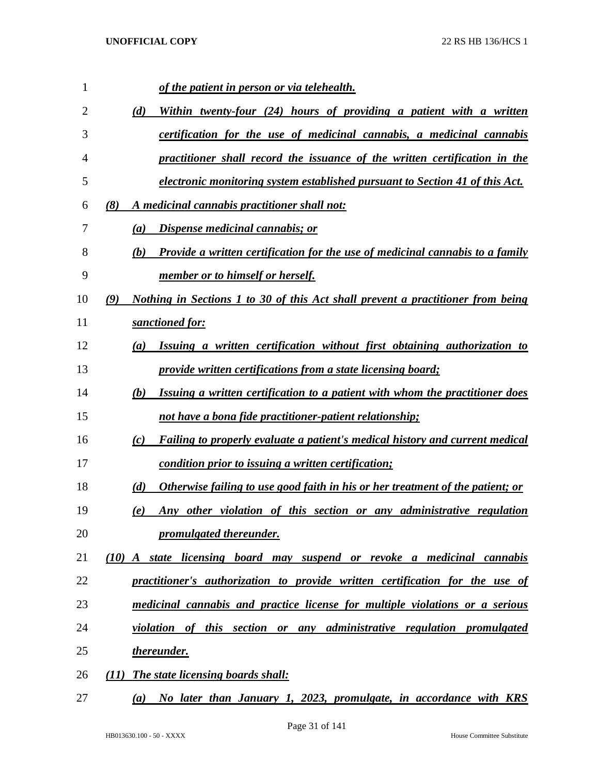| 1              |                   | of the patient in person or via telehealth.                                           |
|----------------|-------------------|---------------------------------------------------------------------------------------|
| $\overline{2}$ | (d)               | Within twenty-four (24) hours of providing a patient with a written                   |
| 3              |                   | certification for the use of medicinal cannabis, a medicinal cannabis                 |
| 4              |                   | practitioner shall record the issuance of the written certification in the            |
| 5              |                   | electronic monitoring system established pursuant to Section 41 of this Act.          |
| 6              | (8)               | A medicinal cannabis practitioner shall not:                                          |
| 7              | (a)               | <b>Dispense medicinal cannabis; or</b>                                                |
| 8              | (b)               | <b>Provide a written certification for the use of medicinal cannabis to a family</b>  |
| 9              |                   | <u>member or to himself or herself.</u>                                               |
| 10             | (9)               | Nothing in Sections 1 to 30 of this Act shall prevent a practitioner from being       |
| 11             |                   | sanctioned for:                                                                       |
| 12             | (a)               | Issuing a written certification without first obtaining authorization to              |
| 13             |                   | provide written certifications from a state licensing board;                          |
| 14             | (b)               | Issuing a written certification to a patient with whom the practitioner does          |
| 15             |                   | <u>not have a bona fide practitioner-patient relationship;</u>                        |
| 16             | $\left( c\right)$ | Failing to properly evaluate a patient's medical history and current medical          |
| 17             |                   | condition prior to issuing a written certification;                                   |
| 18             | (d)               | <u>Otherwise failing to use good faith in his or her treatment of the patient; or</u> |
| 19             | (e)               | Any other violation of this section or any administrative regulation                  |
| 20             |                   | promulgated thereunder.                                                               |
| 21             |                   | (10) A state licensing board may suspend or revoke a medicinal cannabis               |
| 22             |                   | practitioner's authorization to provide written certification for the use of          |
| 23             |                   | medicinal cannabis and practice license for multiple violations or a serious          |
| 24             |                   | violation of this section or any administrative regulation promulgated                |
| 25             |                   | thereunder.                                                                           |
| 26             | (11)              | The state licensing boards shall:                                                     |
| 27             |                   | (a) No later than January 1, 2023, promulgate, in accordance with KRS                 |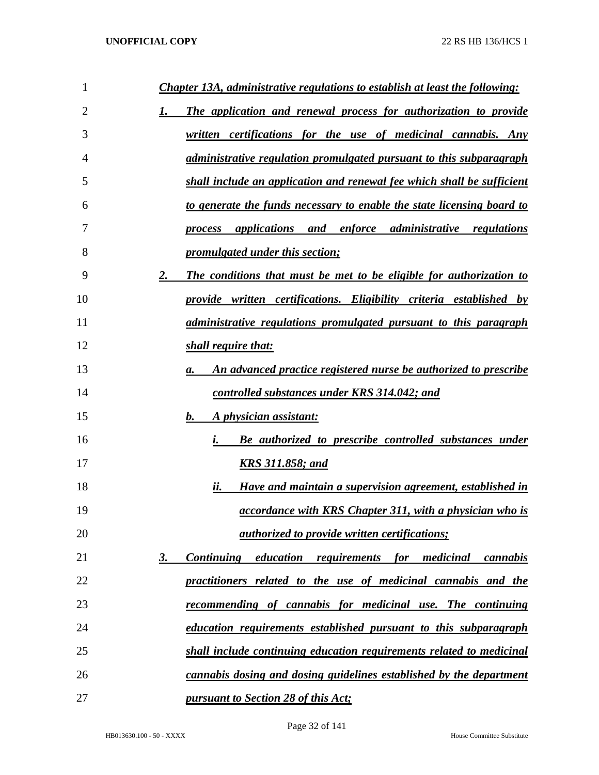| $\mathbf{1}$   | <b>Chapter 13A, administrative regulations to establish at least the following:</b>                              |
|----------------|------------------------------------------------------------------------------------------------------------------|
| $\overline{2}$ | The application and renewal process for authorization to provide                                                 |
| 3              | <i>certifications for the use of medicinal cannabis. Any</i><br>written                                          |
| 4              | <i>administrative regulation promulgated pursuant to this subparagraph</i>                                       |
| 5              | shall include an application and renewal fee which shall be sufficient                                           |
| 6              | to generate the funds necessary to enable the state licensing board to                                           |
| 7              | and enforce administrative regulations<br>applications<br>process                                                |
| 8              | <i>promulgated under this section;</i>                                                                           |
| 9              | 2.<br>The conditions that must be met to be eligible for authorization to                                        |
| 10             | provide written certifications. Eligibility criteria established by                                              |
| 11             | <i>administrative regulations promulgated pursuant to this paragraph</i>                                         |
| 12             | shall require that:                                                                                              |
| 13             | An advanced practice registered nurse be authorized to prescribe<br>а.                                           |
| 14             | controlled substances under KRS 314.042; and                                                                     |
| 15             | A physician assistant:<br>b.                                                                                     |
| 16             | Be authorized to prescribe controlled substances under<br>i.                                                     |
| 17             | <b>KRS 311.858; and</b>                                                                                          |
| 18             | ii.<br>Have and maintain a supervision agreement, established in                                                 |
| 19             | <u>accordance with KRS Chapter 311, with a physician who is</u>                                                  |
| 20             | <i><u>authorized to provide written certifications;</u></i>                                                      |
| 21             | <i>requirements</i><br><b>Continuing</b><br><i>education</i><br><i>for</i><br>medicinal<br><u>3.</u><br>cannabis |
| 22             | practitioners related to the use of medicinal cannabis and the                                                   |
| 23             | <u>recommending of cannabis for medicinal use. The continuing</u>                                                |
| 24             | education requirements established pursuant to this subparagraph                                                 |
| 25             | shall include continuing education requirements related to medicinal                                             |
| 26             | cannabis dosing and dosing guidelines established by the department                                              |
| 27             | pursuant to Section 28 of this Act;                                                                              |

Page 32 of 141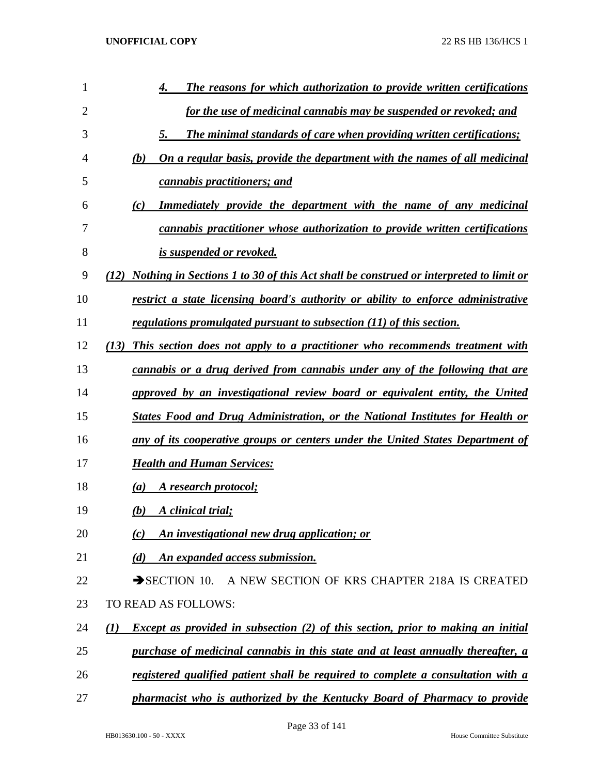| 1              | The reasons for which authorization to provide written certifications<br>4.                    |
|----------------|------------------------------------------------------------------------------------------------|
| $\overline{2}$ | for the use of medicinal cannabis may be suspended or revoked; and                             |
| 3              | The minimal standards of care when providing written certifications;<br>5.                     |
| 4              | <u>On a regular basis, provide the department with the names of all medicinal</u><br>(b)       |
| 5              | cannabis practitioners; and                                                                    |
| 6              | <b>Immediately provide the department with the name of any medicinal</b><br>$\left( c\right)$  |
| 7              | cannabis practitioner whose authorization to provide written certifications                    |
| 8              | is suspended or revoked.                                                                       |
| 9              | (12) Nothing in Sections 1 to 30 of this Act shall be construed or interpreted to limit or     |
| 10             | restrict a state licensing board's authority or ability to enforce administrative              |
| 11             | regulations promulgated pursuant to subsection (11) of this section.                           |
| 12             | This section does not apply to a practitioner who recommends treatment with<br>(13)            |
| 13             | cannabis or a drug derived from cannabis under any of the following that are                   |
| 14             | approved by an investigational review board or equivalent entity, the United                   |
| 15             | <b>States Food and Drug Administration, or the National Institutes for Health or</b>           |
| 16             | any of its cooperative groups or centers under the United States Department of                 |
| 17             | <b>Health and Human Services:</b>                                                              |
| 18             | A research protocol;<br>$\left( a\right)$                                                      |
| 19             | A clinical trial;<br>(b)                                                                       |
| 20             | An investigational new drug application; or<br>(c)                                             |
| 21             | An expanded access submission.<br>(d)                                                          |
| 22             | A NEW SECTION OF KRS CHAPTER 218A IS CREATED<br>$\rightarrow$ SECTION 10.                      |
| 23             | TO READ AS FOLLOWS:                                                                            |
| 24             | <b>Except as provided in subsection (2) of this section, prior to making an initial</b><br>(1) |
| 25             | purchase of medicinal cannabis in this state and at least annually thereafter, a               |
| 26             | registered qualified patient shall be required to complete a consultation with a               |
| 27             | pharmacist who is authorized by the Kentucky Board of Pharmacy to provide                      |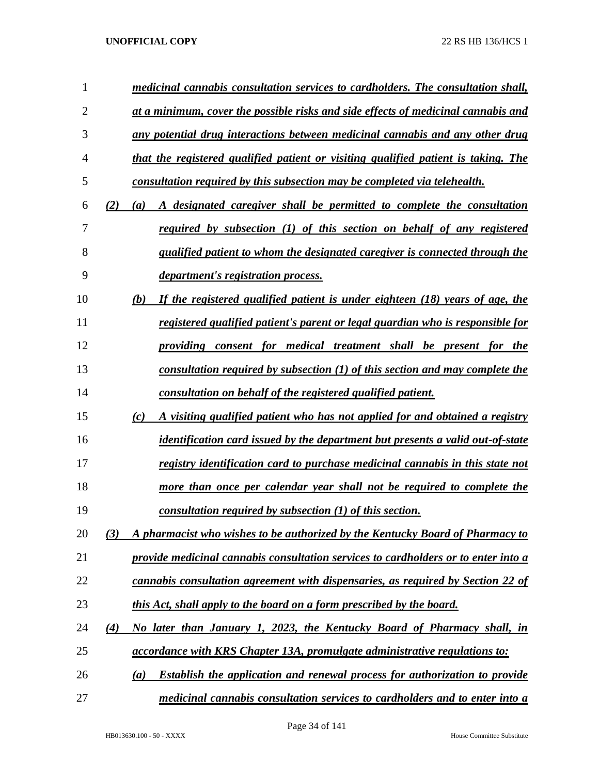| 1              |     | medicinal cannabis consultation services to cardholders. The consultation shall,         |
|----------------|-----|------------------------------------------------------------------------------------------|
| $\overline{2}$ |     | at a minimum, cover the possible risks and side effects of medicinal cannabis and        |
| 3              |     | any potential drug interactions between medicinal cannabis and any other drug            |
| 4              |     | that the registered qualified patient or visiting qualified patient is taking. The       |
| 5              |     | consultation required by this subsection may be completed via telehealth.                |
| 6              | (2) | A designated caregiver shall be permitted to complete the consultation<br>(a)            |
| 7              |     | required by subsection (1) of this section on behalf of any registered                   |
| 8              |     | qualified patient to whom the designated caregiver is connected through the              |
| 9              |     | <i>department's registration process.</i>                                                |
| 10             |     | If the registered qualified patient is under eighteen (18) years of age, the<br>(b)      |
| 11             |     | registered qualified patient's parent or legal guardian who is responsible for           |
| 12             |     | providing consent for medical treatment shall be present for the                         |
| 13             |     | consultation required by subsection $(1)$ of this section and may complete the           |
| 14             |     | consultation on behalf of the registered qualified patient.                              |
| 15             |     | A visiting qualified patient who has not applied for and obtained a registry<br>(c)      |
| 16             |     | identification card issued by the department but presents a valid out-of-state           |
| 17             |     | registry identification card to purchase medicinal cannabis in this state not            |
| 18             |     | more than once per calendar year shall not be required to complete the                   |
| 19             |     | consultation required by subsection (1) of this section.                                 |
| 20             | (3) | A pharmacist who wishes to be authorized by the Kentucky Board of Pharmacy to            |
| 21             |     | provide medicinal cannabis consultation services to cardholders or to enter into a       |
| 22             |     | cannabis consultation agreement with dispensaries, as required by Section 22 of          |
| 23             |     | this Act, shall apply to the board on a form prescribed by the board.                    |
| 24             | (4) | No later than January 1, 2023, the Kentucky Board of Pharmacy shall, in                  |
| 25             |     | <i>accordance with KRS Chapter 13A, promulgate administrative regulations to:</i>        |
| 26             |     | <b>Establish the application and renewal process for authorization to provide</b><br>(a) |
| 27             |     | medicinal cannabis consultation services to cardholders and to enter into a              |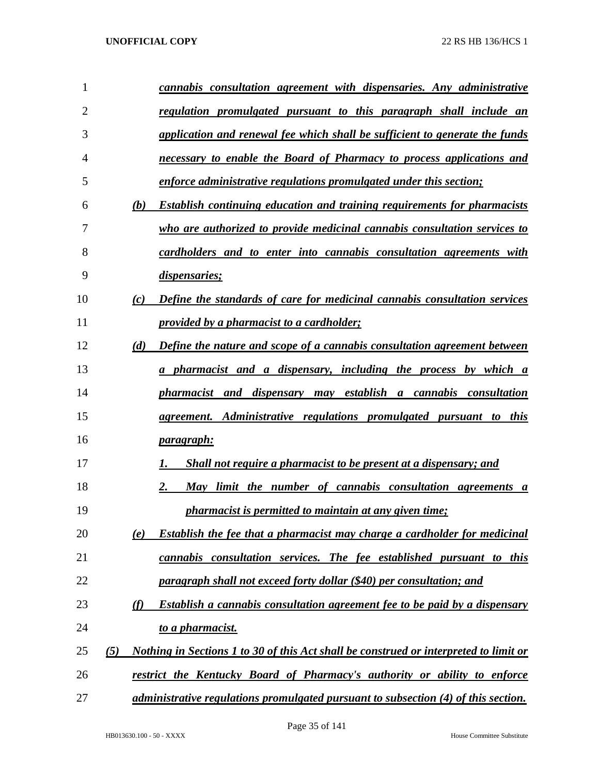| 1  |     |     | cannabis consultation agreement with dispensaries. Any administrative                 |
|----|-----|-----|---------------------------------------------------------------------------------------|
| 2  |     |     | regulation promulgated pursuant to this paragraph shall include an                    |
| 3  |     |     | application and renewal fee which shall be sufficient to generate the funds           |
| 4  |     |     | necessary to enable the Board of Pharmacy to process applications and                 |
| 5  |     |     | enforce administrative regulations promulgated under this section;                    |
| 6  |     | (b) | <b>Establish continuing education and training requirements for pharmacists</b>       |
| 7  |     |     | who are authorized to provide medicinal cannabis consultation services to             |
| 8  |     |     | cardholders and to enter into cannabis consultation agreements with                   |
| 9  |     |     | dispensaries;                                                                         |
| 10 |     | (c) | Define the standards of care for medicinal cannabis consultation services             |
| 11 |     |     | provided by a pharmacist to a cardholder;                                             |
| 12 |     | (d) | Define the nature and scope of a cannabis consultation agreement between              |
| 13 |     |     | a pharmacist and a dispensary, including the process by which a                       |
| 14 |     |     | pharmacist and dispensary may establish a cannabis consultation                       |
| 15 |     |     | agreement. Administrative regulations promulgated pursuant to this                    |
| 16 |     |     | <u>paragraph:</u>                                                                     |
| 17 |     |     | Shall not require a pharmacist to be present at a dispensary; and                     |
| 18 |     |     | May limit the number of cannabis consultation agreements a<br>2.                      |
| 19 |     |     | pharmacist is permitted to maintain at any given time;                                |
| 20 |     | (e) | Establish the fee that a pharmacist may charge a cardholder for medicinal             |
| 21 |     |     | cannabis consultation services. The fee established pursuant to this                  |
| 22 |     |     | paragraph shall not exceed forty dollar (\$40) per consultation; and                  |
| 23 |     | (f) | Establish a cannabis consultation agreement fee to be paid by a dispensary            |
| 24 |     |     | to a pharmacist.                                                                      |
| 25 | (5) |     | Nothing in Sections 1 to 30 of this Act shall be construed or interpreted to limit or |
| 26 |     |     | restrict the Kentucky Board of Pharmacy's authority or ability to enforce             |
| 27 |     |     | administrative regulations promulgated pursuant to subsection (4) of this section.    |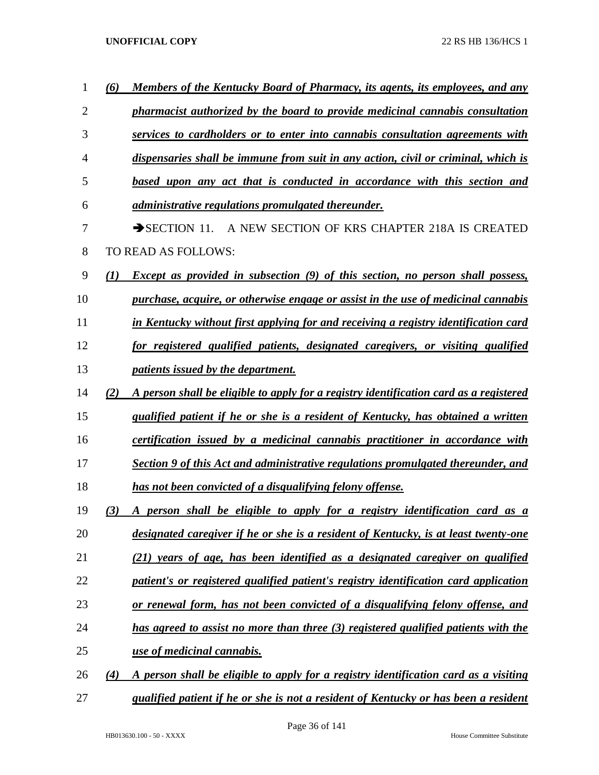| 1  | (6)      | Members of the Kentucky Board of Pharmacy, its agents, its employees, and any          |
|----|----------|----------------------------------------------------------------------------------------|
| 2  |          | pharmacist authorized by the board to provide medicinal cannabis consultation          |
| 3  |          | services to cardholders or to enter into cannabis consultation agreements with         |
| 4  |          | dispensaries shall be immune from suit in any action, civil or criminal, which is      |
| 5  |          | based upon any act that is conducted in accordance with this section and               |
| 6  |          | <i>administrative regulations promulgated thereunder.</i>                              |
| 7  |          | $\rightarrow$ SECTION 11.<br>A NEW SECTION OF KRS CHAPTER 218A IS CREATED              |
| 8  |          | TO READ AS FOLLOWS:                                                                    |
| 9  | $\bf(1)$ | Except as provided in subsection (9) of this section, no person shall possess,         |
| 10 |          | purchase, acquire, or otherwise engage or assist in the use of medicinal cannabis      |
| 11 |          | in Kentucky without first applying for and receiving a registry identification card    |
| 12 |          | for registered qualified patients, designated caregivers, or visiting qualified        |
| 13 |          | <i>patients issued by the department.</i>                                              |
| 14 | (2)      | A person shall be eligible to apply for a registry identification card as a registered |
| 15 |          | qualified patient if he or she is a resident of Kentucky, has obtained a written       |
| 16 |          | certification issued by a medicinal cannabis practitioner in accordance with           |
| 17 |          | Section 9 of this Act and administrative regulations promulgated thereunder, and       |
| 18 |          | has not been convicted of a disqualifying felony offense.                              |
| 19 | (3)      | person shall be eligible to apply for a registry identification card as a              |
| 20 |          | designated caregiver if he or she is a resident of Kentucky, is at least twenty-one    |
| 21 |          | (21) years of age, has been identified as a designated caregiver on qualified          |
| 22 |          | patient's or registered qualified patient's registry identification card application   |
| 23 |          | or renewal form, has not been convicted of a disqualifying felony offense, and         |
| 24 |          | has agreed to assist no more than three (3) registered qualified patients with the     |
| 25 |          | use of medicinal cannabis.                                                             |
| 26 | (4)      | A person shall be eligible to apply for a registry identification card as a visiting   |
| 27 |          | qualified patient if he or she is not a resident of Kentucky or has been a resident    |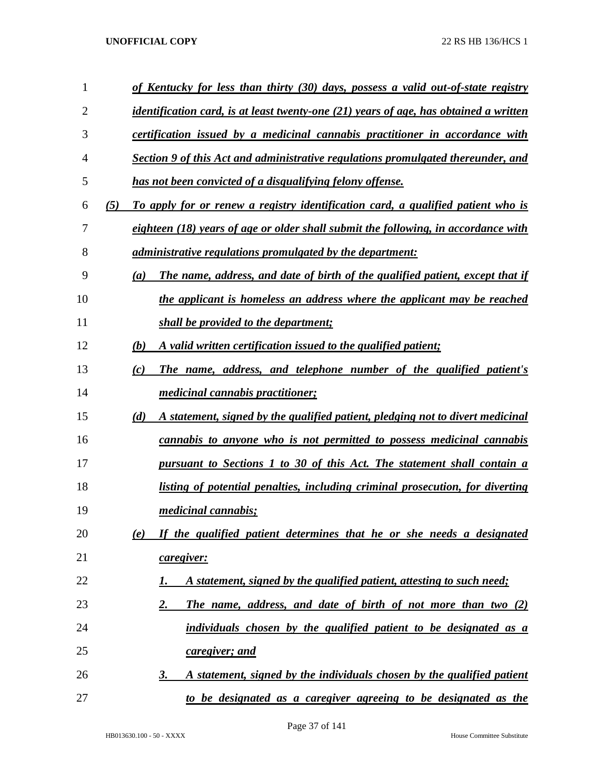| $\mathbf{1}$ |     | of Kentucky for less than thirty (30) days, possess a valid out-of-state registry            |
|--------------|-----|----------------------------------------------------------------------------------------------|
| 2            |     | <u>identification card, is at least twenty-one (21) years of age, has obtained a written</u> |
| 3            |     | certification issued by a medicinal cannabis practitioner in accordance with                 |
| 4            |     | Section 9 of this Act and administrative regulations promulgated thereunder, and             |
| 5            |     | has not been convicted of a disqualifying felony offense.                                    |
| 6            | (5) | To apply for or renew a registry identification card, a qualified patient who is             |
| 7            |     | eighteen (18) years of age or older shall submit the following, in accordance with           |
| 8            |     | <i>administrative regulations promulgated by the department:</i>                             |
| 9            |     | The name, address, and date of birth of the qualified patient, except that if<br>(a)         |
| 10           |     | the applicant is homeless an address where the applicant may be reached                      |
| 11           |     | shall be provided to the department;                                                         |
| 12           |     | A valid written certification issued to the qualified patient;<br>(b)                        |
| 13           |     | The name, address, and telephone number of the qualified patient's<br>(c)                    |
| 14           |     | <i>medicinal cannabis practitioner;</i>                                                      |
| 15           |     | (d)<br>A statement, signed by the qualified patient, pledging not to divert medicinal        |
| 16           |     | cannabis to anyone who is not permitted to possess medicinal cannabis                        |
| 17           |     | pursuant to Sections 1 to 30 of this Act. The statement shall contain a                      |
| 18           |     | listing of potential penalties, including criminal prosecution, for diverting                |
| 19           |     | <i>medicinal cannabis;</i>                                                                   |
| 20           |     | If the qualified patient determines that he or she needs a designated<br>(e)                 |
| 21           |     | caregiver:                                                                                   |
| 22           |     | A statement, signed by the qualified patient, attesting to such need;<br>I.                  |
| 23           |     | 2.<br><b>The name, address, and date of birth of not more than two (2)</b>                   |
| 24           |     | individuals chosen by the qualified patient to be designated as a                            |
| 25           |     | caregiver; and                                                                               |
| 26           |     | A statement, signed by the individuals chosen by the qualified patient<br>3.                 |
| 27           |     | to be designated as a caregiver agreeing to be designated as the                             |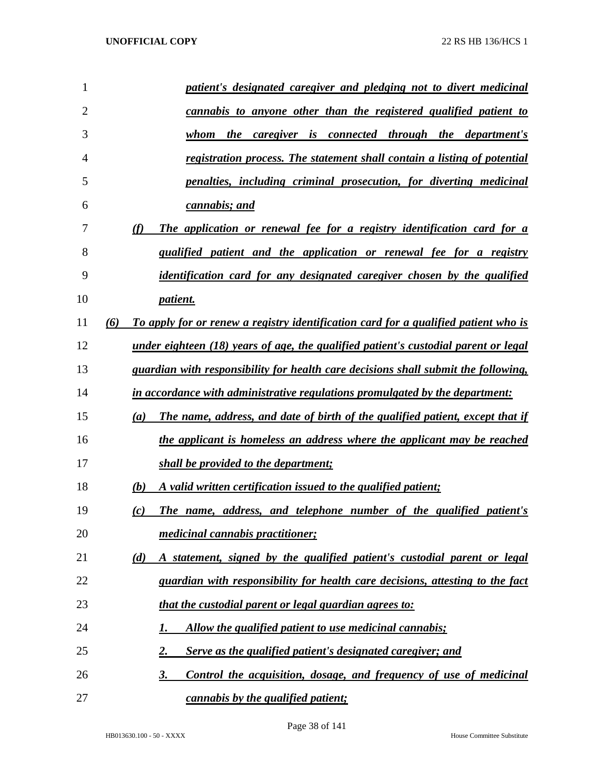| 1              | patient's designated caregiver and pledging not to divert medicinal                                |
|----------------|----------------------------------------------------------------------------------------------------|
| $\overline{2}$ | <u>cannabis to anyone other than the registered qualified patient to</u>                           |
| 3              | <i>caregiver</i> is connected through the department's<br>whom<br>the                              |
| 4              | registration process. The statement shall contain a listing of potential                           |
| 5              | penalties, including criminal prosecution, for diverting medicinal                                 |
| 6              | cannabis; and                                                                                      |
| 7              | (f)<br>The application or renewal fee for a registry identification card for a                     |
| 8              | qualified patient and the application or renewal fee for a registry                                |
| 9              | <i>identification card for any designated caregiver chosen by the qualified</i>                    |
| 10             | <i>patient.</i>                                                                                    |
| 11             | To apply for or renew a registry identification card for a qualified patient who is<br>(6)         |
| 12             | <u>under eighteen (18) years of age, the qualified patient's custodial parent or legal</u>         |
| 13             | guardian with responsibility for health care decisions shall submit the following,                 |
| 14             | in accordance with administrative regulations promulgated by the department:                       |
| 15             | The name, address, and date of birth of the qualified patient, except that if<br>$\left( a\right)$ |
| 16             | the applicant is homeless an address where the applicant may be reached                            |
| 17             | shall be provided to the department;                                                               |
| 18             | A valid written certification issued to the qualified patient;<br>(b)                              |
| 19             | The name, address, and telephone number of the qualified patient's<br>(c)                          |
| 20             | <i>medicinal cannabis practitioner;</i>                                                            |
| 21             | A statement, signed by the qualified patient's custodial parent or legal<br>(d)                    |
| 22             | guardian with responsibility for health care decisions, attesting to the fact                      |
| 23             | that the custodial parent or legal guardian agrees to:                                             |
| 24             | Allow the qualified patient to use medicinal cannabis;<br>1.                                       |
| 25             | Serve as the qualified patient's designated caregiver; and<br>2.                                   |
| 26             | Control the acquisition, dosage, and frequency of use of medicinal<br>3.                           |
| 27             | cannabis by the qualified patient;                                                                 |

Page 38 of 141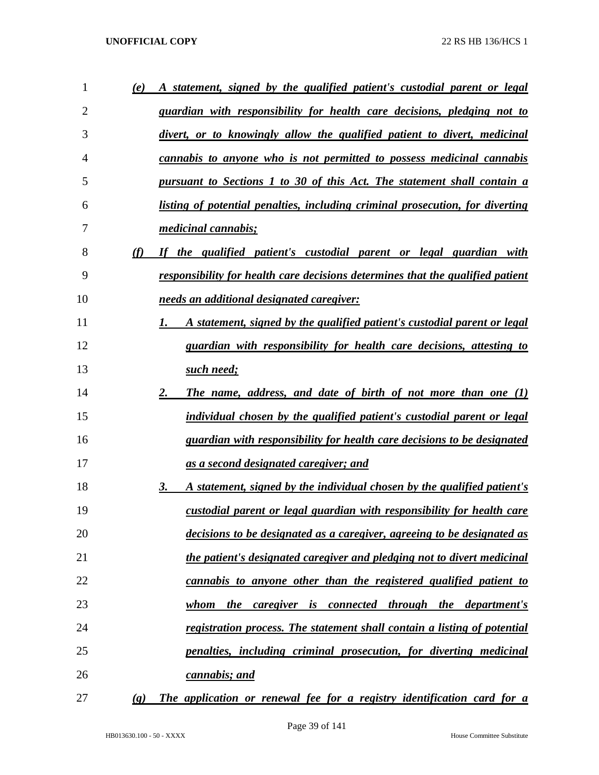| 1              | (e)                         | A statement, signed by the qualified patient's custodial parent or legal       |
|----------------|-----------------------------|--------------------------------------------------------------------------------|
| $\overline{2}$ |                             | <u>guardian with responsibility for health care decisions, pledging not to</u> |
| 3              |                             | divert, or to knowingly allow the qualified patient to divert, medicinal       |
| 4              |                             | <u>cannabis to anyone who is not permitted to possess medicinal cannabis</u>   |
| 5              |                             | pursuant to Sections 1 to 30 of this Act. The statement shall contain a        |
| 6              |                             | listing of potential penalties, including criminal prosecution, for diverting  |
| 7              |                             | <i>medicinal cannabis;</i>                                                     |
| 8              | (f)                         | If the qualified patient's custodial parent or legal guardian with             |
| 9              |                             | responsibility for health care decisions determines that the qualified patient |
| 10             |                             | needs an additional designated caregiver:                                      |
| 11             |                             | A statement, signed by the qualified patient's custodial parent or legal<br>1. |
| 12             |                             | guardian with responsibility for health care decisions, attesting to           |
| 13             |                             | such need;                                                                     |
| 14             |                             | 2.<br>The name, address, and date of birth of not more than one (1)            |
| 15             |                             | individual chosen by the qualified patient's custodial parent or legal         |
| 16             |                             | guardian with responsibility for health care decisions to be designated        |
| 17             |                             | <u>as a second designated caregiver; and</u>                                   |
| 18             |                             | 3.<br>A statement, signed by the individual chosen by the qualified patient's  |
| 19             |                             | custodial parent or legal guardian with responsibility for health care         |
| 20             |                             | <u>decisions to be designated as a caregiver, agreeing to be designated as</u> |
| 21             |                             | the patient's designated caregiver and pledging not to divert medicinal        |
| 22             |                             | cannabis to anyone other than the registered qualified patient to              |
| 23             |                             | <i>the caregiver is connected through the department's</i><br><u>whom</u>      |
| 24             |                             | registration process. The statement shall contain a listing of potential       |
| 25             |                             | <u>penalties, including criminal prosecution, for diverting medicinal</u>      |
| 26             |                             | cannabis; and                                                                  |
| 27             | $\left( \mathbf{g} \right)$ | The application or renewal fee for a registry identification card for a        |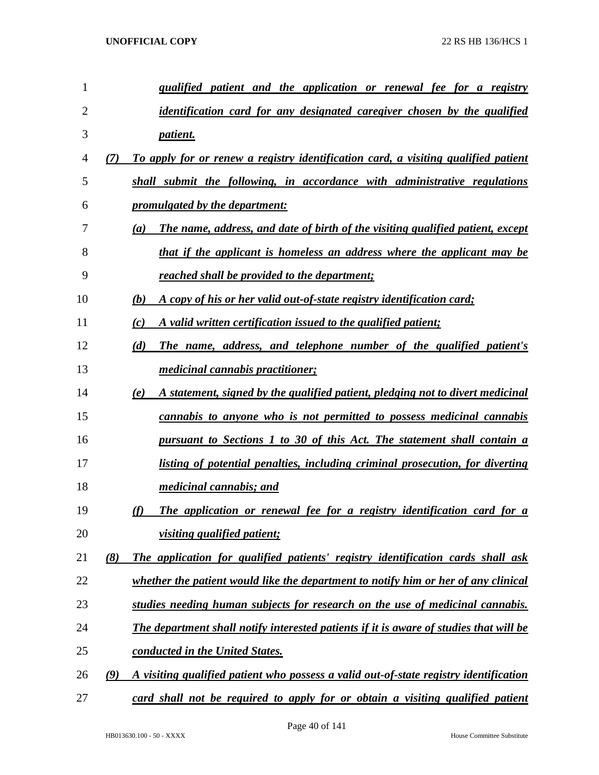| 1              |     | <i>qualified patient and the application or renewal fee for a registry</i>             |
|----------------|-----|----------------------------------------------------------------------------------------|
| $\overline{2}$ |     | <i>identification card for any designated caregiver chosen by the qualified</i>        |
| 3              |     | patient.                                                                               |
| 4              | (7) | To apply for or renew a registry identification card, a visiting qualified patient     |
| 5              |     | shall submit the following, in accordance with administrative regulations              |
| 6              |     | <i>promulgated by the department:</i>                                                  |
| 7              |     | The name, address, and date of birth of the visiting qualified patient, except<br>(a)  |
| 8              |     | that if the applicant is homeless an address where the applicant may be                |
| 9              |     | reached shall be provided to the department;                                           |
| 10             |     | A copy of his or her valid out-of-state registry identification card;<br>(b)           |
| 11             |     | A valid written certification issued to the qualified patient;<br>(c)                  |
| 12             |     | The name, address, and telephone number of the qualified patient's<br>(d)              |
| 13             |     | <i>medicinal cannabis practitioner;</i>                                                |
| 14             |     | A statement, signed by the qualified patient, pledging not to divert medicinal<br>(e)  |
| 15             |     | <u>cannabis to anyone who is not permitted to possess medicinal cannabis</u>           |
| 16             |     | <u>pursuant to Sections 1 to 30 of this Act. The statement shall contain a</u>         |
| 17             |     | listing of potential penalties, including criminal prosecution, for diverting          |
| 18             |     | <i>medicinal cannabis; and</i>                                                         |
| 19             |     | The application or renewal fee for a registry identification card for a<br>(f)         |
| 20             |     | visiting qualified patient;                                                            |
| 21             | (8) | The application for qualified patients' registry identification cards shall ask        |
| 22             |     | whether the patient would like the department to notify him or her of any clinical     |
| 23             |     | studies needing human subjects for research on the use of medicinal cannabis.          |
| 24             |     | The department shall notify interested patients if it is aware of studies that will be |
| 25             |     | conducted in the United States.                                                        |
| 26             | (9) | A visiting qualified patient who possess a valid out-of-state registry identification  |
| 27             |     | card shall not be required to apply for or obtain a visiting qualified patient         |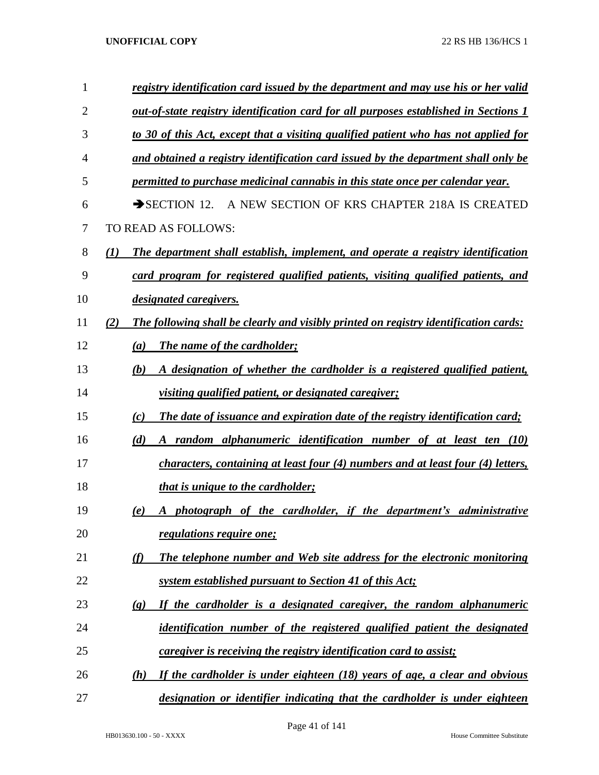| 1  | registry identification card issued by the department and may use his or her valid                  |
|----|-----------------------------------------------------------------------------------------------------|
| 2  | <u>out-of-state registry identification card for all purposes established in Sections 1</u>         |
| 3  | to 30 of this Act, except that a visiting qualified patient who has not applied for                 |
| 4  | and obtained a registry identification card issued by the department shall only be                  |
| 5  | permitted to purchase medicinal cannabis in this state once per calendar year.                      |
| 6  | A NEW SECTION OF KRS CHAPTER 218A IS CREATED<br>$\rightarrow$ SECTION 12.                           |
| 7  | TO READ AS FOLLOWS:                                                                                 |
| 8  | (1)<br>The department shall establish, implement, and operate a registry identification             |
| 9  | card program for registered qualified patients, visiting qualified patients, and                    |
| 10 | <i>designated caregivers.</i>                                                                       |
| 11 | The following shall be clearly and visibly printed on registry identification cards:<br>(2)         |
| 12 | <b>The name of the cardholder;</b><br>(a)                                                           |
| 13 | A designation of whether the cardholder is a registered qualified patient,<br>(b)                   |
| 14 | <u>visiting qualified patient, or designated caregiver;</u>                                         |
| 15 | The date of issuance and expiration date of the registry identification card;<br>(c)                |
| 16 | A random alphanumeric identification number of at least ten (10)<br>(d)                             |
| 17 | characters, containing at least four (4) numbers and at least four (4) letters,                     |
| 18 | <u>that is unique to the cardholder;</u>                                                            |
| 19 | A photograph of the cardholder, if the department's administrative<br>(e)                           |
| 20 | <i><u>regulations require one;</u></i>                                                              |
| 21 | (f)<br>The telephone number and Web site address for the electronic monitoring                      |
| 22 | <u>system established pursuant to Section 41 of this Act;</u>                                       |
| 23 | If the cardholder is a designated caregiver, the random alphanumeric<br>$\left( \mathbf{g} \right)$ |
| 24 | identification number of the registered qualified patient the designated                            |
| 25 | <i>caregiver is receiving the registry identification card to assist;</i>                           |
| 26 | If the cardholder is under eighteen (18) years of age, a clear and obvious<br>(h)                   |
| 27 | designation or identifier indicating that the cardholder is under eighteen                          |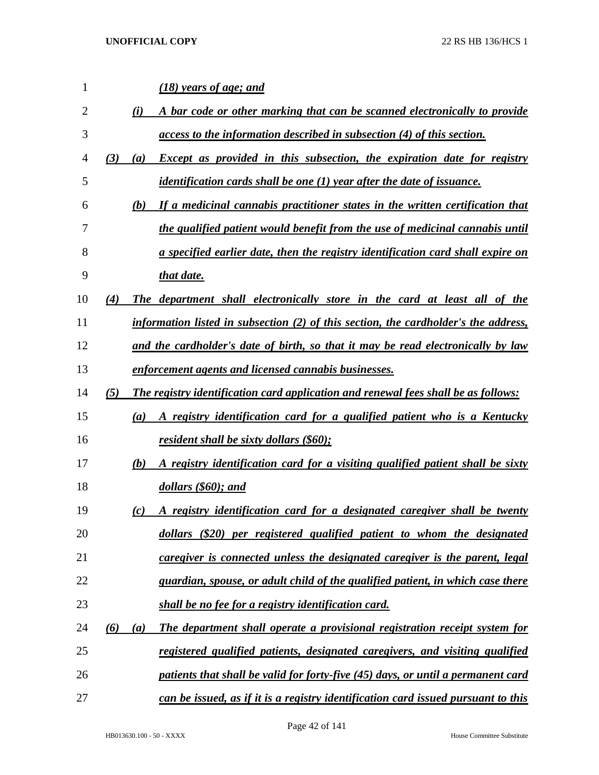| $\mathbf{1}$ |     | (18) years of age; and                                                                |
|--------------|-----|---------------------------------------------------------------------------------------|
| 2            |     | (i)<br>A bar code or other marking that can be scanned electronically to provide      |
| 3            |     | access to the information described in subsection (4) of this section.                |
| 4            | (3) | <b>Except as provided in this subsection, the expiration date for registry</b><br>(a) |
| 5            |     | identification cards shall be one $(1)$ year after the date of issuance.              |
| 6            |     | If a medicinal cannabis practitioner states in the written certification that<br>(b)  |
| 7            |     | the qualified patient would benefit from the use of medicinal cannabis until          |
| 8            |     | a specified earlier date, then the registry identification card shall expire on       |
| 9            |     | that date.                                                                            |
| 10           | (4) | The department shall electronically store in the card at least all of the             |
| 11           |     | information listed in subsection $(2)$ of this section, the cardholder's the address, |
| 12           |     | and the cardholder's date of birth, so that it may be read electronically by law      |
| 13           |     | enforcement agents and licensed cannabis businesses.                                  |
| 14           | (5) | The registry identification card application and renewal fees shall be as follows:    |
| 15           |     | A registry identification card for a qualified patient who is a Kentucky<br>(a)       |
| 16           |     | resident shall be sixty dollars (\$60);                                               |
| 17           |     | A registry identification card for a visiting qualified patient shall be sixty<br>(b) |
| 18           |     | dollars (\$60); and                                                                   |
| 19           |     | A registry identification card for a designated caregiver shall be twenty<br>(c)      |
| 20           |     | dollars (\$20) per registered qualified patient to whom the designated                |
| 21           |     | caregiver is connected unless the designated caregiver is the parent, legal           |
| 22           |     | guardian, spouse, or adult child of the qualified patient, in which case there        |
| 23           |     | shall be no fee for a registry identification card.                                   |
| 24           | (6) | The department shall operate a provisional registration receipt system for<br>(a)     |
| 25           |     | registered qualified patients, designated caregivers, and visiting qualified          |
| 26           |     | patients that shall be valid for forty-five (45) days, or until a permanent card      |
| 27           |     | can be issued, as if it is a registry identification card issued pursuant to this     |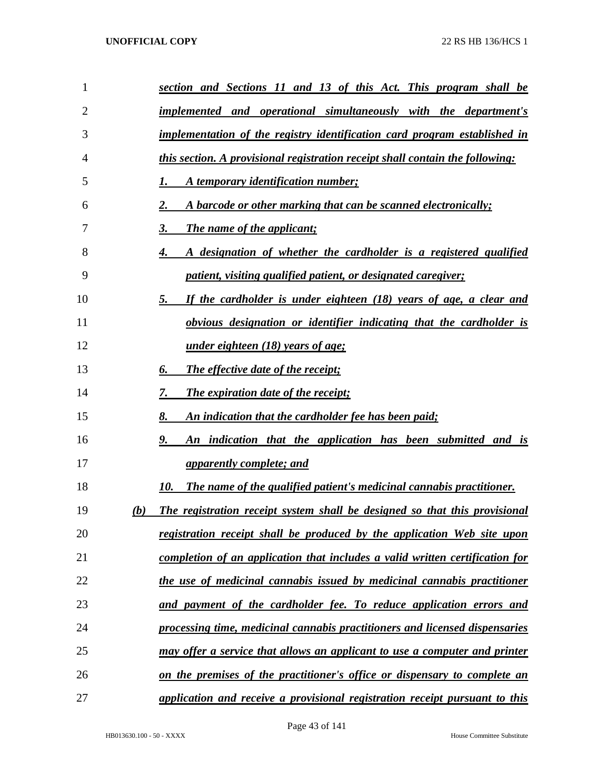| 1              | section and Sections 11 and 13 of this Act. This program shall be                        |
|----------------|------------------------------------------------------------------------------------------|
| $\overline{2}$ | implemented and operational simultaneously with the department's                         |
| 3              | implementation of the registry identification card program established in                |
| 4              | <i>this section. A provisional registration receipt shall contain the following:</i>     |
| 5              | A temporary identification number;                                                       |
| 6              | 2.<br>A barcode or other marking that can be scanned electronically;                     |
| 7              | 3.<br><b>The name of the applicant;</b>                                                  |
| 8              | A designation of whether the cardholder is a registered qualified<br>4.                  |
| 9              | <i>patient, visiting qualified patient, or designated caregiver;</i>                     |
| 10             | 5.<br>If the cardholder is under eighteen (18) years of age, a clear and                 |
| 11             | <u>obvious designation or identifier indicating that the cardholder is</u>               |
| 12             | <i>under eighteen (18) years of age;</i>                                                 |
| 13             | The effective date of the receipt;<br>6.                                                 |
| 14             | <b>The expiration date of the receipt;</b><br>7.                                         |
| 15             | 8.<br>An indication that the cardholder fee has been paid;                               |
| 16             | An indication that the application has been submitted and is<br>9.                       |
| 17             | <u>apparently complete; and</u>                                                          |
| 18             | 10.<br>The name of the qualified patient's medicinal cannabis practitioner.              |
| 19             | <b>The registration receipt system shall be designed so that this provisional</b><br>(b) |
| 20             | <u>registration receipt shall be produced by the application Web site upon</u>           |
| 21             | completion of an application that includes a valid written certification for             |
| 22             | the use of medicinal cannabis issued by medicinal cannabis practitioner                  |
| 23             | and payment of the cardholder fee. To reduce application errors and                      |
| 24             | processing time, medicinal cannabis practitioners and licensed dispensaries              |
| 25             | may offer a service that allows an applicant to use a computer and printer               |
| 26             | on the premises of the practitioner's office or dispensary to complete an                |
| 27             | application and receive a provisional registration receipt pursuant to this              |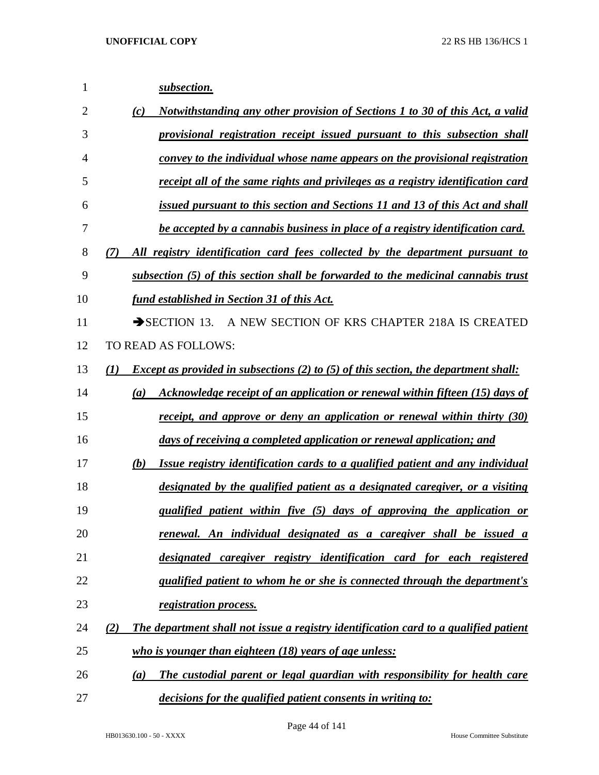| 1              | subsection.                                                                                       |
|----------------|---------------------------------------------------------------------------------------------------|
| $\overline{2}$ | Notwithstanding any other provision of Sections 1 to 30 of this Act, a valid<br>(c)               |
| 3              | provisional registration receipt issued pursuant to this subsection shall                         |
| 4              | convey to the individual whose name appears on the provisional registration                       |
| 5              | receipt all of the same rights and privileges as a registry identification card                   |
| 6              | issued pursuant to this section and Sections 11 and 13 of this Act and shall                      |
| 7              | be accepted by a cannabis business in place of a registry identification card.                    |
| 8              | All registry identification card fees collected by the department pursuant to<br>(7)              |
| 9              | subsection (5) of this section shall be forwarded to the medicinal cannabis trust                 |
| 10             | fund established in Section 31 of this Act.                                                       |
| 11             | A NEW SECTION OF KRS CHAPTER 218A IS CREATED<br>$\rightarrow$ SECTION 13.                         |
| 12             | TO READ AS FOLLOWS:                                                                               |
| 13             | <i>Except as provided in subsections (2) to (5) of this section, the department shall:</i><br>(1) |
| 14             | Acknowledge receipt of an application or renewal within fifteen (15) days of<br>(a)               |
| 15             | <u>receipt, and approve or deny an application or renewal within thirty (30)</u>                  |
| 16             | days of receiving a completed application or renewal application; and                             |
| 17             | Issue registry identification cards to a qualified patient and any individual<br>(b)              |
| 18             | designated by the qualified patient as a designated caregiver, or a visiting                      |
| 19             | qualified patient within five (5) days of approving the application or                            |
| 20             | renewal. An individual designated as a caregiver shall be issued a                                |
| 21             | designated caregiver registry identification card for each registered                             |
| 22             | qualified patient to whom he or she is connected through the department's                         |
| 23             | registration process.                                                                             |
| 24             | The department shall not issue a registry identification card to a qualified patient<br>(2)       |
| 25             | who is younger than eighteen $(18)$ years of age unless:                                          |
| 26             | The custodial parent or legal guardian with responsibility for health care<br>(a)                 |
| 27             | decisions for the qualified patient consents in writing to:                                       |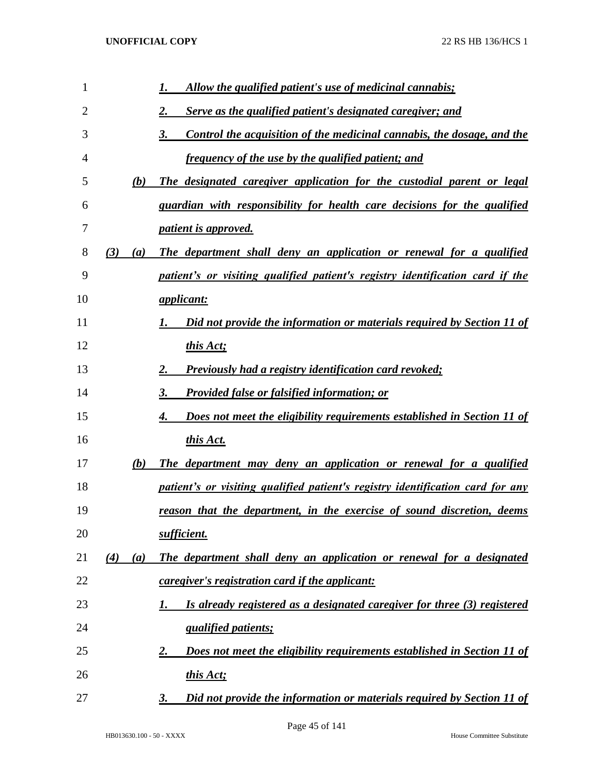| 1  |            | Allow the qualified patient's use of medicinal cannabis;                       |
|----|------------|--------------------------------------------------------------------------------|
| 2  |            | Serve as the qualified patient's designated caregiver; and<br>2.               |
| 3  |            | Control the acquisition of the medicinal cannabis, the dosage, and the<br>3.   |
| 4  |            | <i>frequency of the use by the qualified patient; and</i>                      |
| 5  | (b)        | The designated caregiver application for the custodial parent or legal         |
| 6  |            | guardian with responsibility for health care decisions for the qualified       |
| 7  |            | <i>patient is approved.</i>                                                    |
| 8  | (3)<br>(a) | The department shall deny an application or renewal for a qualified            |
| 9  |            | patient's or visiting qualified patient's registry identification card if the  |
| 10 |            | <i><u>applicant:</u></i>                                                       |
| 11 |            | Did not provide the information or materials required by Section 11 of         |
| 12 |            | this Act;                                                                      |
| 13 |            | <b>Previously had a registry identification card revoked;</b><br>2.            |
| 14 |            | <b>Provided false or falsified information; or</b><br>3.                       |
| 15 |            | Does not meet the eligibility requirements established in Section 11 of<br>4.  |
| 16 |            | this Act.                                                                      |
| 17 | (b)        | The department may deny an application or renewal for a qualified              |
| 18 |            | patient's or visiting qualified patient's registry identification card for any |
| 19 |            | reason that the department, in the exercise of sound discretion, deems         |
| 20 |            | sufficient.                                                                    |
| 21 | (4)<br>(a) | The department shall deny an application or renewal for a designated           |
| 22 |            | caregiver's registration card if the applicant:                                |
| 23 |            | Is already registered as a designated caregiver for three (3) registered<br>I. |
| 24 |            | <i>qualified patients;</i>                                                     |
| 25 |            | Does not meet the eligibility requirements established in Section 11 of<br>2.  |
| 26 |            | this Act;                                                                      |
| 27 |            | Did not provide the information or materials required by Section 11 of<br>3.   |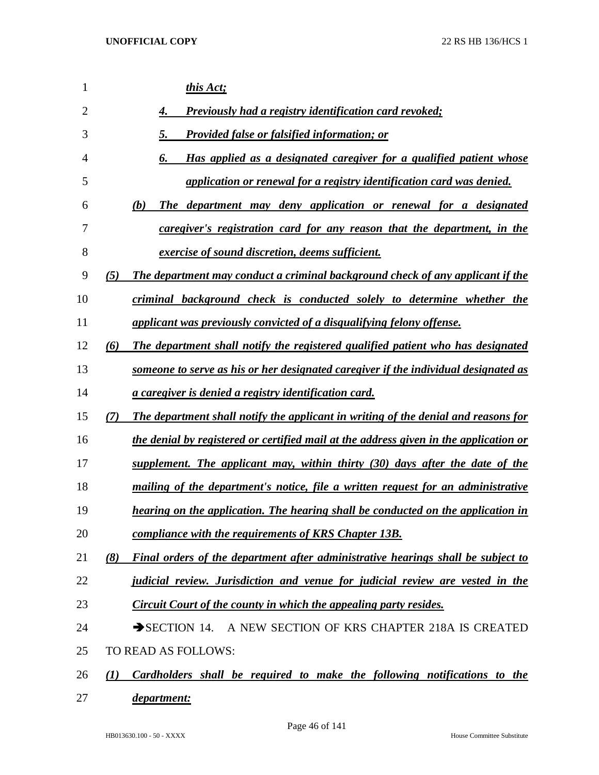| 1              | this Act;                                                                                 |
|----------------|-------------------------------------------------------------------------------------------|
| $\overline{2}$ | <b>Previously had a registry identification card revoked;</b><br>4.                       |
| 3              | <b>Provided false or falsified information; or</b><br>5.                                  |
| $\overline{4}$ | Has applied as a designated caregiver for a qualified patient whose                       |
| 5              | application or renewal for a registry identification card was denied.                     |
| 6              | The department may deny application or renewal for a designated<br>(b)                    |
| 7              | caregiver's registration card for any reason that the department, in the                  |
| 8              | <i>exercise of sound discretion, deems sufficient.</i>                                    |
| 9              | The department may conduct a criminal background check of any applicant if the<br>(5)     |
| 10             | criminal background check is conducted solely to determine whether the                    |
| 11             | applicant was previously convicted of a disqualifying felony offense.                     |
| 12             | The department shall notify the registered qualified patient who has designated<br>(6)    |
| 13             | someone to serve as his or her designated caregiver if the individual designated as       |
| 14             | <i>a caregiver is denied a registry identification card.</i>                              |
| 15             | The department shall notify the applicant in writing of the denial and reasons for<br>(7) |
| 16             | the denial by registered or certified mail at the address given in the application or     |
| 17             | supplement. The applicant may, within thirty (30) days after the date of the              |
| 18             | mailing of the department's notice, file a written request for an administrative          |
| 19             | hearing on the application. The hearing shall be conducted on the application in          |
| 20             | compliance with the requirements of KRS Chapter 13B.                                      |
| 21             | Final orders of the department after administrative hearings shall be subject to<br>(8)   |
| 22             | judicial review. Jurisdiction and venue for judicial review are vested in the             |
| 23             | <b>Circuit Court of the county in which the appealing party resides.</b>                  |
| 24             | SECTION 14. A NEW SECTION OF KRS CHAPTER 218A IS CREATED                                  |
| 25             | TO READ AS FOLLOWS:                                                                       |
| 26             | Cardholders shall be required to make the following notifications to the<br>(1)           |
| 27             | department:                                                                               |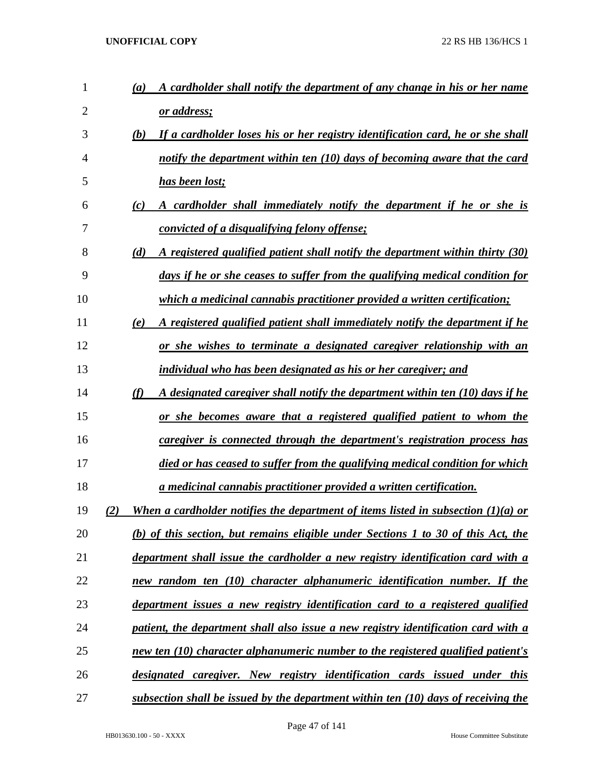| 1  | A cardholder shall notify the department of any change in his or her name<br>$\left(a\right)$ |
|----|-----------------------------------------------------------------------------------------------|
| 2  | <u>or address;</u>                                                                            |
| 3  | If a cardholder loses his or her registry identification card, he or she shall<br>(b)         |
| 4  | notify the department within ten (10) days of becoming aware that the card                    |
| 5  | has been lost;                                                                                |
| 6  | A cardholder shall immediately notify the department if he or she is<br>(c)                   |
| 7  | <u>convicted of a disqualifying felony offense;</u>                                           |
| 8  | A registered qualified patient shall notify the department within thirty (30)<br>(d)          |
| 9  | days if he or she ceases to suffer from the qualifying medical condition for                  |
| 10 | <i>which a medicinal cannabis practitioner provided a written certification;</i>              |
| 11 | A registered qualified patient shall immediately notify the department if he<br>(e)           |
| 12 | or she wishes to terminate a designated caregiver relationship with an                        |
| 13 | individual who has been designated as his or her caregiver; and                               |
| 14 | (f)<br>A designated caregiver shall notify the department within ten (10) days if he          |
| 15 | <u>or she becomes aware that a registered qualified patient to whom the</u>                   |
| 16 | caregiver is connected through the department's registration process has                      |
| 17 | died or has ceased to suffer from the qualifying medical condition for which                  |
| 18 | a medicinal cannabis practitioner provided a written certification.                           |
| 19 | When a cardholder notifies the department of items listed in subsection $(1)(a)$ or           |
| 20 | (b) of this section, but remains eligible under Sections 1 to 30 of this Act, the             |
| 21 | department shall issue the cardholder a new registry identification card with a               |
| 22 | new random ten (10) character alphanumeric identification number. If the                      |
| 23 | department issues a new registry identification card to a registered qualified                |
| 24 | patient, the department shall also issue a new registry identification card with a            |
| 25 | new ten (10) character alphanumeric number to the registered qualified patient's              |
| 26 | designated caregiver. New registry identification cards issued under this                     |
| 27 | subsection shall be issued by the department within ten (10) days of receiving the            |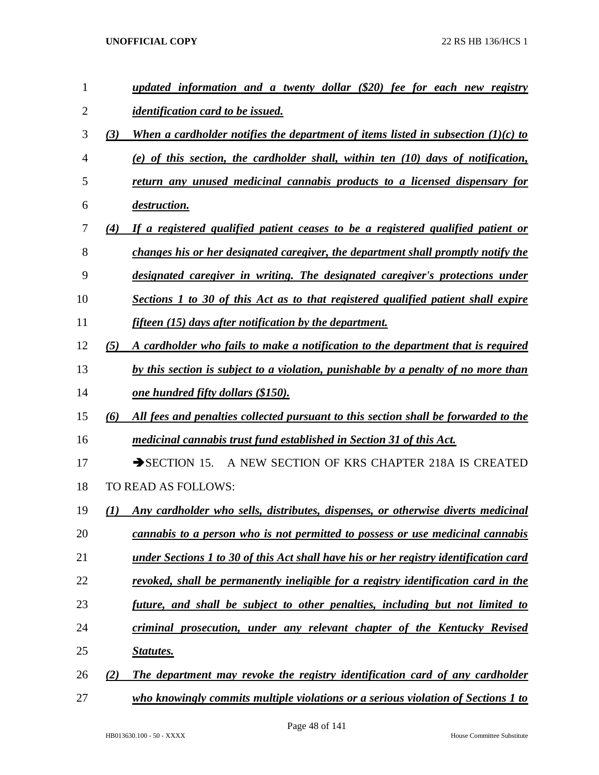| 1              |     | updated information and a twenty dollar (\$20) fee for each new registry              |
|----------------|-----|---------------------------------------------------------------------------------------|
| $\overline{2}$ |     | <i>identification card to be issued.</i>                                              |
| 3              | (3) | When a cardholder notifies the department of items listed in subsection $(1)(c)$ to   |
| 4              |     | (e) of this section, the cardholder shall, within ten $(10)$ days of notification,    |
| 5              |     | return any unused medicinal cannabis products to a licensed dispensary for            |
| 6              |     | <i>destruction.</i>                                                                   |
| 7              | (4) | If a registered qualified patient ceases to be a registered qualified patient or      |
| 8              |     | changes his or her designated caregiver, the department shall promptly notify the     |
| 9              |     | designated caregiver in writing. The designated caregiver's protections under         |
| 10             |     | Sections 1 to 30 of this Act as to that registered qualified patient shall expire     |
| 11             |     | fifteen (15) days after notification by the department.                               |
| 12             | (5) | A cardholder who fails to make a notification to the department that is required      |
| 13             |     | by this section is subject to a violation, punishable by a penalty of no more than    |
| 14             |     | <u>one hundred fifty dollars (\$150).</u>                                             |
| 15             | (6) | All fees and penalties collected pursuant to this section shall be forwarded to the   |
| 16             |     | medicinal cannabis trust fund established in Section 31 of this Act.                  |
| 17             |     | $\rightarrow$ SECTION 15.<br>A NEW SECTION OF KRS CHAPTER 218A IS CREATED             |
| 18             |     | TO READ AS FOLLOWS:                                                                   |
| 19             | (I) | Any cardholder who sells, distributes, dispenses, or otherwise diverts medicinal      |
| 20             |     | <u>cannabis to a person who is not permitted to possess or use medicinal cannabis</u> |
| 21             |     | under Sections 1 to 30 of this Act shall have his or her registry identification card |
| 22             |     | revoked, shall be permanently ineligible for a registry identification card in the    |
| 23             |     | future, and shall be subject to other penalties, including but not limited to         |
| 24             |     | criminal prosecution, under any relevant chapter of the Kentucky Revised              |
| 25             |     | <b>Statutes.</b>                                                                      |
| 26             | (2) | The department may revoke the registry identification card of any cardholder          |
| 27             |     | who knowingly commits multiple violations or a serious violation of Sections 1 to     |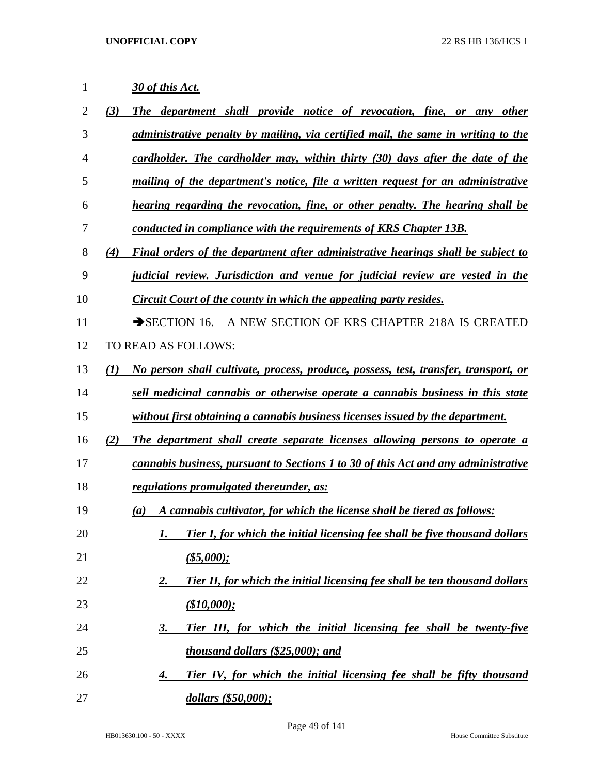| 1              | 30 of this Act.                                                                               |
|----------------|-----------------------------------------------------------------------------------------------|
| $\overline{2}$ | The department shall provide notice of revocation, fine, or any other<br>(3)                  |
| 3              | administrative penalty by mailing, via certified mail, the same in writing to the             |
| 4              | cardholder. The cardholder may, within thirty (30) days after the date of the                 |
| 5              | mailing of the department's notice, file a written request for an administrative              |
| 6              | hearing regarding the revocation, fine, or other penalty. The hearing shall be                |
| 7              | conducted in compliance with the requirements of KRS Chapter 13B.                             |
| 8              | Final orders of the department after administrative hearings shall be subject to<br>(4)       |
| 9              | <i>judicial review. Jurisdiction and venue for judicial review are vested in the</i>          |
| 10             | Circuit Court of the county in which the appealing party resides.                             |
| 11             | A NEW SECTION OF KRS CHAPTER 218A IS CREATED<br>$\rightarrow$ SECTION 16.                     |
| 12             | TO READ AS FOLLOWS:                                                                           |
| 13             | No person shall cultivate, process, produce, possess, test, transfer, transport, or<br>(I)    |
| 14             | sell medicinal cannabis or otherwise operate a cannabis business in this state                |
| 15             | without first obtaining a cannabis business licenses issued by the department.                |
| 16             | (2)<br>The department shall create separate licenses allowing persons to operate a            |
| 17             | cannabis business, pursuant to Sections 1 to 30 of this Act and any administrative            |
| 18             | regulations promulgated thereunder, as:                                                       |
| 19             | A cannabis cultivator, for which the license shall be tiered as follows:<br>$\left( a\right)$ |
| 20             | Tier I, for which the initial licensing fee shall be five thousand dollars<br>1.              |
| 21             | $($ \$5,000);                                                                                 |
| 22             | Tier II, for which the initial licensing fee shall be ten thousand dollars<br>2.              |
| 23             | (\$10,000);                                                                                   |
| 24             | Tier III, for which the initial licensing fee shall be twenty-five<br>3.                      |
| 25             | thousand dollars (\$25,000); and                                                              |
| 26             | Tier IV, for which the initial licensing fee shall be fifty thousand<br>4.                    |
| 27             | dollars (\$50,000);                                                                           |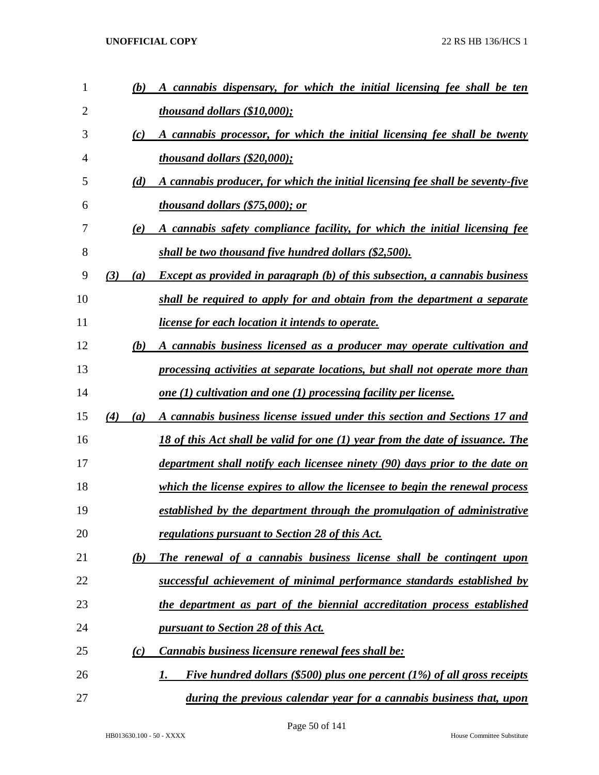| $\mathbf{1}$ | (b)        | A cannabis dispensary, for which the initial licensing fee shall be ten            |
|--------------|------------|------------------------------------------------------------------------------------|
| 2            |            | <i>thousand dollars (\$10,000);</i>                                                |
| 3            | (c)        | A cannabis processor, for which the initial licensing fee shall be twenty          |
| 4            |            | <i>thousand dollars <math>(\\$20,000)</math>;</i>                                  |
| 5            | (d)        | A cannabis producer, for which the initial licensing fee shall be seventy-five     |
| 6            |            | <i>thousand dollars (\$75,000); or</i>                                             |
| 7            | (e)        | A cannabis safety compliance facility, for which the initial licensing fee         |
| 8            |            | shall be two thousand five hundred dollars (\$2,500).                              |
| 9            | (3)<br>(a) | <b>Except as provided in paragraph</b> (b) of this subsection, a cannabis business |
| 10           |            | shall be required to apply for and obtain from the department a separate           |
| 11           |            | <i>license for each location it intends to operate.</i>                            |
| 12           | (b)        | A cannabis business licensed as a producer may operate cultivation and             |
| 13           |            | processing activities at separate locations, but shall not operate more than       |
| 14           |            | one $(1)$ cultivation and one $(1)$ processing facility per license.               |
| 15           | (4)<br>(a) | A cannabis business license issued under this section and Sections 17 and          |
| 16           |            | 18 of this Act shall be valid for one (1) year from the date of issuance. The      |
| 17           |            | department shall notify each licensee ninety (90) days prior to the date on        |
| 18           |            | which the license expires to allow the licensee to begin the renewal process       |
| 19           |            | established by the department through the promulgation of administrative           |
| 20           |            | regulations pursuant to Section 28 of this Act.                                    |
| 21           | (b)        | The renewal of a cannabis business license shall be contingent upon                |
| 22           |            | successful achievement of minimal performance standards established by             |
| 23           |            | the department as part of the biennial accreditation process established           |
| 24           |            | pursuant to Section 28 of this Act.                                                |
| 25           | (c)        | Cannabis business licensure renewal fees shall be:                                 |
| 26           |            | Five hundred dollars (\$500) plus one percent $(1%)$ of all gross receipts<br>1.   |
| 27           |            | during the previous calendar year for a cannabis business that, upon               |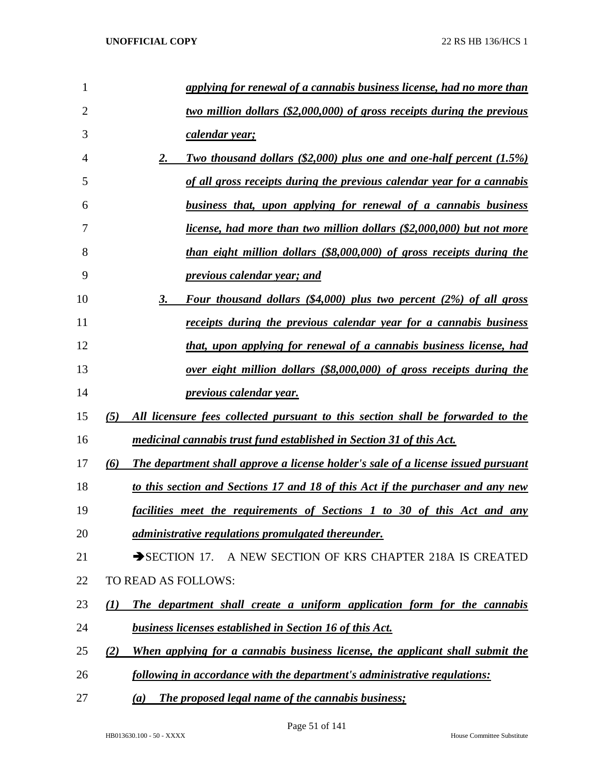| 1              |     | applying for renewal of a cannabis business license, had no more than             |
|----------------|-----|-----------------------------------------------------------------------------------|
| $\overline{2}$ |     | two million dollars (\$2,000,000) of gross receipts during the previous           |
| 3              |     | calendar year;                                                                    |
| 4              |     | Two thousand dollars $(\$2,000)$ plus one and one-half percent $(1.5\%)$<br>2.    |
| 5              |     | of all gross receipts during the previous calendar year for a cannabis            |
| 6              |     | business that, upon applying for renewal of a cannabis business                   |
| 7              |     | license, had more than two million dollars (\$2,000,000) but not more             |
| 8              |     | than eight million dollars (\$8,000,000) of gross receipts during the             |
| 9              |     | previous calendar year; and                                                       |
| 10             |     | Four thousand dollars (\$4,000) plus two percent (2%) of all gross<br>3.          |
| 11             |     | receipts during the previous calendar year for a cannabis business                |
| 12             |     | that, upon applying for renewal of a cannabis business license, had               |
| 13             |     | over eight million dollars (\$8,000,000) of gross receipts during the             |
| 14             |     | previous calendar year.                                                           |
| 15             | (5) | All licensure fees collected pursuant to this section shall be forwarded to the   |
| 16             |     | medicinal cannabis trust fund established in Section 31 of this Act.              |
| 17             | (6) | The department shall approve a license holder's sale of a license issued pursuant |
| 18             |     | to this section and Sections 17 and 18 of this Act if the purchaser and any new   |
| 19             |     | facilities meet the requirements of Sections 1 to 30 of this Act and any          |
| 20             |     | administrative regulations promulgated thereunder.                                |
| 21             |     | SECTION 17. A NEW SECTION OF KRS CHAPTER 218A IS CREATED                          |
| 22             |     | TO READ AS FOLLOWS:                                                               |
| 23             | (I) | The department shall create a uniform application form for the cannabis           |
| 24             |     | <b>business licenses established in Section 16 of this Act.</b>                   |
| 25             | (2) | When applying for a cannabis business license, the applicant shall submit the     |
| 26             |     | following in accordance with the department's administrative regulations:         |
| 27             |     | <b>The proposed legal name of the cannabis business;</b><br>(a)                   |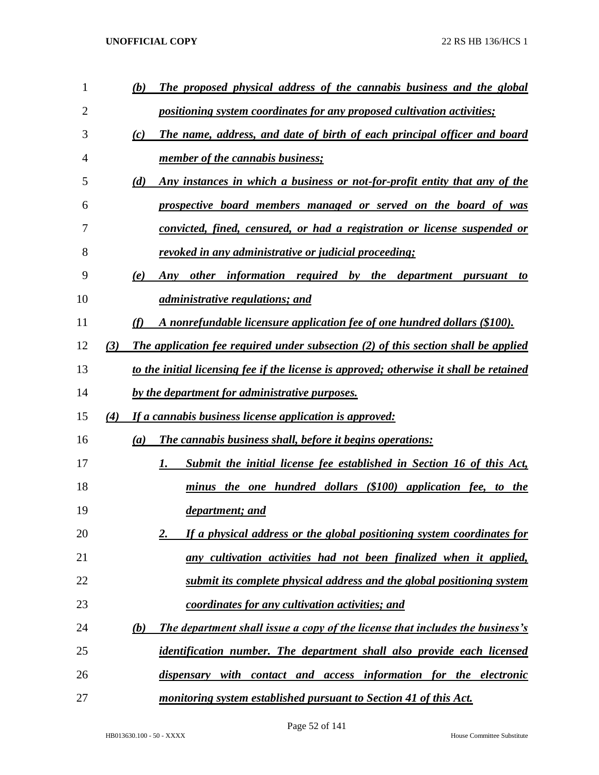| $\mathbf{1}$ |     | The proposed physical address of the cannabis business and the global<br>(b)            |
|--------------|-----|-----------------------------------------------------------------------------------------|
| 2            |     | positioning system coordinates for any proposed cultivation activities;                 |
| 3            |     | The name, address, and date of birth of each principal officer and board<br>(c)         |
| 4            |     | member of the cannabis business;                                                        |
| 5            |     | (d)<br>Any instances in which a business or not-for-profit entity that any of the       |
| 6            |     | prospective board members managed or served on the board of was                         |
| 7            |     | convicted, fined, censured, or had a registration or license suspended or               |
| 8            |     | revoked in any administrative or judicial proceeding;                                   |
| 9            |     | (e)<br>Any other information required by the department<br>pursuant<br>to               |
| 10           |     | <i>administrative regulations; and</i>                                                  |
| 11           |     | (f)<br>A nonrefundable licensure application fee of one hundred dollars (\$100).        |
| 12           | (3) | The application fee required under subsection $(2)$ of this section shall be applied    |
| 13           |     | to the initial licensing fee if the license is approved; otherwise it shall be retained |
| 14           |     | by the department for administrative purposes.                                          |
| 15           | (4) | If a cannabis business license application is approved:                                 |
| 16           |     | <b>The cannabis business shall, before it begins operations:</b><br>(a)                 |
| 17           |     | Submit the initial license fee established in Section 16 of this Act,<br>1.             |
| 18           |     | minus the one hundred dollars (\$100) application fee, to the                           |
| 19           |     | <i>department; and</i>                                                                  |
| 20           |     | If a physical address or the global positioning system coordinates for<br>2.            |
| 21           |     | any cultivation activities had not been finalized when it applied,                      |
| 22           |     | submit its complete physical address and the global positioning system                  |
| 23           |     | coordinates for any cultivation activities; and                                         |
| 24           |     | The department shall issue a copy of the license that includes the business's<br>(b)    |
| 25           |     | identification number. The department shall also provide each licensed                  |
| 26           |     | dispensary with contact and access information for the electronic                       |
| 27           |     | monitoring system established pursuant to Section 41 of this Act.                       |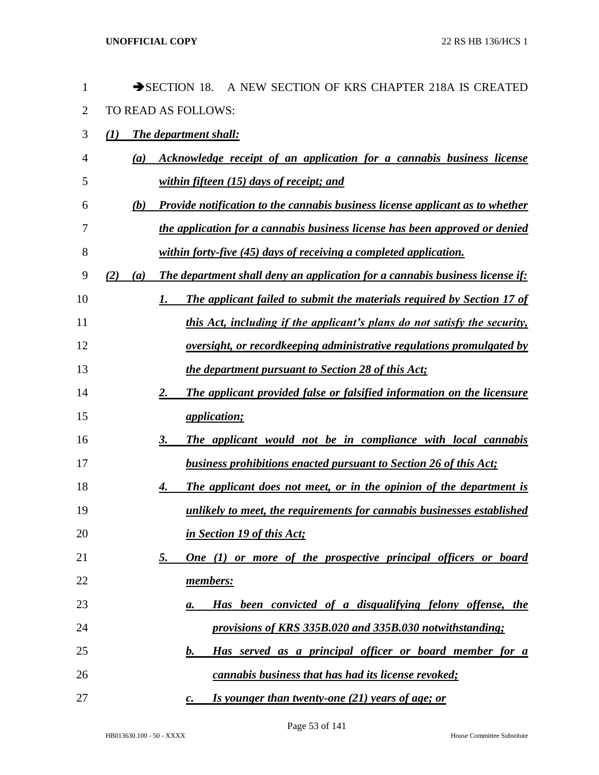| 1              | SECTION 18.<br>A NEW SECTION OF KRS CHAPTER 218A IS CREATED                          |
|----------------|--------------------------------------------------------------------------------------|
| $\overline{2}$ | TO READ AS FOLLOWS:                                                                  |
| 3              | (1)<br>The department shall:                                                         |
| 4              | Acknowledge receipt of an application for a cannabis business license<br>(a)         |
| 5              | within fifteen (15) days of receipt; and                                             |
| 6              | Provide notification to the cannabis business license applicant as to whether<br>(b) |
| 7              | the application for a cannabis business license has been approved or denied          |
| 8              | within forty-five (45) days of receiving a completed application.                    |
| 9              | The department shall deny an application for a cannabis business license if:<br>(a)  |
| 10             | The applicant failed to submit the materials required by Section 17 of<br>1.         |
| 11             | this Act, including if the applicant's plans do not satisfy the security,            |
| 12             | oversight, or recordkeeping administrative regulations promulgated by                |
| 13             | <i>the department pursuant to Section 28 of this Act;</i>                            |
| 14             | The applicant provided false or falsified information on the licensure<br>2.         |
| 15             | <i>application;</i>                                                                  |
| 16             | The applicant would not be in compliance with local cannabis<br>3.                   |
| 17             | business prohibitions enacted pursuant to Section 26 of this Act;                    |
| 18             | The applicant does not meet, or in the opinion of the department is<br>4.            |
| 19             | unlikely to meet, the requirements for cannabis businesses established               |
| 20             | in Section 19 of this Act;                                                           |
| 21             | One (1) or more of the prospective principal officers or board<br>5.                 |
| 22             | members:                                                                             |
| 23             | Has been convicted of a disqualifying felony offense, the<br>а.                      |
| 24             | provisions of KRS 335B.020 and 335B.030 notwithstanding;                             |
| 25             | Has served as a principal officer or board member for a<br>$\bm{b}$ .                |
| 26             | cannabis business that has had its license revoked;                                  |
| 27             | Is younger than twenty-one (21) years of age; or<br>$\mathcal{C}$ .                  |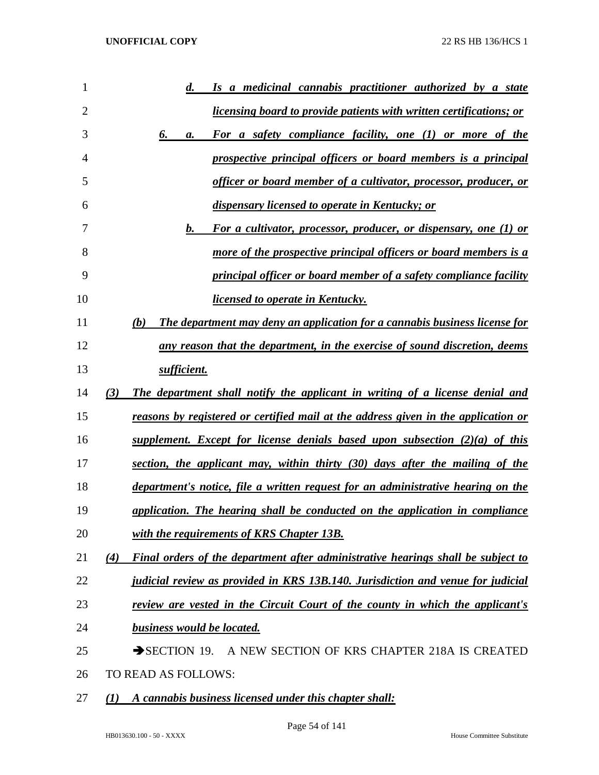| 1              | Is a medicinal cannabis practitioner authorized by a state<br>$\boldsymbol{d.}$         |
|----------------|-----------------------------------------------------------------------------------------|
| $\overline{2}$ | <i>licensing board to provide patients with written certifications; or</i>              |
| 3              | For a safety compliance facility, one (1) or more of the<br>6.<br>а.                    |
| 4              | prospective principal officers or board members is a principal                          |
| 5              | officer or board member of a cultivator, processor, producer, or                        |
| 6              | dispensary licensed to operate in Kentucky; or                                          |
| 7              | For a cultivator, processor, producer, or dispensary, one (1) or<br><b>b.</b>           |
| 8              | more of the prospective principal officers or board members is a                        |
| 9              | principal officer or board member of a safety compliance facility                       |
| 10             | licensed to operate in Kentucky.                                                        |
| 11             | The department may deny an application for a cannabis business license for<br>(b)       |
| 12             | any reason that the department, in the exercise of sound discretion, deems              |
| 13             | sufficient.                                                                             |
| 14             | The department shall notify the applicant in writing of a license denial and<br>(3)     |
| 15             | reasons by registered or certified mail at the address given in the application or      |
| 16             | supplement. Except for license denials based upon subsection $(2)(a)$ of this           |
| 17             | section, the applicant may, within thirty (30) days after the mailing of the            |
| 18             | department's notice, file a written request for an administrative hearing on the        |
| 19             | application. The hearing shall be conducted on the application in compliance            |
| 20             | with the requirements of KRS Chapter 13B.                                               |
| 21             | Final orders of the department after administrative hearings shall be subject to<br>(4) |
| 22             | judicial review as provided in KRS 13B.140. Jurisdiction and venue for judicial         |
| 23             | <u>review are vested in the Circuit Court of the county in which the applicant's</u>    |
| 24             | <b>business would be located.</b>                                                       |
| 25             | $\rightarrow$ SECTION 19.<br>A NEW SECTION OF KRS CHAPTER 218A IS CREATED               |
| 26             | TO READ AS FOLLOWS:                                                                     |
| 27             | A cannabis business licensed under this chapter shall:<br>(1)                           |

HB013630.100 - 50 - XXXX House Committee Substitute

Page 54 of 141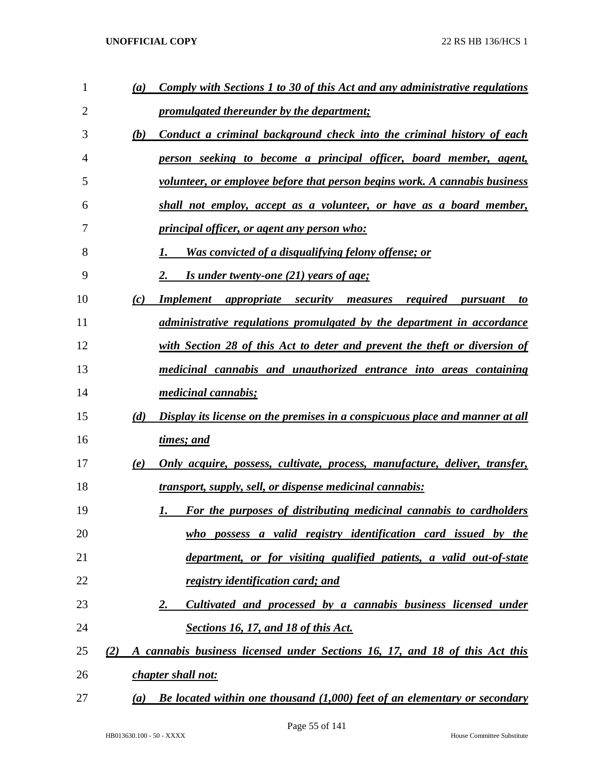| $\mathbf{1}$ | (a) | Comply with Sections 1 to 30 of this Act and any administrative regulations     |
|--------------|-----|---------------------------------------------------------------------------------|
| 2            |     | <i><u><b>promulgated thereunder by the department;</b></u></i>                  |
| 3            | (b) | Conduct a criminal background check into the criminal history of each           |
| 4            |     | person seeking to become a principal officer, board member, agent,              |
| 5            |     | volunteer, or employee before that person begins work. A cannabis business      |
| 6            |     | shall not employ, accept as a volunteer, or have as a board member,             |
| 7            |     | <i><u><b>principal officer, or agent any person who:</b></u></i>                |
| 8            |     | <u>Was convicted of a disqualifying felony offense; or</u>                      |
| 9            |     | Is under twenty-one $(21)$ years of age;                                        |
| 10           | (c) | <b>Implement</b> appropriate security<br>required<br>measures<br>pursuant<br>to |
| 11           |     | <i>administrative regulations promulgated by the department in accordance</i>   |
| 12           |     | with Section 28 of this Act to deter and prevent the theft or diversion of      |
| 13           |     | medicinal cannabis and unauthorized entrance into areas containing              |
| 14           |     | <i>medicinal cannabis;</i>                                                      |
| 15           | (d) | Display its license on the premises in a conspicuous place and manner at all    |
| 16           |     | times; and                                                                      |
| 17           | (e) | Only acquire, possess, cultivate, process, manufacture, deliver, transfer,      |
| 18           |     | <u>transport, supply, sell, or dispense medicinal cannabis:</u>                 |
| 19           |     | For the purposes of distributing medicinal cannabis to cardholders              |
| 20           |     | who possess a valid registry identification card issued by the                  |
| 21           |     | department, or for visiting qualified patients, a valid out-of-state            |
| 22           |     | <u>registry identification card; and</u>                                        |
| 23           |     | Cultivated and processed by a cannabis business licensed under<br>2.            |
| 24           |     | <b>Sections 16, 17, and 18 of this Act.</b>                                     |
| 25           | (2) | A cannabis business licensed under Sections 16, 17, and 18 of this Act this     |
| 26           |     | chapter shall not:                                                              |
| 27           | (a) | Be located within one thousand $(1,000)$ feet of an elementary or secondary     |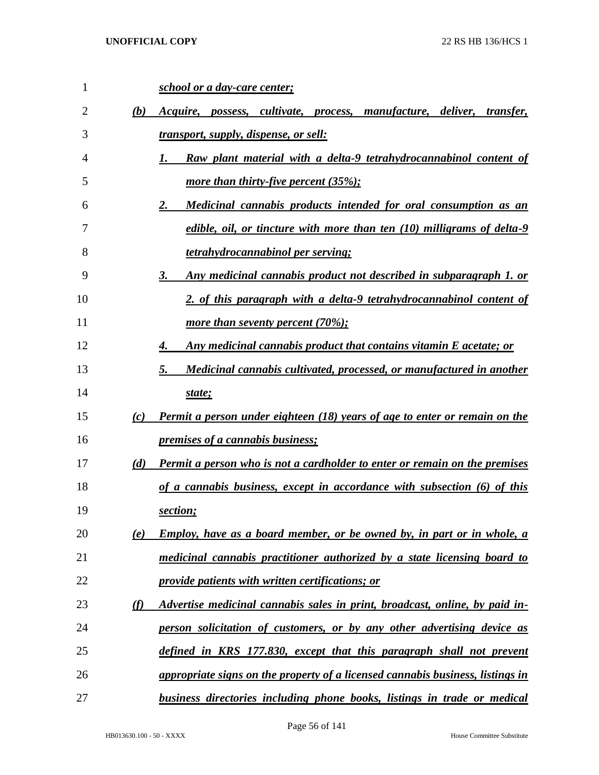| 1  |     | school or a day-care center;                                                      |
|----|-----|-----------------------------------------------------------------------------------|
| 2  | (b) | Acquire, possess, cultivate, process, manufacture, deliver,<br><i>transfer.</i>   |
| 3  |     | <u>transport, supply, dispense, or sell:</u>                                      |
| 4  |     | Raw plant material with a delta-9 tetrahydrocannabinol content of<br>1.           |
| 5  |     | more than thirty-five percent $(35\%);$                                           |
| 6  |     | 2.<br>Medicinal cannabis products intended for oral consumption as an             |
| 7  |     | edible, oil, or tincture with more than ten (10) milligrams of delta-9            |
| 8  |     | <u>tetrahydrocannabinol per serving;</u>                                          |
| 9  |     | 3.<br><u>Any medicinal cannabis product not described in subparagraph 1. or</u>   |
| 10 |     | 2. of this paragraph with a delta-9 tetrahydrocannabinol content of               |
| 11 |     | more than seventy percent $(70\%);$                                               |
| 12 |     | Any medicinal cannabis product that contains vitamin E acetate; or<br>4.          |
| 13 |     | 5.<br>Medicinal cannabis cultivated, processed, or manufactured in another        |
| 14 |     | state;                                                                            |
| 15 | (c) | Permit a person under eighteen (18) years of age to enter or remain on the        |
| 16 |     | <i><u><b>premises of a cannabis business;</b></u></i>                             |
| 17 | (d) | <b>Permit a person who is not a cardholder to enter or remain on the premises</b> |
| 18 |     | of a cannabis business, except in accordance with subsection (6) of this          |
| 19 |     | section;                                                                          |
| 20 | (e) | <u>Employ, have as a board member, or be owned by, in part or in whole, a</u>     |
| 21 |     | medicinal cannabis practitioner authorized by a state licensing board to          |
| 22 |     | <i><u><b>provide patients with written certifications; or</b></u></i>             |
| 23 | (f) | Advertise medicinal cannabis sales in print, broadcast, online, by paid in-       |
| 24 |     | person solicitation of customers, or by any other advertising device as           |
| 25 |     | defined in KRS 177.830, except that this paragraph shall not prevent              |
| 26 |     | appropriate signs on the property of a licensed cannabis business, listings in    |
| 27 |     | business directories including phone books, listings in trade or medical          |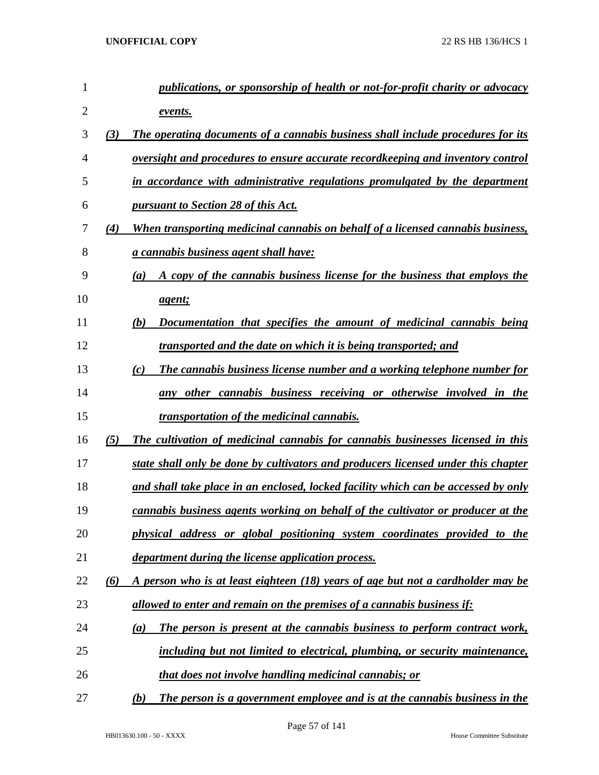| 1              |          | publications, or sponsorship of health or not-for-profit charity or advocacy       |
|----------------|----------|------------------------------------------------------------------------------------|
| $\overline{2}$ |          | events.                                                                            |
| 3              | (3)      | The operating documents of a cannabis business shall include procedures for its    |
| 4              |          | oversight and procedures to ensure accurate recordkeeping and inventory control    |
| 5              |          | in accordance with administrative regulations promulgated by the department        |
| 6              |          | <b>pursuant to Section 28 of this Act.</b>                                         |
| 7              | (4)      | When transporting medicinal cannabis on behalf of a licensed cannabis business,    |
| 8              |          | <u>a cannabis business agent shall have:</u>                                       |
| 9              |          | A copy of the cannabis business license for the business that employs the<br>(a)   |
| 10             |          | <u>agent;</u>                                                                      |
| 11             |          | Documentation that specifies the amount of medicinal cannabis being<br>(b)         |
| 12             |          | transported and the date on which it is being transported; and                     |
| 13             |          | The cannabis business license number and a working telephone number for<br>(c)     |
| 14             |          | any other cannabis business receiving or otherwise involved in the                 |
| 15             |          | <i>transportation of the medicinal cannabis.</i>                                   |
| 16             | (5)      | The cultivation of medicinal cannabis for cannabis businesses licensed in this     |
| 17             |          | state shall only be done by cultivators and producers licensed under this chapter  |
| 18             |          | and shall take place in an enclosed, locked facility which can be accessed by only |
| 19             |          | cannabis business agents working on behalf of the cultivator or producer at the    |
| 20             |          | physical address or global positioning system coordinates provided to the          |
| 21             |          | department during the license application process.                                 |
| 22             | $\omega$ | A person who is at least eighteen (18) years of age but not a cardholder may be    |
| 23             |          | allowed to enter and remain on the premises of a cannabis business if:             |
| 24             |          | The person is present at the cannabis business to perform contract work,<br>(a)    |
| 25             |          | including but not limited to electrical, plumbing, or security maintenance,        |
| 26             |          | that does not involve handling medicinal cannabis; or                              |
| 27             |          | The person is a government employee and is at the cannabis business in the<br>(b)  |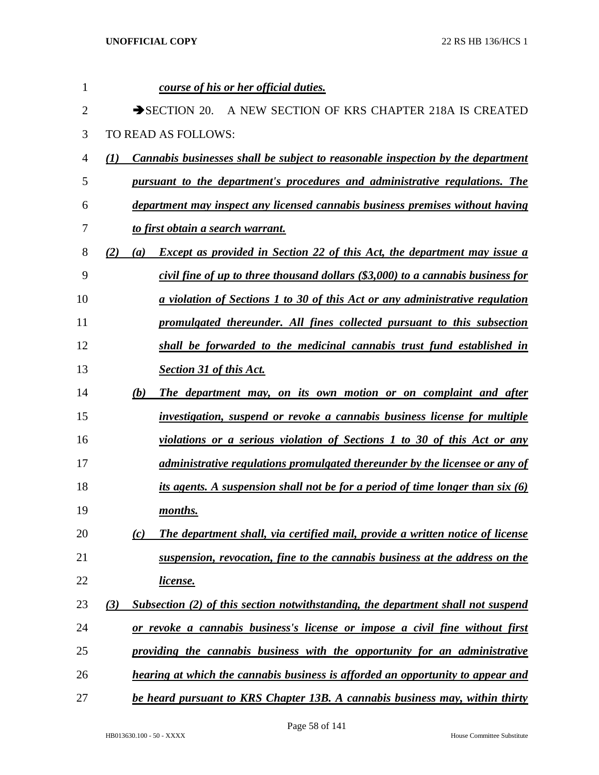| 1              |     |     | course of his or her official duties.                                                  |
|----------------|-----|-----|----------------------------------------------------------------------------------------|
| $\overline{2}$ |     |     | $\rightarrow$ SECTION 20.<br>A NEW SECTION OF KRS CHAPTER 218A IS CREATED              |
| 3              |     |     | <b>TO READ AS FOLLOWS:</b>                                                             |
| 4              | (I) |     | <b>Cannabis businesses shall be subject to reasonable inspection by the department</b> |
| 5              |     |     | pursuant to the department's procedures and administrative regulations. The            |
| 6              |     |     | department may inspect any licensed cannabis business premises without having          |
| 7              |     |     | to first obtain a search warrant.                                                      |
| 8              | (2) | (a) | <b>Except as provided in Section 22 of this Act, the department may issue a</b>        |
| 9              |     |     | civil fine of up to three thousand dollars (\$3,000) to a cannabis business for        |
| 10             |     |     | <u>a violation of Sections 1 to 30 of this Act or any administrative regulation</u>    |
| 11             |     |     | promulgated thereunder. All fines collected pursuant to this subsection                |
| 12             |     |     | shall be forwarded to the medicinal cannabis trust fund established in                 |
| 13             |     |     | <b>Section 31 of this Act.</b>                                                         |
| 14             |     | (b) | The department may, on its own motion or on complaint and after                        |
| 15             |     |     | investigation, suspend or revoke a cannabis business license for multiple              |
| 16             |     |     | violations or a serious violation of Sections 1 to 30 of this Act or any               |
| 17             |     |     | administrative regulations promulgated thereunder by the licensee or any of            |
| 18             |     |     | its agents. A suspension shall not be for a period of time longer than six (6)         |
| 19             |     |     | months.                                                                                |
| 20             |     | (c) | The department shall, via certified mail, provide a written notice of license          |
| 21             |     |     | suspension, revocation, fine to the cannabis business at the address on the            |
| 22             |     |     | <u>license.</u>                                                                        |
| 23             | (3) |     | Subsection (2) of this section notwithstanding, the department shall not suspend       |
| 24             |     |     | or revoke a cannabis business's license or impose a civil fine without first           |
| 25             |     |     | providing the cannabis business with the opportunity for an administrative             |
| 26             |     |     | hearing at which the cannabis business is afforded an opportunity to appear and        |
| 27             |     |     | be heard pursuant to KRS Chapter 13B. A cannabis business may, within thirty           |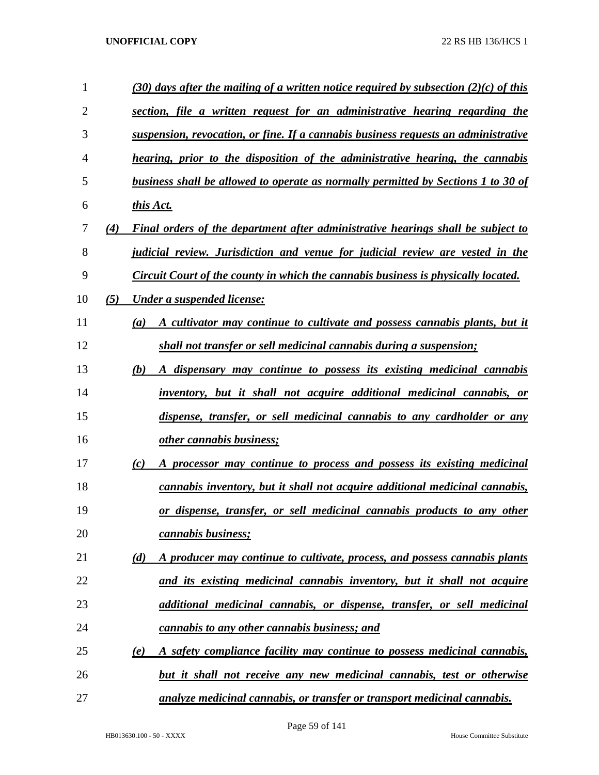| 1              |     | (30) days after the mailing of a written notice required by subsection (2)(c) of this |
|----------------|-----|---------------------------------------------------------------------------------------|
| $\overline{2}$ |     | section, file a written request for an administrative hearing regarding the           |
| 3              |     | suspension, revocation, or fine. If a cannabis business requests an administrative    |
| 4              |     | hearing, prior to the disposition of the administrative hearing, the cannabis         |
| 5              |     | business shall be allowed to operate as normally permitted by Sections 1 to 30 of     |
| 6              |     | this Act.                                                                             |
| 7              | (4) | Final orders of the department after administrative hearings shall be subject to      |
| 8              |     | judicial review. Jurisdiction and venue for judicial review are vested in the         |
| 9              |     | Circuit Court of the county in which the cannabis business is physically located.     |
| 10             | (5) | <b>Under a suspended license:</b>                                                     |
| 11             |     | A cultivator may continue to cultivate and possess cannabis plants, but it<br>(a)     |
| 12             |     | shall not transfer or sell medicinal cannabis during a suspension;                    |
| 13             |     | (b)<br>A dispensary may continue to possess its existing medicinal cannabis           |
| 14             |     | inventory, but it shall not acquire additional medicinal cannabis, or                 |
| 15             |     | dispense, transfer, or sell medicinal cannabis to any cardholder or any               |
| 16             |     | other cannabis business;                                                              |
| 17             |     | A processor may continue to process and possess its existing medicinal<br>(c)         |
| 18             |     | cannabis inventory, but it shall not acquire additional medicinal cannabis,           |
| 19             |     | or dispense, transfer, or sell medicinal cannabis products to any other               |
| 20             |     | cannabis business;                                                                    |
| 21             |     | A producer may continue to cultivate, process, and possess cannabis plants<br>(d)     |
| 22             |     | and its existing medicinal cannabis inventory, but it shall not acquire               |
| 23             |     | additional medicinal cannabis, or dispense, transfer, or sell medicinal               |
| 24             |     | cannabis to any other cannabis business; and                                          |
| 25             |     | A safety compliance facility may continue to possess medicinal cannabis,<br>(e)       |
| 26             |     | but it shall not receive any new medicinal cannabis, test or otherwise                |
| 27             |     | analyze medicinal cannabis, or transfer or transport medicinal cannabis.              |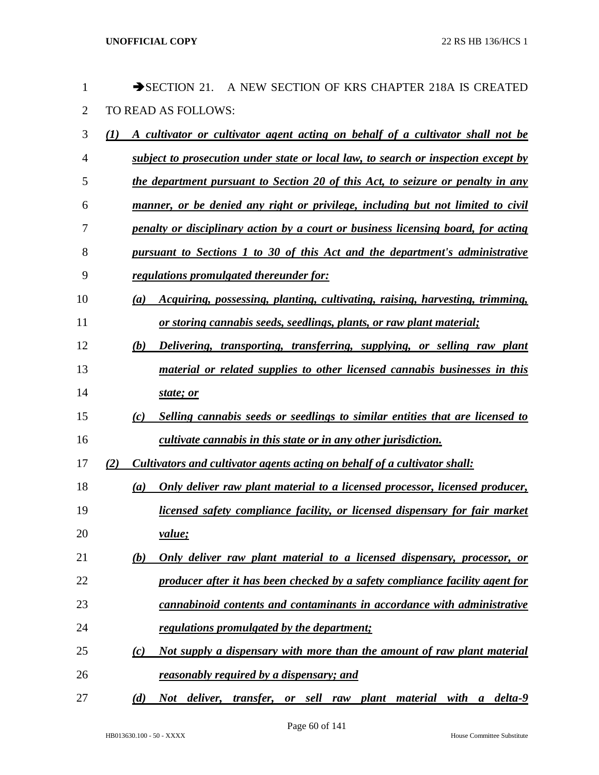| 1              | $\rightarrow$ SECTION 21.<br>A NEW SECTION OF KRS CHAPTER 218A IS CREATED             |
|----------------|---------------------------------------------------------------------------------------|
| $\overline{2}$ | TO READ AS FOLLOWS:                                                                   |
| 3              | A cultivator or cultivator agent acting on behalf of a cultivator shall not be<br>(1) |
| $\overline{4}$ | subject to prosecution under state or local law, to search or inspection except by    |
| 5              | the department pursuant to Section 20 of this Act, to seizure or penalty in any       |
| 6              | manner, or be denied any right or privilege, including but not limited to civil       |
| 7              | penalty or disciplinary action by a court or business licensing board, for acting     |
| 8              | pursuant to Sections 1 to 30 of this Act and the department's administrative          |
| 9              | regulations promulgated thereunder for:                                               |
| 10             | Acquiring, possessing, planting, cultivating, raising, harvesting, trimming,<br>(a)   |
| 11             | or storing cannabis seeds, seedlings, plants, or raw plant material;                  |
| 12             | Delivering, transporting, transferring, supplying, or selling raw plant<br>(b)        |
| 13             | material or related supplies to other licensed cannabis businesses in this            |
| 14             | state; or                                                                             |
| 15             | Selling cannabis seeds or seedlings to similar entities that are licensed to<br>(c)   |
| 16             | cultivate cannabis in this state or in any other jurisdiction.                        |
| 17             | Cultivators and cultivator agents acting on behalf of a cultivator shall:<br>(2)      |
| 18             | Only deliver raw plant material to a licensed processor, licensed producer,<br>(a)    |
| 19             | licensed safety compliance facility, or licensed dispensary for fair market           |
| 20             | value;                                                                                |
| 21             | Only deliver raw plant material to a licensed dispensary, processor, or<br>(b)        |
| 22             | producer after it has been checked by a safety compliance facility agent for          |
| 23             | cannabinoid contents and contaminants in accordance with administrative               |
| 24             | regulations promulgated by the department;                                            |
| 25             | Not supply a dispensary with more than the amount of raw plant material<br>(c)        |
| 26             | reasonably required by a dispensary; and                                              |
| 27             | Not deliver,<br>transfer, or sell raw plant material with a delta-9<br>(d)            |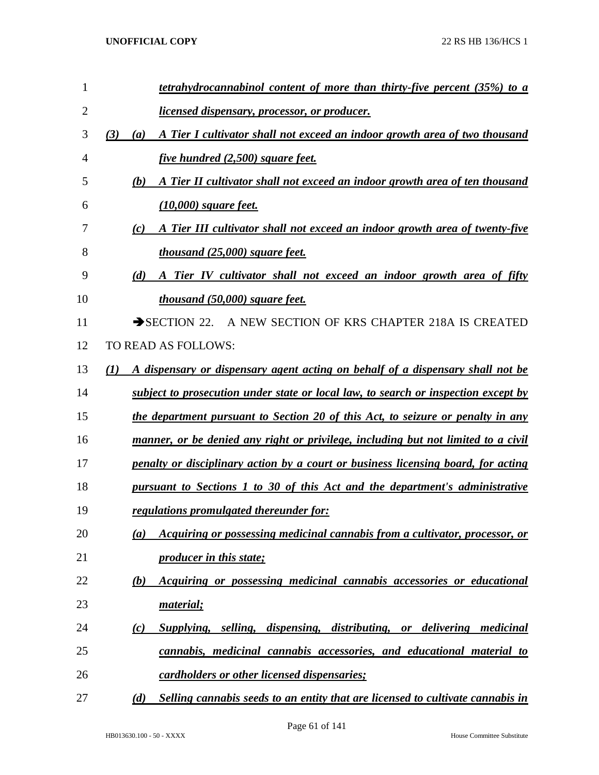| 1              | tetrahydrocannabinol content of more than thirty-five percent (35%) to a                           |
|----------------|----------------------------------------------------------------------------------------------------|
| $\overline{2}$ | licensed dispensary, processor, or producer.                                                       |
| 3              | (3)<br>A Tier I cultivator shall not exceed an indoor growth area of two thousand<br>(a)           |
| 4              | <i>five hundred (2,500) square feet.</i>                                                           |
| 5              | (b)<br>A Tier II cultivator shall not exceed an indoor growth area of ten thousand                 |
| 6              | $(10,000)$ square feet.                                                                            |
| 7              | A Tier III cultivator shall not exceed an indoor growth area of twenty-five<br>(c)                 |
| 8              | <i>thousand (25,000) square feet.</i>                                                              |
| 9              | (d)<br>A Tier IV cultivator shall not exceed an indoor growth area of fifty                        |
| 10             | <i>thousand (50,000) square feet.</i>                                                              |
| 11             | $\rightarrow$ SECTION 22.<br>A NEW SECTION OF KRS CHAPTER 218A IS CREATED                          |
| 12             | TO READ AS FOLLOWS:                                                                                |
| 13             | A dispensary or dispensary agent acting on behalf of a dispensary shall not be<br>$\mathcal{L}(I)$ |
| 14             | subject to prosecution under state or local law, to search or inspection except by                 |
| 15             | the department pursuant to Section 20 of this Act, to seizure or penalty in any                    |
| 16             | manner, or be denied any right or privilege, including but not limited to a civil                  |
| 17             | penalty or disciplinary action by a court or business licensing board, for acting                  |
| 18             | pursuant to Sections 1 to 30 of this Act and the department's administrative                       |
| 19             | <u>regulations promulgated thereunder for:</u>                                                     |
| 20             | Acquiring or possessing medicinal cannabis from a cultivator, processor, or<br>(a)                 |
| 21             | <i><u><b>producer in this state;</b></u></i>                                                       |
| 22             | Acquiring or possessing medicinal cannabis accessories or educational<br>(b)                       |
| 23             | material;                                                                                          |
| 24             | Supplying, selling, dispensing, distributing, or delivering medicinal<br>(c)                       |
| 25             | cannabis, medicinal cannabis accessories, and educational material to                              |
| 26             | <u>cardholders or other licensed dispensaries;</u>                                                 |
| 27             | (d)<br>Selling cannabis seeds to an entity that are licensed to cultivate cannabis in              |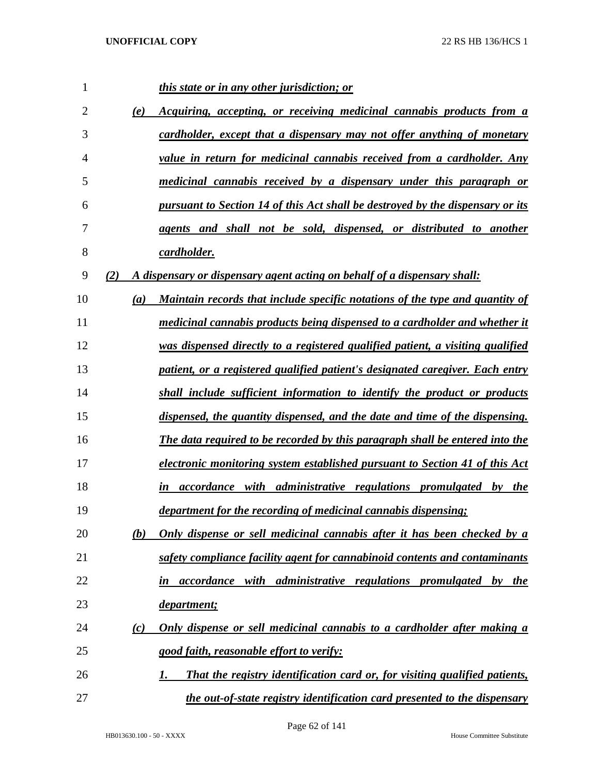| 1  |     | <i>this state or in any other jurisdiction; or</i>                                      |
|----|-----|-----------------------------------------------------------------------------------------|
| 2  | (e) | Acquiring, accepting, or receiving medicinal cannabis products from a                   |
| 3  |     | cardholder, except that a dispensary may not offer anything of monetary                 |
| 4  |     | value in return for medicinal cannabis received from a cardholder. Any                  |
| 5  |     | <u>medicinal cannabis received by a dispensary under this paragraph or</u>              |
| 6  |     | <u>pursuant to Section 14 of this Act shall be destroyed by the dispensary or its</u>   |
| 7  |     | agents and shall not be sold, dispensed, or distributed to another                      |
| 8  |     | cardholder.                                                                             |
| 9  | (2) | A dispensary or dispensary agent acting on behalf of a dispensary shall:                |
| 10 | (a) | Maintain records that include specific notations of the type and quantity of            |
| 11 |     | medicinal cannabis products being dispensed to a cardholder and whether it              |
| 12 |     | was dispensed directly to a registered qualified patient, a visiting qualified          |
| 13 |     | patient, or a registered qualified patient's designated caregiver. Each entry           |
| 14 |     | shall include sufficient information to identify the product or products                |
| 15 |     | dispensed, the quantity dispensed, and the date and time of the dispensing.             |
| 16 |     | The data required to be recorded by this paragraph shall be entered into the            |
| 17 |     | <u>electronic monitoring system established pursuant to Section 41 of this Act</u>      |
| 18 |     | <i>accordance with administrative regulations promulgated by the</i><br>in              |
| 19 |     | department for the recording of medicinal cannabis dispensing;                          |
| 20 | (b) | <u>Only dispense or sell medicinal cannabis after it has been checked by a</u>          |
| 21 |     | safety compliance facility agent for cannabinoid contents and contaminants              |
| 22 |     | with administrative regulations promulgated by the<br>accordance<br>in                  |
| 23 |     | <u>department;</u>                                                                      |
| 24 | (c) | <b>Only dispense or sell medicinal cannabis to a cardholder after making a</b>          |
| 25 |     | good faith, reasonable effort to verify:                                                |
| 26 |     | That the registry identification card or, for visiting qualified patients,<br><u>I.</u> |
| 27 |     | the out-of-state registry identification card presented to the dispensary               |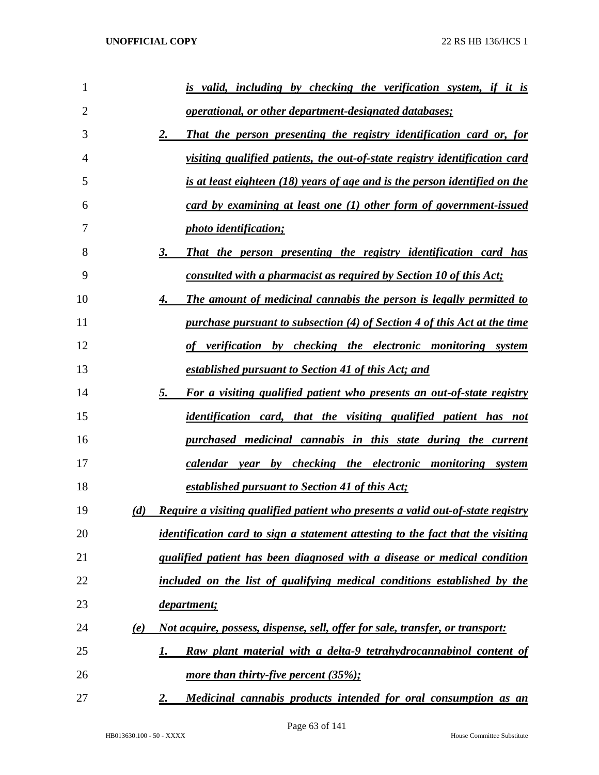| 1  | <u>is valid, including by checking the verification system, if it is</u>                         |
|----|--------------------------------------------------------------------------------------------------|
| 2  | <i><u><b>operational, or other department-designated databases;</b></u></i>                      |
| 3  | That the person presenting the registry identification card or, for<br><u>2.</u>                 |
| 4  | <u>visiting qualified patients, the out-of-state registry identification card</u>                |
| 5  | <u>is at least eighteen (18) years of age and is the person identified on the</u>                |
| 6  | $card\; by\; examining\; at\; least\; one\; (1)\; other\; form\; of\; government\text{-}is sued$ |
| 7  | photo identification;                                                                            |
| 8  | That the person presenting the registry identification card has<br>3.                            |
| 9  | <u>consulted with a pharmacist as required by Section 10 of this Act;</u>                        |
| 10 | <b>The amount of medicinal cannabis the person is legally permitted to</b><br>4.                 |
| 11 | <u>purchase pursuant to subsection (4) of Section 4 of this Act at the time</u>                  |
| 12 | of verification by checking the electronic monitoring system                                     |
| 13 | established pursuant to Section 41 of this Act; and                                              |
| 14 | 5.<br>For a visiting qualified patient who presents an out-of-state registry                     |
| 15 | <i>identification card, that the visiting qualified patient has not</i>                          |
| 16 | purchased medicinal cannabis in this state during the current                                    |
| 17 | calendar year by checking the electronic monitoring system                                       |
| 18 | established pursuant to Section 41 of this Act;                                                  |
| 19 | Require a visiting qualified patient who presents a valid out-of-state registry<br>(d)           |
| 20 | <i>identification card to sign a statement attesting to the fact that the visiting</i>           |
| 21 | qualified patient has been diagnosed with a disease or medical condition                         |
| 22 | included on the list of qualifying medical conditions established by the                         |
| 23 | <u>department;</u>                                                                               |
| 24 | Not acquire, possess, dispense, sell, offer for sale, transfer, or transport:<br><u>(e)</u>      |
| 25 | Raw plant material with a delta-9 tetrahydrocannabinol content of<br>1.                          |
| 26 | more than thirty-five percent (35%);                                                             |
| 27 | Medicinal cannabis products intended for oral consumption as an<br>2.                            |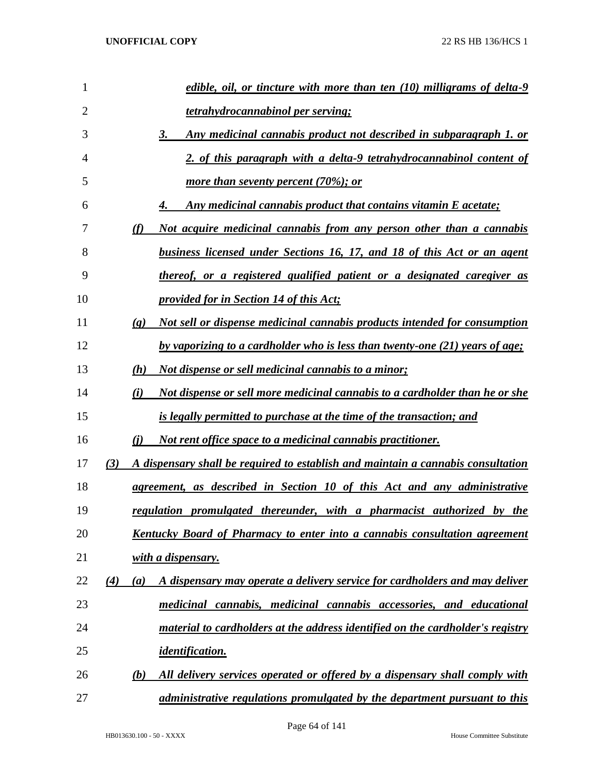| 1              | edible, oil, or tincture with more than ten (10) milligrams of delta-9                                          |
|----------------|-----------------------------------------------------------------------------------------------------------------|
| $\overline{2}$ | <b>tetrahydrocannabinol per serving;</b>                                                                        |
| 3              | <u>Any medicinal cannabis product not described in subparagraph 1. or</u><br>3.                                 |
| $\overline{4}$ | 2. of this paragraph with a delta-9 tetrahydrocannabinol content of                                             |
| 5              | more than seventy percent $(70\%);$ or                                                                          |
| 6              | Any medicinal cannabis product that contains vitamin E acetate;                                                 |
| 7              | (f)<br><u>Not acquire medicinal cannabis from any person other than a cannabis</u>                              |
| 8              | <u>business licensed under Sections 16, 17, and 18 of this Act or an agent</u>                                  |
| 9              | thereof, or a registered qualified patient or a designated caregiver as                                         |
| 10             | provided for in Section 14 of this Act;                                                                         |
| 11             | <u>Not sell or dispense medicinal cannabis products intended for consumption</u><br>$\left( \mathbf{g} \right)$ |
| 12             | by vaporizing to a cardholder who is less than twenty-one (21) years of age;                                    |
| 13             | <u>Not dispense or sell medicinal cannabis to a minor;</u><br>(h)                                               |
| 14             | <u>Not dispense or sell more medicinal cannabis to a cardholder than he or she</u><br>(i)                       |
| 15             | is legally permitted to purchase at the time of the transaction; and                                            |
| 16             | Not rent office space to a medicinal cannabis practitioner.<br>(i)                                              |
| 17             | A dispensary shall be required to establish and maintain a cannabis consultation<br>(3)                         |
| 18             | <u>agreement, as described in Section 10 of this Act and any administrative</u>                                 |
| 19             | regulation promulgated thereunder, with a pharmacist authorized by the                                          |
| 20             | <b>Kentucky Board of Pharmacy to enter into a cannabis consultation agreement</b>                               |
| 21             | with a dispensary.                                                                                              |
| 22             | A dispensary may operate a delivery service for cardholders and may deliver<br>$\left( 4\right)$<br>(a)         |
| 23             | medicinal cannabis, medicinal cannabis accessories, and educational                                             |
| 24             | material to cardholders at the address identified on the cardholder's registry                                  |
| 25             | <u>identification.</u>                                                                                          |
| 26             | All delivery services operated or offered by a dispensary shall comply with<br>(b)                              |
| 27             | administrative regulations promulgated by the department pursuant to this                                       |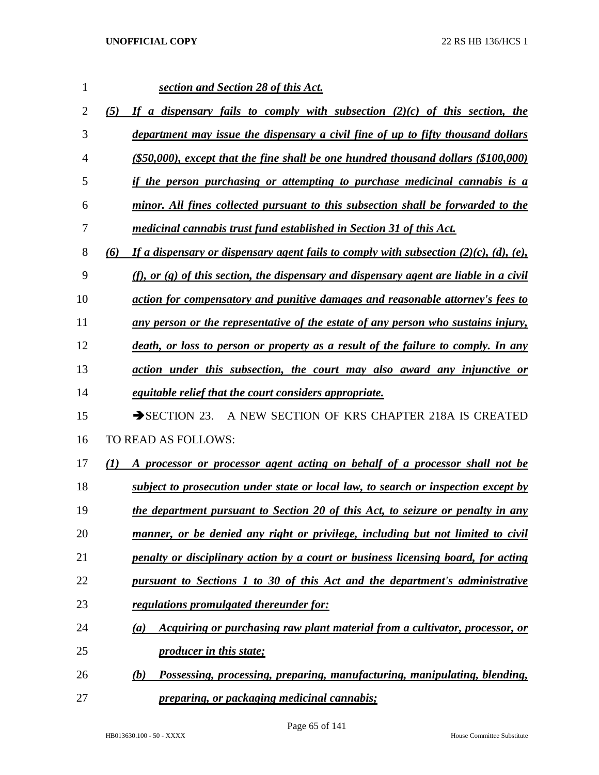| 1              | section and Section 28 of this Act.                                                                   |
|----------------|-------------------------------------------------------------------------------------------------------|
| $\overline{2}$ | If a dispensary fails to comply with subsection $(2)(c)$ of this section, the<br>(5)                  |
| 3              | department may issue the dispensary a civil fine of up to fifty thousand dollars                      |
| 4              | $($ \$50,000), except that the fine shall be one hundred thousand dollars $($ \$100,000)              |
| 5              | if the person purchasing or attempting to purchase medicinal cannabis is a                            |
| 6              | minor. All fines collected pursuant to this subsection shall be forwarded to the                      |
| 7              | medicinal cannabis trust fund established in Section 31 of this Act.                                  |
| 8              | If a dispensary or dispensary agent fails to comply with subsection $(2)(c)$ , $(d)$ , $(e)$ ,<br>(6) |
| 9              | (f), or $(g)$ of this section, the dispensary and dispensary agent are liable in a civil              |
| 10             | action for compensatory and punitive damages and reasonable attorney's fees to                        |
| 11             | any person or the representative of the estate of any person who sustains injury,                     |
| 12             | death, or loss to person or property as a result of the failure to comply. In any                     |
| 13             | action under this subsection, the court may also award any injunctive or                              |
| 14             | <i>equitable relief that the court considers appropriate.</i>                                         |
| 15             | $\rightarrow$ SECTION 23.<br>A NEW SECTION OF KRS CHAPTER 218A IS CREATED                             |
| 16             | TO READ AS FOLLOWS:                                                                                   |
| 17             | (1)<br>A processor or processor agent acting on behalf of a processor shall not be                    |
| 18             | subject to prosecution under state or local law, to search or inspection except by                    |
| 19             | the department pursuant to Section 20 of this Act, to seizure or penalty in any                       |
| 20             | manner, or be denied any right or privilege, including but not limited to civil                       |
| 21             | penalty or disciplinary action by a court or business licensing board, for acting                     |
| 22             | pursuant to Sections 1 to 30 of this Act and the department's administrative                          |
| 23             | regulations promulgated thereunder for:                                                               |
| 24             | Acquiring or purchasing raw plant material from a cultivator, processor, or<br>$\left(a\right)$       |
| 25             | <i><u><b>producer in this state;</b></u></i>                                                          |
| 26             | Possessing, processing, preparing, manufacturing, manipulating, blending,<br>(b)                      |
| 27             | <i><u><b>preparing, or packaging medicinal cannabis;</b></u></i>                                      |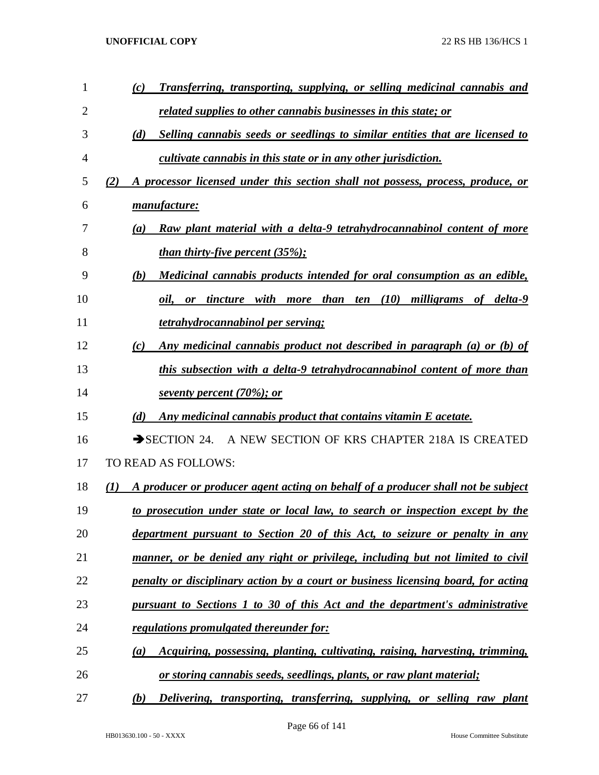| $\mathbf{1}$ | Transferring, transporting, supplying, or selling medicinal cannabis and<br>(c)                      |
|--------------|------------------------------------------------------------------------------------------------------|
| 2            | <u>related supplies to other cannabis businesses in this state; or</u>                               |
| 3            | (d)<br>Selling cannabis seeds or seedlings to similar entities that are licensed to                  |
| 4            | cultivate cannabis in this state or in any other jurisdiction.                                       |
| 5            | A processor licensed under this section shall not possess, process, produce, or<br>(2)               |
| 6            | manufacture:                                                                                         |
| 7            | Raw plant material with a delta-9 tetrahydrocannabinol content of more<br>(a)                        |
| 8            | <u>than thirty-five percent (35%);</u>                                                               |
| 9            | Medicinal cannabis products intended for oral consumption as an edible,<br>(b)                       |
| 10           | ten (10) milligrams of delta-9<br>tincture with more than<br>oil.<br>or                              |
| 11           | tetrahydrocannabinol per serving;                                                                    |
| 12           | Any medicinal cannabis product not described in paragraph (a) or (b) of<br>(c)                       |
| 13           | this subsection with a delta-9 tetrahydrocannabinol content of more than                             |
| 14           | seventy percent (70%); or                                                                            |
| 15           | (d)<br>Any medicinal cannabis product that contains vitamin E acetate.                               |
| 16           | A NEW SECTION OF KRS CHAPTER 218A IS CREATED<br>$\rightarrow$ SECTION 24.                            |
| 17           | <b>TO READ AS FOLLOWS:</b>                                                                           |
| 18           | A producer or producer agent acting on behalf of a producer shall not be subject<br>$\mathcal{L}(I)$ |
| 19           | to prosecution under state or local law, to search or inspection except by the                       |
| 20           | department pursuant to Section 20 of this Act, to seizure or penalty in any                          |
| 21           | manner, or be denied any right or privilege, including but not limited to civil                      |
| 22           | penalty or disciplinary action by a court or business licensing board, for acting                    |
| 23           | pursuant to Sections 1 to 30 of this Act and the department's administrative                         |
| 24           | regulations promulgated thereunder for:                                                              |
| 25           | <i>Acquiring, possessing, planting, cultivating, raising, harvesting, trimming,</i><br>(a)           |
| 26           | <u>or storing cannabis seeds, seedlings, plants, or raw plant material;</u>                          |
| 27           | Delivering, transporting, transferring, supplying, or selling raw plant<br>(b)                       |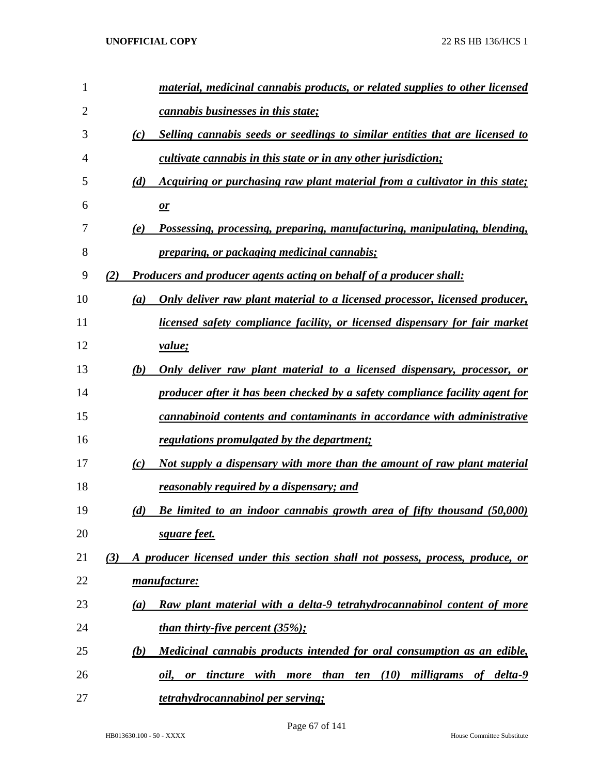| 1              | material, medicinal cannabis products, or related supplies to other licensed          |
|----------------|---------------------------------------------------------------------------------------|
| $\overline{2}$ | cannabis businesses in this state;                                                    |
| 3              | Selling cannabis seeds or seedlings to similar entities that are licensed to<br>(c)   |
| 4              | cultivate cannabis in this state or in any other jurisdiction;                        |
| 5              | Acquiring or purchasing raw plant material from a cultivator in this state;<br>(d)    |
| 6              | $\mathbf{r}$                                                                          |
| 7              | Possessing, processing, preparing, manufacturing, manipulating, blending,<br>(e)      |
| 8              | <i><u><b>preparing, or packaging medicinal cannabis;</b></u></i>                      |
| 9              | (2)<br><b>Producers and producer agents acting on behalf of a producer shall:</b>     |
| 10             | Only deliver raw plant material to a licensed processor, licensed producer,<br>(a)    |
| 11             | <i>licensed safety compliance facility, or licensed dispensary for fair market</i>    |
| 12             | <i>value</i> ;                                                                        |
| 13             | Only deliver raw plant material to a licensed dispensary, processor, or<br>(b)        |
| 14             | producer after it has been checked by a safety compliance facility agent for          |
| 15             | cannabinoid contents and contaminants in accordance with administrative               |
| 16             | regulations promulgated by the department;                                            |
| 17             | Not supply a dispensary with more than the amount of raw plant material<br>(c)        |
| 18             | reasonably required by a dispensary; and                                              |
| 19             | Be limited to an indoor cannabis growth area of fifty thousand (50,000)<br>(d)        |
| 20             | square feet.                                                                          |
| 21             | A producer licensed under this section shall not possess, process, produce, or<br>(3) |
| 22             | manufacture:                                                                          |
| 23             | Raw plant material with a delta-9 tetrahydrocannabinol content of more<br>(a)         |
| 24             | <i>than thirty-five percent <math>(35\%);</math></i>                                  |
| 25             | Medicinal cannabis products intended for oral consumption as an edible,<br>(b)        |
| 26             | tincture with more than ten (10) milligrams of delta-9<br>oil,<br>or                  |
| 27             | tetrahydrocannabinol per serving;                                                     |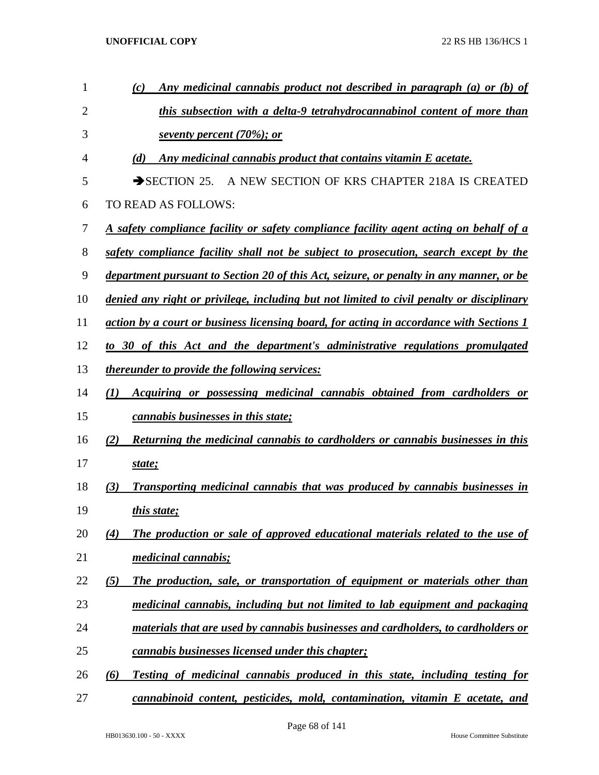| 1              | Any medicinal cannabis product not described in paragraph (a) or (b) of<br>(c)                |
|----------------|-----------------------------------------------------------------------------------------------|
| $\overline{2}$ | this subsection with a delta-9 tetrahydrocannabinol content of more than                      |
| 3              | seventy percent (70%); or                                                                     |
| 4              | Any medicinal cannabis product that contains vitamin E acetate.<br>(d)                        |
| 5              | SECTION 25. A NEW SECTION OF KRS CHAPTER 218A IS CREATED                                      |
| 6              | TO READ AS FOLLOWS:                                                                           |
| 7              | <u>A safety compliance facility or safety compliance facility agent acting on behalf of a</u> |
| 8              | safety compliance facility shall not be subject to prosecution, search except by the          |
| 9              | department pursuant to Section 20 of this Act, seizure, or penalty in any manner, or be       |
| 10             | denied any right or privilege, including but not limited to civil penalty or disciplinary     |
| 11             | action by a court or business licensing board, for acting in accordance with Sections 1       |
| 12             | to 30 of this Act and the department's administrative regulations promulgated                 |
| 13             | <i>thereunder to provide the following services:</i>                                          |
| 14             | Acquiring or possessing medicinal cannabis obtained from cardholders or<br>(I)                |
| 15             | <i>cannabis businesses in this state;</i>                                                     |
| 16             | Returning the medicinal cannabis to cardholders or cannabis businesses in this<br>(2)         |
| 17             | state;                                                                                        |
| 18             | Transporting medicinal cannabis that was produced by cannabis businesses in<br>(3)            |
| 19             | <i>this state;</i>                                                                            |
| 20             | The production or sale of approved educational materials related to the use of<br>(4)         |
| 21             | medicinal cannabis;                                                                           |
| 22             | (5)<br>The production, sale, or transportation of equipment or materials other than           |
| 23             | medicinal cannabis, including but not limited to lab equipment and packaging                  |
| 24             | materials that are used by cannabis businesses and cardholders, to cardholders or             |
| 25             | cannabis businesses licensed under this chapter;                                              |
| 26             | (6)<br>Testing of medicinal cannabis produced in this state, including testing for            |
| 27             | cannabinoid content, pesticides, mold, contamination, vitamin E acetate, and                  |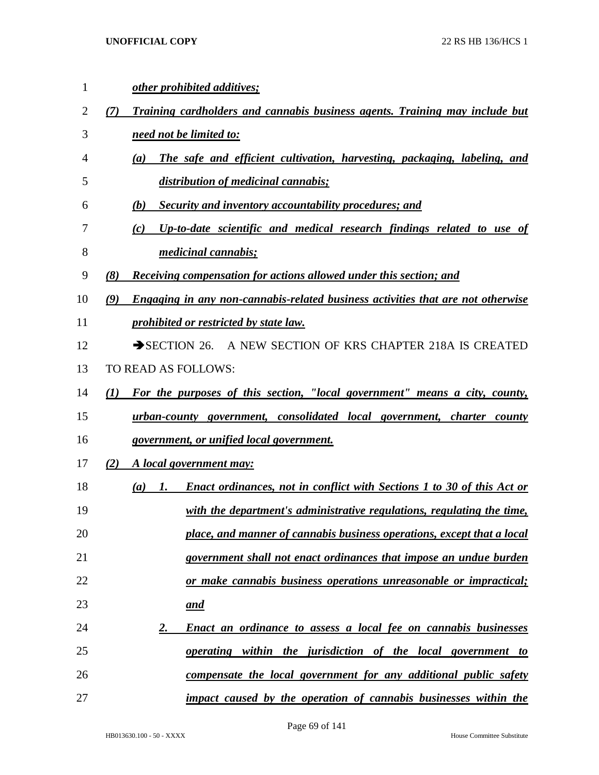| 1  | other prohibited additives;                                                                        |
|----|----------------------------------------------------------------------------------------------------|
| 2  | Training cardholders and cannabis business agents. Training may include but<br>(7)                 |
| 3  | need not be limited to:                                                                            |
| 4  | The safe and efficient cultivation, harvesting, packaging, labeling, and<br>(a)                    |
| 5  | distribution of medicinal cannabis;                                                                |
| 6  | (b)<br>Security and inventory accountability procedures; and                                       |
| 7  | Up-to-date scientific and medical research findings related to use of<br>(c)                       |
| 8  | <i>medicinal cannabis;</i>                                                                         |
| 9  | (8)<br><b>Receiving compensation for actions allowed under this section; and</b>                   |
| 10 | <b>Engaging in any non-cannabis-related business activities that are not otherwise</b><br>(9)      |
| 11 | prohibited or restricted by state law.                                                             |
| 12 | A NEW SECTION OF KRS CHAPTER 218A IS CREATED<br>$\rightarrow$ SECTION 26.                          |
| 13 | TO READ AS FOLLOWS:                                                                                |
| 14 | For the purposes of this section, "local government" means a city, county,<br>(I)                  |
| 15 | urban-county government, consolidated local government, charter<br>county                          |
| 16 | government, or unified local government.                                                           |
| 17 | (2)<br>A local government may:                                                                     |
| 18 | <b>Enact ordinances, not in conflict with Sections 1 to 30 of this Act or</b><br>(a)<br><i>I</i> . |
| 19 | with the department's administrative regulations, regulating the time,                             |
| 20 | place, and manner of cannabis business operations, except that a local                             |
| 21 | government shall not enact ordinances that impose an undue burden                                  |
| 22 | or make cannabis business operations unreasonable or impractical;                                  |
| 23 | <u>and</u>                                                                                         |
| 24 | <b>Enact an ordinance to assess a local fee on cannabis businesses</b><br>2.                       |
| 25 | <u>operating within the jurisdiction of the local government to</u>                                |
| 26 | <u>compensate the local government for any additional public safety</u>                            |
| 27 | impact caused by the operation of cannabis businesses within the                                   |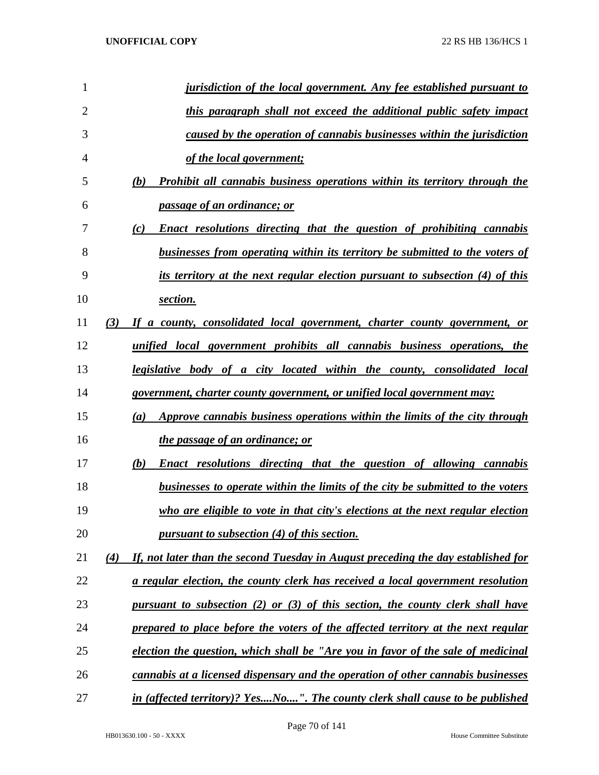| 1  |     | <i>jurisdiction of the local government. Any fee established pursuant to</i>          |
|----|-----|---------------------------------------------------------------------------------------|
| 2  |     | this paragraph shall not exceed the additional public safety impact                   |
| 3  |     | caused by the operation of cannabis businesses within the jurisdiction                |
| 4  |     | of the local government;                                                              |
| 5  |     | Prohibit all cannabis business operations within its territory through the<br>(b)     |
| 6  |     | passage of an ordinance; or                                                           |
| 7  |     | <b>Enact resolutions directing that the question of prohibiting cannabis</b><br>(c)   |
| 8  |     | businesses from operating within its territory be submitted to the voters of          |
| 9  |     | its territory at the next regular election pursuant to subsection (4) of this         |
| 10 |     | section.                                                                              |
| 11 | (3) | If a county, consolidated local government, charter county government, or             |
| 12 |     | <u>unified local government prohibits all cannabis business operations, the</u>       |
| 13 |     | legislative body of a city located within the county, consolidated local              |
| 14 |     | government, charter county government, or unified local government may:               |
| 15 |     | Approve cannabis business operations within the limits of the city through<br>(a)     |
| 16 |     | the passage of an ordinance; or                                                       |
| 17 |     | <b>Enact resolutions directing that the question of allowing cannabis</b><br>(b)      |
| 18 |     | <u>businesses to operate within the limits of the city be submitted to the voters</u> |
| 19 |     | who are eligible to vote in that city's elections at the next regular election        |
| 20 |     | pursuant to subsection (4) of this section.                                           |
| 21 | (4) | If, not later than the second Tuesday in August preceding the day established for     |
| 22 |     | a regular election, the county clerk has received a local government resolution       |
| 23 |     | pursuant to subsection (2) or (3) of this section, the county clerk shall have        |
| 24 |     | prepared to place before the voters of the affected territory at the next regular     |
| 25 |     | election the question, which shall be "Are you in favor of the sale of medicinal      |
| 26 |     | cannabis at a licensed dispensary and the operation of other cannabis businesses      |
| 27 |     | in (affected territory)? YesNo". The county clerk shall cause to be published         |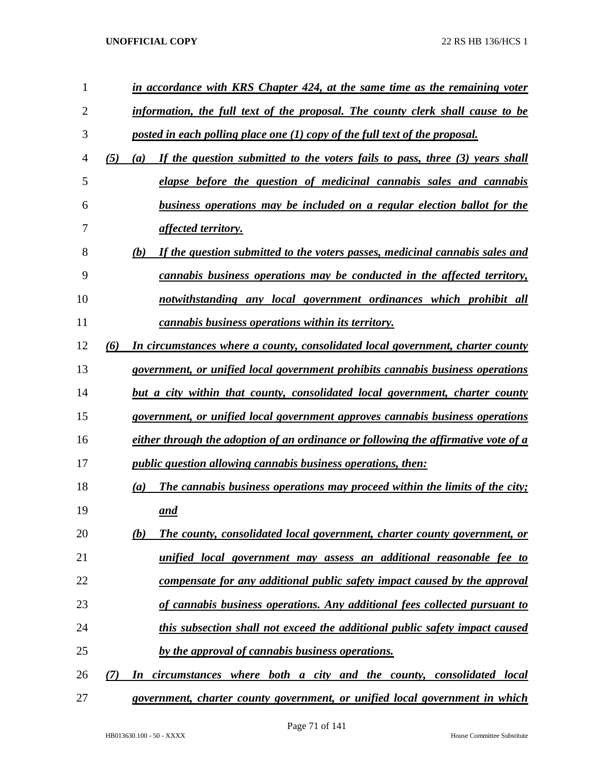| 1              |     | in accordance with KRS Chapter 424, at the same time as the remaining voter         |
|----------------|-----|-------------------------------------------------------------------------------------|
| $\overline{2}$ |     | information, the full text of the proposal. The county clerk shall cause to be      |
| 3              |     | posted in each polling place one $(1)$ copy of the full text of the proposal.       |
| 4              | (5) | If the question submitted to the voters fails to pass, three (3) years shall<br>(a) |
| 5              |     | elapse before the question of medicinal cannabis sales and cannabis                 |
| 6              |     | business operations may be included on a regular election ballot for the            |
| 7              |     | affected territory.                                                                 |
| 8              |     | If the question submitted to the voters passes, medicinal cannabis sales and<br>(b) |
| 9              |     | cannabis business operations may be conducted in the affected territory,            |
| 10             |     | notwithstanding any local government ordinances which prohibit all                  |
| 11             |     | cannabis business operations within its territory.                                  |
| 12             | (6) | In circumstances where a county, consolidated local government, charter county      |
| 13             |     | government, or unified local government prohibits cannabis business operations      |
| 14             |     | but a city within that county, consolidated local government, charter county        |
| 15             |     | government, or unified local government approves cannabis business operations       |
| 16             |     | either through the adoption of an ordinance or following the affirmative vote of a  |
| 17             |     | <i>public question allowing cannabis business operations, then:</i>                 |
| 18             |     | The cannabis business operations may proceed within the limits of the city;<br>(a)  |
| 19             |     | and                                                                                 |
| 20             |     | (b)<br>The county, consolidated local government, charter county government, or     |
| 21             |     | unified local government may assess an additional reasonable fee to                 |
| 22             |     | compensate for any additional public safety impact caused by the approval           |
| 23             |     | of cannabis business operations. Any additional fees collected pursuant to          |
| 24             |     | this subsection shall not exceed the additional public safety impact caused         |
| 25             |     | by the approval of cannabis business operations.                                    |
| 26             | (7) | In circumstances where both a city and the county, consolidated local               |
| 27             |     | government, charter county government, or unified local government in which         |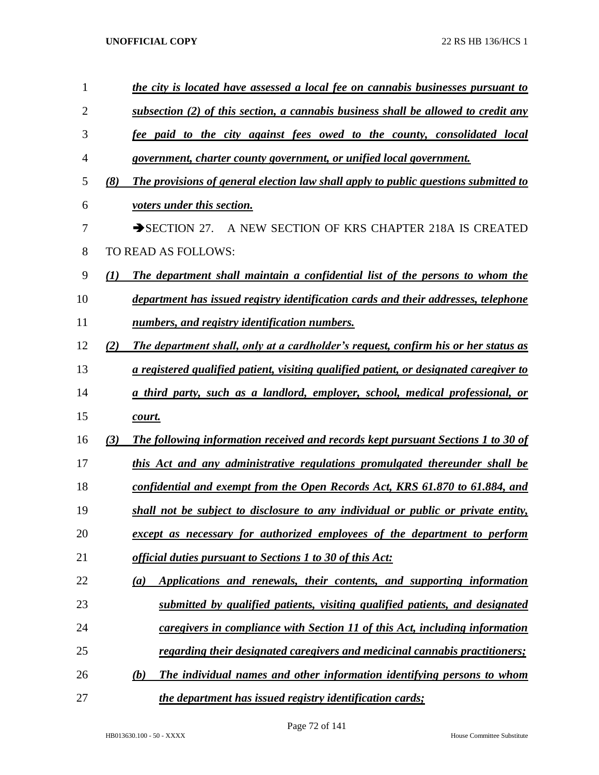| 1              |     | the city is located have assessed a local fee on cannabis businesses pursuant to          |
|----------------|-----|-------------------------------------------------------------------------------------------|
| $\overline{2}$ |     | subsection $(2)$ of this section, a cannabis business shall be allowed to credit any      |
| 3              |     | fee paid to the city against fees owed to the county, consolidated local                  |
| 4              |     | government, charter county government, or unified local government.                       |
| 5              | (8) | The provisions of general election law shall apply to public questions submitted to       |
| 6              |     | voters under this section.                                                                |
| 7              |     | A NEW SECTION OF KRS CHAPTER 218A IS CREATED<br>$\rightarrow$ SECTION 27.                 |
| 8              |     | TO READ AS FOLLOWS:                                                                       |
| 9              | (I) | The department shall maintain a confidential list of the persons to whom the              |
| 10             |     | department has issued registry identification cards and their addresses, telephone        |
| 11             |     | numbers, and registry identification numbers.                                             |
| 12             | (2) | The department shall, only at a cardholder's request, confirm his or her status as        |
| 13             |     | a registered qualified patient, visiting qualified patient, or designated caregiver to    |
| 14             |     | a third party, such as a landlord, employer, school, medical professional, or             |
| 15             |     | court.                                                                                    |
| 16             | (3) | <b>The following information received and records kept pursuant Sections 1 to 30 of</b>   |
| 17             |     | this Act and any administrative regulations promulgated thereunder shall be               |
| 18             |     | confidential and exempt from the Open Records Act, KRS 61.870 to 61.884, and              |
| 19             |     | shall not be subject to disclosure to any individual or public or private entity,         |
| 20             |     | except as necessary for authorized employees of the department to perform                 |
| 21             |     | official duties pursuant to Sections 1 to 30 of this Act:                                 |
| 22             |     | Applications and renewals, their contents, and supporting information<br>$\left(a\right)$ |
| 23             |     | submitted by qualified patients, visiting qualified patients, and designated              |
| 24             |     | caregivers in compliance with Section 11 of this Act, including information               |
| 25             |     | <u>regarding their designated caregivers and medicinal cannabis practitioners;</u>        |
| 26             |     | The individual names and other information identifying persons to whom<br>(b)             |
| 27             |     | <i>the department has issued registry identification cards;</i>                           |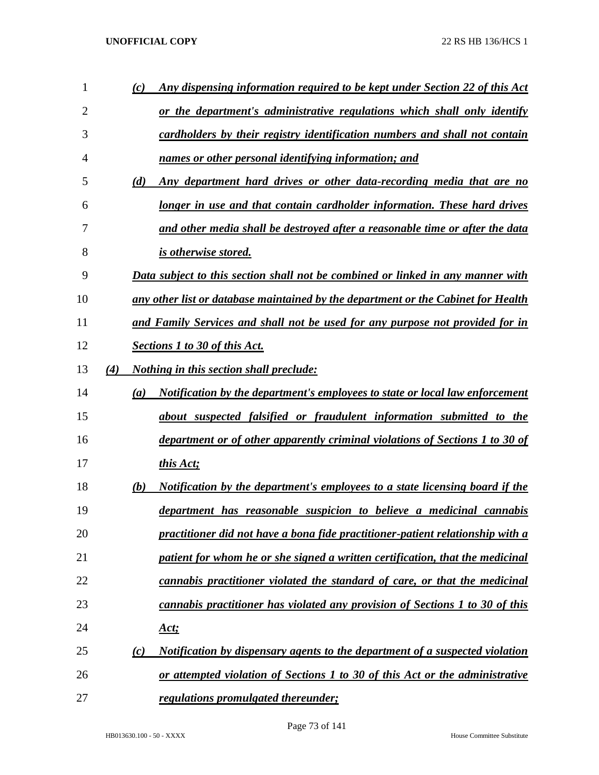| 1              | Any dispensing information required to be kept under Section 22 of this Act<br>(c)  |
|----------------|-------------------------------------------------------------------------------------|
| $\overline{2}$ | or the department's administrative regulations which shall only identify            |
| 3              | cardholders by their registry identification numbers and shall not contain          |
| 4              | names or other personal identifying information; and                                |
| 5              | Any department hard drives or other data-recording media that are no<br>(d)         |
| 6              | longer in use and that contain cardholder information. These hard drives            |
| 7              | and other media shall be destroyed after a reasonable time or after the data        |
| 8              | is otherwise stored.                                                                |
| 9              | Data subject to this section shall not be combined or linked in any manner with     |
| 10             | any other list or database maintained by the department or the Cabinet for Health   |
| 11             | and Family Services and shall not be used for any purpose not provided for in       |
| 12             | <b>Sections 1 to 30 of this Act.</b>                                                |
| 13             | (4)<br><i>Nothing in this section shall preclude:</i>                               |
| 14             | Notification by the department's employees to state or local law enforcement<br>(a) |
| 15             | about suspected falsified or fraudulent information submitted to the                |
| 16             | department or of other apparently criminal violations of Sections 1 to 30 of        |
| 17             | this Act;                                                                           |
| 18             | Notification by the department's employees to a state licensing board if the<br>(b) |
| 19             | department has reasonable suspicion to believe a medicinal cannabis                 |
| 20             | practitioner did not have a bona fide practitioner-patient relationship with a      |
| 21             | patient for whom he or she signed a written certification, that the medicinal       |
| 22             | cannabis practitioner violated the standard of care, or that the medicinal          |
| 23             | cannabis practitioner has violated any provision of Sections 1 to 30 of this        |
| 24             | <u>Act;</u>                                                                         |
| 25             | Notification by dispensary agents to the department of a suspected violation<br>(c) |
| 26             | or attempted violation of Sections 1 to 30 of this Act or the administrative        |
| 27             | regulations promulgated thereunder;                                                 |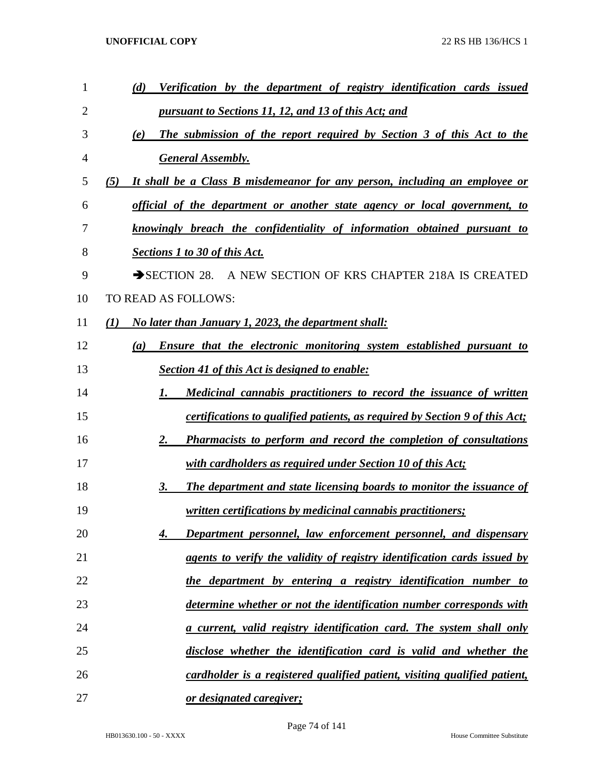| 1              | Verification by the department of registry identification cards issued<br>(d)      |
|----------------|------------------------------------------------------------------------------------|
| $\overline{2}$ | pursuant to Sections 11, 12, and 13 of this Act; and                               |
| 3              | The submission of the report required by Section 3 of this Act to the<br>(e)       |
| 4              | <b>General Assembly.</b>                                                           |
| 5              | It shall be a Class B misdemeanor for any person, including an employee or<br>(5)  |
| 6              | official of the department or another state agency or local government, to         |
| 7              | knowingly breach the confidentiality of information obtained pursuant to           |
| 8              | <b>Sections 1 to 30 of this Act.</b>                                               |
| 9              | SECTION 28. A NEW SECTION OF KRS CHAPTER 218A IS CREATED                           |
| 10             | TO READ AS FOLLOWS:                                                                |
| 11             | (I)<br>No later than January 1, 2023, the department shall:                        |
| 12             | Ensure that the electronic monitoring system established pursuant to<br>(a)        |
| 13             | Section 41 of this Act is designed to enable:                                      |
| 14             | Medicinal cannabis practitioners to record the issuance of written<br>1.           |
| 15             | <i>certifications to qualified patients, as required by Section 9 of this Act;</i> |
| 16             | 2.<br><b>Pharmacists to perform and record the completion of consultations</b>     |
| 17             | with cardholders as required under Section 10 of this Act;                         |
| 18             | The department and state licensing boards to monitor the issuance of<br>3.         |
| 19             | <i><u><b>written certifications by medicinal cannabis practitioners;</b></u></i>   |
| 20             | Department personnel, law enforcement personnel, and dispensary<br>4.              |
| 21             | agents to verify the validity of registry identification cards issued by           |
| 22             | the department by entering a registry identification number to                     |
| 23             | determine whether or not the identification number corresponds with                |
| 24             | <u>a current, valid registry identification card. The system shall only</u>        |
| 25             | disclose whether the identification card is valid and whether the                  |
| 26             | cardholder is a registered qualified patient, visiting qualified patient,          |
| 27             | or designated caregiver;                                                           |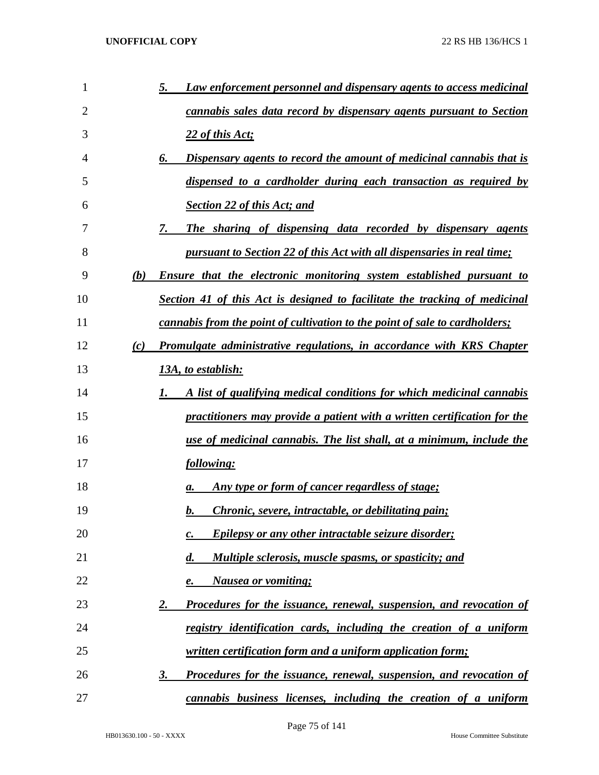| 1              | Law enforcement personnel and dispensary agents to access medicinal<br>5.          |
|----------------|------------------------------------------------------------------------------------|
| $\overline{2}$ | <i>cannabis sales data record by dispensary agents pursuant to Section</i>         |
| 3              | 22 of this Act;                                                                    |
| 4              | Dispensary agents to record the amount of medicinal cannabis that is<br>6.         |
| 5              | dispensed to a cardholder during each transaction as required by                   |
| 6              | <b>Section 22 of this Act; and</b>                                                 |
| 7              | 7.<br>The sharing of dispensing data recorded by dispensary agents                 |
| 8              | pursuant to Section 22 of this Act with all dispensaries in real time;             |
| 9              | (b)<br><b>Ensure that the electronic monitoring system established pursuant to</b> |
| 10             | Section 41 of this Act is designed to facilitate the tracking of medicinal         |
| 11             | cannabis from the point of cultivation to the point of sale to cardholders;        |
| 12             | Promulgate administrative regulations, in accordance with KRS Chapter<br>(c)       |
| 13             | 13A, to establish:                                                                 |
| 14             | A list of qualifying medical conditions for which medicinal cannabis<br>1.         |
| 15             | practitioners may provide a patient with a written certification for the           |
| 16             | use of medicinal cannabis. The list shall, at a minimum, include the               |
| 17             | following:                                                                         |
| 18             | Any type or form of cancer regardless of stage;<br>а.                              |
| 19             | <i>Chronic, severe, intractable, or debilitating pain;</i><br>b.                   |
| 20             | Epilepsy or any other intractable seizure disorder;<br>$\mathbf{c}$ .              |
| 21             | Multiple sclerosis, muscle spasms, or spasticity; and<br>$\boldsymbol{d}$ .        |
| 22             | <b>Nausea or vomiting;</b><br>e.                                                   |
| 23             | <b>Procedures for the issuance, renewal, suspension, and revocation of</b><br>2.   |
| 24             | registry identification cards, including the creation of a uniform                 |
| 25             | <i>written certification form and a uniform application form;</i>                  |
| 26             | <b>Procedures for the issuance, renewal, suspension, and revocation of</b><br>3.   |
| 27             | cannabis business licenses, including the creation of a uniform                    |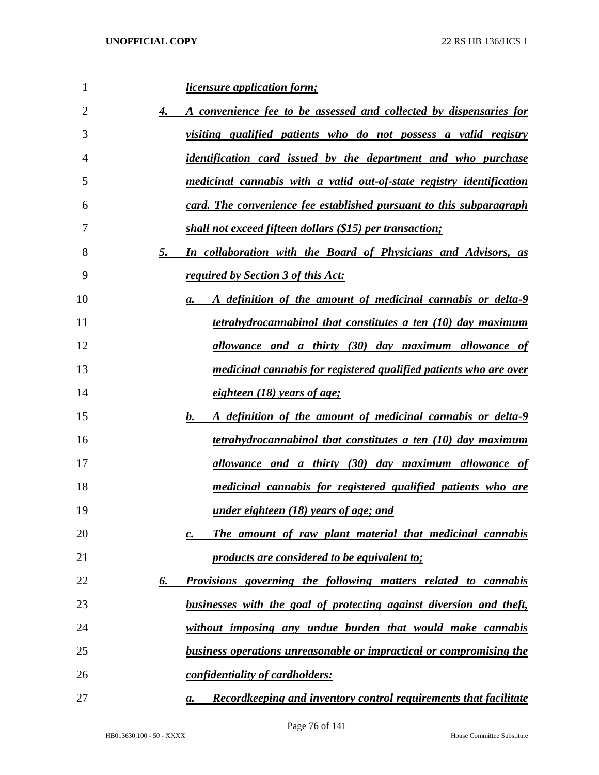| 1              | <i>licensure application form;</i>                                          |
|----------------|-----------------------------------------------------------------------------|
| $\overline{2}$ | 4.<br>A convenience fee to be assessed and collected by dispensaries for    |
| 3              | visiting qualified patients who do not possess a valid registry             |
| 4              | <i>identification card issued by the department and who purchase</i>        |
| 5              | medicinal cannabis with a valid out-of-state registry identification        |
| 6              | card. The convenience fee established pursuant to this subparagraph         |
| 7              | shall not exceed fifteen dollars (\$15) per transaction;                    |
| 8              | 5.<br>In collaboration with the Board of Physicians and Advisors, as        |
| 9              | required by Section 3 of this Act:                                          |
| 10             | A definition of the amount of medicinal cannabis or delta-9<br>а.           |
| 11             | <i>tetrahydrocannabinol that constitutes a ten (10) day maximum</i>         |
| 12             | allowance and a thirty (30) day maximum allowance of                        |
| 13             | medicinal cannabis for registered qualified patients who are over           |
| 14             | eighteen (18) years of age;                                                 |
| 15             | b.<br>A definition of the amount of medicinal cannabis or delta-9           |
| 16             | <i>tetrahydrocannabinol that constitutes a ten (10) day maximum</i>         |
| 17             | allowance and a thirty (30) day maximum allowance of                        |
| 18             | medicinal cannabis for registered qualified patients who are                |
| 19             | <u>under eighteen (18) years of age; and</u>                                |
| 20             | The amount of raw plant material that medicinal cannabis<br>$\mathcal{C}$ . |
| 21             | products are considered to be equivalent to;                                |
| 22             | <b>Provisions governing the following matters related to cannabis</b><br>6. |
| 23             | businesses with the goal of protecting against diversion and theft,         |
| 24             | without imposing any undue burden that would make cannabis                  |
| 25             | <b>business operations unreasonable or impractical or compromising the</b>  |
| 26             | confidentiality of cardholders:                                             |
| 27             | Record keeping and inventory control requirements that facilitate<br>а.     |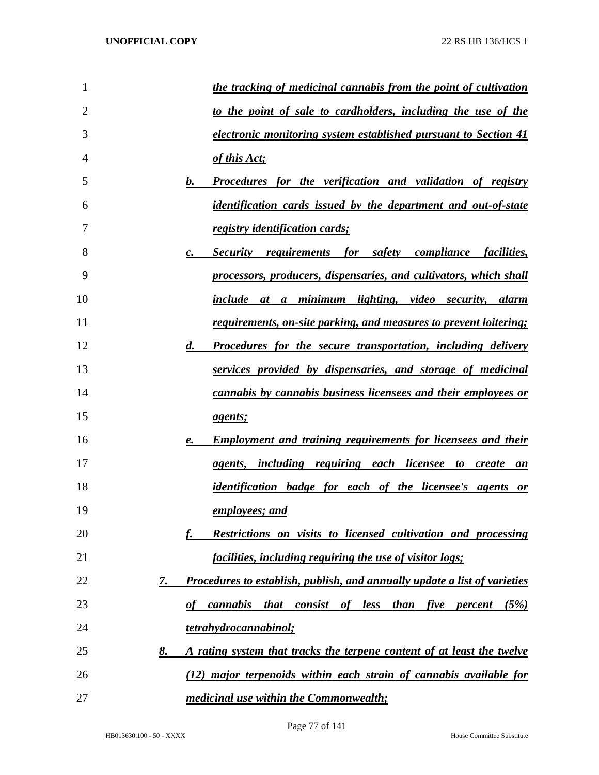| 1              | the tracking of medicinal cannabis from the point of cultivation                                                    |
|----------------|---------------------------------------------------------------------------------------------------------------------|
| $\overline{2}$ | to the point of sale to cardholders, including the use of the                                                       |
| 3              | electronic monitoring system established pursuant to Section 41                                                     |
| 4              | of this Act;                                                                                                        |
| 5              | <b>Procedures for the verification and validation of registry</b><br>$\mathbf{b}$ .                                 |
| 6              | <i>identification cards issued by the department and out-of-state</i>                                               |
| 7              | registry identification cards;                                                                                      |
| 8              | Security requirements for safety compliance facilities,<br>$\mathcal{C}$ .                                          |
| 9              | processors, producers, dispensaries, and cultivators, which shall                                                   |
| 10             | include at a minimum lighting, video security, alarm                                                                |
| 11             | <u>requirements, on-site parking, and measures to prevent loitering;</u>                                            |
| 12             | <b>Procedures for the secure transportation, including delivery</b><br>$\boldsymbol{d}$ .                           |
| 13             | services provided by dispensaries, and storage of medicinal                                                         |
| 14             | cannabis by cannabis business licensees and their employees or                                                      |
| 15             | <i>agents;</i>                                                                                                      |
| 16             | <b>Employment and training requirements for licensees and their</b><br>$\boldsymbol{\ell}$ .                        |
| 17             | agents, including requiring each licensee to create an                                                              |
| 18             | <i>identification badge for each of the licensee's agents or</i>                                                    |
| 19             | employees; and                                                                                                      |
| 20             | Restrictions on visits to licensed cultivation and processing                                                       |
| 21             | <i>facilities, including requiring the use of visitor logs;</i>                                                     |
| 22             | <b>Procedures to establish, publish, and annually update a list of varieties</b><br>7.                              |
| 23             | <i>cannabis</i><br>consist of less than<br><i>five</i><br>(5%)<br><i>that</i><br>$\boldsymbol{\theta}$ f<br>percent |
| 24             | tetrahydrocannabinol;                                                                                               |
| 25             | A rating system that tracks the terpene content of at least the twelve<br>8.                                        |
| 26             | (12) major terpenoids within each strain of cannabis available for                                                  |
| 27             | medicinal use within the Commonwealth;                                                                              |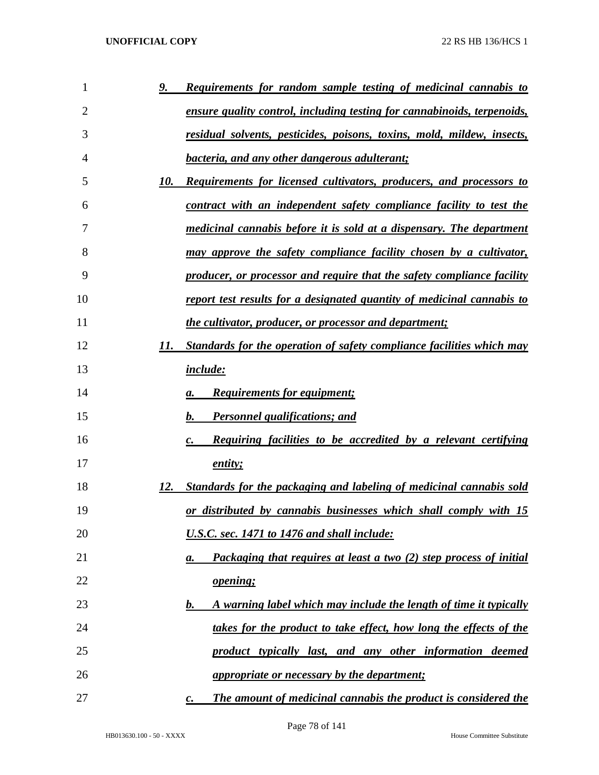| 1  | <u>9.</u><br><b>Requirements for random sample testing of medicinal cannabis to</b>      |
|----|------------------------------------------------------------------------------------------|
| 2  | <u>ensure quality control, including testing for cannabinoids, terpenoids,</u>           |
| 3  | residual solvents, pesticides, poisons, toxins, mold, mildew, insects,                   |
| 4  | <i>bacteria, and any other dangerous adulterant;</i>                                     |
| 5  | 10.<br><b>Requirements for licensed cultivators, producers, and processors to</b>        |
| 6  | contract with an independent safety compliance facility to test the                      |
| 7  | medicinal cannabis before it is sold at a dispensary. The department                     |
| 8  | <u>may approve the safety compliance facility chosen by a cultivator,</u>                |
| 9  | producer, or processor and require that the safety compliance facility                   |
| 10 | report test results for a designated quantity of medicinal cannabis to                   |
| 11 | <i>the cultivator, producer, or processor and department;</i>                            |
| 12 | 11.<br>Standards for the operation of safety compliance facilities which may             |
| 13 | <i>include:</i>                                                                          |
| 14 | <b>Requirements for equipment;</b><br>а.                                                 |
| 15 | b.<br><b>Personnel qualifications; and</b>                                               |
| 16 | <b>Requiring facilities to be accredited by a relevant certifying</b><br>$\mathcal{C}$ . |
| 17 | entity;                                                                                  |
| 18 | 12.<br>Standards for the packaging and labeling of medicinal cannabis sold               |
| 19 | <u>or distributed by cannabis businesses which shall comply with 15</u>                  |
| 20 | U.S.C. sec. 1471 to 1476 and shall include:                                              |
| 21 | Packaging that requires at least a two (2) step process of initial<br>а.                 |
| 22 | <i>opening</i> ;                                                                         |
| 23 | A warning label which may include the length of time it typically<br>b.                  |
| 24 | takes for the product to take effect, how long the effects of the                        |
| 25 | product typically last, and any other information deemed                                 |
| 26 | <i>appropriate or necessary by the department;</i>                                       |
| 27 | The amount of medicinal cannabis the product is considered the<br>$\mathbf{c}$ .         |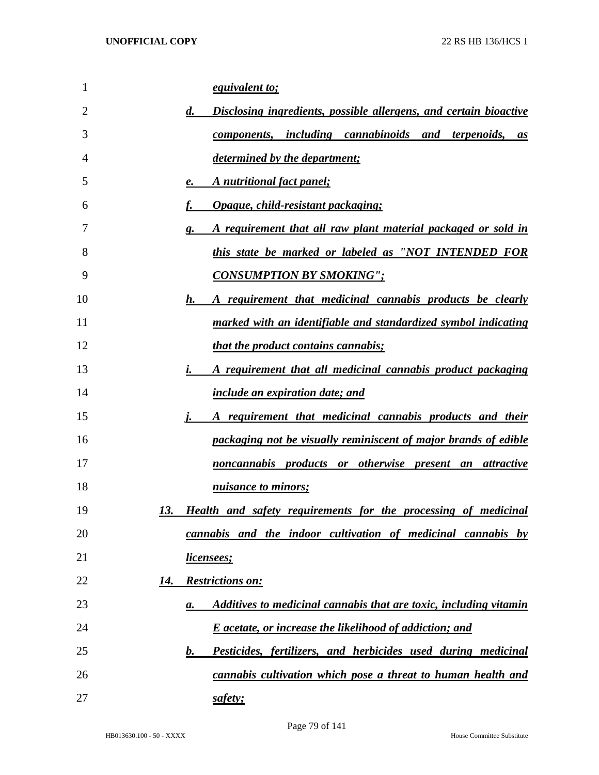| 1              | <i>equivalent to;</i>                                                                   |
|----------------|-----------------------------------------------------------------------------------------|
| $\overline{2}$ | $\boldsymbol{d}$ .<br>Disclosing ingredients, possible allergens, and certain bioactive |
| 3              | components, including cannabinoids and terpenoids,<br>as                                |
| 4              | <i>determined by the department;</i>                                                    |
| 5              | A nutritional fact panel;<br>e.                                                         |
| 6              | Opaque, child-resistant packaging;                                                      |
| 7              | A requirement that all raw plant material packaged or sold in<br>g.                     |
| 8              | this state be marked or labeled as "NOT INTENDED FOR                                    |
| 9              | <b>CONSUMPTION BY SMOKING";</b>                                                         |
| 10             | h.<br>A requirement that medicinal cannabis products be clearly                         |
| 11             | marked with an identifiable and standardized symbol indicating                          |
| 12             | <i>that the product contains cannabis;</i>                                              |
| 13             | A requirement that all medicinal cannabis product packaging<br>i.                       |
| 14             | include an expiration date; and                                                         |
| 15             | A requirement that medicinal cannabis products and their                                |
| 16             | packaging not be visually reminiscent of major brands of edible                         |
| 17             | noncannabis products or otherwise present an attractive                                 |
| 18             | nuisance to minors;                                                                     |
| 19             | Health and safety requirements for the processing of medicinal<br>13.                   |
| 20             | cannabis and the indoor cultivation of medicinal cannabis by                            |
| 21             | <u>licensees;</u>                                                                       |
| 22             | <b>Restrictions on:</b><br>14.                                                          |
| 23             | Additives to medicinal cannabis that are toxic, including vitamin<br>а.                 |
| 24             | <b>E</b> acetate, or increase the likelihood of addiction; and                          |
| 25             | Pesticides, fertilizers, and herbicides used during medicinal<br>$\mathbf{b}$ .         |
| 26             | cannabis cultivation which pose a threat to human health and                            |
| 27             | safety;                                                                                 |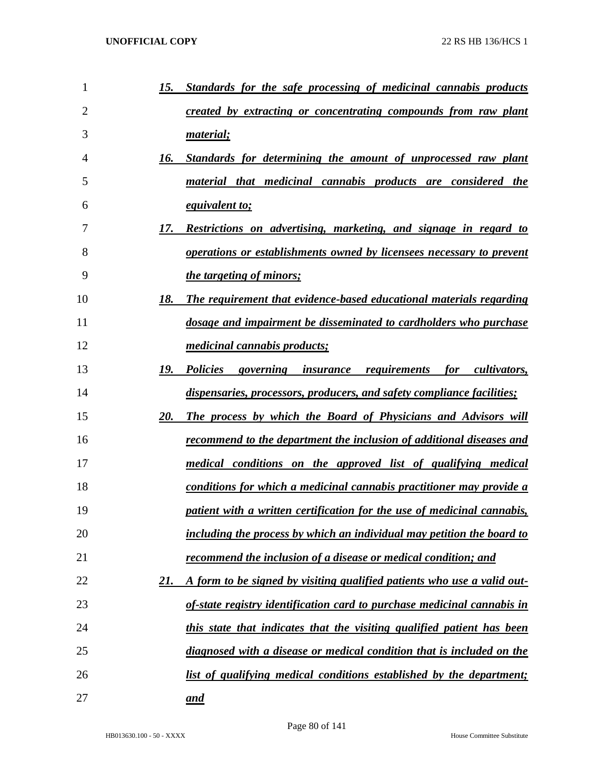| $\mathbf{1}$   | 15.<br>Standards for the safe processing of medicinal cannabis products        |
|----------------|--------------------------------------------------------------------------------|
| $\overline{2}$ | created by extracting or concentrating compounds from raw plant                |
| 3              | <u>material;</u>                                                               |
| 4              | 16.<br>Standards for determining the amount of unprocessed raw plant           |
| 5              | material that medicinal cannabis products are considered the                   |
| 6              | <i>equivalent to;</i>                                                          |
| 7              | 17.<br><u>Restrictions on advertising, marketing, and signage in regard to</u> |
| 8              | <i>operations or establishments owned by licensees necessary to prevent</i>    |
| 9              | <i>the targeting of minors;</i>                                                |
| 10             | 18.<br>The requirement that evidence-based educational materials regarding     |
| 11             | dosage and impairment be disseminated to cardholders who purchase              |
| 12             | <i>medicinal cannabis products;</i>                                            |
| 13             | 19.<br>Policies governing insurance requirements<br>for cultivators,           |
| 14             | dispensaries, processors, producers, and safety compliance facilities;         |
| 15             | 20.<br><b>The process by which the Board of Physicians and Advisors will</b>   |
| 16             | <u>recommend to the department the inclusion of additional diseases and</u>    |
| 17             | <u>medical conditions on the approved list of qualifying medical</u>           |
| 18             | conditions for which a medicinal cannabis practitioner may provide a           |
| 19             | patient with a written certification for the use of medicinal cannabis,        |
| 20             | including the process by which an individual may petition the board to         |
| 21             | recommend the inclusion of a disease or medical condition; and                 |
| 22             | A form to be signed by visiting qualified patients who use a valid out-<br>21. |
| 23             | of-state registry identification card to purchase medicinal cannabis in        |
| 24             | this state that indicates that the visiting qualified patient has been         |
| 25             | diagnosed with a disease or medical condition that is included on the          |
| 26             | list of qualifying medical conditions established by the department;           |
| 27             | and                                                                            |

Page 80 of 141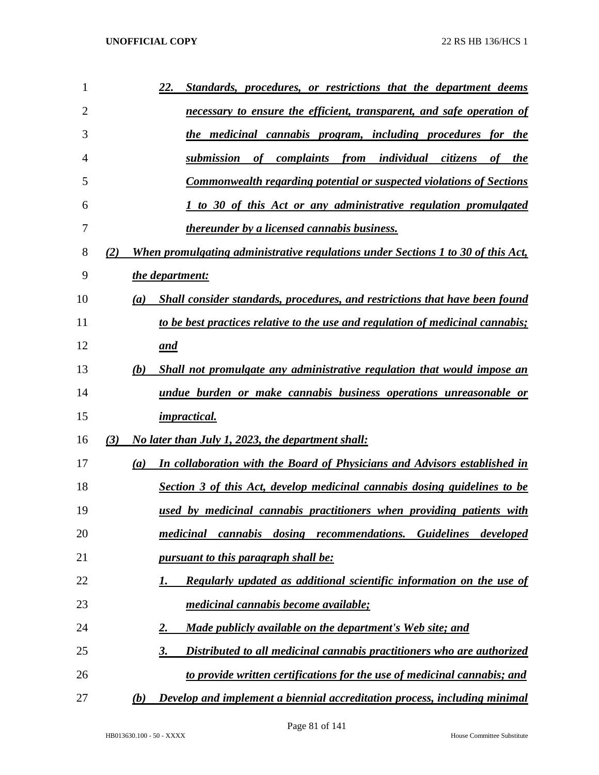| 1              | Standards, procedures, or restrictions that the department deems<br>22.                 |
|----------------|-----------------------------------------------------------------------------------------|
| $\overline{2}$ | necessary to ensure the efficient, transparent, and safe operation of                   |
| 3              | the medicinal cannabis program, including procedures for the                            |
| 4              | submission<br>complaints<br>from individual citizens<br>of<br>of the                    |
| 5              | <b>Commonwealth regarding potential or suspected violations of Sections</b>             |
| 6              | 1 to 30 of this Act or any administrative regulation promulgated                        |
| 7              | <i>thereunder by a licensed cannabis business.</i>                                      |
| 8              | When promulgating administrative regulations under Sections 1 to 30 of this Act,<br>(2) |
| 9              | the department:                                                                         |
| 10             | Shall consider standards, procedures, and restrictions that have been found<br>(a)      |
| 11             | to be best practices relative to the use and regulation of medicinal cannabis;          |
| 12             | and                                                                                     |
| 13             | (b)<br>Shall not promulgate any administrative regulation that would impose an          |
| 14             | undue burden or make cannabis business operations unreasonable or                       |
| 15             | <i>impractical.</i>                                                                     |
| 16             | No later than July 1, 2023, the department shall:<br>(3)                                |
| 17             | In collaboration with the Board of Physicians and Advisors established in<br>(a)        |
| 18             | Section 3 of this Act, develop medicinal cannabis dosing guidelines to be               |
| 19             | used by medicinal cannabis practitioners when providing patients with                   |
| 20             | cannabis dosing recommendations.<br><b>Guidelines</b><br>medicinal<br>developed         |
| 21             | <u>pursuant to this paragraph shall be:</u>                                             |
| 22             | <b>Regularly updated as additional scientific information on the use of</b><br>1.       |
| 23             | <i>medicinal cannabis become available;</i>                                             |
| 24             | Made publicly available on the department's Web site; and<br>2.                         |
| 25             | Distributed to all medicinal cannabis practitioners who are authorized<br>3.            |
| 26             | to provide written certifications for the use of medicinal cannabis; and                |
| 27             | Develop and implement a biennial accreditation process, including minimal<br>(b)        |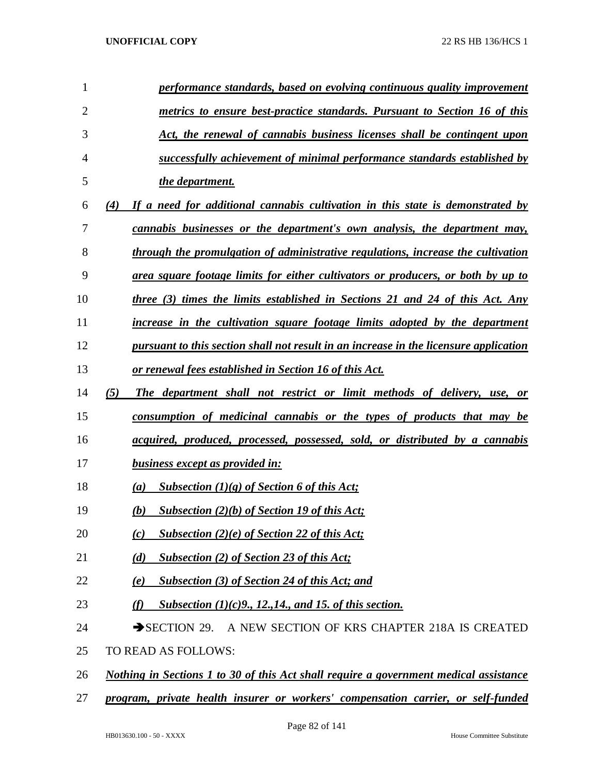| $\mathbf{1}$   | performance standards, based on evolving continuous quality improvement               |
|----------------|---------------------------------------------------------------------------------------|
| $\mathbf{2}$   | metrics to ensure best-practice standards. Pursuant to Section 16 of this             |
| 3              | Act, the renewal of cannabis business licenses shall be contingent upon               |
| $\overline{4}$ | successfully achievement of minimal performance standards established by              |
| 5              | the department.                                                                       |
| 6              | If a need for additional cannabis cultivation in this state is demonstrated by<br>(4) |
| $\overline{7}$ | cannabis businesses or the department's own analysis, the department may,             |
| 8              | through the promulgation of administrative regulations, increase the cultivation      |
| 9              | area square footage limits for either cultivators or producers, or both by up to      |
| 10             | three (3) times the limits established in Sections 21 and 24 of this Act. Any         |
| 11             | increase in the cultivation square footage limits adopted by the department           |
| 12             | pursuant to this section shall not result in an increase in the licensure application |
| 13             | <u>or renewal fees established in Section 16 of this Act.</u>                         |
| 14             | (5)<br>The department shall not restrict or limit methods of delivery, use, or        |
| 15             | <u>consumption of medicinal cannabis or the types of products that may be</u>         |
| 16             | acquired, produced, processed, possessed, sold, or distributed by a cannabis          |
| 17             |                                                                                       |
|                | <b>business except as provided in:</b>                                                |
| 18             | Subsection $(1)(g)$ of Section 6 of this Act;<br>(a)                                  |
| 19             | Subsection $(2)(b)$ of Section 19 of this Act;<br>(b)                                 |
| 20             | Subsection $(2)(e)$ of Section 22 of this Act;<br>(c)                                 |
| 21             | <b>Subsection (2) of Section 23 of this Act;</b><br>(d)                               |
| 22             | <b>Subsection (3) of Section 24 of this Act; and</b><br>(e)                           |
| 23             | Subsection $(1)(c)9$ , 12, 14, and 15, of this section.<br>(f)                        |
| 24             | $\rightarrow$ SECTION 29.<br>A NEW SECTION OF KRS CHAPTER 218A IS CREATED             |
| 25             | TO READ AS FOLLOWS:                                                                   |
| 26             | Nothing in Sections 1 to 30 of this Act shall require a government medical assistance |

*program, private health insurer or workers' compensation carrier, or self-funded*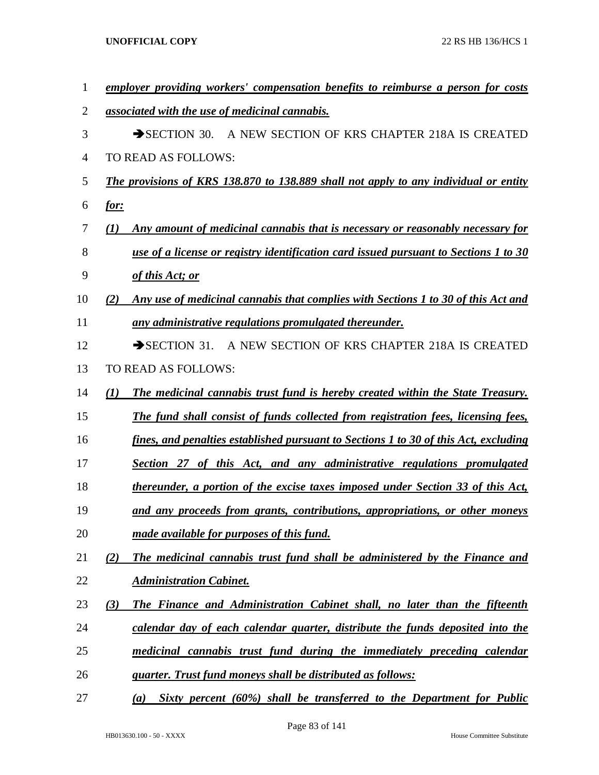| 1  | employer providing workers' compensation benefits to reimburse a person for costs           |
|----|---------------------------------------------------------------------------------------------|
| 2  | associated with the use of medicinal cannabis.                                              |
| 3  | A NEW SECTION OF KRS CHAPTER 218A IS CREATED<br>$\rightarrow$ SECTION 30.                   |
| 4  | TO READ AS FOLLOWS:                                                                         |
| 5  | <b>The provisions of KRS 138.870 to 138.889 shall not apply to any individual or entity</b> |
| 6  | <u>for:</u>                                                                                 |
| 7  | Any amount of medicinal cannabis that is necessary or reasonably necessary for<br>(I)       |
| 8  | use of a license or registry identification card issued pursuant to Sections 1 to 30        |
| 9  | of this Act; or                                                                             |
| 10 | Any use of medicinal cannabis that complies with Sections 1 to 30 of this Act and<br>(2)    |
| 11 | any administrative regulations promulgated thereunder.                                      |
| 12 | $\rightarrow$ SECTION 31.<br>A NEW SECTION OF KRS CHAPTER 218A IS CREATED                   |
| 13 | TO READ AS FOLLOWS:                                                                         |
| 14 | The medicinal cannabis trust fund is hereby created within the State Treasury.<br>(I)       |
| 15 | The fund shall consist of funds collected from registration fees, licensing fees,           |
| 16 | fines, and penalties established pursuant to Sections 1 to 30 of this Act, excluding        |
| 17 | Section 27 of this Act, and any administrative regulations promulgated                      |
| 18 | thereunder, a portion of the excise taxes imposed under Section 33 of this Act,             |
| 19 | and any proceeds from grants, contributions, appropriations, or other moneys                |
| 20 | made available for purposes of this fund.                                                   |
| 21 | The medicinal cannabis trust fund shall be administered by the Finance and<br>(2)           |
| 22 | <b>Administration Cabinet.</b>                                                              |
| 23 | The Finance and Administration Cabinet shall, no later than the fifteenth<br>(3)            |
| 24 | calendar day of each calendar quarter, distribute the funds deposited into the              |
| 25 | medicinal cannabis trust fund during the immediately preceding calendar                     |
| 26 | <i>guarter. Trust fund moneys shall be distributed as follows:</i>                          |
| 27 | Sixty percent (60%) shall be transferred to the Department for Public<br>(a)                |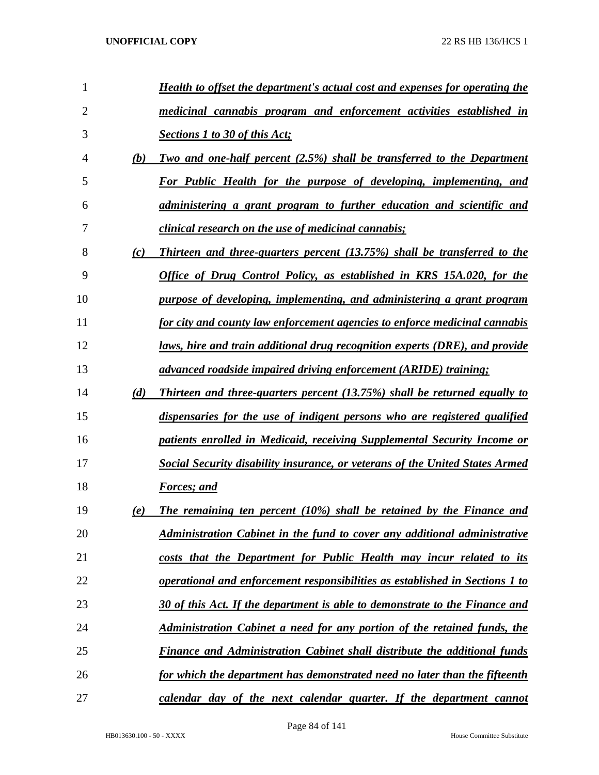| 1              |     | Health to offset the department's actual cost and expenses for operating the     |
|----------------|-----|----------------------------------------------------------------------------------|
| $\overline{2}$ |     | medicinal cannabis program and enforcement activities established in             |
| 3              |     | <b>Sections 1 to 30 of this Act;</b>                                             |
| 4              | (b) | <u>Two and one-half percent (2.5%) shall be transferred to the Department</u>    |
| 5              |     | For Public Health for the purpose of developing, implementing, and               |
| 6              |     | administering a grant program to further education and scientific and            |
| 7              |     | <i>clinical research on the use of medicinal cannabis;</i>                       |
| 8              | (c) | Thirteen and three-quarters percent (13.75%) shall be transferred to the         |
| 9              |     | Office of Drug Control Policy, as established in KRS 15A.020, for the            |
| 10             |     | purpose of developing, implementing, and administering a grant program           |
| 11             |     | for city and county law enforcement agencies to enforce medicinal cannabis       |
| 12             |     | laws, hire and train additional drug recognition experts (DRE), and provide      |
| 13             |     | advanced roadside impaired driving enforcement (ARIDE) training;                 |
| 14             | (d) | <b>Thirteen and three-quarters percent (13.75%) shall be returned equally to</b> |
| 15             |     | dispensaries for the use of indigent persons who are registered qualified        |
| 16             |     | patients enrolled in Medicaid, receiving Supplemental Security Income or         |
| 17             |     | Social Security disability insurance, or veterans of the United States Armed     |
| 18             |     | <b>Forces</b> ; and                                                              |
| 19             | (e) | The remaining ten percent $(10\%)$ shall be retained by the Finance and          |
| 20             |     | <u>Administration Cabinet in the fund to cover any additional administrative</u> |
| 21             |     | costs that the Department for Public Health may incur related to its             |
| 22             |     | operational and enforcement responsibilities as established in Sections 1 to     |
| 23             |     | 30 of this Act. If the department is able to demonstrate to the Finance and      |
| 24             |     | <u>Administration Cabinet a need for any portion of the retained funds, the</u>  |
| 25             |     | <b>Finance and Administration Cabinet shall distribute the additional funds</b>  |
| 26             |     | for which the department has demonstrated need no later than the fifteenth       |
| 27             |     | calendar day of the next calendar quarter. If the department cannot              |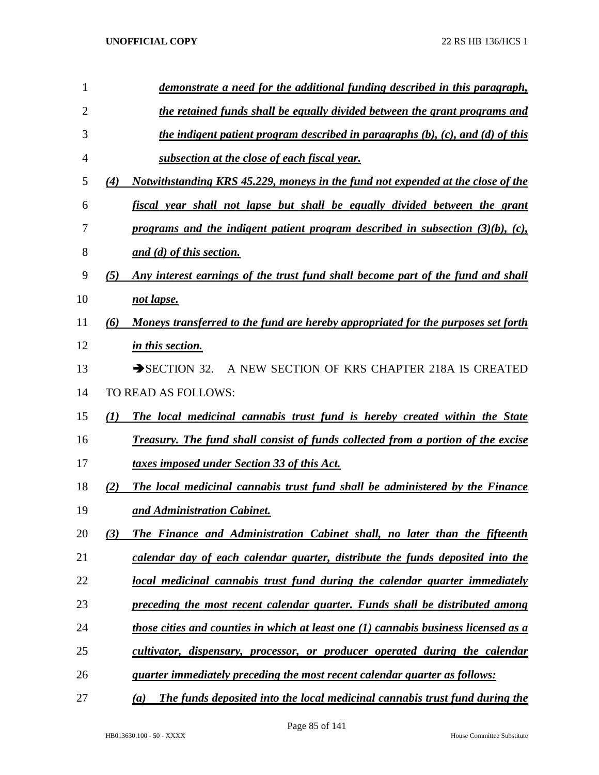| 1  | demonstrate a need for the additional funding described in this paragraph,                 |
|----|--------------------------------------------------------------------------------------------|
| 2  | the retained funds shall be equally divided between the grant programs and                 |
| 3  | the indigent patient program described in paragraphs $(b)$ , $(c)$ , and $(d)$ of this     |
| 4  | subsection at the close of each fiscal year.                                               |
| 5  | Notwithstanding KRS 45.229, moneys in the fund not expended at the close of the<br>(4)     |
| 6  | fiscal year shall not lapse but shall be equally divided between the grant                 |
| 7  | programs and the indigent patient program described in subsection $(3)(b)$ , $(c)$ ,       |
| 8  | and (d) of this section.                                                                   |
| 9  | (5)<br>Any interest earnings of the trust fund shall become part of the fund and shall     |
| 10 | not lapse.                                                                                 |
| 11 | Moneys transferred to the fund are hereby appropriated for the purposes set forth<br>(6)   |
| 12 | in this section.                                                                           |
| 13 | $\rightarrow$ SECTION 32.<br>A NEW SECTION OF KRS CHAPTER 218A IS CREATED                  |
| 14 | TO READ AS FOLLOWS:                                                                        |
| 15 | (I)<br>The local medicinal cannabis trust fund is hereby created within the State          |
| 16 | <b>Treasury. The fund shall consist of funds collected from a portion of the excise</b>    |
| 17 | taxes imposed under Section 33 of this Act.                                                |
| 18 | The local medicinal cannabis trust fund shall be administered by the Finance<br>(2)        |
| 19 | and Administration Cabinet.                                                                |
| 20 | The Finance and Administration Cabinet shall, no later than the fifteenth<br>(3)           |
| 21 | calendar day of each calendar quarter, distribute the funds deposited into the             |
| 22 | local medicinal cannabis trust fund during the calendar quarter immediately                |
| 23 | preceding the most recent calendar quarter. Funds shall be distributed among               |
| 24 | <u>those cities and counties in which at least one (1) cannabis business licensed as a</u> |
| 25 | <u>cultivator, dispensary, processor, or producer operated during the calendar</u>         |
| 26 | quarter immediately preceding the most recent calendar quarter as follows:                 |
| 27 | The funds deposited into the local medicinal cannabis trust fund during the<br>(a)         |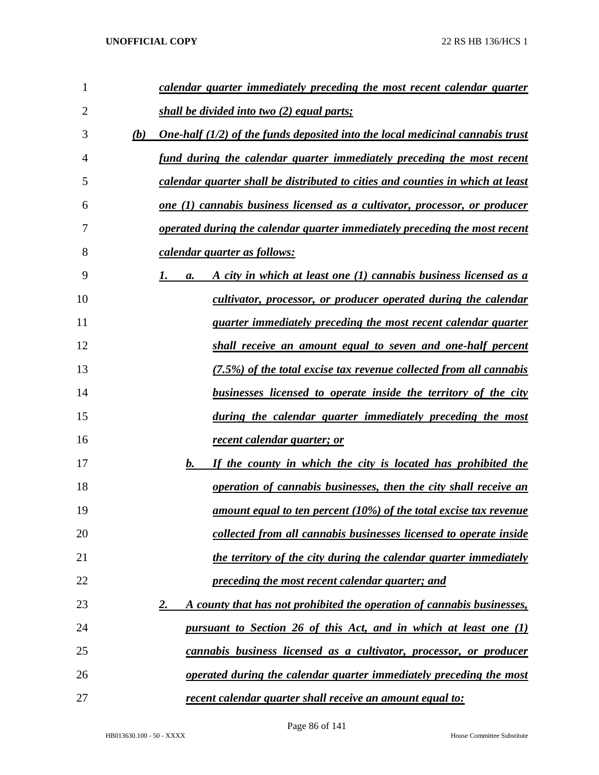| 1              | calendar quarter immediately preceding the most recent calendar quarter                     |
|----------------|---------------------------------------------------------------------------------------------|
| $\overline{2}$ | shall be divided into two (2) equal parts;                                                  |
| 3              | (b)<br><u>One-half (1/2) of the funds deposited into the local medicinal cannabis trust</u> |
| 4              | fund during the calendar quarter immediately preceding the most recent                      |
| 5              | calendar quarter shall be distributed to cities and counties in which at least              |
| 6              | <u>one (1) cannabis business licensed as a cultivator, processor, or producer</u>           |
| 7              | operated during the calendar quarter immediately preceding the most recent                  |
| 8              | calendar quarter as follows:                                                                |
| 9              | A city in which at least one (1) cannabis business licensed as a<br>а.                      |
| 10             | cultivator, processor, or producer operated during the calendar                             |
| 11             | <i>quarter immediately preceding the most recent calendar quarter</i>                       |
| 12             | shall receive an amount equal to seven and one-half percent                                 |
| 13             | (7.5%) of the total excise tax revenue collected from all cannabis                          |
| 14             | <u>businesses licensed to operate inside the territory of the city</u>                      |
| 15             | during the calendar quarter immediately preceding the most                                  |
| 16             | <u>recent calendar quarter; or</u>                                                          |
| 17             | b.<br>If the county in which the city is located has prohibited the                         |
| 18             | operation of cannabis businesses, then the city shall receive an                            |
| 19             | <u>amount equal to ten percent (10%) of the total excise tax revenue</u>                    |
| 20             | collected from all cannabis businesses licensed to operate inside                           |
| 21             | the territory of the city during the calendar quarter immediately                           |
| 22             | <u>preceding the most recent calendar quarter; and</u>                                      |
| 23             | A county that has not prohibited the operation of cannabis businesses,<br><u>2.</u>         |
| 24             | <u>pursuant to Section 26 of this Act, and in which at least one (1)</u>                    |
| 25             | <u>cannabis business licensed as a cultivator, processor, or producer</u>                   |
| 26             | operated during the calendar quarter immediately preceding the most                         |
| 27             | <u>recent calendar quarter shall receive an amount equal to:</u>                            |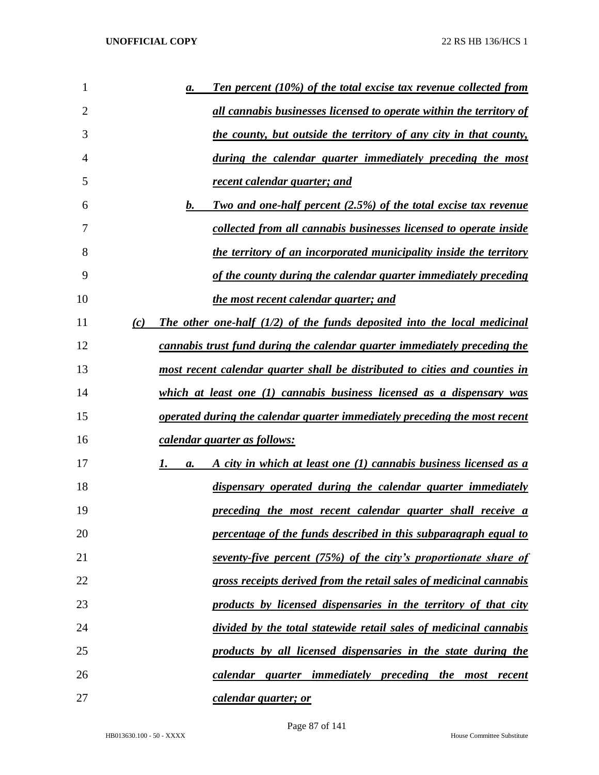| 1              |     | $\mathbf{a}$ . | <b>Ten percent (10%) of the total excise tax revenue collected from</b>     |
|----------------|-----|----------------|-----------------------------------------------------------------------------|
| $\overline{2}$ |     |                | <u>all cannabis businesses licensed to operate within the territory of</u>  |
| 3              |     |                | the county, but outside the territory of any city in that county,           |
| 4              |     |                | during the calendar quarter immediately preceding the most                  |
| 5              |     |                | <u>recent calendar quarter; and</u>                                         |
| 6              |     | b.             | <b>Two and one-half percent (2.5%) of the total excise tax revenue</b>      |
| 7              |     |                | collected from all cannabis businesses licensed to operate inside           |
| 8              |     |                | the territory of an incorporated municipality inside the territory          |
| 9              |     |                | of the county during the calendar quarter immediately preceding             |
| 10             |     |                | the most recent calendar quarter; and                                       |
| 11             | (c) |                | The other one-half $(1/2)$ of the funds deposited into the local medicinal  |
| 12             |     |                | cannabis trust fund during the calendar quarter immediately preceding the   |
| 13             |     |                | most recent calendar quarter shall be distributed to cities and counties in |
| 14             |     |                | $which$ at least one (1) cannabis business licensed as a dispensary was     |
| 15             |     |                | operated during the calendar quarter immediately preceding the most recent  |
| 16             |     |                | calendar quarter as follows:                                                |
| 17             |     | I.<br>a.       | A city in which at least one (1) cannabis business licensed as a            |
| 18             |     |                | dispensary operated during the calendar quarter immediately                 |
| 19             |     |                | preceding the most recent calendar quarter shall receive a                  |
| 20             |     |                | percentage of the funds described in this subparagraph equal to             |
| 21             |     |                | seventy-five percent (75%) of the city's proportionate share of             |
| 22             |     |                | gross receipts derived from the retail sales of medicinal cannabis          |
| 23             |     |                | products by licensed dispensaries in the territory of that city             |
| 24             |     |                | divided by the total statewide retail sales of medicinal cannabis           |
| 25             |     |                | products by all licensed dispensaries in the state during the               |
| 26             |     |                | calendar quarter immediately preceding the most recent                      |
| 27             |     |                | calendar quarter; or                                                        |

Page 87 of 141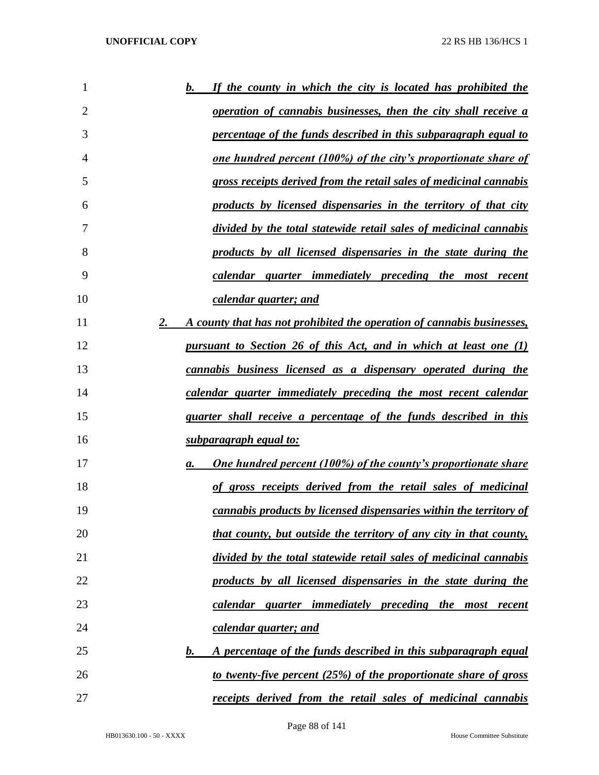| 1  | If the county in which the city is located has prohibited the<br>$\mathbf b$ . |
|----|--------------------------------------------------------------------------------|
| 2  | <u>operation of cannabis businesses, then the city shall receive a</u>         |
| 3  | percentage of the funds described in this subparagraph equal to                |
| 4  | <u>one hundred percent (100%) of the city's proportionate share of</u>         |
| 5  | gross receipts derived from the retail sales of medicinal cannabis             |
| 6  | products by licensed dispensaries in the territory of that city                |
| 7  | divided by the total statewide retail sales of medicinal cannabis              |
| 8  | products by all licensed dispensaries in the state during the                  |
| 9  | calendar quarter immediately preceding the most recent                         |
| 10 | calendar quarter; and                                                          |
| 11 | 2.<br>A county that has not prohibited the operation of cannabis businesses,   |
| 12 | <u>pursuant to Section 26 of this Act, and in which at least one (1)</u>       |
| 13 | <u>cannabis business licensed as a dispensary operated during the</u>          |
| 14 | calendar quarter immediately preceding the most recent calendar                |
| 15 | quarter shall receive a percentage of the funds described in this              |
| 16 | <u>subparagraph equal to:</u>                                                  |
| 17 | <b>One hundred percent (100%) of the county's proportionate share</b><br>а.    |
| 18 | of gross receipts derived from the retail sales of medicinal                   |
| 19 | cannabis products by licensed dispensaries within the territory of             |
| 20 | that county, but outside the territory of any city in that county,             |
| 21 | divided by the total statewide retail sales of medicinal cannabis              |
| 22 | products by all licensed dispensaries in the state during the                  |
| 23 | calendar quarter immediately preceding the most recent                         |
| 24 | calendar quarter; and                                                          |
| 25 | A percentage of the funds described in this subparagraph equal<br>b.           |
| 26 | to twenty-five percent (25%) of the proportionate share of gross               |
| 27 | <i>receipts derived from the retail sales of medicinal cannabis</i>            |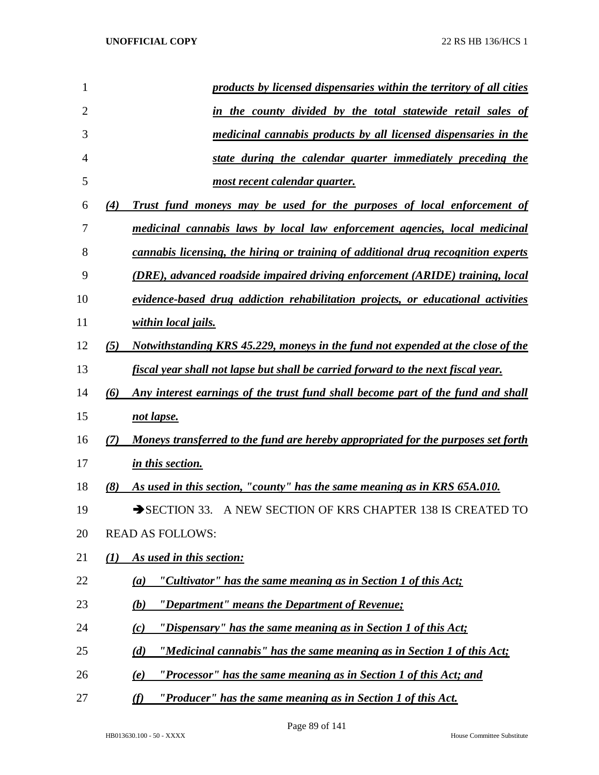| products by licensed dispensaries within the territory of all cities                          |
|-----------------------------------------------------------------------------------------------|
|                                                                                               |
| in the county divided by the total statewide retail sales of                                  |
| medicinal cannabis products by all licensed dispensaries in the                               |
| state during the calendar quarter immediately preceding the                                   |
| most recent calendar quarter.                                                                 |
| (4)<br>Trust fund moneys may be used for the purposes of local enforcement of                 |
| medicinal cannabis laws by local law enforcement agencies, local medicinal                    |
| <u>cannabis licensing, the hiring or training of additional drug recognition experts</u>      |
| <u>(DRE), advanced roadside impaired driving enforcement (ARIDE) training, local</u>          |
| evidence-based drug addiction rehabilitation projects, or educational activities              |
| <u>within local jails.</u>                                                                    |
| <u>Notwithstanding KRS 45.229, moneys in the fund not expended at the close of the</u><br>(5) |
| <u>fiscal year shall not lapse but shall be carried forward to the next fiscal year.</u>      |
| Any interest earnings of the trust fund shall become part of the fund and shall<br>(6)        |
| not lapse.                                                                                    |
| Moneys transferred to the fund are hereby appropriated for the purposes set forth<br>(7)      |
| in this section.                                                                              |
| (8)<br>As used in this section, "county" has the same meaning as in KRS 65A.010.              |
| A NEW SECTION OF KRS CHAPTER 138 IS CREATED TO<br>$\rightarrow$ SECTION 33.                   |
| <b>READ AS FOLLOWS:</b>                                                                       |
| (1)<br>As used in this section:                                                               |
| "Cultivator" has the same meaning as in Section 1 of this Act;<br>(a)                         |
| "Department" means the Department of Revenue;<br>(b)                                          |
| "Dispensary" has the same meaning as in Section 1 of this $Act;$<br>(c)                       |
| "Medicinal cannabis" has the same meaning as in Section 1 of this Act;<br>(d)                 |
| "Processor" has the same meaning as in Section 1 of this Act; and<br>(e)                      |
| "Producer" has the same meaning as in Section 1 of this Act.<br>(f)                           |
|                                                                                               |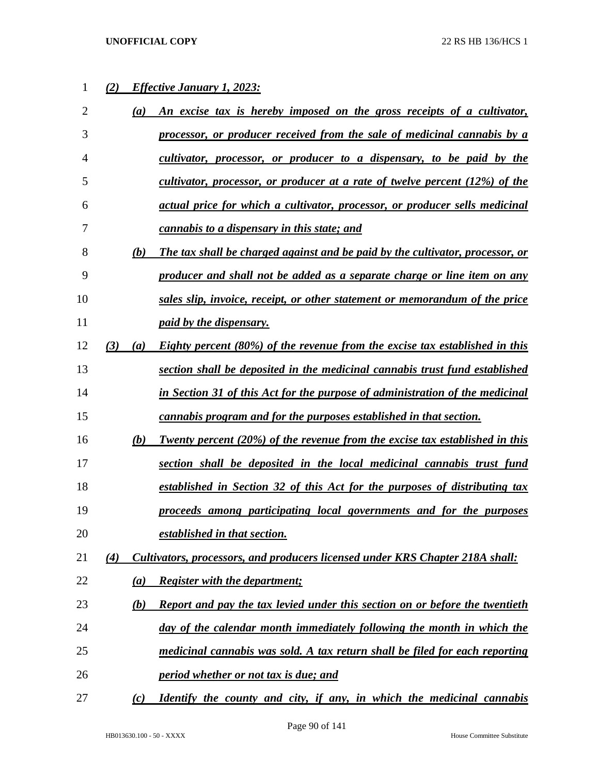# *(2) Effective January 1, 2023:*

| $\overline{2}$ |     | $\left(a\right)$ | An excise tax is hereby imposed on the gross receipts of a cultivator,             |
|----------------|-----|------------------|------------------------------------------------------------------------------------|
| 3              |     |                  | processor, or producer received from the sale of medicinal cannabis by a           |
| 4              |     |                  | cultivator, processor, or producer to a dispensary, to be paid by the              |
| 5              |     |                  | cultivator, processor, or producer at a rate of twelve percent (12%) of the        |
| 6              |     |                  | actual price for which a cultivator, processor, or producer sells medicinal        |
| 7              |     |                  | cannabis to a dispensary in this state; and                                        |
| 8              |     | (b)              | The tax shall be charged against and be paid by the cultivator, processor, or      |
| 9              |     |                  | producer and shall not be added as a separate charge or line item on any           |
| 10             |     |                  | sales slip, invoice, receipt, or other statement or memorandum of the price        |
| 11             |     |                  | paid by the dispensary.                                                            |
| 12             | (3) | $\left(a\right)$ | Eighty percent (80%) of the revenue from the excise tax established in this        |
| 13             |     |                  | section shall be deposited in the medicinal cannabis trust fund established        |
| 14             |     |                  | in Section 31 of this Act for the purpose of administration of the medicinal       |
| 15             |     |                  | cannabis program and for the purposes established in that section.                 |
| 16             |     | (b)              | <b>Twenty percent (20%) of the revenue from the excise tax established in this</b> |
| 17             |     |                  | section shall be deposited in the local medicinal cannabis trust fund              |
| 18             |     |                  | established in Section 32 of this Act for the purposes of distributing tax         |
| 19             |     |                  | proceeds among participating local governments and for the purposes                |
| 20             |     |                  | established in that section.                                                       |
| 21             | (4) |                  | Cultivators, processors, and producers licensed under KRS Chapter 218A shall:      |
| 22             |     | (a)              | <b>Register with the department;</b>                                               |
| 23             |     | (b)              | Report and pay the tax levied under this section on or before the twentieth        |
| 24             |     |                  | day of the calendar month immediately following the month in which the             |
| 25             |     |                  | medicinal cannabis was sold. A tax return shall be filed for each reporting        |
| 26             |     |                  | period whether or not tax is due; and                                              |
| 27             |     | (c)              | <u>Identify the county and city, if any, in which the medicinal cannabis</u>       |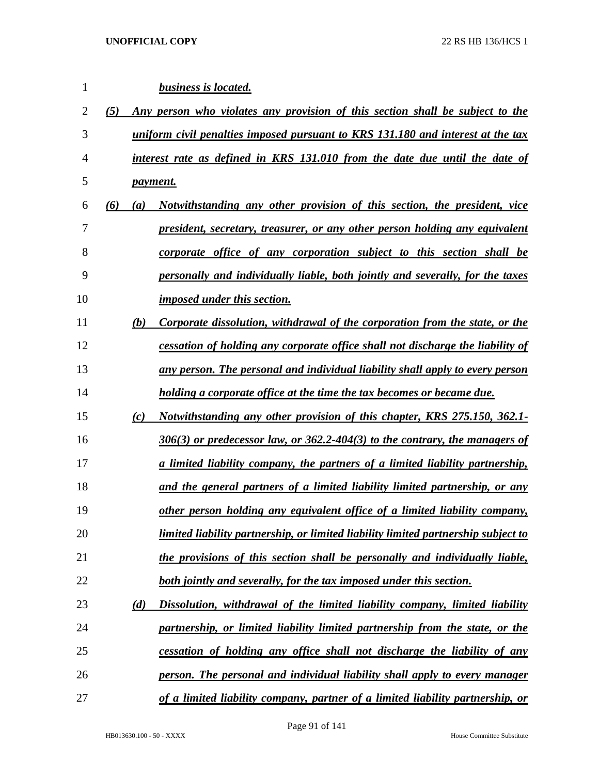| 1              |     |     | <b>business is located.</b>                                                          |
|----------------|-----|-----|--------------------------------------------------------------------------------------|
| $\overline{2}$ | (5) |     | Any person who violates any provision of this section shall be subject to the        |
| 3              |     |     | uniform civil penalties imposed pursuant to KRS 131.180 and interest at the tax      |
| 4              |     |     | interest rate as defined in KRS 131.010 from the date due until the date of          |
| 5              |     |     | <i>payment.</i>                                                                      |
| 6              | (6) | (a) | Notwithstanding any other provision of this section, the president, vice             |
| 7              |     |     | <u>president, secretary, treasurer, or any other person holding any equivalent</u>   |
| 8              |     |     | corporate office of any corporation subject to this section shall be                 |
| 9              |     |     | personally and individually liable, both jointly and severally, for the taxes        |
| 10             |     |     | imposed under this section.                                                          |
| 11             |     | (b) | Corporate dissolution, withdrawal of the corporation from the state, or the          |
| 12             |     |     | cessation of holding any corporate office shall not discharge the liability of       |
| 13             |     |     | any person. The personal and individual liability shall apply to every person        |
| 14             |     |     | holding a corporate office at the time the tax becomes or became due.                |
| 15             |     | (c) | <i>Notwithstanding any other provision of this chapter, KRS 275.150, 362.1-</i>      |
| 16             |     |     | $306(3)$ or predecessor law, or $362.2 - 404(3)$ to the contrary, the managers of    |
| 17             |     |     | <u>a limited liability company, the partners of a limited liability partnership,</u> |
| 18             |     |     | and the general partners of a limited liability limited partnership, or any          |
| 19             |     |     | other person holding any equivalent office of a limited liability company,           |
| 20             |     |     | limited liability partnership, or limited liability limited partnership subject to   |
| 21             |     |     | the provisions of this section shall be personally and individually liable,          |
| 22             |     |     | <u>both jointly and severally, for the tax imposed under this section.</u>           |
| 23             |     | (d) | Dissolution, withdrawal of the limited liability company, limited liability          |
| 24             |     |     | partnership, or limited liability limited partnership from the state, or the         |
| 25             |     |     | cessation of holding any office shall not discharge the liability of any             |
| 26             |     |     | <u>person. The personal and individual liability shall apply to every manager</u>    |
| 27             |     |     | of a limited liability company, partner of a limited liability partnership, or       |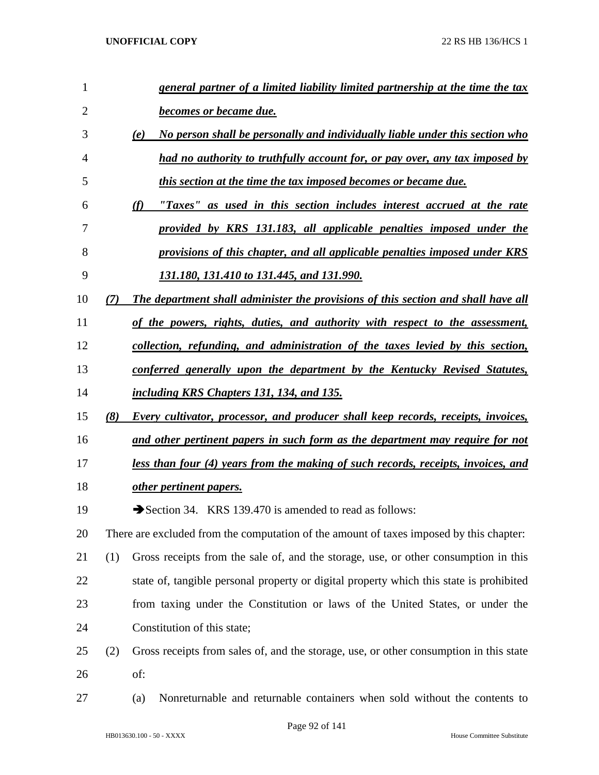| 1              |     | general partner of a limited liability limited partnership at the time the tax           |
|----------------|-----|------------------------------------------------------------------------------------------|
| $\overline{2}$ |     | <b>becomes or became due.</b>                                                            |
| 3              |     | No person shall be personally and individually liable under this section who<br>(e)      |
| 4              |     | had no authority to truthfully account for, or pay over, any tax imposed by              |
| 5              |     | this section at the time the tax imposed becomes or became due.                          |
| 6              |     | "Taxes" as used in this section includes interest accrued at the rate<br>(f)             |
| 7              |     | provided by KRS 131.183, all applicable penalties imposed under the                      |
| 8              |     | provisions of this chapter, and all applicable penalties imposed under KRS               |
| 9              |     | 131.180, 131.410 to 131.445, and 131.990.                                                |
| 10             |     | The department shall administer the provisions of this section and shall have all        |
| 11             |     | of the powers, rights, duties, and authority with respect to the assessment,             |
| 12             |     | collection, refunding, and administration of the taxes levied by this section,           |
| 13             |     | conferred generally upon the department by the Kentucky Revised Statutes,                |
| 14             |     | including KRS Chapters 131, 134, and 135.                                                |
| 15             | (8) | Every cultivator, processor, and producer shall keep records, receipts, invoices,        |
| 16             |     | and other pertinent papers in such form as the department may require for not            |
| 17             |     | <u>less than four (4) years from the making of such records, receipts, invoices, and</u> |
| 18             |     | other pertinent papers.                                                                  |
| 19             |     | Section 34. KRS 139.470 is amended to read as follows:                                   |
| 20             |     | There are excluded from the computation of the amount of taxes imposed by this chapter:  |
| 21             | (1) | Gross receipts from the sale of, and the storage, use, or other consumption in this      |
| 22             |     | state of, tangible personal property or digital property which this state is prohibited  |
| 23             |     | from taxing under the Constitution or laws of the United States, or under the            |
| 24             |     | Constitution of this state;                                                              |
| 25             | (2) | Gross receipts from sales of, and the storage, use, or other consumption in this state   |
| 26             |     | of:                                                                                      |
| 27             |     | Nonreturnable and returnable containers when sold without the contents to<br>(a)         |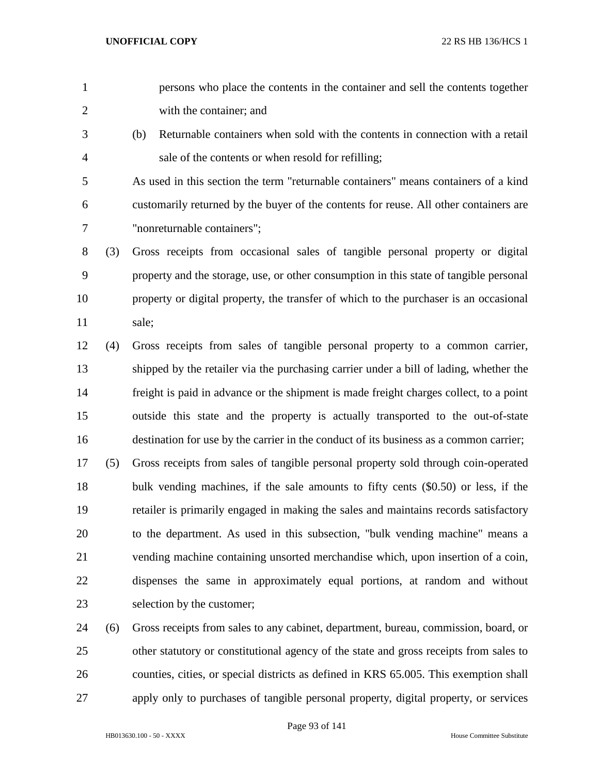- persons who place the contents in the container and sell the contents together with the container; and
- (b) Returnable containers when sold with the contents in connection with a retail sale of the contents or when resold for refilling;

 As used in this section the term "returnable containers" means containers of a kind customarily returned by the buyer of the contents for reuse. All other containers are "nonreturnable containers";

 (3) Gross receipts from occasional sales of tangible personal property or digital property and the storage, use, or other consumption in this state of tangible personal property or digital property, the transfer of which to the purchaser is an occasional sale;

 (4) Gross receipts from sales of tangible personal property to a common carrier, shipped by the retailer via the purchasing carrier under a bill of lading, whether the freight is paid in advance or the shipment is made freight charges collect, to a point outside this state and the property is actually transported to the out-of-state destination for use by the carrier in the conduct of its business as a common carrier;

 (5) Gross receipts from sales of tangible personal property sold through coin-operated bulk vending machines, if the sale amounts to fifty cents (\$0.50) or less, if the retailer is primarily engaged in making the sales and maintains records satisfactory to the department. As used in this subsection, "bulk vending machine" means a vending machine containing unsorted merchandise which, upon insertion of a coin, dispenses the same in approximately equal portions, at random and without selection by the customer;

 (6) Gross receipts from sales to any cabinet, department, bureau, commission, board, or other statutory or constitutional agency of the state and gross receipts from sales to counties, cities, or special districts as defined in KRS 65.005. This exemption shall apply only to purchases of tangible personal property, digital property, or services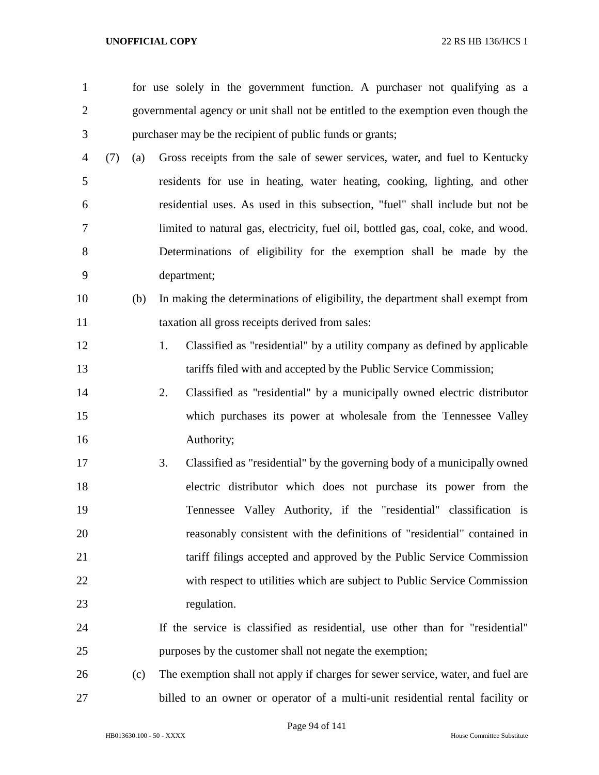for use solely in the government function. A purchaser not qualifying as a governmental agency or unit shall not be entitled to the exemption even though the purchaser may be the recipient of public funds or grants; (7) (a) Gross receipts from the sale of sewer services, water, and fuel to Kentucky residents for use in heating, water heating, cooking, lighting, and other residential uses. As used in this subsection, "fuel" shall include but not be limited to natural gas, electricity, fuel oil, bottled gas, coal, coke, and wood. Determinations of eligibility for the exemption shall be made by the department; (b) In making the determinations of eligibility, the department shall exempt from taxation all gross receipts derived from sales: 1. Classified as "residential" by a utility company as defined by applicable tariffs filed with and accepted by the Public Service Commission; 2. Classified as "residential" by a municipally owned electric distributor which purchases its power at wholesale from the Tennessee Valley Authority; 3. Classified as "residential" by the governing body of a municipally owned electric distributor which does not purchase its power from the Tennessee Valley Authority, if the "residential" classification is reasonably consistent with the definitions of "residential" contained in tariff filings accepted and approved by the Public Service Commission with respect to utilities which are subject to Public Service Commission regulation. If the service is classified as residential, use other than for "residential" purposes by the customer shall not negate the exemption; (c) The exemption shall not apply if charges for sewer service, water, and fuel are billed to an owner or operator of a multi-unit residential rental facility or

Page 94 of 141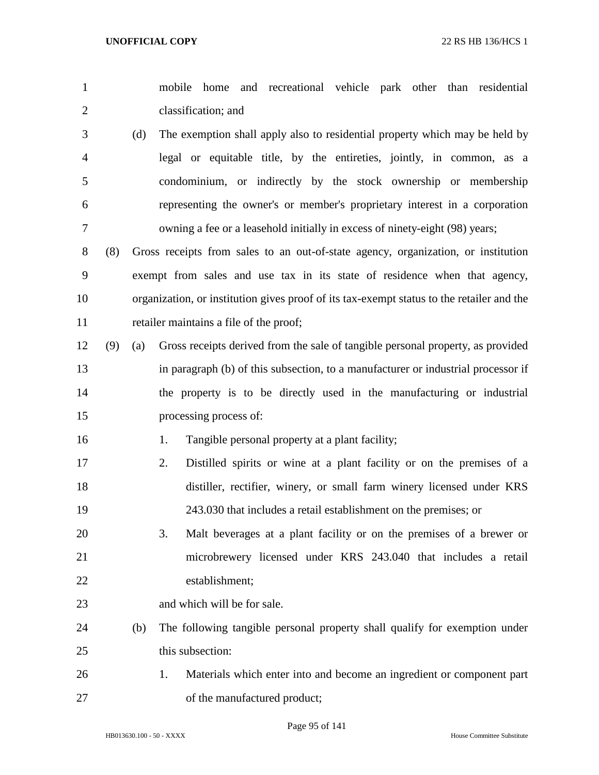| $\overline{2}$ |     |     | classification; and                                                                       |
|----------------|-----|-----|-------------------------------------------------------------------------------------------|
| 3              |     | (d) | The exemption shall apply also to residential property which may be held by               |
| 4              |     |     | legal or equitable title, by the entireties, jointly, in common, as a                     |
| 5              |     |     | condominium, or indirectly by the stock ownership or membership                           |
| 6              |     |     | representing the owner's or member's proprietary interest in a corporation                |
| 7              |     |     | owning a fee or a leasehold initially in excess of ninety-eight (98) years;               |
| 8              | (8) |     | Gross receipts from sales to an out-of-state agency, organization, or institution         |
| 9              |     |     | exempt from sales and use tax in its state of residence when that agency,                 |
| 10             |     |     | organization, or institution gives proof of its tax-exempt status to the retailer and the |
| 11             |     |     | retailer maintains a file of the proof;                                                   |
| 12             | (9) | (a) | Gross receipts derived from the sale of tangible personal property, as provided           |
| 13             |     |     | in paragraph (b) of this subsection, to a manufacturer or industrial processor if         |
| 14             |     |     | the property is to be directly used in the manufacturing or industrial                    |
| 15             |     |     | processing process of:                                                                    |
| 16             |     |     | Tangible personal property at a plant facility;<br>1.                                     |
| 17             |     |     | 2.<br>Distilled spirits or wine at a plant facility or on the premises of a               |
| 18             |     |     | distiller, rectifier, winery, or small farm winery licensed under KRS                     |
| 19             |     |     | 243.030 that includes a retail establishment on the premises; or                          |
| 20             |     |     | 3.<br>Malt beverages at a plant facility or on the premises of a brewer or                |
| 21             |     |     | microbrewery licensed under KRS 243.040 that includes a retail                            |
| 22             |     |     | establishment;                                                                            |
| 23             |     |     | and which will be for sale.                                                               |
| 24             |     | (b) | The following tangible personal property shall qualify for exemption under                |
| 25             |     |     | this subsection:                                                                          |
| 26             |     |     | Materials which enter into and become an ingredient or component part<br>1.               |
| 27             |     |     | of the manufactured product;                                                              |
|                |     |     |                                                                                           |

mobile home and recreational vehicle park other than residential

Page 95 of 141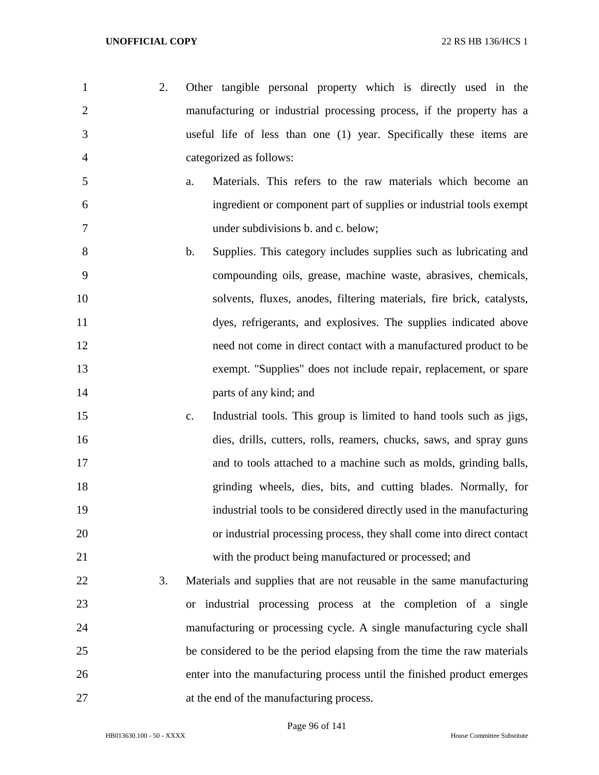- 2. Other tangible personal property which is directly used in the manufacturing or industrial processing process, if the property has a useful life of less than one (1) year. Specifically these items are categorized as follows:
- a. Materials. This refers to the raw materials which become an ingredient or component part of supplies or industrial tools exempt under subdivisions b. and c. below;
- b. Supplies. This category includes supplies such as lubricating and compounding oils, grease, machine waste, abrasives, chemicals, solvents, fluxes, anodes, filtering materials, fire brick, catalysts, dyes, refrigerants, and explosives. The supplies indicated above need not come in direct contact with a manufactured product to be exempt. "Supplies" does not include repair, replacement, or spare **parts of any kind; and**
- c. Industrial tools. This group is limited to hand tools such as jigs, dies, drills, cutters, rolls, reamers, chucks, saws, and spray guns and to tools attached to a machine such as molds, grinding balls, grinding wheels, dies, bits, and cutting blades. Normally, for industrial tools to be considered directly used in the manufacturing or industrial processing process, they shall come into direct contact with the product being manufactured or processed; and
- 3. Materials and supplies that are not reusable in the same manufacturing or industrial processing process at the completion of a single manufacturing or processing cycle. A single manufacturing cycle shall be considered to be the period elapsing from the time the raw materials enter into the manufacturing process until the finished product emerges at the end of the manufacturing process.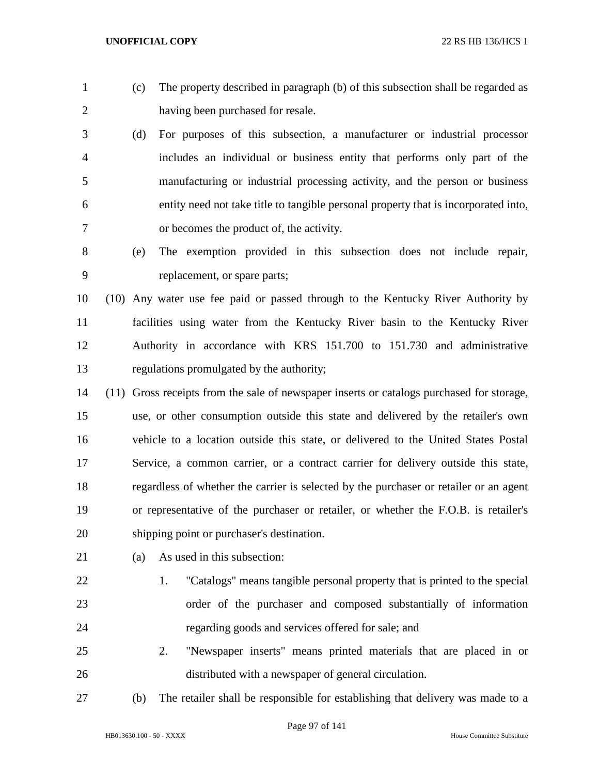- 
- (c) The property described in paragraph (b) of this subsection shall be regarded as having been purchased for resale.
- (d) For purposes of this subsection, a manufacturer or industrial processor includes an individual or business entity that performs only part of the manufacturing or industrial processing activity, and the person or business entity need not take title to tangible personal property that is incorporated into, or becomes the product of, the activity.
- (e) The exemption provided in this subsection does not include repair, replacement, or spare parts;
- (10) Any water use fee paid or passed through to the Kentucky River Authority by facilities using water from the Kentucky River basin to the Kentucky River Authority in accordance with KRS 151.700 to 151.730 and administrative regulations promulgated by the authority;
- (11) Gross receipts from the sale of newspaper inserts or catalogs purchased for storage, use, or other consumption outside this state and delivered by the retailer's own vehicle to a location outside this state, or delivered to the United States Postal Service, a common carrier, or a contract carrier for delivery outside this state, regardless of whether the carrier is selected by the purchaser or retailer or an agent or representative of the purchaser or retailer, or whether the F.O.B. is retailer's shipping point or purchaser's destination.
- (a) As used in this subsection:
- 1. "Catalogs" means tangible personal property that is printed to the special order of the purchaser and composed substantially of information regarding goods and services offered for sale; and
	- 2. "Newspaper inserts" means printed materials that are placed in or distributed with a newspaper of general circulation.
	-

(b) The retailer shall be responsible for establishing that delivery was made to a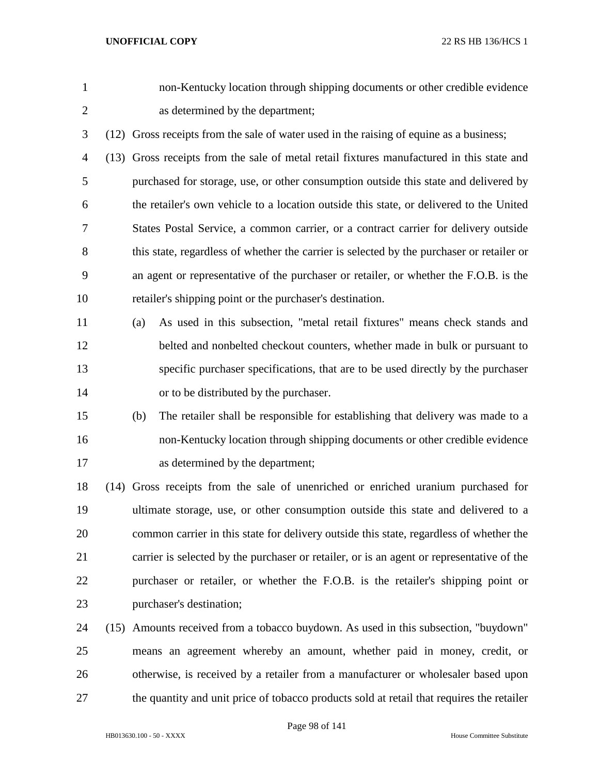non-Kentucky location through shipping documents or other credible evidence as determined by the department;

(12) Gross receipts from the sale of water used in the raising of equine as a business;

 (13) Gross receipts from the sale of metal retail fixtures manufactured in this state and purchased for storage, use, or other consumption outside this state and delivered by the retailer's own vehicle to a location outside this state, or delivered to the United States Postal Service, a common carrier, or a contract carrier for delivery outside this state, regardless of whether the carrier is selected by the purchaser or retailer or an agent or representative of the purchaser or retailer, or whether the F.O.B. is the retailer's shipping point or the purchaser's destination.

- (a) As used in this subsection, "metal retail fixtures" means check stands and belted and nonbelted checkout counters, whether made in bulk or pursuant to specific purchaser specifications, that are to be used directly by the purchaser or to be distributed by the purchaser.
- (b) The retailer shall be responsible for establishing that delivery was made to a non-Kentucky location through shipping documents or other credible evidence as determined by the department;

 (14) Gross receipts from the sale of unenriched or enriched uranium purchased for ultimate storage, use, or other consumption outside this state and delivered to a common carrier in this state for delivery outside this state, regardless of whether the carrier is selected by the purchaser or retailer, or is an agent or representative of the purchaser or retailer, or whether the F.O.B. is the retailer's shipping point or purchaser's destination;

 (15) Amounts received from a tobacco buydown. As used in this subsection, "buydown" means an agreement whereby an amount, whether paid in money, credit, or otherwise, is received by a retailer from a manufacturer or wholesaler based upon the quantity and unit price of tobacco products sold at retail that requires the retailer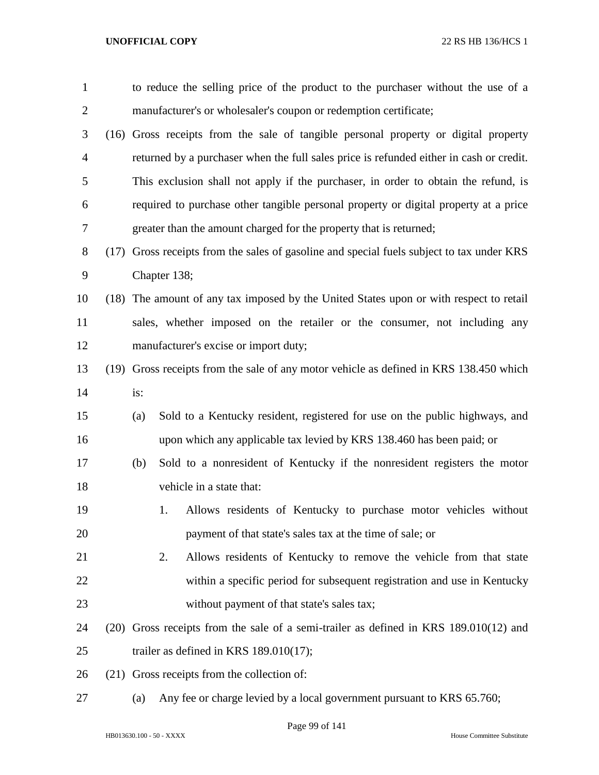| $\mathbf{1}$   | to reduce the selling price of the product to the purchaser without the use of a          |
|----------------|-------------------------------------------------------------------------------------------|
| $\overline{2}$ | manufacturer's or wholesaler's coupon or redemption certificate;                          |
| 3              | (16) Gross receipts from the sale of tangible personal property or digital property       |
| $\overline{4}$ | returned by a purchaser when the full sales price is refunded either in cash or credit.   |
| 5              | This exclusion shall not apply if the purchaser, in order to obtain the refund, is        |
| 6              | required to purchase other tangible personal property or digital property at a price      |
| 7              | greater than the amount charged for the property that is returned;                        |
| $8\,$          | (17) Gross receipts from the sales of gasoline and special fuels subject to tax under KRS |
| 9              | Chapter 138;                                                                              |
| 10             | (18) The amount of any tax imposed by the United States upon or with respect to retail    |
| 11             | sales, whether imposed on the retailer or the consumer, not including any                 |
| 12             | manufacturer's excise or import duty;                                                     |
| 13             | (19) Gross receipts from the sale of any motor vehicle as defined in KRS 138.450 which    |
| 14             | is:                                                                                       |
| 15             | Sold to a Kentucky resident, registered for use on the public highways, and<br>(a)        |
| 16             | upon which any applicable tax levied by KRS 138.460 has been paid; or                     |
| 17             | Sold to a nonresident of Kentucky if the nonresident registers the motor<br>(b)           |
| 18             | vehicle in a state that:                                                                  |
| 19             | Allows residents of Kentucky to purchase motor vehicles without<br>1.                     |
| 20             | payment of that state's sales tax at the time of sale; or                                 |
| 21             | 2.<br>Allows residents of Kentucky to remove the vehicle from that state                  |
| 22             | within a specific period for subsequent registration and use in Kentucky                  |
| 23             | without payment of that state's sales tax;                                                |
| 24             | (20) Gross receipts from the sale of a semi-trailer as defined in KRS 189.010(12) and     |
| 25             | trailer as defined in KRS $189.010(17)$ ;                                                 |
| 26             | (21) Gross receipts from the collection of:                                               |
| 27             | Any fee or charge levied by a local government pursuant to KRS 65.760;<br>(a)             |

Page 99 of 141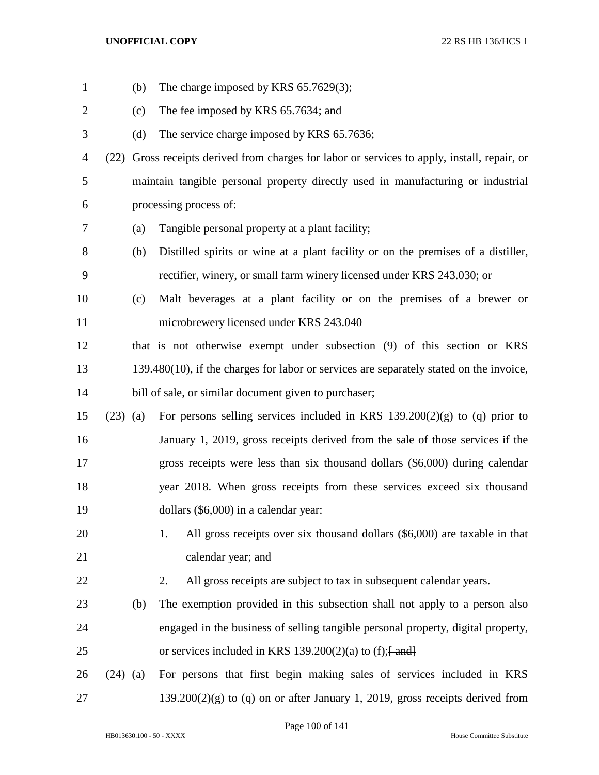| $\mathbf{1}$   |            | (b) | The charge imposed by KRS $65.7629(3)$ ;                                                |
|----------------|------------|-----|-----------------------------------------------------------------------------------------|
| $\overline{2}$ |            | (c) | The fee imposed by KRS 65.7634; and                                                     |
| 3              |            | (d) | The service charge imposed by KRS 65.7636;                                              |
| $\overline{4}$ | (22)       |     | Gross receipts derived from charges for labor or services to apply, install, repair, or |
| 5              |            |     | maintain tangible personal property directly used in manufacturing or industrial        |
| 6              |            |     | processing process of:                                                                  |
| 7              |            | (a) | Tangible personal property at a plant facility;                                         |
| 8              |            | (b) | Distilled spirits or wine at a plant facility or on the premises of a distiller,        |
| 9              |            |     | rectifier, winery, or small farm winery licensed under KRS 243.030; or                  |
| 10             |            | (c) | Malt beverages at a plant facility or on the premises of a brewer or                    |
| 11             |            |     | microbrewery licensed under KRS 243.040                                                 |
| 12             |            |     | that is not otherwise exempt under subsection (9) of this section or KRS                |
| 13             |            |     | 139.480(10), if the charges for labor or services are separately stated on the invoice, |
| 14             |            |     | bill of sale, or similar document given to purchaser;                                   |
| 15             | $(23)$ (a) |     | For persons selling services included in KRS $139.200(2)(g)$ to (q) prior to            |
| 16             |            |     | January 1, 2019, gross receipts derived from the sale of those services if the          |
| 17             |            |     | gross receipts were less than six thousand dollars (\$6,000) during calendar            |
| 18             |            |     | year 2018. When gross receipts from these services exceed six thousand                  |
| 19             |            |     | dollars (\$6,000) in a calendar year:                                                   |
| 20             |            |     | All gross receipts over six thousand dollars (\$6,000) are taxable in that<br>1.        |
| 21             |            |     | calendar year; and                                                                      |
| 22             |            |     | All gross receipts are subject to tax in subsequent calendar years.<br>2.               |
| 23             |            | (b) | The exemption provided in this subsection shall not apply to a person also              |
| 24             |            |     | engaged in the business of selling tangible personal property, digital property,        |
| 25             |            |     | or services included in KRS 139.200(2)(a) to (f); $\frac{1}{2}$ and $\frac{1}{2}$       |
| 26             | $(24)$ (a) |     | For persons that first begin making sales of services included in KRS                   |
| 27             |            |     | $139.200(2)(g)$ to (q) on or after January 1, 2019, gross receipts derived from         |

Page 100 of 141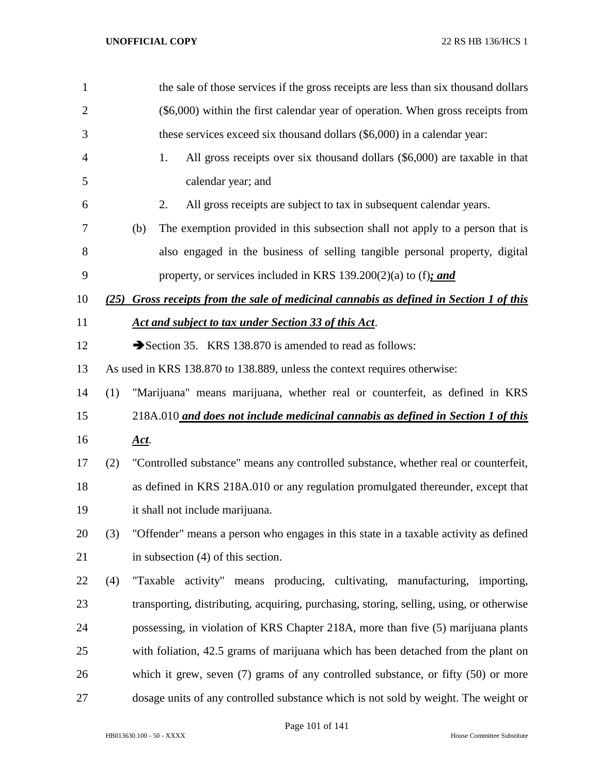| $\mathbf{1}$   |     |      | the sale of those services if the gross receipts are less than six thousand dollars      |
|----------------|-----|------|------------------------------------------------------------------------------------------|
| $\overline{2}$ |     |      | (\$6,000) within the first calendar year of operation. When gross receipts from          |
| 3              |     |      | these services exceed six thousand dollars (\$6,000) in a calendar year:                 |
| $\overline{4}$ |     | 1.   | All gross receipts over six thousand dollars (\$6,000) are taxable in that               |
| 5              |     |      | calendar year; and                                                                       |
| 6              |     | 2.   | All gross receipts are subject to tax in subsequent calendar years.                      |
| 7              |     | (b)  | The exemption provided in this subsection shall not apply to a person that is            |
| 8              |     |      | also engaged in the business of selling tangible personal property, digital              |
| 9              |     |      | property, or services included in KRS 139.200(2)(a) to (f); and                          |
| 10             |     |      | (25) Gross receipts from the sale of medicinal cannabis as defined in Section 1 of this  |
| 11             |     |      | Act and subject to tax under Section 33 of this Act.                                     |
| 12             |     |      | Section 35. KRS 138.870 is amended to read as follows:                                   |
| 13             |     |      | As used in KRS 138.870 to 138.889, unless the context requires otherwise:                |
| 14             | (1) |      | "Marijuana" means marijuana, whether real or counterfeit, as defined in KRS              |
| 15             |     |      | 218A.010 and does not include medicinal cannabis as defined in Section 1 of this         |
| 16             |     | Act. |                                                                                          |
| 17             | (2) |      | "Controlled substance" means any controlled substance, whether real or counterfeit,      |
| 18             |     |      | as defined in KRS 218A.010 or any regulation promulgated thereunder, except that         |
| 19             |     |      | it shall not include marijuana.                                                          |
| 20             | (3) |      | "Offender" means a person who engages in this state in a taxable activity as defined     |
| 21             |     |      | in subsection $(4)$ of this section.                                                     |
| 22             | (4) |      | "Taxable activity" means producing, cultivating, manufacturing, importing,               |
| 23             |     |      | transporting, distributing, acquiring, purchasing, storing, selling, using, or otherwise |
| 24             |     |      | possessing, in violation of KRS Chapter 218A, more than five (5) marijuana plants        |
| 25             |     |      | with foliation, 42.5 grams of marijuana which has been detached from the plant on        |
| 26             |     |      | which it grew, seven $(7)$ grams of any controlled substance, or fifty $(50)$ or more    |
| 27             |     |      | dosage units of any controlled substance which is not sold by weight. The weight or      |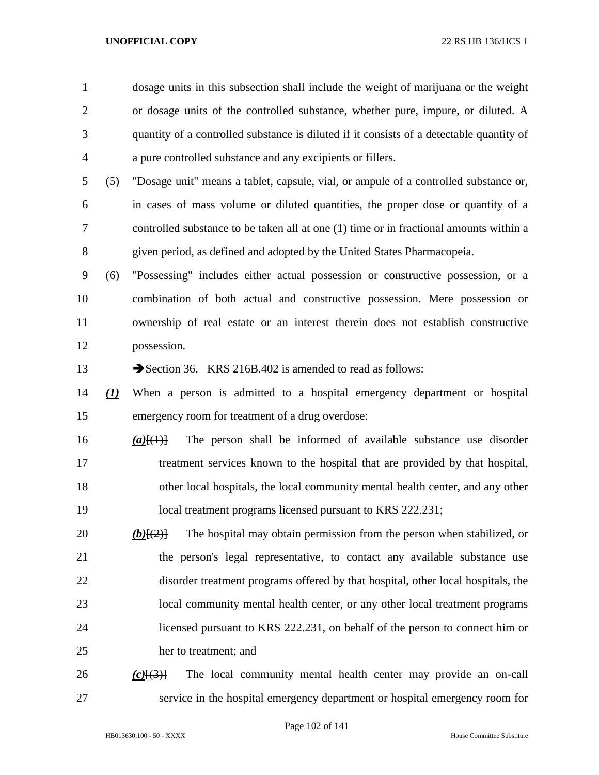dosage units in this subsection shall include the weight of marijuana or the weight or dosage units of the controlled substance, whether pure, impure, or diluted. A quantity of a controlled substance is diluted if it consists of a detectable quantity of a pure controlled substance and any excipients or fillers.

 (5) "Dosage unit" means a tablet, capsule, vial, or ampule of a controlled substance or, in cases of mass volume or diluted quantities, the proper dose or quantity of a controlled substance to be taken all at one (1) time or in fractional amounts within a given period, as defined and adopted by the United States Pharmacopeia.

 (6) "Possessing" includes either actual possession or constructive possession, or a combination of both actual and constructive possession. Mere possession or ownership of real estate or an interest therein does not establish constructive possession.

13 Section 36. KRS 216B.402 is amended to read as follows:

- *(1)* When a person is admitted to a hospital emergency department or hospital emergency room for treatment of a drug overdose:
- *(a)*[(1)] The person shall be informed of available substance use disorder treatment services known to the hospital that are provided by that hospital, other local hospitals, the local community mental health center, and any other local treatment programs licensed pursuant to KRS 222.231;
- *(b)*[(2)] The hospital may obtain permission from the person when stabilized, or the person's legal representative, to contact any available substance use disorder treatment programs offered by that hospital, other local hospitals, the local community mental health center, or any other local treatment programs licensed pursuant to KRS 222.231, on behalf of the person to connect him or her to treatment; and
- *(c)*[(3)] The local community mental health center may provide an on-call service in the hospital emergency department or hospital emergency room for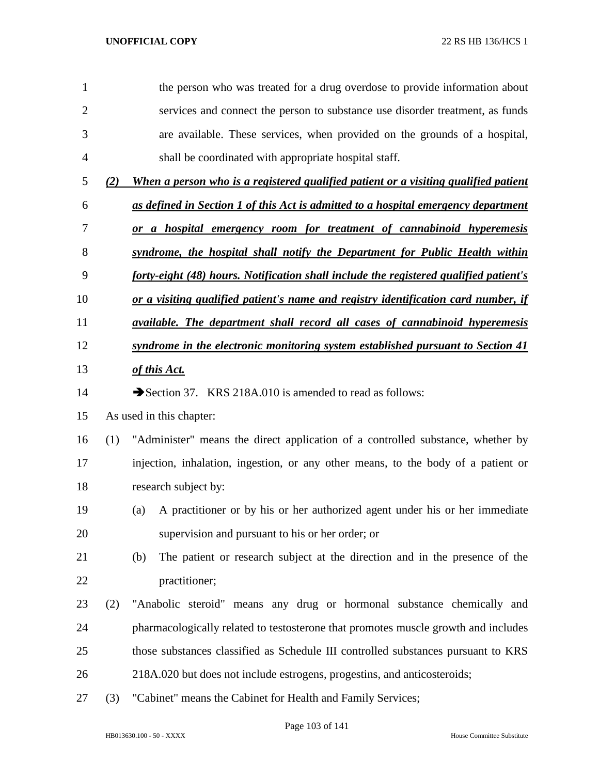| $\mathbf{1}$   |     | the person who was treated for a drug overdose to provide information about           |  |  |  |
|----------------|-----|---------------------------------------------------------------------------------------|--|--|--|
| $\overline{2}$ |     | services and connect the person to substance use disorder treatment, as funds         |  |  |  |
| 3              |     | are available. These services, when provided on the grounds of a hospital,            |  |  |  |
| 4              |     | shall be coordinated with appropriate hospital staff.                                 |  |  |  |
| 5              | (2) | When a person who is a registered qualified patient or a visiting qualified patient   |  |  |  |
| 6              |     | as defined in Section 1 of this Act is admitted to a hospital emergency department    |  |  |  |
| 7              |     | or a hospital emergency room for treatment of cannabinoid hyperemesis                 |  |  |  |
| 8              |     | syndrome, the hospital shall notify the Department for Public Health within           |  |  |  |
| 9              |     | forty-eight (48) hours. Notification shall include the registered qualified patient's |  |  |  |
| 10             |     | or a visiting qualified patient's name and registry identification card number, if    |  |  |  |
| 11             |     | <i>available. The department shall record all cases of cannabinoid hyperemesis</i>    |  |  |  |
| 12             |     | syndrome in the electronic monitoring system established pursuant to Section 41       |  |  |  |
| 13             |     | of this Act.                                                                          |  |  |  |
| 14             |     | Section 37. KRS 218A.010 is amended to read as follows:                               |  |  |  |
| 15             |     | As used in this chapter:                                                              |  |  |  |
| 16             | (1) | "Administer" means the direct application of a controlled substance, whether by       |  |  |  |
| 17             |     | injection, inhalation, ingestion, or any other means, to the body of a patient or     |  |  |  |
| 18             |     | research subject by:                                                                  |  |  |  |
| 19             |     | A practitioner or by his or her authorized agent under his or her immediate<br>(a)    |  |  |  |
| 20             |     | supervision and pursuant to his or her order; or                                      |  |  |  |
| 21             |     | (b)<br>The patient or research subject at the direction and in the presence of the    |  |  |  |
| 22             |     | practitioner;                                                                         |  |  |  |
| 23             | (2) | "Anabolic steroid" means any drug or hormonal substance chemically and                |  |  |  |
| 24             |     | pharmacologically related to testosterone that promotes muscle growth and includes    |  |  |  |
| 25             |     | those substances classified as Schedule III controlled substances pursuant to KRS     |  |  |  |
| 26             |     | 218A.020 but does not include estrogens, progestins, and anticosteroids;              |  |  |  |
|                |     |                                                                                       |  |  |  |

(3) "Cabinet" means the Cabinet for Health and Family Services;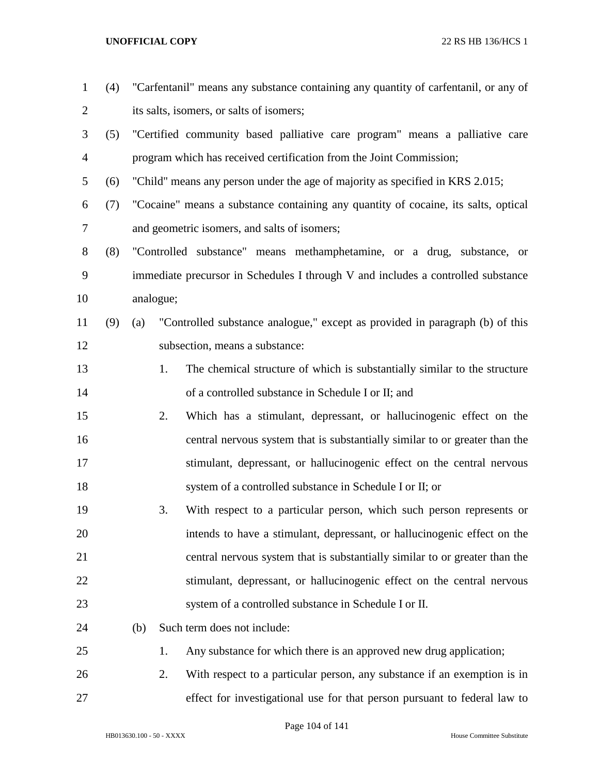| $\mathbf{1}$   | (4) |     |           | "Carfentanil" means any substance containing any quantity of carfentanil, or any of |
|----------------|-----|-----|-----------|-------------------------------------------------------------------------------------|
| $\overline{2}$ |     |     |           | its salts, isomers, or salts of isomers;                                            |
| 3              | (5) |     |           | "Certified community based palliative care program" means a palliative care         |
| $\overline{4}$ |     |     |           | program which has received certification from the Joint Commission;                 |
| 5              | (6) |     |           | "Child" means any person under the age of majority as specified in KRS 2.015;       |
| 6              | (7) |     |           | "Cocaine" means a substance containing any quantity of cocaine, its salts, optical  |
| 7              |     |     |           | and geometric isomers, and salts of isomers;                                        |
| 8              | (8) |     |           | "Controlled substance" means methamphetamine, or a drug, substance, or              |
| 9              |     |     |           | immediate precursor in Schedules I through V and includes a controlled substance    |
| 10             |     |     | analogue; |                                                                                     |
| 11             | (9) | (a) |           | "Controlled substance analogue," except as provided in paragraph (b) of this        |
| 12             |     |     |           | subsection, means a substance:                                                      |
| 13             |     |     | 1.        | The chemical structure of which is substantially similar to the structure           |
| 14             |     |     |           | of a controlled substance in Schedule I or II; and                                  |
| 15             |     |     | 2.        | Which has a stimulant, depressant, or hallucinogenic effect on the                  |
| 16             |     |     |           | central nervous system that is substantially similar to or greater than the         |
| 17             |     |     |           | stimulant, depressant, or hallucinogenic effect on the central nervous              |
| 18             |     |     |           | system of a controlled substance in Schedule I or II; or                            |
| 19             |     |     | 3.        | With respect to a particular person, which such person represents or                |
| 20             |     |     |           | intends to have a stimulant, depressant, or hallucinogenic effect on the            |
| 21             |     |     |           | central nervous system that is substantially similar to or greater than the         |
| 22             |     |     |           | stimulant, depressant, or hallucinogenic effect on the central nervous              |
| 23             |     |     |           | system of a controlled substance in Schedule I or II.                               |
| 24             |     | (b) |           | Such term does not include:                                                         |
| 25             |     |     | 1.        | Any substance for which there is an approved new drug application;                  |
| 26             |     |     | 2.        | With respect to a particular person, any substance if an exemption is in            |
| 27             |     |     |           | effect for investigational use for that person pursuant to federal law to           |
|                |     |     |           |                                                                                     |

Page 104 of 141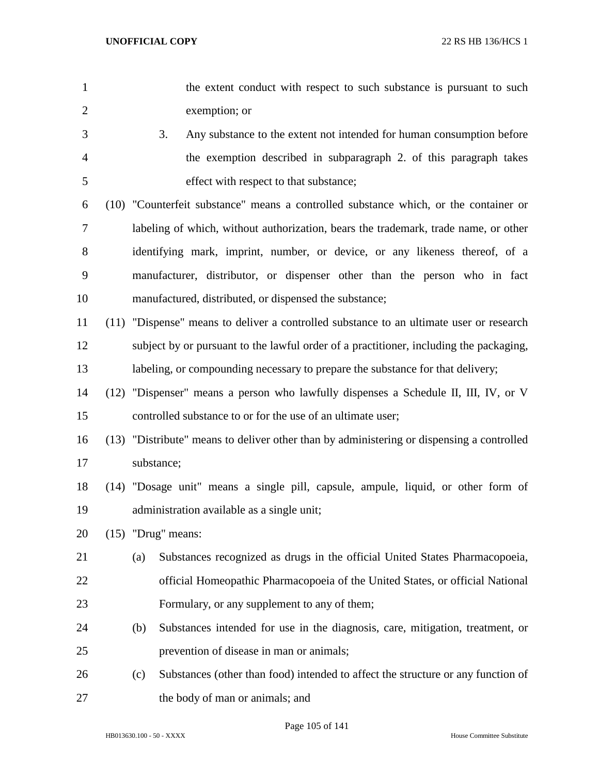- 1 the extent conduct with respect to such substance is pursuant to such exemption; or
- 3. Any substance to the extent not intended for human consumption before the exemption described in subparagraph 2. of this paragraph takes effect with respect to that substance;

 (10) "Counterfeit substance" means a controlled substance which, or the container or labeling of which, without authorization, bears the trademark, trade name, or other identifying mark, imprint, number, or device, or any likeness thereof, of a manufacturer, distributor, or dispenser other than the person who in fact manufactured, distributed, or dispensed the substance;

- (11) "Dispense" means to deliver a controlled substance to an ultimate user or research subject by or pursuant to the lawful order of a practitioner, including the packaging, labeling, or compounding necessary to prepare the substance for that delivery;
- (12) "Dispenser" means a person who lawfully dispenses a Schedule II, III, IV, or V controlled substance to or for the use of an ultimate user;
- (13) "Distribute" means to deliver other than by administering or dispensing a controlled substance;
- (14) "Dosage unit" means a single pill, capsule, ampule, liquid, or other form of administration available as a single unit;
- (15) "Drug" means:
- (a) Substances recognized as drugs in the official United States Pharmacopoeia, official Homeopathic Pharmacopoeia of the United States, or official National Formulary, or any supplement to any of them;
- (b) Substances intended for use in the diagnosis, care, mitigation, treatment, or prevention of disease in man or animals;
- (c) Substances (other than food) intended to affect the structure or any function of the body of man or animals; and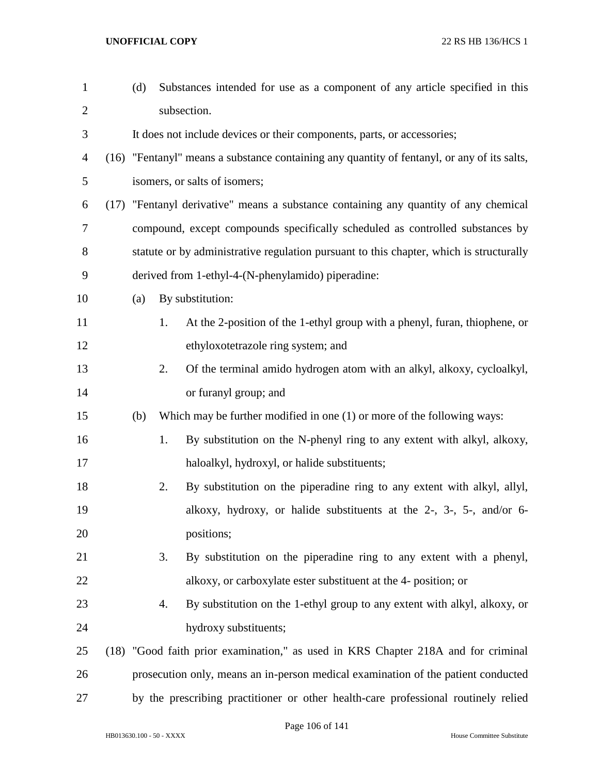| $\mathbf{1}$   |      | (d) |    | Substances intended for use as a component of any article specified in this                 |
|----------------|------|-----|----|---------------------------------------------------------------------------------------------|
| $\overline{2}$ |      |     |    | subsection.                                                                                 |
| 3              |      |     |    | It does not include devices or their components, parts, or accessories;                     |
| 4              |      |     |    | (16) "Fentanyl" means a substance containing any quantity of fentanyl, or any of its salts, |
| 5              |      |     |    | isomers, or salts of isomers;                                                               |
| 6              | (17) |     |    | "Fentanyl derivative" means a substance containing any quantity of any chemical             |
| 7              |      |     |    | compound, except compounds specifically scheduled as controlled substances by               |
| 8              |      |     |    | statute or by administrative regulation pursuant to this chapter, which is structurally     |
| 9              |      |     |    | derived from 1-ethyl-4-(N-phenylamido) piperadine:                                          |
| 10             |      | (a) |    | By substitution:                                                                            |
| 11             |      |     | 1. | At the 2-position of the 1-ethyl group with a phenyl, furan, thiophene, or                  |
| 12             |      |     |    | ethyloxotetrazole ring system; and                                                          |
| 13             |      |     | 2. | Of the terminal amido hydrogen atom with an alkyl, alkoxy, cycloalkyl,                      |
| 14             |      |     |    | or furanyl group; and                                                                       |
| 15             |      | (b) |    | Which may be further modified in one $(1)$ or more of the following ways:                   |
| 16             |      |     | 1. | By substitution on the N-phenyl ring to any extent with alkyl, alkoxy,                      |
| 17             |      |     |    | haloalkyl, hydroxyl, or halide substituents;                                                |
| 18             |      |     | 2. | By substitution on the piperadine ring to any extent with alkyl, allyl,                     |
| 19             |      |     |    | alkoxy, hydroxy, or halide substituents at the 2-, 3-, 5-, and/or 6-                        |
| 20             |      |     |    | positions;                                                                                  |
| 21             |      |     | 3. | By substitution on the piperadine ring to any extent with a phenyl,                         |
| 22             |      |     |    | alkoxy, or carboxylate ester substituent at the 4- position; or                             |
| 23             |      |     | 4. | By substitution on the 1-ethyl group to any extent with alkyl, alkoxy, or                   |
| 24             |      |     |    | hydroxy substituents;                                                                       |
| 25             |      |     |    | (18) "Good faith prior examination," as used in KRS Chapter 218A and for criminal           |
| 26             |      |     |    | prosecution only, means an in-person medical examination of the patient conducted           |
| 27             |      |     |    | by the prescribing practitioner or other health-care professional routinely relied          |

Page 106 of 141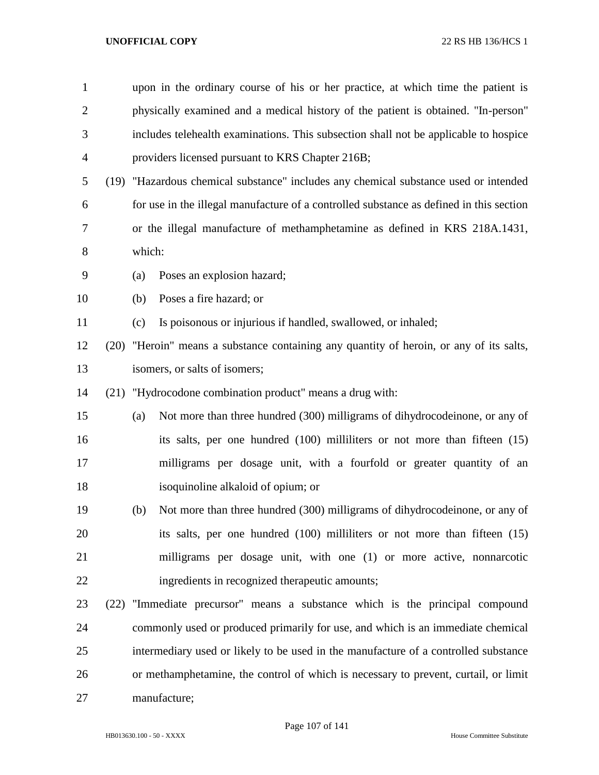| $\mathbf{1}$   |      |                                                                                         | upon in the ordinary course of his or her practice, at which time the patient is    |  |
|----------------|------|-----------------------------------------------------------------------------------------|-------------------------------------------------------------------------------------|--|
| $\overline{2}$ |      | physically examined and a medical history of the patient is obtained. "In-person"       |                                                                                     |  |
| 3              |      | includes telehealth examinations. This subsection shall not be applicable to hospice    |                                                                                     |  |
| 4              |      |                                                                                         | providers licensed pursuant to KRS Chapter 216B;                                    |  |
| 5              |      | (19) "Hazardous chemical substance" includes any chemical substance used or intended    |                                                                                     |  |
| 6              |      | for use in the illegal manufacture of a controlled substance as defined in this section |                                                                                     |  |
| 7              |      | or the illegal manufacture of methamphetamine as defined in KRS 218A.1431,              |                                                                                     |  |
| 8              |      | which:                                                                                  |                                                                                     |  |
| 9              |      | (a)                                                                                     | Poses an explosion hazard;                                                          |  |
| 10             |      | (b)                                                                                     | Poses a fire hazard; or                                                             |  |
| 11             |      | (c)                                                                                     | Is poisonous or injurious if handled, swallowed, or inhaled;                        |  |
| 12             | (20) |                                                                                         | "Heroin" means a substance containing any quantity of heroin, or any of its salts,  |  |
| 13             |      |                                                                                         | isomers, or salts of isomers;                                                       |  |
| 14             | (21) |                                                                                         | "Hydrocodone combination product" means a drug with:                                |  |
| 15             |      | (a)                                                                                     | Not more than three hundred (300) milligrams of dihydrocodeinone, or any of         |  |
| 16             |      |                                                                                         | its salts, per one hundred (100) milliliters or not more than fifteen (15)          |  |
| 17             |      |                                                                                         | milligrams per dosage unit, with a fourfold or greater quantity of an               |  |
| 18             |      |                                                                                         | isoquinoline alkaloid of opium; or                                                  |  |
| 19             |      | (b)                                                                                     | Not more than three hundred (300) milligrams of dihydrocodeinone, or any of         |  |
| 20             |      |                                                                                         | its salts, per one hundred (100) milliliters or not more than fifteen (15)          |  |
| 21             |      |                                                                                         | milligrams per dosage unit, with one (1) or more active, nonnarcotic                |  |
| 22             |      |                                                                                         | ingredients in recognized therapeutic amounts;                                      |  |
| 23             |      |                                                                                         | (22) "Immediate precursor" means a substance which is the principal compound        |  |
| 24             |      |                                                                                         | commonly used or produced primarily for use, and which is an immediate chemical     |  |
| 25             |      |                                                                                         | intermediary used or likely to be used in the manufacture of a controlled substance |  |
| 26             |      |                                                                                         | or methamphetamine, the control of which is necessary to prevent, curtail, or limit |  |
| 27             |      |                                                                                         | manufacture;                                                                        |  |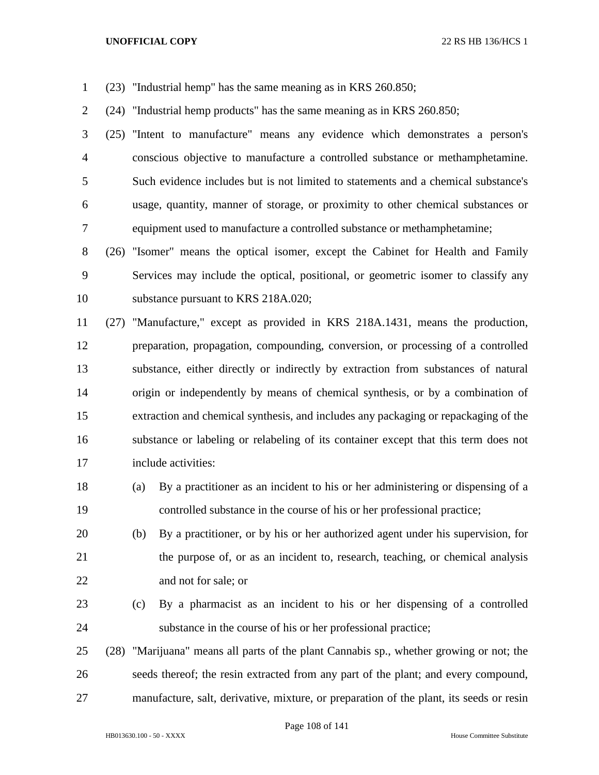- (23) "Industrial hemp" has the same meaning as in KRS 260.850;
- (24) "Industrial hemp products" has the same meaning as in KRS 260.850;
- (25) "Intent to manufacture" means any evidence which demonstrates a person's conscious objective to manufacture a controlled substance or methamphetamine. Such evidence includes but is not limited to statements and a chemical substance's usage, quantity, manner of storage, or proximity to other chemical substances or equipment used to manufacture a controlled substance or methamphetamine;
- (26) "Isomer" means the optical isomer, except the Cabinet for Health and Family Services may include the optical, positional, or geometric isomer to classify any substance pursuant to KRS 218A.020;
- (27) "Manufacture," except as provided in KRS 218A.1431, means the production, preparation, propagation, compounding, conversion, or processing of a controlled substance, either directly or indirectly by extraction from substances of natural origin or independently by means of chemical synthesis, or by a combination of extraction and chemical synthesis, and includes any packaging or repackaging of the substance or labeling or relabeling of its container except that this term does not include activities:
- (a) By a practitioner as an incident to his or her administering or dispensing of a controlled substance in the course of his or her professional practice;
- (b) By a practitioner, or by his or her authorized agent under his supervision, for the purpose of, or as an incident to, research, teaching, or chemical analysis and not for sale; or
- (c) By a pharmacist as an incident to his or her dispensing of a controlled substance in the course of his or her professional practice;
- (28) "Marijuana" means all parts of the plant Cannabis sp., whether growing or not; the seeds thereof; the resin extracted from any part of the plant; and every compound, manufacture, salt, derivative, mixture, or preparation of the plant, its seeds or resin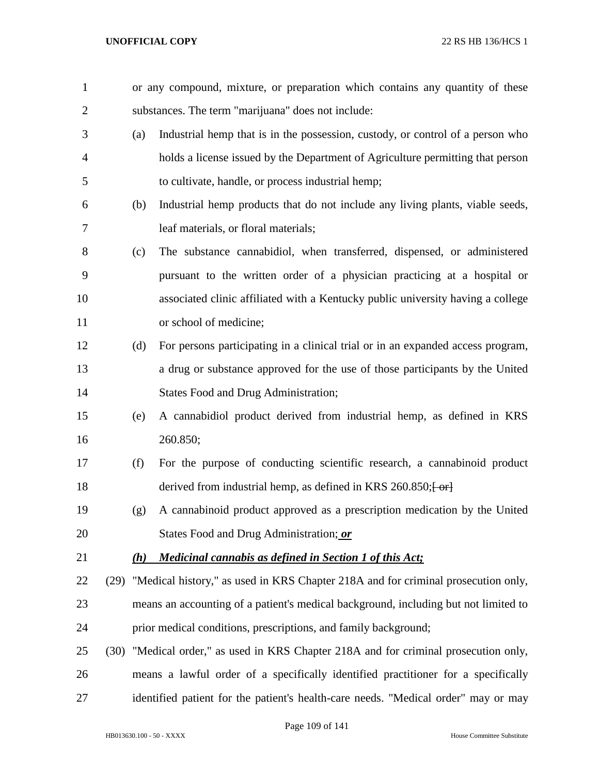| $\mathbf{1}$   |     | or any compound, mixture, or preparation which contains any quantity of these          |
|----------------|-----|----------------------------------------------------------------------------------------|
| $\overline{2}$ |     | substances. The term "marijuana" does not include:                                     |
| 3              | (a) | Industrial hemp that is in the possession, custody, or control of a person who         |
| $\overline{4}$ |     | holds a license issued by the Department of Agriculture permitting that person         |
| 5              |     | to cultivate, handle, or process industrial hemp;                                      |
| 6              | (b) | Industrial hemp products that do not include any living plants, viable seeds,          |
| 7              |     | leaf materials, or floral materials;                                                   |
| 8              | (c) | The substance cannabidiol, when transferred, dispensed, or administered                |
| 9              |     | pursuant to the written order of a physician practicing at a hospital or               |
| 10             |     | associated clinic affiliated with a Kentucky public university having a college        |
| 11             |     | or school of medicine;                                                                 |
| 12             | (d) | For persons participating in a clinical trial or in an expanded access program,        |
| 13             |     | a drug or substance approved for the use of those participants by the United           |
| 14             |     | <b>States Food and Drug Administration;</b>                                            |
| 15             | (e) | A cannabidiol product derived from industrial hemp, as defined in KRS                  |
| 16             |     | 260.850;                                                                               |
| 17             | (f) | For the purpose of conducting scientific research, a cannabinoid product               |
| 18             |     | derived from industrial hemp, as defined in KRS $260.850;$ $\rightarrow$               |
| 19             | (g) | A cannabinoid product approved as a prescription medication by the United              |
| 20             |     | States Food and Drug Administration; or                                                |
| 21             | (h) | <b>Medicinal cannabis as defined in Section 1 of this Act;</b>                         |
| 22             |     | (29) "Medical history," as used in KRS Chapter 218A and for criminal prosecution only, |
| 23             |     | means an accounting of a patient's medical background, including but not limited to    |
| 24             |     | prior medical conditions, prescriptions, and family background;                        |
| 25             |     | (30) "Medical order," as used in KRS Chapter 218A and for criminal prosecution only,   |
| 26             |     | means a lawful order of a specifically identified practitioner for a specifically      |
| 27             |     | identified patient for the patient's health-care needs. "Medical order" may or may     |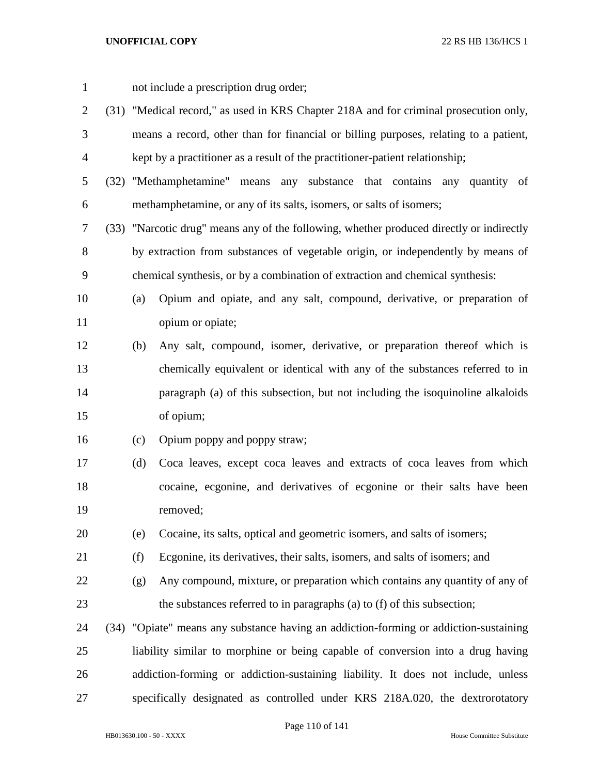not include a prescription drug order; (31) "Medical record," as used in KRS Chapter 218A and for criminal prosecution only, means a record, other than for financial or billing purposes, relating to a patient, kept by a practitioner as a result of the practitioner-patient relationship; (32) "Methamphetamine" means any substance that contains any quantity of methamphetamine, or any of its salts, isomers, or salts of isomers; (33) "Narcotic drug" means any of the following, whether produced directly or indirectly by extraction from substances of vegetable origin, or independently by means of chemical synthesis, or by a combination of extraction and chemical synthesis: (a) Opium and opiate, and any salt, compound, derivative, or preparation of opium or opiate; (b) Any salt, compound, isomer, derivative, or preparation thereof which is chemically equivalent or identical with any of the substances referred to in paragraph (a) of this subsection, but not including the isoquinoline alkaloids of opium; (c) Opium poppy and poppy straw; (d) Coca leaves, except coca leaves and extracts of coca leaves from which cocaine, ecgonine, and derivatives of ecgonine or their salts have been removed; (e) Cocaine, its salts, optical and geometric isomers, and salts of isomers; (f) Ecgonine, its derivatives, their salts, isomers, and salts of isomers; and (g) Any compound, mixture, or preparation which contains any quantity of any of the substances referred to in paragraphs (a) to (f) of this subsection; (34) "Opiate" means any substance having an addiction-forming or addiction-sustaining liability similar to morphine or being capable of conversion into a drug having addiction-forming or addiction-sustaining liability. It does not include, unless specifically designated as controlled under KRS 218A.020, the dextrorotatory

## Page 110 of 141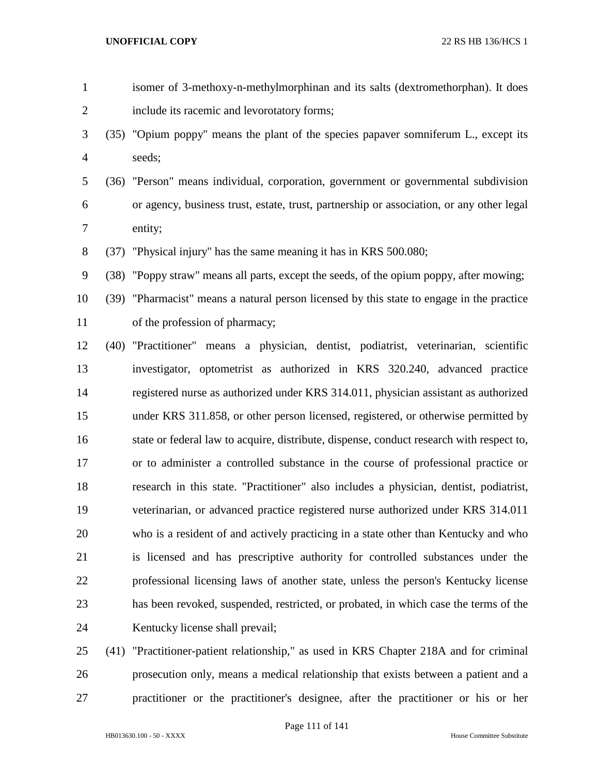| $\mathbf{1}$   | isomer of 3-methoxy-n-methylmorphinan and its salts (dextromethorphan). It does           |
|----------------|-------------------------------------------------------------------------------------------|
| $\overline{2}$ | include its racemic and levorotatory forms;                                               |
| 3              | (35) "Opium poppy" means the plant of the species papaver somniferum L., except its       |
| 4              | seeds;                                                                                    |
| 5              | (36) "Person" means individual, corporation, government or governmental subdivision       |
| 6              | or agency, business trust, estate, trust, partnership or association, or any other legal  |
| 7              | entity;                                                                                   |
| 8              | (37) "Physical injury" has the same meaning it has in KRS 500.080;                        |
| 9              | (38) "Poppy straw" means all parts, except the seeds, of the opium poppy, after mowing;   |
| 10             | (39) "Pharmacist" means a natural person licensed by this state to engage in the practice |
| 11             | of the profession of pharmacy;                                                            |
| 12             | (40) "Practitioner" means a physician, dentist, podiatrist, veterinarian, scientific      |
| 13             | investigator, optometrist as authorized in KRS 320.240, advanced practice                 |
| 14             | registered nurse as authorized under KRS 314.011, physician assistant as authorized       |
| 15             | under KRS 311.858, or other person licensed, registered, or otherwise permitted by        |
| 16             | state or federal law to acquire, distribute, dispense, conduct research with respect to,  |
| 17             | or to administer a controlled substance in the course of professional practice or         |
| 18             | research in this state. "Practitioner" also includes a physician, dentist, podiatrist,    |
| 19             | veterinarian, or advanced practice registered nurse authorized under KRS 314.011          |
| 20             | who is a resident of and actively practicing in a state other than Kentucky and who       |
| 21             | is licensed and has prescriptive authority for controlled substances under the            |
| 22             | professional licensing laws of another state, unless the person's Kentucky license        |
| 23             | has been revoked, suspended, restricted, or probated, in which case the terms of the      |
| 24             | Kentucky license shall prevail;                                                           |
|                |                                                                                           |

 (41) "Practitioner-patient relationship," as used in KRS Chapter 218A and for criminal prosecution only, means a medical relationship that exists between a patient and a practitioner or the practitioner's designee, after the practitioner or his or her

Page 111 of 141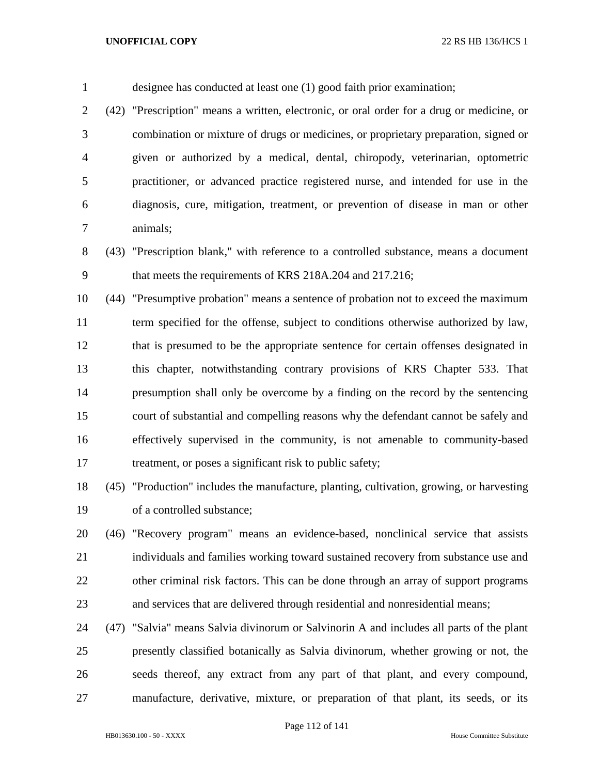designee has conducted at least one (1) good faith prior examination; (42) "Prescription" means a written, electronic, or oral order for a drug or medicine, or combination or mixture of drugs or medicines, or proprietary preparation, signed or given or authorized by a medical, dental, chiropody, veterinarian, optometric practitioner, or advanced practice registered nurse, and intended for use in the diagnosis, cure, mitigation, treatment, or prevention of disease in man or other animals; (43) "Prescription blank," with reference to a controlled substance, means a document that meets the requirements of KRS 218A.204 and 217.216; (44) "Presumptive probation" means a sentence of probation not to exceed the maximum term specified for the offense, subject to conditions otherwise authorized by law, that is presumed to be the appropriate sentence for certain offenses designated in this chapter, notwithstanding contrary provisions of KRS Chapter 533. That presumption shall only be overcome by a finding on the record by the sentencing court of substantial and compelling reasons why the defendant cannot be safely and effectively supervised in the community, is not amenable to community-based 17 treatment, or poses a significant risk to public safety;

 (45) "Production" includes the manufacture, planting, cultivation, growing, or harvesting of a controlled substance;

 (46) "Recovery program" means an evidence-based, nonclinical service that assists individuals and families working toward sustained recovery from substance use and other criminal risk factors. This can be done through an array of support programs and services that are delivered through residential and nonresidential means;

 (47) "Salvia" means Salvia divinorum or Salvinorin A and includes all parts of the plant presently classified botanically as Salvia divinorum, whether growing or not, the seeds thereof, any extract from any part of that plant, and every compound, manufacture, derivative, mixture, or preparation of that plant, its seeds, or its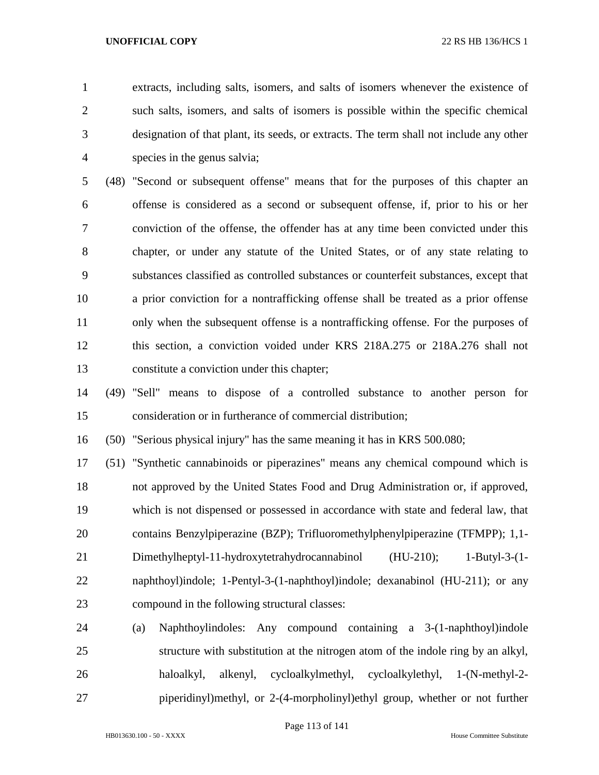extracts, including salts, isomers, and salts of isomers whenever the existence of such salts, isomers, and salts of isomers is possible within the specific chemical designation of that plant, its seeds, or extracts. The term shall not include any other species in the genus salvia;

 (48) "Second or subsequent offense" means that for the purposes of this chapter an offense is considered as a second or subsequent offense, if, prior to his or her conviction of the offense, the offender has at any time been convicted under this chapter, or under any statute of the United States, or of any state relating to substances classified as controlled substances or counterfeit substances, except that a prior conviction for a nontrafficking offense shall be treated as a prior offense only when the subsequent offense is a nontrafficking offense. For the purposes of this section, a conviction voided under KRS 218A.275 or 218A.276 shall not constitute a conviction under this chapter;

 (49) "Sell" means to dispose of a controlled substance to another person for consideration or in furtherance of commercial distribution;

(50) "Serious physical injury" has the same meaning it has in KRS 500.080;

 (51) "Synthetic cannabinoids or piperazines" means any chemical compound which is not approved by the United States Food and Drug Administration or, if approved, which is not dispensed or possessed in accordance with state and federal law, that contains Benzylpiperazine (BZP); Trifluoromethylphenylpiperazine (TFMPP); 1,1- Dimethylheptyl-11-hydroxytetrahydrocannabinol (HU-210); 1-Butyl-3-(1- naphthoyl)indole; 1-Pentyl-3-(1-naphthoyl)indole; dexanabinol (HU-211); or any compound in the following structural classes:

 (a) Naphthoylindoles: Any compound containing a 3-(1-naphthoyl)indole structure with substitution at the nitrogen atom of the indole ring by an alkyl, haloalkyl, alkenyl, cycloalkylmethyl, cycloalkylethyl, 1-(N-methyl-2- piperidinyl)methyl, or 2-(4-morpholinyl)ethyl group, whether or not further

Page 113 of 141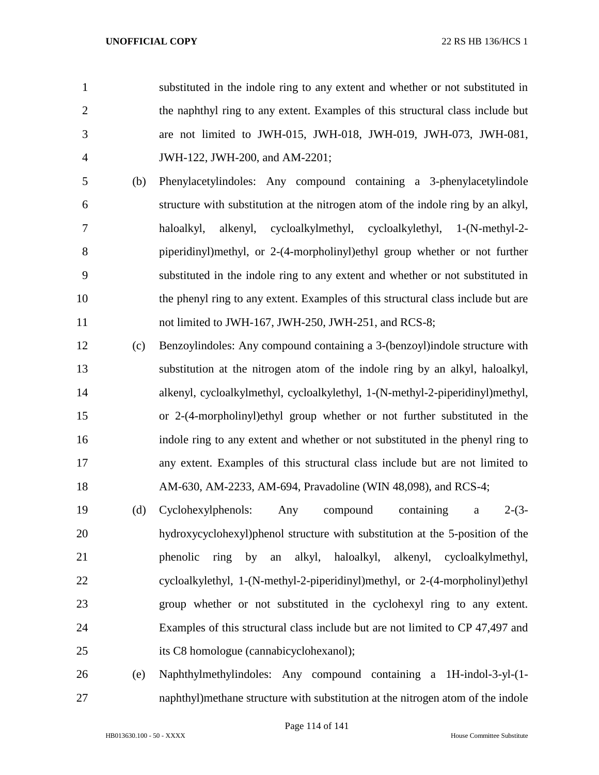- substituted in the indole ring to any extent and whether or not substituted in the naphthyl ring to any extent. Examples of this structural class include but are not limited to JWH-015, JWH-018, JWH-019, JWH-073, JWH-081, JWH-122, JWH-200, and AM-2201;
- (b) Phenylacetylindoles: Any compound containing a 3-phenylacetylindole structure with substitution at the nitrogen atom of the indole ring by an alkyl, haloalkyl, alkenyl, cycloalkylmethyl, cycloalkylethyl, 1-(N-methyl-2- piperidinyl)methyl, or 2-(4-morpholinyl)ethyl group whether or not further substituted in the indole ring to any extent and whether or not substituted in the phenyl ring to any extent. Examples of this structural class include but are 11 not limited to JWH-167, JWH-250, JWH-251, and RCS-8;
- (c) Benzoylindoles: Any compound containing a 3-(benzoyl)indole structure with substitution at the nitrogen atom of the indole ring by an alkyl, haloalkyl, alkenyl, cycloalkylmethyl, cycloalkylethyl, 1-(N-methyl-2-piperidinyl)methyl, or 2-(4-morpholinyl)ethyl group whether or not further substituted in the indole ring to any extent and whether or not substituted in the phenyl ring to any extent. Examples of this structural class include but are not limited to AM-630, AM-2233, AM-694, Pravadoline (WIN 48,098), and RCS-4;
- (d) Cyclohexylphenols: Any compound containing a 2-(3- hydroxycyclohexyl)phenol structure with substitution at the 5-position of the phenolic ring by an alkyl, haloalkyl, alkenyl, cycloalkylmethyl, cycloalkylethyl, 1-(N-methyl-2-piperidinyl)methyl, or 2-(4-morpholinyl)ethyl group whether or not substituted in the cyclohexyl ring to any extent. Examples of this structural class include but are not limited to CP 47,497 and its C8 homologue (cannabicyclohexanol);
- (e) Naphthylmethylindoles: Any compound containing a 1H-indol-3-yl-(1- naphthyl)methane structure with substitution at the nitrogen atom of the indole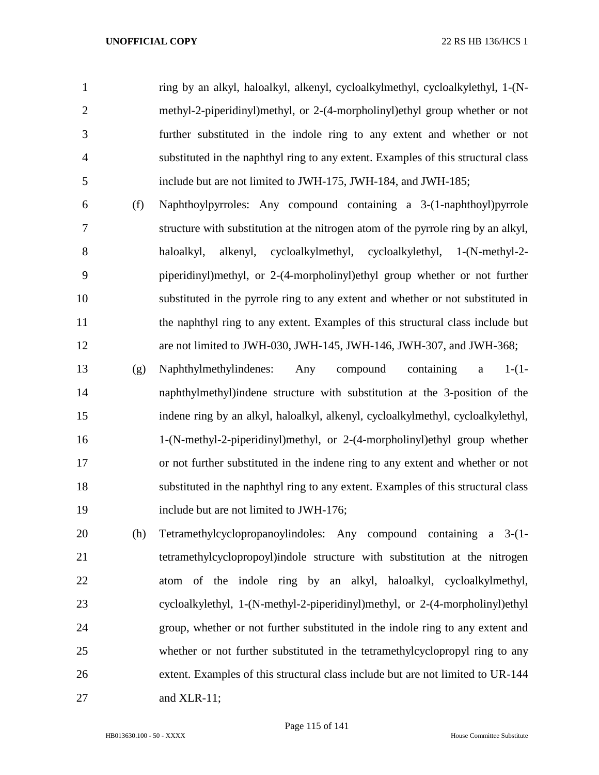ring by an alkyl, haloalkyl, alkenyl, cycloalkylmethyl, cycloalkylethyl, 1-(N- methyl-2-piperidinyl)methyl, or 2-(4-morpholinyl)ethyl group whether or not further substituted in the indole ring to any extent and whether or not substituted in the naphthyl ring to any extent. Examples of this structural class include but are not limited to JWH-175, JWH-184, and JWH-185;

- (f) Naphthoylpyrroles: Any compound containing a 3-(1-naphthoyl)pyrrole structure with substitution at the nitrogen atom of the pyrrole ring by an alkyl, haloalkyl, alkenyl, cycloalkylmethyl, cycloalkylethyl, 1-(N-methyl-2- piperidinyl)methyl, or 2-(4-morpholinyl)ethyl group whether or not further substituted in the pyrrole ring to any extent and whether or not substituted in the naphthyl ring to any extent. Examples of this structural class include but are not limited to JWH-030, JWH-145, JWH-146, JWH-307, and JWH-368;
- (g) Naphthylmethylindenes: Any compound containing a 1-(1- naphthylmethyl)indene structure with substitution at the 3-position of the indene ring by an alkyl, haloalkyl, alkenyl, cycloalkylmethyl, cycloalkylethyl, 1-(N-methyl-2-piperidinyl)methyl, or 2-(4-morpholinyl)ethyl group whether or not further substituted in the indene ring to any extent and whether or not substituted in the naphthyl ring to any extent. Examples of this structural class include but are not limited to JWH-176;
- (h) Tetramethylcyclopropanoylindoles: Any compound containing a 3-(1- tetramethylcyclopropoyl)indole structure with substitution at the nitrogen atom of the indole ring by an alkyl, haloalkyl, cycloalkylmethyl, cycloalkylethyl, 1-(N-methyl-2-piperidinyl)methyl, or 2-(4-morpholinyl)ethyl group, whether or not further substituted in the indole ring to any extent and whether or not further substituted in the tetramethylcyclopropyl ring to any extent. Examples of this structural class include but are not limited to UR-144 and XLR-11;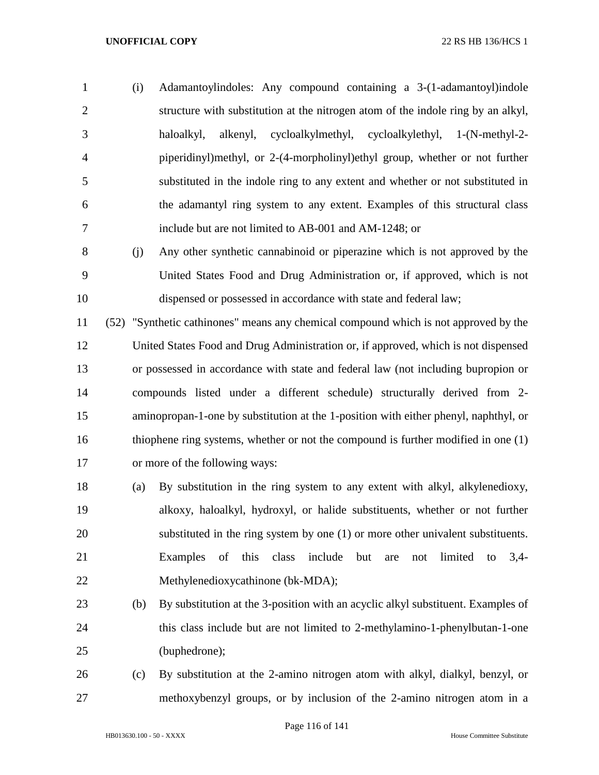- (i) Adamantoylindoles: Any compound containing a 3-(1-adamantoyl)indole structure with substitution at the nitrogen atom of the indole ring by an alkyl, haloalkyl, alkenyl, cycloalkylmethyl, cycloalkylethyl, 1-(N-methyl-2- piperidinyl)methyl, or 2-(4-morpholinyl)ethyl group, whether or not further substituted in the indole ring to any extent and whether or not substituted in the adamantyl ring system to any extent. Examples of this structural class include but are not limited to AB-001 and AM-1248; or
- (j) Any other synthetic cannabinoid or piperazine which is not approved by the United States Food and Drug Administration or, if approved, which is not dispensed or possessed in accordance with state and federal law;

 (52) "Synthetic cathinones" means any chemical compound which is not approved by the United States Food and Drug Administration or, if approved, which is not dispensed or possessed in accordance with state and federal law (not including bupropion or compounds listed under a different schedule) structurally derived from 2- aminopropan-1-one by substitution at the 1-position with either phenyl, naphthyl, or thiophene ring systems, whether or not the compound is further modified in one (1) or more of the following ways:

- (a) By substitution in the ring system to any extent with alkyl, alkylenedioxy, alkoxy, haloalkyl, hydroxyl, or halide substituents, whether or not further substituted in the ring system by one (1) or more other univalent substituents. Examples of this class include but are not limited to 3,4- Methylenedioxycathinone (bk-MDA);
- (b) By substitution at the 3-position with an acyclic alkyl substituent. Examples of this class include but are not limited to 2-methylamino-1-phenylbutan-1-one (buphedrone);
- (c) By substitution at the 2-amino nitrogen atom with alkyl, dialkyl, benzyl, or methoxybenzyl groups, or by inclusion of the 2-amino nitrogen atom in a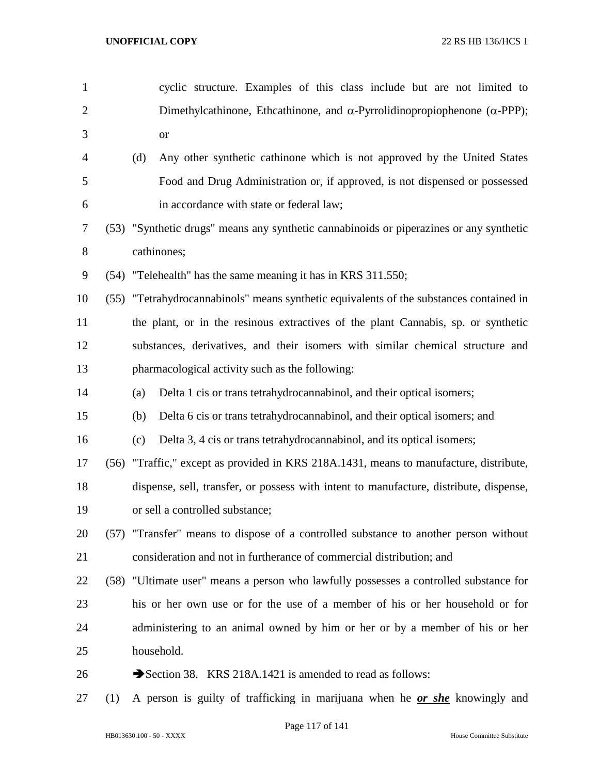| $\mathbf{1}$   |      |            | cyclic structure. Examples of this class include but are not limited to                   |
|----------------|------|------------|-------------------------------------------------------------------------------------------|
| $\overline{2}$ |      |            | Dimethylcathinone, Ethcathinone, and $\alpha$ -Pyrrolidinopropiophenone ( $\alpha$ -PPP); |
| 3              |      |            | <b>or</b>                                                                                 |
| 4              |      | (d)        | Any other synthetic cathinone which is not approved by the United States                  |
| 5              |      |            | Food and Drug Administration or, if approved, is not dispensed or possessed               |
| 6              |      |            | in accordance with state or federal law;                                                  |
| 7              |      |            | (53) "Synthetic drugs" means any synthetic cannabinoids or piperazines or any synthetic   |
| 8              |      |            | cathinones;                                                                               |
| 9              | (54) |            | "Telehealth" has the same meaning it has in KRS 311.550;                                  |
| 10             | (55) |            | "Tetrahydrocannabinols" means synthetic equivalents of the substances contained in        |
| 11             |      |            | the plant, or in the resinous extractives of the plant Cannabis, sp. or synthetic         |
| 12             |      |            | substances, derivatives, and their isomers with similar chemical structure and            |
| 13             |      |            | pharmacological activity such as the following:                                           |
| 14             |      | (a)        | Delta 1 cis or trans tetrahydrocannabinol, and their optical isomers;                     |
| 15             |      | (b)        | Delta 6 cis or trans tetrahydrocannabinol, and their optical isomers; and                 |
| 16             |      | (c)        | Delta 3, 4 cis or trans tetrahydrocannabinol, and its optical isomers;                    |
| 17             | (56) |            | "Traffic," except as provided in KRS 218A.1431, means to manufacture, distribute,         |
| 18             |      |            | dispense, sell, transfer, or possess with intent to manufacture, distribute, dispense,    |
| 19             |      |            | or sell a controlled substance;                                                           |
| 20             |      |            | (57) "Transfer" means to dispose of a controlled substance to another person without      |
| 21             |      |            | consideration and not in furtherance of commercial distribution; and                      |
| 22             |      |            | (58) "Ultimate user" means a person who lawfully possesses a controlled substance for     |
| 23             |      |            | his or her own use or for the use of a member of his or her household or for              |
| 24             |      |            | administering to an animal owned by him or her or by a member of his or her               |
| 25             |      | household. |                                                                                           |
| 26             |      |            | Section 38. KRS 218A.1421 is amended to read as follows:                                  |
|                |      |            |                                                                                           |

(1) A person is guilty of trafficking in marijuana when he *or she* knowingly and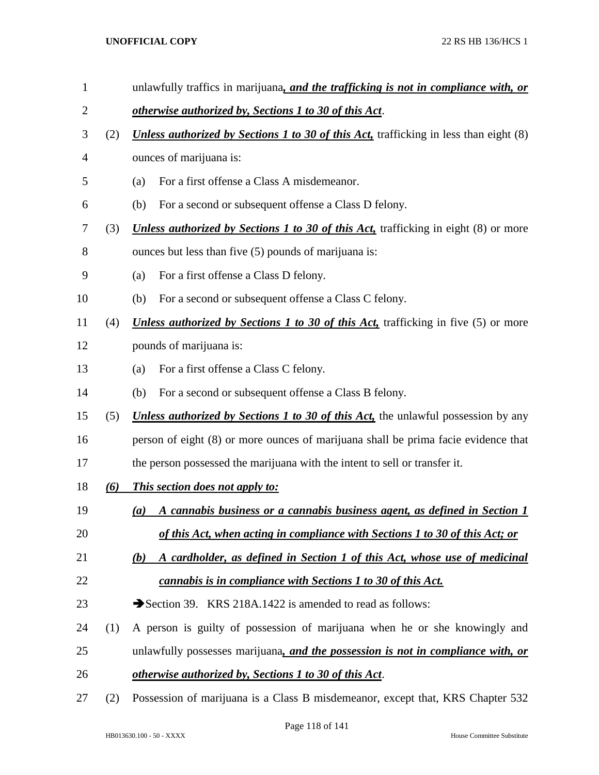- unlawfully traffics in marijuana*, and the trafficking is not in compliance with, or otherwise authorized by, Sections 1 to 30 of this Act*. (2) *Unless authorized by Sections 1 to 30 of this Act,* trafficking in less than eight (8) ounces of marijuana is: (a) For a first offense a Class A misdemeanor. (b) For a second or subsequent offense a Class D felony. (3) *Unless authorized by Sections 1 to 30 of this Act,* trafficking in eight (8) or more ounces but less than five (5) pounds of marijuana is: (a) For a first offense a Class D felony. (b) For a second or subsequent offense a Class C felony. (4) *Unless authorized by Sections 1 to 30 of this Act,* trafficking in five (5) or more pounds of marijuana is: (a) For a first offense a Class C felony. (b) For a second or subsequent offense a Class B felony. (5) *Unless authorized by Sections 1 to 30 of this Act,* the unlawful possession by any person of eight (8) or more ounces of marijuana shall be prima facie evidence that the person possessed the marijuana with the intent to sell or transfer it. *(6) This section does not apply to: (a) A cannabis business or a cannabis business agent, as defined in Section 1 of this Act, when acting in compliance with Sections 1 to 30 of this Act; or (b) A cardholder, as defined in Section 1 of this Act, whose use of medicinal cannabis is in compliance with Sections 1 to 30 of this Act.* 23 Section 39. KRS 218A.1422 is amended to read as follows: (1) A person is guilty of possession of marijuana when he or she knowingly and unlawfully possesses marijuana*, and the possession is not in compliance with, or otherwise authorized by, Sections 1 to 30 of this Act*.
- (2) Possession of marijuana is a Class B misdemeanor, except that, KRS Chapter 532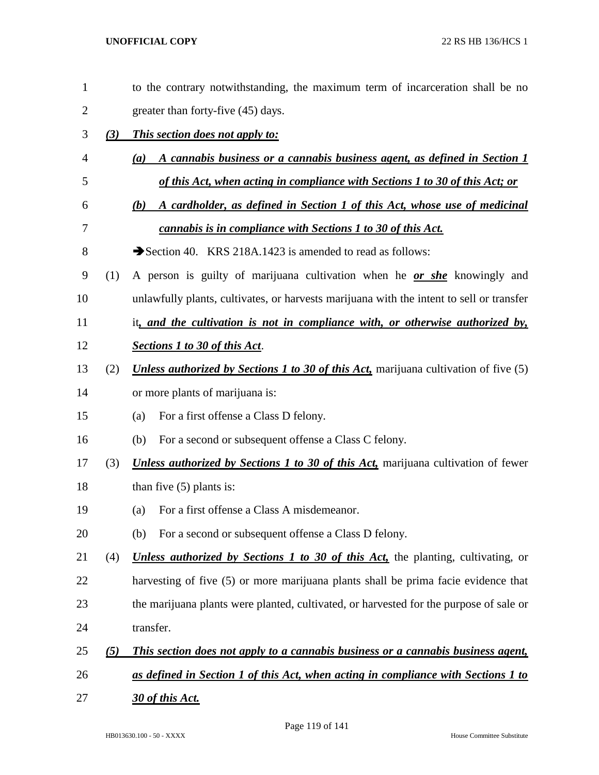| $\mathbf{1}$   |     | to the contrary notwithstanding, the maximum term of incarceration shall be no              |
|----------------|-----|---------------------------------------------------------------------------------------------|
| $\overline{2}$ |     | greater than forty-five (45) days.                                                          |
| 3              | (3) | <i>This section does not apply to:</i>                                                      |
| 4              |     | A cannabis business or a cannabis business agent, as defined in Section 1<br>(a)            |
| 5              |     | of this Act, when acting in compliance with Sections 1 to 30 of this Act; or                |
| 6              |     | A cardholder, as defined in Section 1 of this Act, whose use of medicinal<br>(b)            |
| 7              |     | cannabis is in compliance with Sections 1 to 30 of this Act.                                |
| $8\,$          |     | Section 40. KRS 218A.1423 is amended to read as follows:                                    |
| 9              | (1) | A person is guilty of marijuana cultivation when he or she knowingly and                    |
| 10             |     | unlawfully plants, cultivates, or harvests marijuana with the intent to sell or transfer    |
| 11             |     | it, and the cultivation is not in compliance with, or otherwise authorized by,              |
| 12             |     | <b>Sections 1 to 30 of this Act.</b>                                                        |
| 13             | (2) | <b>Unless authorized by Sections 1 to 30 of this Act, marijuana cultivation of five (5)</b> |
| 14             |     | or more plants of marijuana is:                                                             |
| 15             |     | For a first offense a Class D felony.<br>(a)                                                |
| 16             |     | For a second or subsequent offense a Class C felony.<br>(b)                                 |
| 17             | (3) | <b>Unless authorized by Sections 1 to 30 of this Act, marijuana cultivation of fewer</b>    |
| 18             |     | than five $(5)$ plants is:                                                                  |
| 19             |     | For a first offense a Class A misdemeanor.<br>(a)                                           |
| 20             |     | For a second or subsequent offense a Class D felony.<br>(b)                                 |
| 21             | (4) | <b>Unless authorized by Sections 1 to 30 of this Act,</b> the planting, cultivating, or     |
| 22             |     | harvesting of five (5) or more marijuana plants shall be prima facie evidence that          |
| 23             |     | the marijuana plants were planted, cultivated, or harvested for the purpose of sale or      |
| 24             |     | transfer.                                                                                   |
| 25             | (5) | This section does not apply to a cannabis business or a cannabis business agent,            |
| 26             |     | as defined in Section 1 of this Act, when acting in compliance with Sections 1 to           |
| 27             |     | 30 of this Act.                                                                             |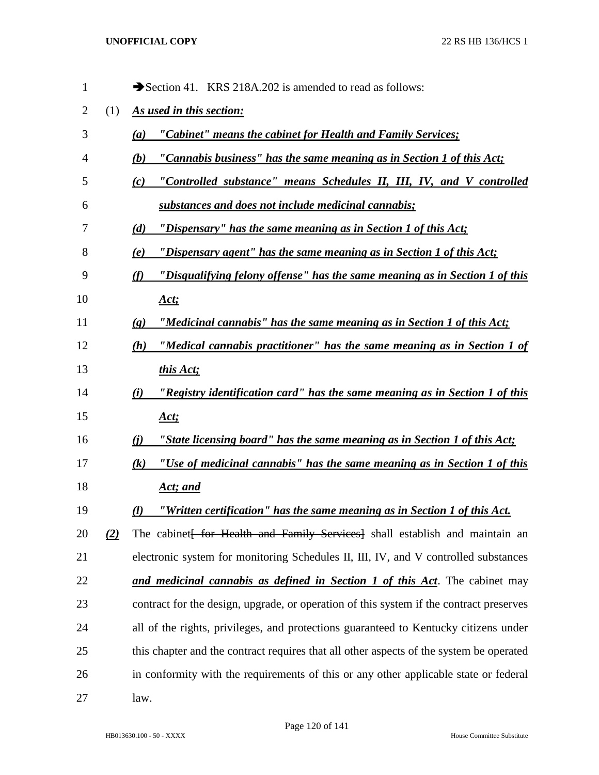| 1  |     | Section 41. KRS 218A.202 is amended to read as follows:                                               |
|----|-----|-------------------------------------------------------------------------------------------------------|
| 2  | (1) | As used in this section:                                                                              |
| 3  |     | "Cabinet" means the cabinet for Health and Family Services;<br>(a)                                    |
| 4  |     | "Cannabis business" has the same meaning as in Section 1 of this Act;<br>(b)                          |
| 5  |     | "Controlled substance" means Schedules II, III, IV, and V controlled<br>(c)                           |
| 6  |     | substances and does not include medicinal cannabis;                                                   |
| 7  |     | "Dispensary" has the same meaning as in Section 1 of this Act;<br>(d)                                 |
| 8  |     | "Dispensary agent" has the same meaning as in Section 1 of this Act;<br>(e)                           |
| 9  |     | "Disqualifying felony offense" has the same meaning as in Section 1 of this<br>(f)                    |
| 10 |     | <u>Act;</u>                                                                                           |
| 11 |     | "Medicinal cannabis" has the same meaning as in Section 1 of this Act;<br>$\left( \mathbf{g} \right)$ |
| 12 |     | "Medical cannabis practitioner" has the same meaning as in Section 1 of<br>(h)                        |
| 13 |     | this Act;                                                                                             |
| 14 |     | "Registry identification card" has the same meaning as in Section 1 of this<br>(i)                    |
| 15 |     | <u>Act;</u>                                                                                           |
| 16 |     | "State licensing board" has the same meaning as in Section 1 of this Act;<br><u>(i)</u>               |
| 17 |     | "Use of medicinal cannabis" has the same meaning as in Section 1 of this<br>$\left( k\right)$         |
| 18 |     | <u>Act; and</u>                                                                                       |
| 19 |     | "Written certification" has the same meaning as in Section 1 of this Act.<br>$\mathcal{L}$            |
| 20 | (2) | The cabinet for Health and Family Services shall establish and maintain an                            |
| 21 |     | electronic system for monitoring Schedules II, III, IV, and V controlled substances                   |
| 22 |     | and medicinal cannabis as defined in Section 1 of this Act. The cabinet may                           |
| 23 |     | contract for the design, upgrade, or operation of this system if the contract preserves               |
| 24 |     | all of the rights, privileges, and protections guaranteed to Kentucky citizens under                  |
| 25 |     | this chapter and the contract requires that all other aspects of the system be operated               |
| 26 |     | in conformity with the requirements of this or any other applicable state or federal                  |
| 27 |     | law.                                                                                                  |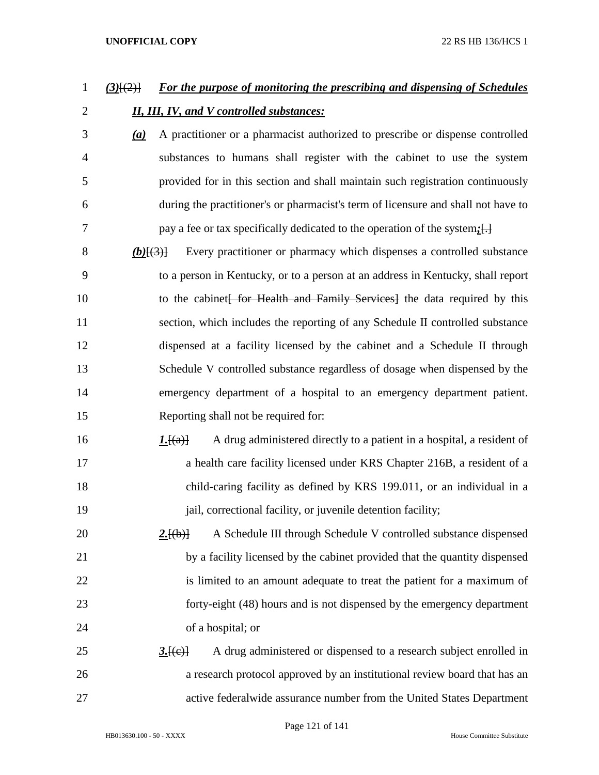# *(3)*[(2)] *For the purpose of monitoring the prescribing and dispensing of Schedules II, III, IV, and V controlled substances:*

- *(a)* A practitioner or a pharmacist authorized to prescribe or dispense controlled substances to humans shall register with the cabinet to use the system provided for in this section and shall maintain such registration continuously during the practitioner's or pharmacist's term of licensure and shall not have to pay a fee or tax specifically dedicated to the operation of the system*;*[.]
- *(b)*[(3)] Every practitioner or pharmacy which dispenses a controlled substance to a person in Kentucky, or to a person at an address in Kentucky, shall report 10 to the cabinet for Health and Family Services the data required by this section, which includes the reporting of any Schedule II controlled substance dispensed at a facility licensed by the cabinet and a Schedule II through Schedule V controlled substance regardless of dosage when dispensed by the emergency department of a hospital to an emergency department patient. Reporting shall not be required for:
- 16 16 *1.*<sup>[(a)]</sup> A drug administered directly to a patient in a hospital, a resident of a health care facility licensed under KRS Chapter 216B, a resident of a child-caring facility as defined by KRS 199.011, or an individual in a *jail, correctional facility, or juvenile detention facility;*
- **2.** [(b)] A Schedule III through Schedule V controlled substance dispensed by a facility licensed by the cabinet provided that the quantity dispensed 22 is limited to an amount adequate to treat the patient for a maximum of forty-eight (48) hours and is not dispensed by the emergency department of a hospital; or
- 25 3.<del>[(e)]</del> A drug administered or dispensed to a research subject enrolled in a research protocol approved by an institutional review board that has an active federalwide assurance number from the United States Department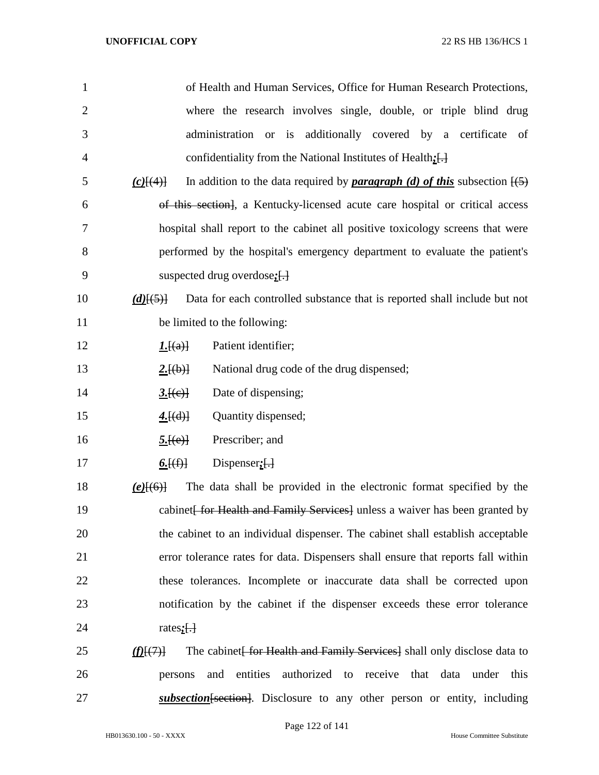| $\mathbf{1}$   | of Health and Human Services, Office for Human Research Protections,                                                 |
|----------------|----------------------------------------------------------------------------------------------------------------------|
| $\overline{2}$ | where the research involves single, double, or triple blind drug                                                     |
| 3              | administration or is additionally covered by a certificate of                                                        |
| 4              | confidentiality from the National Institutes of Health: [-]                                                          |
| 5              | In addition to the data required by <b>paragraph</b> (d) of this subsection $\overline{(5)}$<br>$(c)$ $\{4\}$        |
| 6              | of this section], a Kentucky-licensed acute care hospital or critical access                                         |
| 7              | hospital shall report to the cabinet all positive toxicology screens that were                                       |
| 8              | performed by the hospital's emergency department to evaluate the patient's                                           |
| 9              | suspected drug overdose; $\left\{ \cdot \right\}$                                                                    |
| 10             | Data for each controlled substance that is reported shall include but not<br>$(d)$ [(5)]                             |
| 11             | be limited to the following:                                                                                         |
| 12             | Patient identifier;<br><u><i>I.</i></u> [(a)]                                                                        |
| 13             | National drug code of the drug dispensed;<br>2.[(b)]                                                                 |
| 14             | Date of dispensing;<br>3.[(e)]                                                                                       |
| 15             | Quantity dispensed;<br>4.[(d)]                                                                                       |
| 16             | Prescriber; and<br>5.[(e)]                                                                                           |
| 17             | <u>6. <math>[(f)]</math></u><br>Dispenser $:$ $\left\{ \cdot \right\}$                                               |
| 18             | The data shall be provided in the electronic format specified by the<br>$(e)$ [(6)]                                  |
| 19             | cabinet For Health and Family Services ] unless a waiver has been granted by                                         |
| 20             | the cabinet to an individual dispenser. The cabinet shall establish acceptable                                       |
| 21             | error tolerance rates for data. Dispensers shall ensure that reports fall within                                     |
| 22             | these tolerances. Incomplete or inaccurate data shall be corrected upon                                              |
| 23             | notification by the cabinet if the dispenser exceeds these error tolerance                                           |
| 24             | rates $:$ $\Box$                                                                                                     |
| 25             | The cabinet <del> for Health and Family Services</del> shall only disclose data to<br>$\langle f(E, \theta) \rangle$ |
| 26             | entities<br>authorized to receive that data under this<br>and<br>persons                                             |
| 27             | subsection [section]. Disclosure to any other person or entity, including                                            |

Page 122 of 141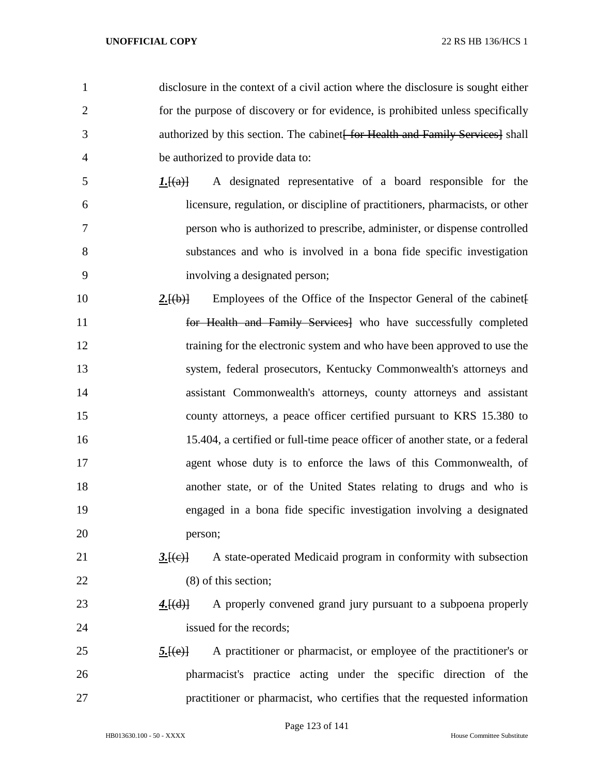disclosure in the context of a civil action where the disclosure is sought either for the purpose of discovery or for evidence, is prohibited unless specifically 3 authorized by this section. The cabinet for Health and Family Services shall be authorized to provide data to: *1.*[(a)] A designated representative of a board responsible for the licensure, regulation, or discipline of practitioners, pharmacists, or other person who is authorized to prescribe, administer, or dispense controlled substances and who is involved in a bona fide specific investigation involving a designated person; **2. 2. Employees of the Office of the Inspector General of the cabinet**  for Health and Family Services] who have successfully completed 12 training for the electronic system and who have been approved to use the system, federal prosecutors, Kentucky Commonwealth's attorneys and assistant Commonwealth's attorneys, county attorneys and assistant county attorneys, a peace officer certified pursuant to KRS 15.380 to 15.404, a certified or full-time peace officer of another state, or a federal agent whose duty is to enforce the laws of this Commonwealth, of another state, or of the United States relating to drugs and who is

person;

# *3.*[(c)] A state-operated Medicaid program in conformity with subsection (8) of this section;

engaged in a bona fide specific investigation involving a designated

- **4.**[(d)] A properly convened grand jury pursuant to a subpoena properly 24 issued for the records:
- **5.**[(e)] A practitioner or pharmacist, or employee of the practitioner's or pharmacist's practice acting under the specific direction of the practitioner or pharmacist, who certifies that the requested information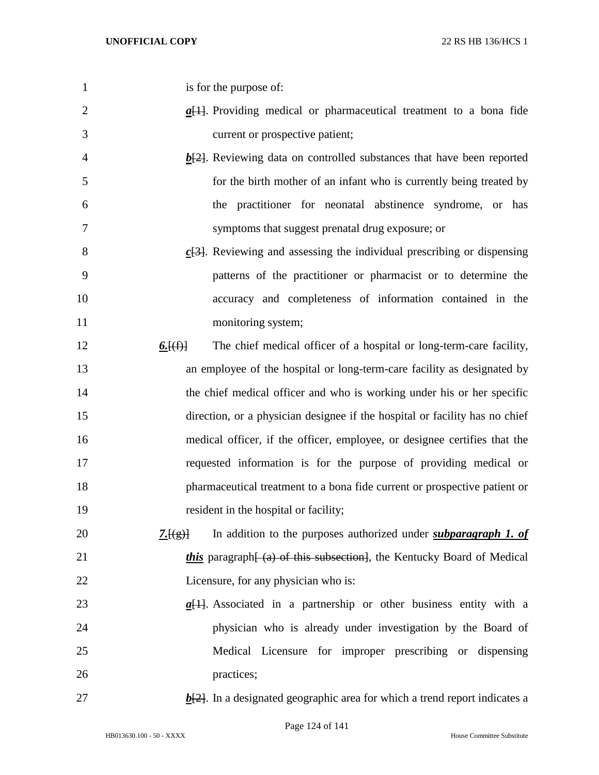- is for the purpose of:
- 2 *a*<sub>[1]</sub>. Providing medical or pharmaceutical treatment to a bona fide current or prospective patient;
- **b**[2]. Reviewing data on controlled substances that have been reported for the birth mother of an infant who is currently being treated by the practitioner for neonatal abstinence syndrome, or has symptoms that suggest prenatal drug exposure; or
- *c*[3]. Reviewing and assessing the individual prescribing or dispensing patterns of the practitioner or pharmacist or to determine the accuracy and completeness of information contained in the 11 monitoring system;
- **6.** [(f)] The chief medical officer of a hospital or long-term-care facility, an employee of the hospital or long-term-care facility as designated by 14 the chief medical officer and who is working under his or her specific direction, or a physician designee if the hospital or facility has no chief medical officer, if the officer, employee, or designee certifies that the requested information is for the purpose of providing medical or pharmaceutical treatment to a bona fide current or prospective patient or resident in the hospital or facility;
- **7.** *7. 7.* **In** addition to the purposes authorized under *subparagraph 1. of* 21 *this* paragraph  $\overline{a}$  of this subsection, the Kentucky Board of Medical Licensure, for any physician who is:
- *a*[1]. Associated in a partnership or other business entity with a physician who is already under investigation by the Board of Medical Licensure for improper prescribing or dispensing 26 practices:
- 
- $b$ <sup>[2]</sup>. In a designated geographic area for which a trend report indicates a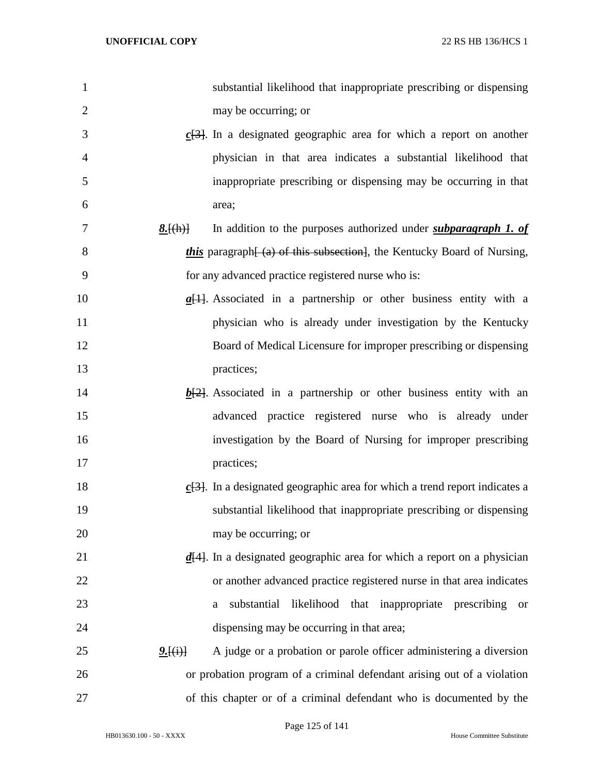| $\mathbf{1}$   |                                         | substantial likelihood that inappropriate prescribing or dispensing                    |
|----------------|-----------------------------------------|----------------------------------------------------------------------------------------|
| $\overline{2}$ |                                         | may be occurring; or                                                                   |
| 3              |                                         | $\underline{c[3]}$ . In a designated geographic area for which a report on another     |
| $\overline{4}$ |                                         | physician in that area indicates a substantial likelihood that                         |
| 5              |                                         | inappropriate prescribing or dispensing may be occurring in that                       |
| 6              |                                         | area;                                                                                  |
| 7              | 8.[(h)]                                 | In addition to the purposes authorized under <i>subparagraph 1. of</i>                 |
| 8              |                                         | <i>this</i> paragraph (a) of this subsection, the Kentucky Board of Nursing,           |
| 9              |                                         | for any advanced practice registered nurse who is:                                     |
| 10             |                                         | $\underline{a}[1]$ . Associated in a partnership or other business entity with a       |
| 11             |                                         | physician who is already under investigation by the Kentucky                           |
| 12             |                                         | Board of Medical Licensure for improper prescribing or dispensing                      |
| 13             |                                         | practices;                                                                             |
| 14             |                                         | $\underline{b[2]}$ . Associated in a partnership or other business entity with an      |
| 15             |                                         | advanced practice registered nurse who is already under                                |
| 16             |                                         | investigation by the Board of Nursing for improper prescribing                         |
| 17             |                                         | practices;                                                                             |
| 18             |                                         | $c$ [3]. In a designated geographic area for which a trend report indicates a          |
| 19             |                                         | substantial likelihood that inappropriate prescribing or dispensing                    |
| 20             |                                         | may be occurring; or                                                                   |
| 21             |                                         | $\underline{d[4]}$ . In a designated geographic area for which a report on a physician |
| 22             |                                         | or another advanced practice registered nurse in that area indicates                   |
| 23             |                                         | substantial<br>likelihood that inappropriate prescribing<br>a<br><sub>or</sub>         |
| 24             |                                         | dispensing may be occurring in that area;                                              |
| 25             | <u>2. <math>\{(\mathbf{i})\}</math></u> | A judge or a probation or parole officer administering a diversion                     |
| 26             |                                         | or probation program of a criminal defendant arising out of a violation                |
| 27             |                                         | of this chapter or of a criminal defendant who is documented by the                    |

Page 125 of 141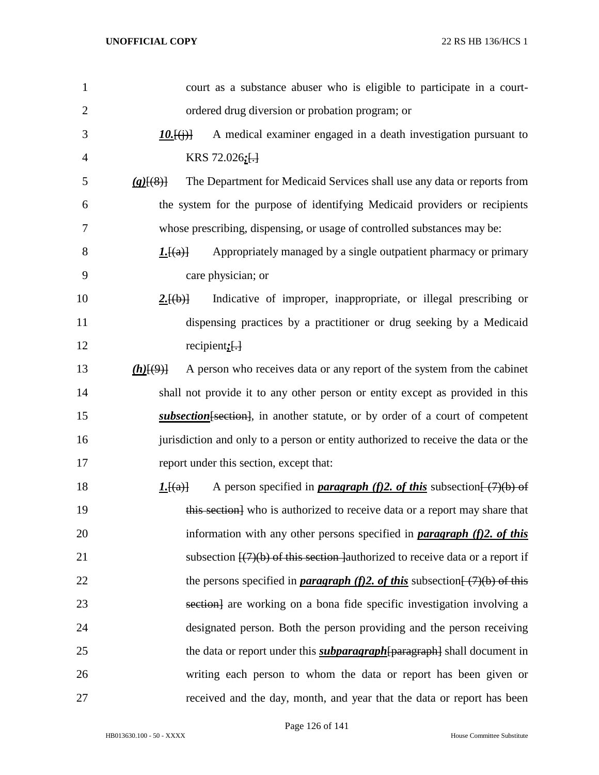| 1              | court as a substance abuser who is eligible to participate in a court-                         |
|----------------|------------------------------------------------------------------------------------------------|
| $\overline{2}$ | ordered drug diversion or probation program; or                                                |
| 3              | A medical examiner engaged in a death investigation pursuant to<br>$10.$ $\{(\cdot)\}$         |
| $\overline{4}$ | KRS 72.026 $:$ $\left\{ \cdot \right\}$                                                        |
| 5              | The Department for Medicaid Services shall use any data or reports from<br>(g)(8)              |
| 6              | the system for the purpose of identifying Medicaid providers or recipients                     |
| 7              | whose prescribing, dispensing, or usage of controlled substances may be:                       |
| 8              | Appropriately managed by a single outpatient pharmacy or primary<br>1.[(a)]                    |
| 9              | care physician; or                                                                             |
| 10             | Indicative of improper, inappropriate, or illegal prescribing or<br>2.[(b)]                    |
| 11             | dispensing practices by a practitioner or drug seeking by a Medicaid                           |
| 12             | recipient; $\left[\cdot\right]$                                                                |
| 13             | A person who receives data or any report of the system from the cabinet<br>$(h)$ [(9)]         |
| 14             | shall not provide it to any other person or entity except as provided in this                  |
| 15             | subsection [section], in another statute, or by order of a court of competent                  |
| 16             | jurisdiction and only to a person or entity authorized to receive the data or the              |
| 17             | report under this section, except that:                                                        |
| 18             | A person specified in <b>paragraph</b> (f)2. of this subsection $\frac{7}{2}$ (b) of<br>L[(a)] |
| 19             | this section] who is authorized to receive data or a report may share that                     |
| 20             | information with any other persons specified in <b>paragraph</b> $(f)$ 2. of this              |
| 21             | subsection $\frac{1}{7}(7)(b)$ of this section lauthorized to receive data or a report if      |
| 22             | the persons specified in <b>paragraph</b> (f)2. of this subsection $\frac{7}{2}$ (b) of this   |
| 23             | section, are working on a bona fide specific investigation involving a                         |
| 24             | designated person. Both the person providing and the person receiving                          |
| 25             | the data or report under this <i>subparagraph</i> [paragraph] shall document in                |
| 26             | writing each person to whom the data or report has been given or                               |
| 27             | received and the day, month, and year that the data or report has been                         |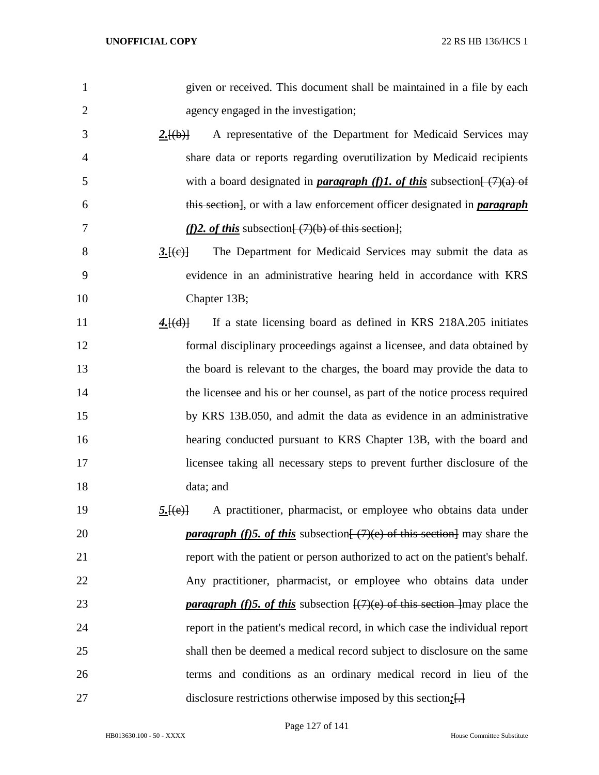| $\mathbf{1}$   | given or received. This document shall be maintained in a file by each                                    |
|----------------|-----------------------------------------------------------------------------------------------------------|
| $\overline{2}$ | agency engaged in the investigation;                                                                      |
| 3              | A representative of the Department for Medicaid Services may<br>2.[(b)]                                   |
| 4              | share data or reports regarding overutilization by Medicaid recipients                                    |
| 5              | with a board designated in <b>paragraph</b> (f)1. of this subsection $\frac{(\frac{7}{4})}{4}$ of         |
| 6              | this section], or with a law enforcement officer designated in <i>paragraph</i>                           |
| 7              | (f)2. of this subsection $\frac{7}{12}$ of this section,                                                  |
| 8              | The Department for Medicaid Services may submit the data as<br>3.[(e)]                                    |
| 9              | evidence in an administrative hearing held in accordance with KRS                                         |
| 10             | Chapter 13B;                                                                                              |
| 11             | If a state licensing board as defined in KRS 218A.205 initiates<br>4.[(d)]                                |
| 12             | formal disciplinary proceedings against a licensee, and data obtained by                                  |
| 13             | the board is relevant to the charges, the board may provide the data to                                   |
| 14             | the licensee and his or her counsel, as part of the notice process required                               |
| 15             | by KRS 13B.050, and admit the data as evidence in an administrative                                       |
| 16             | hearing conducted pursuant to KRS Chapter 13B, with the board and                                         |
| 17             | licensee taking all necessary steps to prevent further disclosure of the                                  |
| 18             | data; and                                                                                                 |
| 19             | A practitioner, pharmacist, or employee who obtains data under<br>5.[(e)]                                 |
| 20             | <b><i>paragraph (f)5. of this</i></b> subsection $\left(\frac{7}{e}\right)$ of this section may share the |
| 21             | report with the patient or person authorized to act on the patient's behalf.                              |
| 22             | Any practitioner, pharmacist, or employee who obtains data under                                          |
| 23             | <i>paragraph (f)5. of this subsection</i> $\frac{1}{7}(7)(e)$ of this section may place the               |
| 24             | report in the patient's medical record, in which case the individual report                               |
| 25             | shall then be deemed a medical record subject to disclosure on the same                                   |
| 26             | terms and conditions as an ordinary medical record in lieu of the                                         |
| 27             | disclosure restrictions otherwise imposed by this section. $\left[\cdot\right]$                           |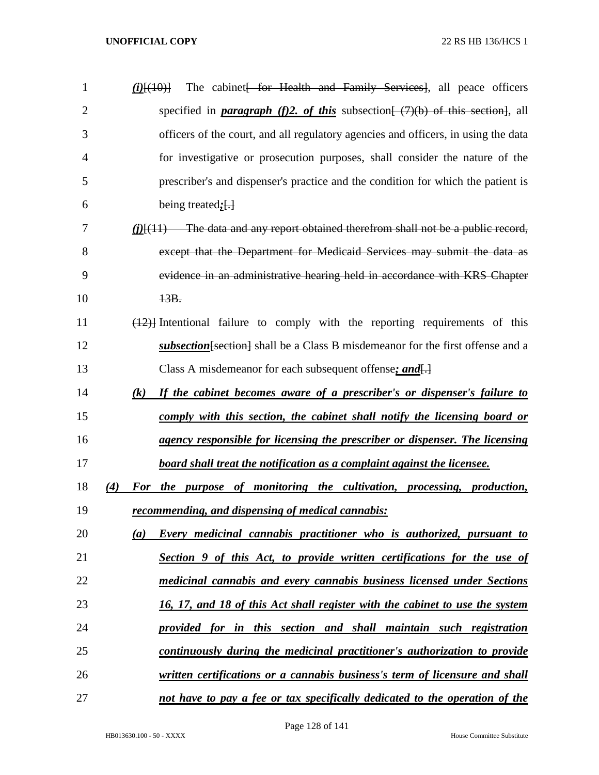| $\mathbf{1}$   | The cabinet for Health and Family Services, all peace officers<br>$(i)$ $(10)$                         |
|----------------|--------------------------------------------------------------------------------------------------------|
| $\overline{2}$ | specified in <b>paragraph</b> (f)2. of this subsection $\left(\frac{7}{6}\right)$ of this section, all |
| 3              | officers of the court, and all regulatory agencies and officers, in using the data                     |
| 4              | for investigative or prosecution purposes, shall consider the nature of the                            |
| 5              | prescriber's and dispenser's practice and the condition for which the patient is                       |
| 6              | being treated; $\left\{ \cdot \right\}$                                                                |
| 7              | $(i)$ $\{ (11)$ The data and any report obtained therefrom shall not be a public record,               |
| 8              | except that the Department for Medicaid Services may submit the data as                                |
| 9              | evidence in an administrative hearing held in accordance with KRS Chapter                              |
| 10             | 13B.                                                                                                   |
| 11             | $(12)$ ] Intentional failure to comply with the reporting requirements of this                         |
| 12             | subsection [section] shall be a Class B misdemeanor for the first offense and a                        |
| 13             | Class A misdemeanor for each subsequent offense; and $\left\{\cdot\right\}$                            |
| 14             | $(k)$ If the cabinet becomes aware of a prescriber's or dispenser's failure to                         |
| 15             | comply with this section, the cabinet shall notify the licensing board or                              |
| 16             | agency responsible for licensing the prescriber or dispenser. The licensing                            |
| 17             | board shall treat the notification as a complaint against the licensee.                                |
| 18             | For the purpose of monitoring the cultivation, processing, production,<br>(4)                          |
| 19             | <u>recommending, and dispensing of medical cannabis:</u>                                               |
| 20             | Every medicinal cannabis practitioner who is authorized, pursuant to<br>(a)                            |
| 21             | Section 9 of this Act, to provide written certifications for the use of                                |
| 22             | medicinal cannabis and every cannabis business licensed under Sections                                 |
| 23             | 16, 17, and 18 of this Act shall register with the cabinet to use the system                           |
| 24             | provided for in this section and shall maintain such registration                                      |
| 25             | continuously during the medicinal practitioner's authorization to provide                              |
| 26             | written certifications or a cannabis business's term of licensure and shall                            |
| 27             | not have to pay a fee or tax specifically dedicated to the operation of the                            |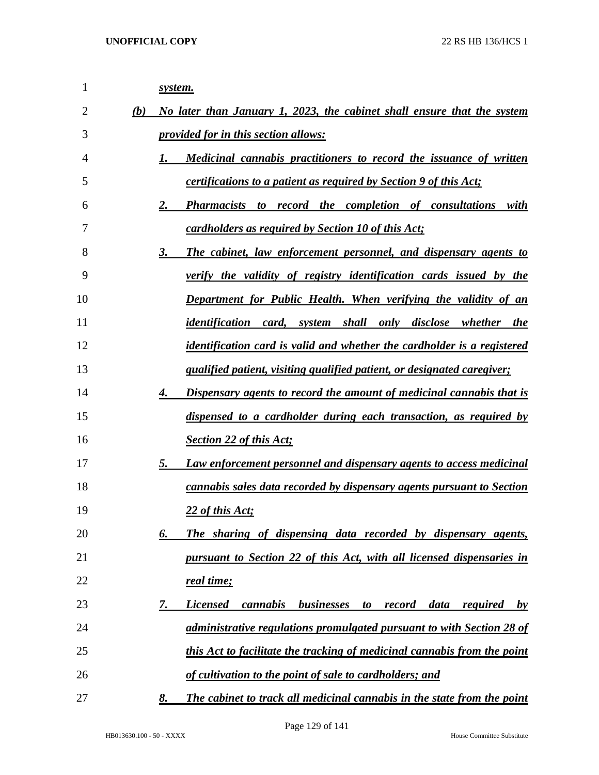| 1  |     | system.                                                                                    |
|----|-----|--------------------------------------------------------------------------------------------|
| 2  | (b) | No later than January 1, 2023, the cabinet shall ensure that the system                    |
| 3  |     | <i>provided for in this section allows:</i>                                                |
| 4  |     | Medicinal cannabis practitioners to record the issuance of written<br>1.                   |
| 5  |     | <i>certifications to a patient as required by Section 9 of this Act;</i>                   |
| 6  |     | Pharmacists to record the completion of consultations with<br>2.                           |
| 7  |     | cardholders as required by Section 10 of this Act;                                         |
| 8  |     | The cabinet, law enforcement personnel, and dispensary agents to<br>3.                     |
| 9  |     | verify the validity of registry identification cards issued by the                         |
| 10 |     | Department for Public Health. When verifying the validity of an                            |
| 11 |     | identification card, system shall only disclose whether the                                |
| 12 |     | identification card is valid and whether the cardholder is a registered                    |
| 13 |     | qualified patient, visiting qualified patient, or designated caregiver;                    |
| 14 |     | Dispensary agents to record the amount of medicinal cannabis that is<br>4.                 |
| 15 |     | dispensed to a cardholder during each transaction, as required by                          |
| 16 |     | <b>Section 22 of this Act;</b>                                                             |
| 17 |     | Law enforcement personnel and dispensary agents to access medicinal<br>5.                  |
| 18 |     | cannabis sales data recorded by dispensary agents pursuant to Section                      |
| 19 |     | 22 of this Act;                                                                            |
| 20 |     | The sharing of dispensing data recorded by dispensary agents,<br>6.                        |
| 21 |     | pursuant to Section 22 of this Act, with all licensed dispensaries in                      |
| 22 |     | real time;                                                                                 |
| 23 |     | cannabis<br>businesses<br>7.<br><b>Licensed</b><br>to record<br>data<br><i>required</i> by |
| 24 |     | administrative regulations promulgated pursuant to with Section 28 of                      |
| 25 |     | this Act to facilitate the tracking of medicinal cannabis from the point                   |
| 26 |     | of cultivation to the point of sale to cardholders; and                                    |
| 27 |     | The cabinet to track all medicinal cannabis in the state from the point<br>8.              |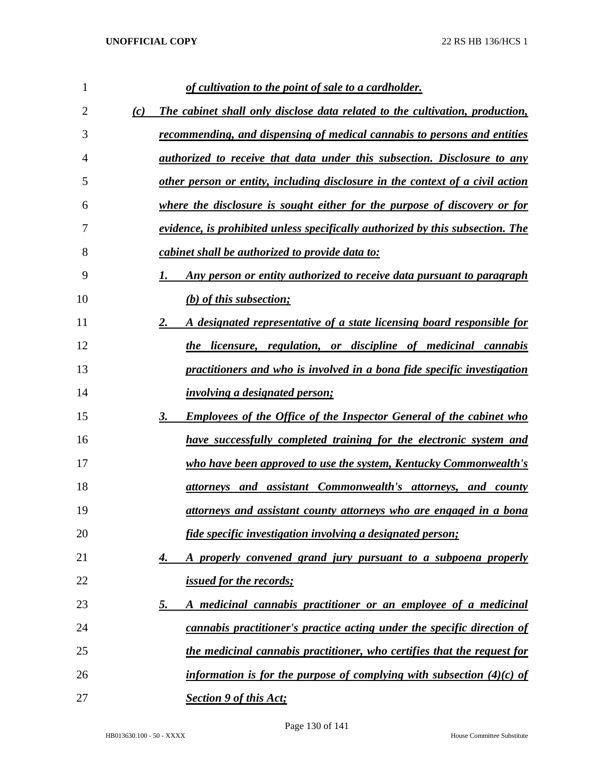| 1              |     | of cultivation to the point of sale to a cardholder.                             |
|----------------|-----|----------------------------------------------------------------------------------|
| $\overline{2}$ | (c) | The cabinet shall only disclose data related to the cultivation, production,     |
| 3              |     | recommending, and dispensing of medical cannabis to persons and entities         |
| 4              |     | <i>authorized to receive that data under this subsection. Disclosure to any</i>  |
| 5              |     | other person or entity, including disclosure in the context of a civil action    |
| 6              |     | where the disclosure is sought either for the purpose of discovery or for        |
| 7              |     | evidence, is prohibited unless specifically authorized by this subsection. The   |
| 8              |     | cabinet shall be authorized to provide data to:                                  |
| 9              |     | Any person or entity authorized to receive data pursuant to paragraph            |
| 10             |     | $(b)$ of this subsection;                                                        |
| 11             |     | 2.<br>A designated representative of a state licensing board responsible for     |
| 12             |     | the licensure, regulation, or discipline of medicinal cannabis                   |
| 13             |     | practitioners and who is involved in a bona fide specific investigation          |
| 14             |     | <i>involving a designated person;</i>                                            |
| 15             |     | 3.<br><b>Employees of the Office of the Inspector General of the cabinet who</b> |
| 16             |     | have successfully completed training for the electronic system and               |
| 17             |     | who have been approved to use the system, Kentucky Commonwealth's                |
| 18             |     | <u>attorneys</u> and assistant Commonwealth's attorneys, and county              |
| 19             |     | <u>attorneys and assistant county attorneys who are engaged in a bona</u>        |
| 20             |     | fide specific investigation involving a designated person;                       |
| 21             |     | A properly convened grand jury pursuant to a subpoena properly<br>4.             |
| 22             |     | <i><u><b>issued for the records;</b></u></i>                                     |
| 23             |     | A medicinal cannabis practitioner or an employee of a medicinal<br><u>5.</u>     |
| 24             |     | cannabis practitioner's practice acting under the specific direction of          |
| 25             |     | the medicinal cannabis practitioner, who certifies that the request for          |
| 26             |     | information is for the purpose of complying with subsection $(4)(c)$ of          |
| 27             |     | <b>Section 9 of this Act;</b>                                                    |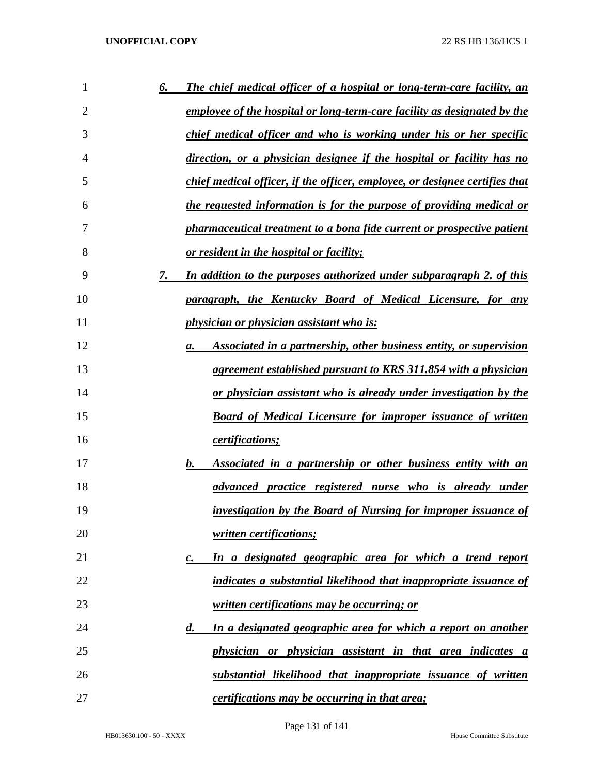| 1  | The chief medical officer of a hospital or long-term-care facility, an<br><u>6.</u> |
|----|-------------------------------------------------------------------------------------|
| 2  | employee of the hospital or long-term-care facility as designated by the            |
| 3  | chief medical officer and who is working under his or her specific                  |
| 4  | <u>direction, or a physician designee if the hospital or facility has no</u>        |
| 5  | chief medical officer, if the officer, employee, or designee certifies that         |
| 6  | the requested information is for the purpose of providing medical or                |
| 7  | <i>pharmaceutical treatment to a bona fide current or prospective patient</i>       |
| 8  | <u>or resident in the hospital or facility;</u>                                     |
| 9  | 7.<br>In addition to the purposes authorized under subparagraph 2. of this          |
| 10 | <u>paragraph, the Kentucky Board of Medical Licensure, for any</u>                  |
| 11 | <i>physician or physician assistant who is:</i>                                     |
| 12 | Associated in a partnership, other business entity, or supervision<br>а.            |
| 13 | agreement established pursuant to KRS 311.854 with a physician                      |
| 14 | <u>or physician assistant who is already under investigation by the</u>             |
| 15 | <b>Board of Medical Licensure for improper issuance of written</b>                  |
| 16 | certifications;                                                                     |
| 17 | Associated in a partnership or other business entity with an<br>b.                  |
| 18 | <u>advanced practice registered nurse who is already under</u>                      |
| 19 | investigation by the Board of Nursing for improper issuance of                      |
| 20 | written certifications;                                                             |
| 21 | In a designated geographic area for which a trend report<br>$\mathbf{c}$ .          |
| 22 | indicates a substantial likelihood that inappropriate issuance of                   |
| 23 | written certifications may be occurring; or                                         |
| 24 | In a designated geographic area for which a report on another<br>$\boldsymbol{d}$ . |
| 25 | physician or physician assistant in that area indicates a                           |
| 26 | substantial likelihood that inappropriate issuance of written                       |
| 27 | <i>certifications may be occurring in that area;</i>                                |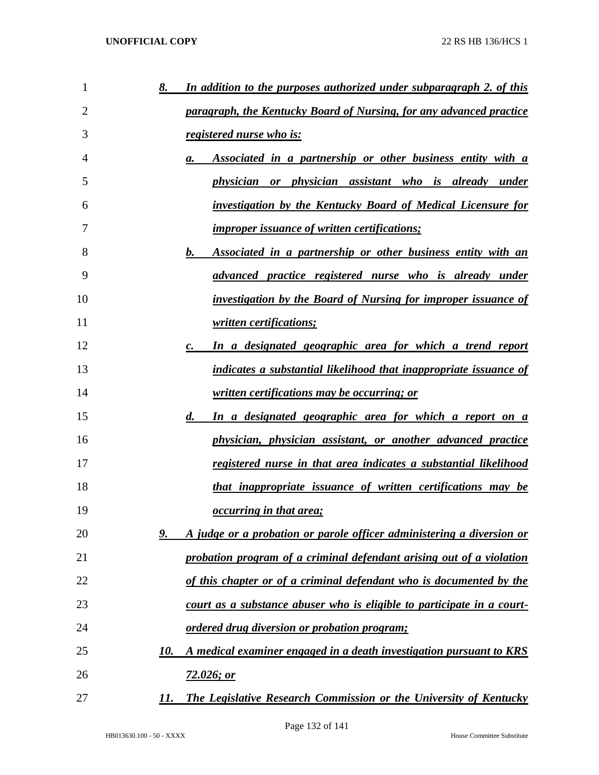| 1  | In addition to the purposes authorized under subparagraph 2. of this<br>8.         |
|----|------------------------------------------------------------------------------------|
| 2  | paragraph, the Kentucky Board of Nursing, for any advanced practice                |
| 3  | registered nurse who is:                                                           |
| 4  | Associated in a partnership or other business entity with a<br>а.                  |
| 5  | physician or physician assistant who is already under                              |
| 6  | investigation by the Kentucky Board of Medical Licensure for                       |
| 7  | <i>improper issuance of written certifications;</i>                                |
| 8  | Associated in a partnership or other business entity with an<br>$\bm{b}$ .         |
| 9  | advanced practice registered nurse who is already under                            |
| 10 | <i>investigation by the Board of Nursing for improper issuance of</i>              |
| 11 | written certifications;                                                            |
| 12 | In a designated geographic area for which a trend report<br>$\mathbf{c}$ .         |
| 13 | indicates a substantial likelihood that inappropriate issuance of                  |
| 14 | written certifications may be occurring; or                                        |
| 15 | In a designated geographic area for which a report on a<br>$\boldsymbol{d.}$       |
| 16 | physician, physician assistant, or another advanced practice                       |
| 17 | <u>registered nurse in that area indicates a substantial likelihood</u>            |
| 18 | that inappropriate issuance of written certifications may be                       |
| 19 | <i><u><b>occurring in that area;</b></u></i>                                       |
| 20 | A judge or a probation or parole officer administering a diversion or<br><u>9.</u> |
| 21 | probation program of a criminal defendant arising out of a violation               |
| 22 | of this chapter or of a criminal defendant who is documented by the                |
| 23 | court as a substance abuser who is eligible to participate in a court-             |
| 24 | <i><u><b>ordered drug diversion or probation program;</b></u></i>                  |
| 25 | A medical examiner engaged in a death investigation pursuant to KRS<br>10.         |
| 26 | 72.026; or                                                                         |
| 27 | The Legislative Research Commission or the University of Kentucky<br>11.           |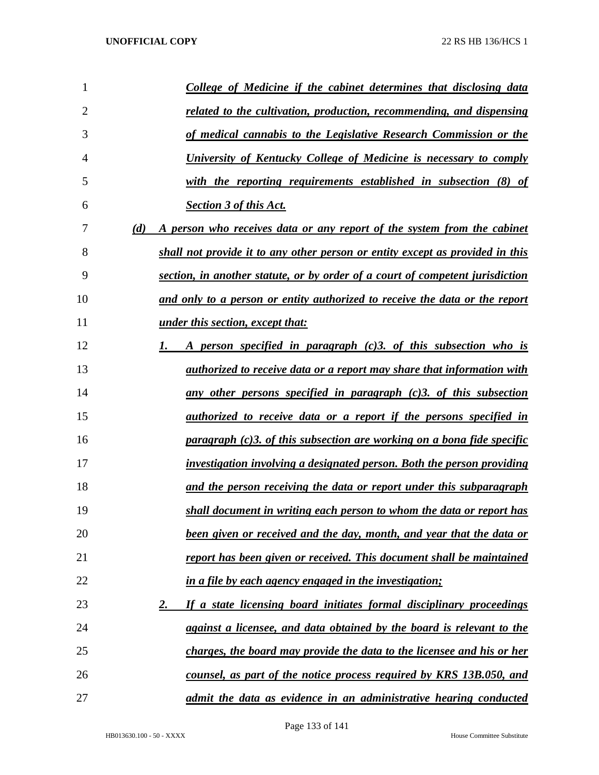| 1              | <b>College of Medicine if the cabinet determines that disclosing data</b>            |
|----------------|--------------------------------------------------------------------------------------|
| $\overline{2}$ | related to the cultivation, production, recommending, and dispensing                 |
| 3              | of medical cannabis to the Legislative Research Commission or the                    |
| 4              | University of Kentucky College of Medicine is necessary to comply                    |
| 5              | with the reporting requirements established in subsection (8) of                     |
| 6              | <b>Section 3 of this Act.</b>                                                        |
| 7              | (d)<br>A person who receives data or any report of the system from the cabinet       |
| 8              | shall not provide it to any other person or entity except as provided in this        |
| 9              | section, in another statute, or by order of a court of competent jurisdiction        |
| 10             | and only to a person or entity authorized to receive the data or the report          |
| 11             | <i><u>under this section, except that:</u></i>                                       |
| 12             | A person specified in paragraph (c)3. of this subsection who is                      |
| 13             | <i>authorized to receive data or a report may share that information with</i>        |
| 14             | <u>any other persons specified in paragraph (c)3, of this subsection</u>             |
| 15             | <i>authorized to receive data or a report if the persons specified in</i>            |
| 16             | $\frac{b}{c}$ paragraph (c)3. of this subsection are working on a bona fide specific |
| 17             | investigation involving a designated person. Both the person providing               |
| 18             | and the person receiving the data or report under this subparagraph                  |
| 19             | shall document in writing each person to whom the data or report has                 |
| 20             | been given or received and the day, month, and year that the data or                 |
| 21             | report has been given or received. This document shall be maintained                 |
| 22             | in a file by each agency engaged in the investigation;                               |
| 23             | If a state licensing board initiates formal disciplinary proceedings<br>2.           |
| 24             | against a licensee, and data obtained by the board is relevant to the                |
| 25             | charges, the board may provide the data to the licensee and his or her               |
| 26             | counsel, as part of the notice process required by KRS 13B.050, and                  |
| 27             | admit the data as evidence in an administrative hearing conducted                    |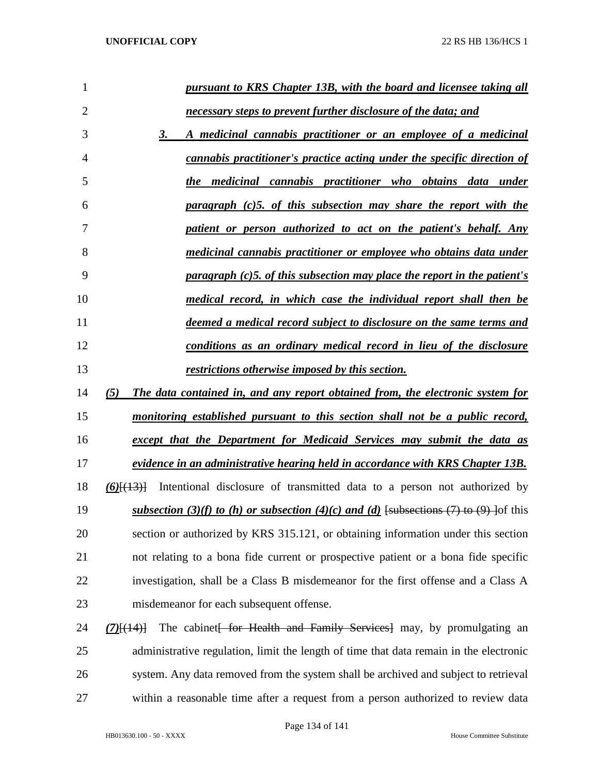| $\mathbf{1}$   | <u>pursuant to KRS Chapter 13B, with the board and licensee taking all</u>               |
|----------------|------------------------------------------------------------------------------------------|
| $\overline{2}$ | <u>necessary steps to prevent further disclosure of the data; and</u>                    |
| 3              | A medicinal cannabis practitioner or an employee of a medicinal<br>3.                    |
| 4              | <u>cannabis practitioner's practice acting under the specific direction of</u>           |
| 5              | the medicinal cannabis practitioner who obtains data under                               |
| 6              | paragraph (c)5. of this subsection may share the report with the                         |
| 7              | patient or person authorized to act on the patient's behalf. Any                         |
| 8              | <u>medicinal cannabis practitioner or employee who obtains data under</u>                |
| 9              | <u>paragraph (c)5, of this subsection may place the report in the patient's</u>          |
| 10             | medical record, in which case the individual report shall then be                        |
| 11             | <u>deemed a medical record subject to disclosure on the same terms and</u>               |
| 12             | <u>conditions as an ordinary medical record in lieu of the disclosure</u>                |
| 13             | restrictions otherwise imposed by this section.                                          |
|                |                                                                                          |
|                | The data contained in, and any report obtained from, the electronic system for<br>(5)    |
| 14<br>15       | <u>monitoring established pursuant to this section shall not be a public record,</u>     |
| 16             | except that the Department for Medicaid Services may submit the data as                  |
| 17             | evidence in an administrative hearing held in accordance with KRS Chapter 13B.           |
| 18             | Intentional disclosure of transmitted data to a person not authorized by<br>$(6)$ $(13)$ |
| 19             | subsection (3)(f) to (h) or subsection (4)(c) and (d) [subsections (7) to (9) ] of this  |
| 20             | section or authorized by KRS 315.121, or obtaining information under this section        |
| 21             | not relating to a bona fide current or prospective patient or a bona fide specific       |
| 22             | investigation, shall be a Class B misdemeanor for the first offense and a Class A        |
| 23             | misdemeanor for each subsequent offense.                                                 |
| 24             | The cabinet for Health and Family Services may, by promulgating an<br>$(7)$ [(14)]       |
| 25             | administrative regulation, limit the length of time that data remain in the electronic   |

within a reasonable time after a request from a person authorized to review data

HB013630.100 - 50 - XXXX House Committee Substitute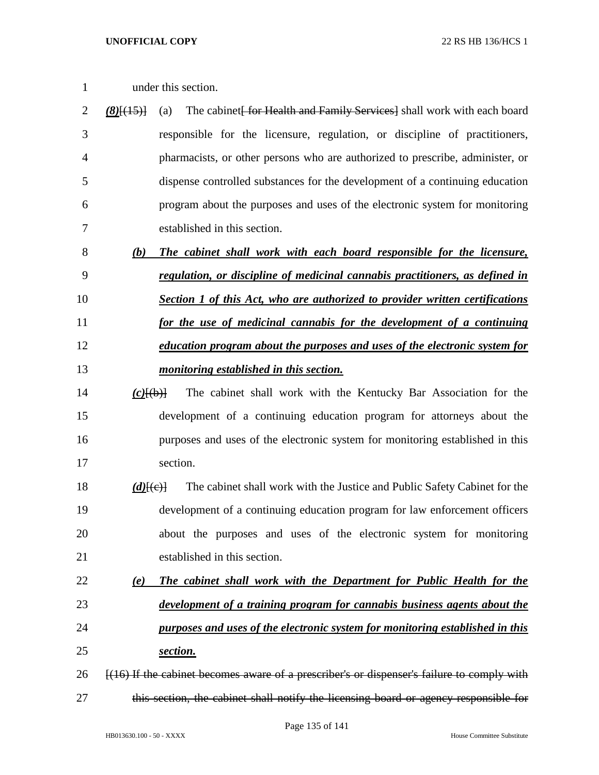- 
- under this section.
- 2 *(8)*<sup>[(15)]</sup> (a) The cabinet for Health and Family Services as shall work with each board responsible for the licensure, regulation, or discipline of practitioners, pharmacists, or other persons who are authorized to prescribe, administer, or dispense controlled substances for the development of a continuing education program about the purposes and uses of the electronic system for monitoring established in this section.
- *(b) The cabinet shall work with each board responsible for the licensure, regulation, or discipline of medicinal cannabis practitioners, as defined in Section 1 of this Act, who are authorized to provider written certifications*
- *for the use of medicinal cannabis for the development of a continuing education program about the purposes and uses of the electronic system for*
- *monitoring established in this section.*
- *(c)*[(b)] The cabinet shall work with the Kentucky Bar Association for the development of a continuing education program for attorneys about the purposes and uses of the electronic system for monitoring established in this section.
- 18 *(d)* $\{(\text{c})\}$  The cabinet shall work with the Justice and Public Safety Cabinet for the development of a continuing education program for law enforcement officers about the purposes and uses of the electronic system for monitoring established in this section.
- *(e) The cabinet shall work with the Department for Public Health for the development of a training program for cannabis business agents about the purposes and uses of the electronic system for monitoring established in this*
- *section.*
- 26 [(16) If the cabinet becomes aware of a prescriber's or dispenser's failure to comply with this section, the cabinet shall notify the licensing board or agency responsible for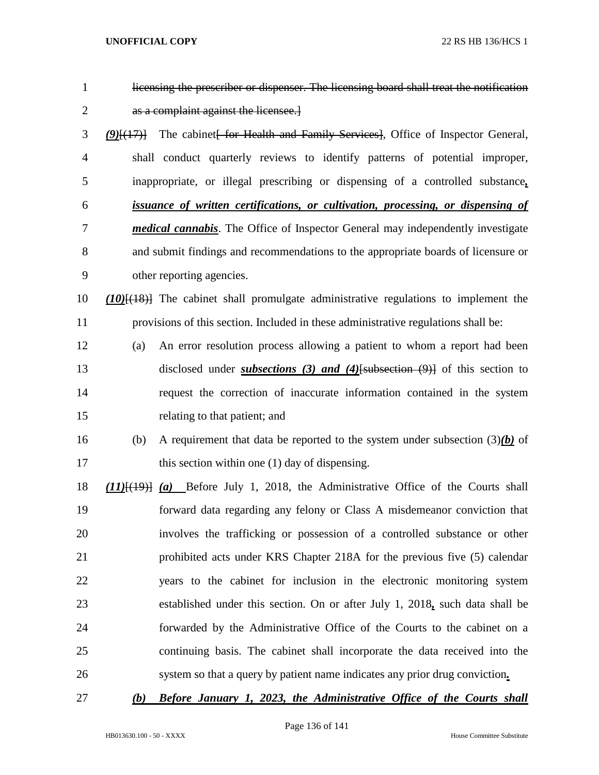| $\mathbf{1}$   |              | licensing the prescriber or dispenser. The licensing board shall treat the notification    |
|----------------|--------------|--------------------------------------------------------------------------------------------|
| $\overline{2}$ |              | as a complaint against the licensee.                                                       |
| 3              | $(9)$ $(17)$ | The cabinet for Health and Family Services, Office of Inspector General,                   |
| $\overline{4}$ |              | shall conduct quarterly reviews to identify patterns of potential improper,                |
| 5              |              | inappropriate, or illegal prescribing or dispensing of a controlled substance,             |
| 6              |              | <i>issuance of written certifications, or cultivation, processing, or dispensing of</i>    |
| 7              |              | <i>medical cannabis</i> . The Office of Inspector General may independently investigate    |
| 8              |              | and submit findings and recommendations to the appropriate boards of licensure or          |
| 9              |              | other reporting agencies.                                                                  |
| 10             |              | $(10)$ [ $(18)$ ] The cabinet shall promulgate administrative regulations to implement the |
| 11             |              | provisions of this section. Included in these administrative regulations shall be:         |
| 12             | (a)          | An error resolution process allowing a patient to whom a report had been                   |
| 13             |              | disclosed under <i>subsections</i> (3) and (4) [subsection $(9)$ ] of this section to      |
| 14             |              | request the correction of inaccurate information contained in the system                   |
| 15             |              | relating to that patient; and                                                              |
| 16             | (b)          | A requirement that data be reported to the system under subsection $(3)(b)$ of             |
| 17             |              | this section within one (1) day of dispensing.                                             |
| 18             |              | $(11)$ $(19)$ $(a)$ Before July 1, 2018, the Administrative Office of the Courts shall     |
| 19             |              | forward data regarding any felony or Class A misdemeanor conviction that                   |
| 20             |              | involves the trafficking or possession of a controlled substance or other                  |
| 21             |              | prohibited acts under KRS Chapter 218A for the previous five (5) calendar                  |
| 22             |              | years to the cabinet for inclusion in the electronic monitoring system                     |
| 23             |              | established under this section. On or after July 1, 2018, such data shall be               |
| 24             |              | forwarded by the Administrative Office of the Courts to the cabinet on a                   |
| 25             |              | continuing basis. The cabinet shall incorporate the data received into the                 |
| 26             |              | system so that a query by patient name indicates any prior drug conviction.                |
|                |              |                                                                                            |

*(b) Before January 1, 2023, the Administrative Office of the Courts shall*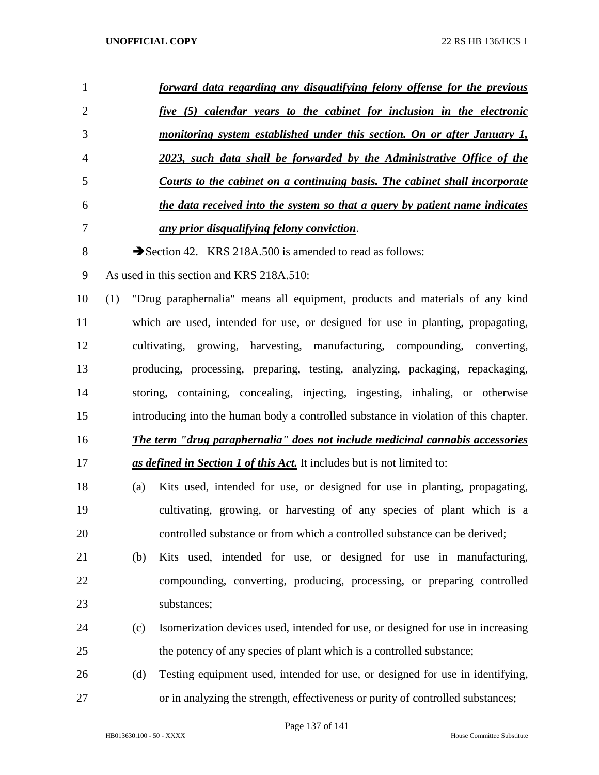| $\mathbf{1}$   |     | forward data regarding any disqualifying felony offense for the previous             |
|----------------|-----|--------------------------------------------------------------------------------------|
| $\mathbf{2}$   |     | five (5) calendar years to the cabinet for inclusion in the electronic               |
| 3              |     | monitoring system established under this section. On or after January 1,             |
| $\overline{4}$ |     | 2023, such data shall be forwarded by the Administrative Office of the               |
| 5              |     | Courts to the cabinet on a continuing basis. The cabinet shall incorporate           |
| 6              |     | the data received into the system so that a query by patient name indicates          |
| 7              |     | <u>any prior disqualifying felony conviction.</u>                                    |
| $8\,$          |     | Section 42. KRS 218A.500 is amended to read as follows:                              |
| 9              |     | As used in this section and KRS 218A.510:                                            |
| 10             | (1) | "Drug paraphernalia" means all equipment, products and materials of any kind         |
| 11             |     | which are used, intended for use, or designed for use in planting, propagating,      |
| 12             |     | cultivating, growing, harvesting, manufacturing, compounding, converting,            |
| 13             |     | producing, processing, preparing, testing, analyzing, packaging, repackaging,        |
| 14             |     | storing, containing, concealing, injecting, ingesting, inhaling, or otherwise        |
| 15             |     | introducing into the human body a controlled substance in violation of this chapter. |
| 16             |     | The term "drug paraphernalia" does not include medicinal cannabis accessories        |
| 17             |     | as defined in Section 1 of this Act. It includes but is not limited to:              |
| 18             | (a) | Kits used, intended for use, or designed for use in planting, propagating,           |
| 19             |     | cultivating, growing, or harvesting of any species of plant which is a               |
| 20             |     | controlled substance or from which a controlled substance can be derived;            |
| 21             | (b) | Kits used, intended for use, or designed for use in manufacturing,                   |
| 22             |     | compounding, converting, producing, processing, or preparing controlled              |
| 23             |     | substances;                                                                          |
| 24             | (c) | Isomerization devices used, intended for use, or designed for use in increasing      |
| 25             |     | the potency of any species of plant which is a controlled substance;                 |
| 26             | (d) | Testing equipment used, intended for use, or designed for use in identifying,        |
| 27             |     | or in analyzing the strength, effectiveness or purity of controlled substances;      |

Page 137 of 141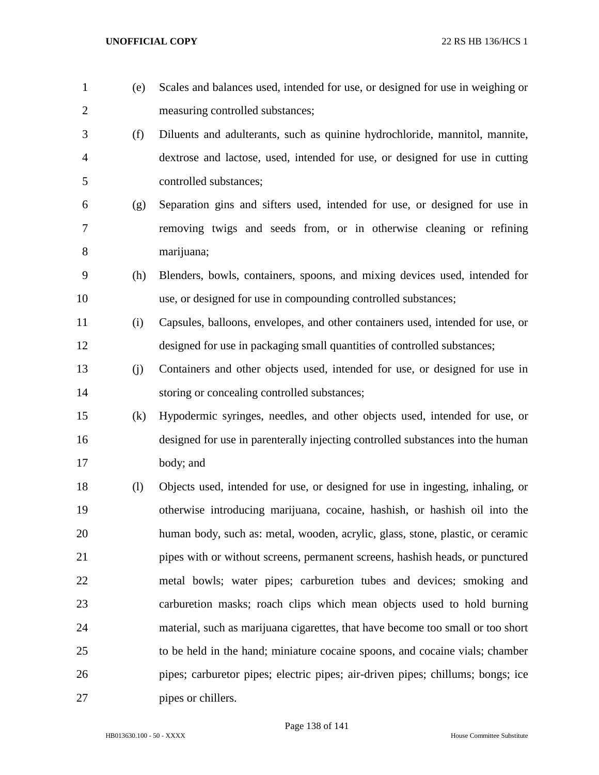measuring controlled substances; (f) Diluents and adulterants, such as quinine hydrochloride, mannitol, mannite, dextrose and lactose, used, intended for use, or designed for use in cutting controlled substances; (g) Separation gins and sifters used, intended for use, or designed for use in removing twigs and seeds from, or in otherwise cleaning or refining marijuana; (h) Blenders, bowls, containers, spoons, and mixing devices used, intended for use, or designed for use in compounding controlled substances; (i) Capsules, balloons, envelopes, and other containers used, intended for use, or designed for use in packaging small quantities of controlled substances; (j) Containers and other objects used, intended for use, or designed for use in 14 storing or concealing controlled substances; (k) Hypodermic syringes, needles, and other objects used, intended for use, or designed for use in parenterally injecting controlled substances into the human body; and (l) Objects used, intended for use, or designed for use in ingesting, inhaling, or otherwise introducing marijuana, cocaine, hashish, or hashish oil into the human body, such as: metal, wooden, acrylic, glass, stone, plastic, or ceramic pipes with or without screens, permanent screens, hashish heads, or punctured metal bowls; water pipes; carburetion tubes and devices; smoking and carburetion masks; roach clips which mean objects used to hold burning material, such as marijuana cigarettes, that have become too small or too short to be held in the hand; miniature cocaine spoons, and cocaine vials; chamber pipes; carburetor pipes; electric pipes; air-driven pipes; chillums; bongs; ice pipes or chillers.

(e) Scales and balances used, intended for use, or designed for use in weighing or

Page 138 of 141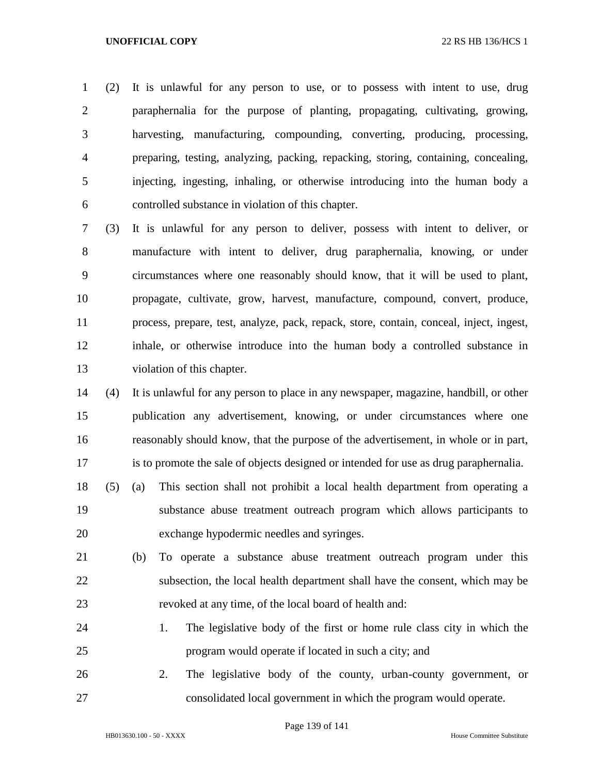(2) It is unlawful for any person to use, or to possess with intent to use, drug paraphernalia for the purpose of planting, propagating, cultivating, growing, harvesting, manufacturing, compounding, converting, producing, processing, preparing, testing, analyzing, packing, repacking, storing, containing, concealing, injecting, ingesting, inhaling, or otherwise introducing into the human body a controlled substance in violation of this chapter.

 (3) It is unlawful for any person to deliver, possess with intent to deliver, or manufacture with intent to deliver, drug paraphernalia, knowing, or under circumstances where one reasonably should know, that it will be used to plant, propagate, cultivate, grow, harvest, manufacture, compound, convert, produce, process, prepare, test, analyze, pack, repack, store, contain, conceal, inject, ingest, inhale, or otherwise introduce into the human body a controlled substance in violation of this chapter.

 (4) It is unlawful for any person to place in any newspaper, magazine, handbill, or other publication any advertisement, knowing, or under circumstances where one reasonably should know, that the purpose of the advertisement, in whole or in part, is to promote the sale of objects designed or intended for use as drug paraphernalia.

- (5) (a) This section shall not prohibit a local health department from operating a substance abuse treatment outreach program which allows participants to exchange hypodermic needles and syringes.
- (b) To operate a substance abuse treatment outreach program under this subsection, the local health department shall have the consent, which may be revoked at any time, of the local board of health and:
- 1. The legislative body of the first or home rule class city in which the program would operate if located in such a city; and
- 2. The legislative body of the county, urban-county government, or consolidated local government in which the program would operate.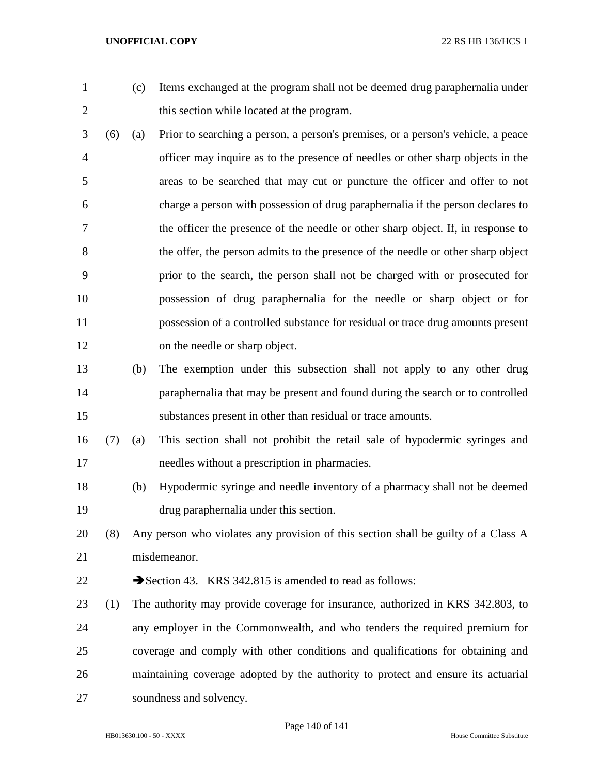- 
- (c) Items exchanged at the program shall not be deemed drug paraphernalia under this section while located at the program.
- (6) (a) Prior to searching a person, a person's premises, or a person's vehicle, a peace officer may inquire as to the presence of needles or other sharp objects in the areas to be searched that may cut or puncture the officer and offer to not charge a person with possession of drug paraphernalia if the person declares to the officer the presence of the needle or other sharp object. If, in response to the offer, the person admits to the presence of the needle or other sharp object prior to the search, the person shall not be charged with or prosecuted for possession of drug paraphernalia for the needle or sharp object or for possession of a controlled substance for residual or trace drug amounts present on the needle or sharp object.
- (b) The exemption under this subsection shall not apply to any other drug paraphernalia that may be present and found during the search or to controlled substances present in other than residual or trace amounts.
- (7) (a) This section shall not prohibit the retail sale of hypodermic syringes and needles without a prescription in pharmacies.
- (b) Hypodermic syringe and needle inventory of a pharmacy shall not be deemed drug paraphernalia under this section.
- (8) Any person who violates any provision of this section shall be guilty of a Class A misdemeanor.
- 22 Section 43. KRS 342.815 is amended to read as follows:
- (1) The authority may provide coverage for insurance, authorized in KRS 342.803, to any employer in the Commonwealth, and who tenders the required premium for coverage and comply with other conditions and qualifications for obtaining and maintaining coverage adopted by the authority to protect and ensure its actuarial soundness and solvency.